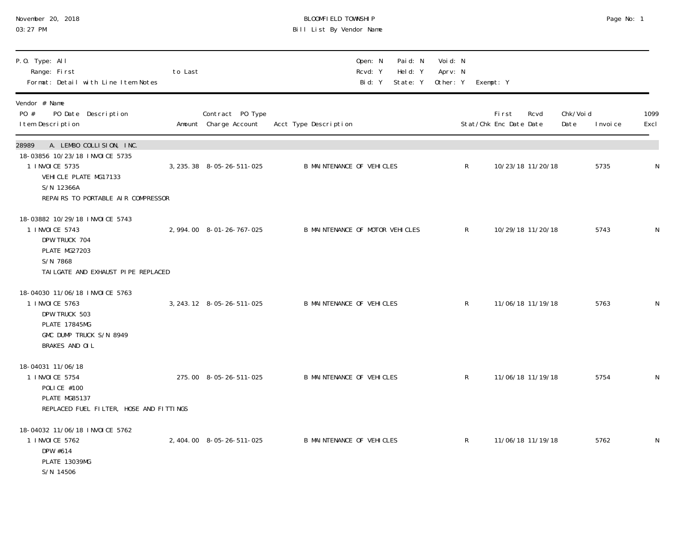| November 20, 2018 |  |
|-------------------|--|
| $03:27$ PM        |  |

#### November 20, 2018 BLOOMFIELD TOWNSHIP Page No: 1 03:27 PM Bill List By Vendor Name

| P.O. Type: All<br>Range: First<br>Format: Detail with Line Item Notes                                                                                              | to Last |                                           | Paid: N<br>Open: N<br>Held: Y<br>Rcvd: Y<br>Bid: Y<br>State: Y | Voi d: N<br>Aprv: N<br>Other: Y | Exempt: Y                               |                                |              |
|--------------------------------------------------------------------------------------------------------------------------------------------------------------------|---------|-------------------------------------------|----------------------------------------------------------------|---------------------------------|-----------------------------------------|--------------------------------|--------------|
| Vendor # Name<br>PO #<br>PO Date Description<br>I tem Description                                                                                                  |         | Contract PO Type<br>Amount Charge Account | Acct Type Description                                          |                                 | First<br>Rcvd<br>Stat/Chk Enc Date Date | Chk/Voi d<br>Date<br>I nvoi ce | 1099<br>Excl |
| 28989<br>A. LEMBO COLLISION, INC.<br>18-03856 10/23/18 INVOICE 5735<br>1 INVOICE 5735<br>VEHICLE PLATE MG17133<br>S/N 12366A<br>REPAIRS TO PORTABLE AIR COMPRESSOR |         | 3, 235. 38 8-05-26-511-025                | <b>B MAINTENANCE OF VEHICLES</b>                               | $\mathsf{R}$                    | 10/23/18 11/20/18                       | 5735                           | N            |
| 18-03882 10/29/18 INVOICE 5743<br>1 INVOICE 5743<br>DPW TRUCK 704<br>PLATE MG27203<br>S/N 7868<br>TAI LGATE AND EXHAUST PIPE REPLACED                              |         | 2, 994.00 8-01-26-767-025                 | B MAINTENANCE OF MOTOR VEHICLES                                | $\mathsf R$                     | 10/29/18 11/20/18                       | 5743                           | ${\sf N}$    |
| 18-04030 11/06/18 INVOICE 5763<br>1 INVOICE 5763<br>DPW TRUCK 503<br><b>PLATE 17845MG</b><br>GMC DUMP TRUCK S/N 8949<br>BRAKES AND OIL                             |         | 3, 243. 12 8-05-26-511-025                | <b>B MAINTENANCE OF VEHICLES</b>                               | $\mathsf{R}$                    | 11/06/18 11/19/18                       | 5763                           | N            |
| 18-04031 11/06/18<br>1 INVOICE 5754<br>POLICE #100<br>PLATE MG85137<br>REPLACED FUEL FILTER, HOSE AND FITTINGS                                                     |         | 275.00 8-05-26-511-025                    | <b>B MAINTENANCE OF VEHICLES</b>                               | $\mathsf R$                     | 11/06/18 11/19/18                       | 5754                           | N            |
| 18-04032 11/06/18 INVOICE 5762<br>1 INVOICE 5762<br>DPW #614<br><b>PLATE 13039MG</b><br>S/N 14506                                                                  |         | 2, 404.00 8-05-26-511-025                 | <b>B MAINTENANCE OF VEHICLES</b>                               | R                               | 11/06/18 11/19/18                       | 5762                           | N            |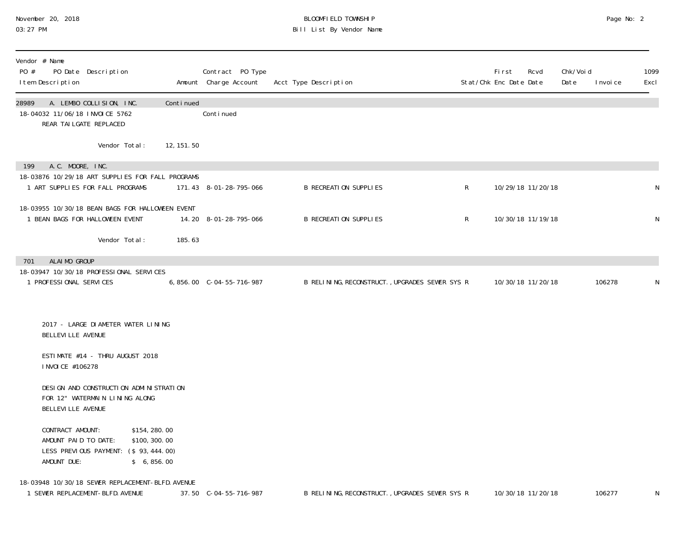#### November 20, 2018 BLOOMFIELD TOWNSHIP Page No: 2 03:27 PM Bill List By Vendor Name

| Vendor # Name<br>PO #<br>I tem Description                        | PO Date Description                                                                   |            | Contract PO Type<br>Amount Charge Account | Acct Type Description                          |   | <b>First</b><br>Rcvd<br>Stat/Chk Enc Date Date | Chk/Voi d<br>Date<br>I nvoi ce | 1099<br>Excl |
|-------------------------------------------------------------------|---------------------------------------------------------------------------------------|------------|-------------------------------------------|------------------------------------------------|---|------------------------------------------------|--------------------------------|--------------|
| 28989<br>18-04032 11/06/18 INVOICE 5762<br>REAR TAILGATE REPLACED | A. LEMBO COLLISION, INC.                                                              | Continued  | Conti nued                                |                                                |   |                                                |                                |              |
|                                                                   | Vendor Total:                                                                         | 12, 151.50 |                                           |                                                |   |                                                |                                |              |
| A.C. MOORE, INC.<br>199                                           |                                                                                       |            |                                           |                                                |   |                                                |                                |              |
| 1 ART SUPPLIES FOR FALL PROGRAMS                                  | 18-03876 10/29/18 ART SUPPLIES FOR FALL PROGRAMS                                      |            | 171.43 8-01-28-795-066                    | <b>B RECREATION SUPPLIES</b>                   | R | 10/29/18 11/20/18                              |                                | N            |
| 1 BEAN BAGS FOR HALLOWEEN EVENT                                   | 18-03955 10/30/18 BEAN BAGS FOR HALLOWEEN EVENT                                       |            | 14.20 8-01-28-795-066                     | <b>B RECREATION SUPPLIES</b>                   | R | 10/30/18 11/19/18                              |                                | N            |
|                                                                   | Vendor Total:                                                                         | 185.63     |                                           |                                                |   |                                                |                                |              |
| ALAIMO GROUP<br>701                                               |                                                                                       |            |                                           |                                                |   |                                                |                                |              |
|                                                                   | 18-03947 10/30/18 PROFESSIONAL SERVICES                                               |            |                                           |                                                |   |                                                |                                |              |
| 1 PROFESSIONAL SERVICES                                           |                                                                                       |            | 6,856.00 C-04-55-716-987                  | B RELINING, RECONSTRUCT., UPGRADES SEWER SYS R |   | 10/30/18 11/20/18                              | 106278                         | N            |
|                                                                   |                                                                                       |            |                                           |                                                |   |                                                |                                |              |
| BELLEVI LLE AVENUE                                                | 2017 - LARGE DI AMETER WATER LINING                                                   |            |                                           |                                                |   |                                                |                                |              |
| I NVOI CE #106278                                                 | ESTIMATE #14 - THRU AUGUST 2018                                                       |            |                                           |                                                |   |                                                |                                |              |
| BELLEVI LLE AVENUE                                                | DESI GN AND CONSTRUCTI ON ADMINISTRATION<br>FOR 12" WATERMAIN LINING ALONG            |            |                                           |                                                |   |                                                |                                |              |
| CONTRACT AMOUNT:<br>AMOUNT PAID TO DATE:<br>AMOUNT DUE:           | \$154, 280.00<br>\$100, 300.00<br>LESS PREVIOUS PAYMENT: (\$93,444.00)<br>\$6, 856.00 |            |                                           |                                                |   |                                                |                                |              |
| 1 SEWER REPLACEMENT-BLFD. AVENUE                                  | 18-03948 10/30/18 SEWER REPLACEMENT-BLFD. AVENUE                                      |            | 37.50 C-04-55-716-987                     | B RELINING, RECONSTRUCT., UPGRADES SEWER SYS R |   | 10/30/18 11/20/18                              | 106277                         | N            |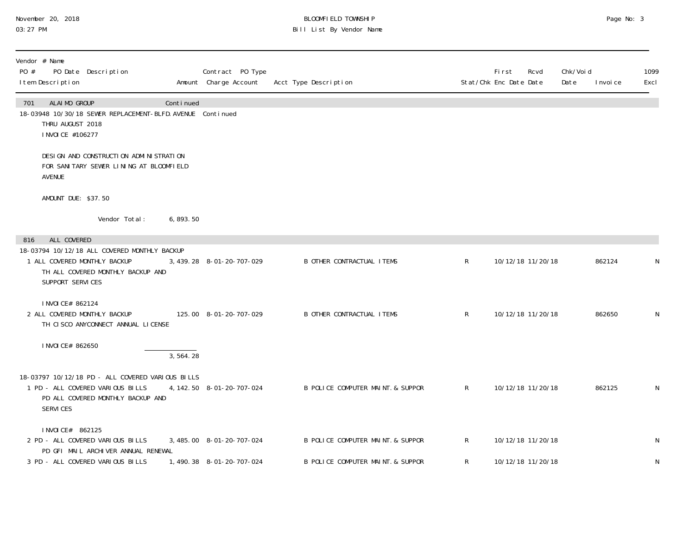#### November 20, 2018 BLOOMFIELD TOWNSHIP Page No: 3 Page No: 3 03:27 PM Bill List By Vendor Name

| Vendor # Name<br>PO #<br>I tem Description                   | PO Date Description                                                                                                       |           | Contract PO Type<br>Amount Charge Account | Acct Type Description             |              | <b>First</b><br>Rcvd<br>Stat/Chk Enc Date Date | Chk/Void<br>Date | I nvoi ce | 1099<br>Excl |
|--------------------------------------------------------------|---------------------------------------------------------------------------------------------------------------------------|-----------|-------------------------------------------|-----------------------------------|--------------|------------------------------------------------|------------------|-----------|--------------|
| ALAIMO GROUP<br>701<br>THRU AUGUST 2018<br>I NVOI CE #106277 | 18-03948 10/30/18 SEWER REPLACEMENT-BLFD. AVENUE Continued                                                                | Continued |                                           |                                   |              |                                                |                  |           |              |
| AVENUE                                                       | DESI GN AND CONSTRUCTI ON ADMINISTRATION<br>FOR SANITARY SEWER LINING AT BLOOMFIELD                                       |           |                                           |                                   |              |                                                |                  |           |              |
| AMOUNT DUE: \$37.50                                          |                                                                                                                           |           |                                           |                                   |              |                                                |                  |           |              |
|                                                              | Vendor Total:                                                                                                             | 6, 893.50 |                                           |                                   |              |                                                |                  |           |              |
| ALL COVERED<br>816                                           |                                                                                                                           |           |                                           |                                   |              |                                                |                  |           |              |
| 1 ALL COVERED MONTHLY BACKUP<br>SUPPORT SERVICES             | 18-03794 10/12/18 ALL COVERED MONTHLY BACKUP<br>TH ALL COVERED MONTHLY BACKUP AND                                         |           | 3, 439. 28 8-01-20-707-029                | <b>B OTHER CONTRACTUAL ITEMS</b>  | $\mathsf{R}$ | 10/12/18 11/20/18                              |                  | 862124    | N            |
| I NVOI CE# 862124<br>2 ALL COVERED MONTHLY BACKUP            | TH CISCO ANYCONNECT ANNUAL LICENSE                                                                                        |           | 125.00 8-01-20-707-029                    | <b>B OTHER CONTRACTUAL ITEMS</b>  | $\mathsf{R}$ | 10/12/18 11/20/18                              |                  | 862650    | N            |
| I NVOI CE# 862650                                            |                                                                                                                           | 3, 564.28 |                                           |                                   |              |                                                |                  |           |              |
| SERVICES                                                     | 18-03797 10/12/18 PD - ALL COVERED VARIOUS BILLS<br>1 PD - ALL COVERED VARIOUS BILLS<br>PD ALL COVERED MONTHLY BACKUP AND |           | 4, 142. 50 8-01-20-707-024                | B POLICE COMPUTER MAINT & SUPPOR  | $\mathsf{R}$ | 10/12/18 11/20/18                              |                  | 862125    | N            |
| I NVOI CE# 862125                                            |                                                                                                                           |           |                                           |                                   |              |                                                |                  |           |              |
|                                                              | 2 PD - ALL COVERED VARIOUS BILLS<br>PD GFI MAIL ARCHIVER ANNUAL RENEWAL                                                   |           | 3, 485.00 8-01-20-707-024                 | B POLICE COMPUTER MAINT. & SUPPOR | $\mathsf{R}$ | 10/12/18 11/20/18                              |                  |           | $\mathsf{N}$ |
|                                                              | 3 PD - ALL COVERED VARIOUS BILLS                                                                                          |           | 1,490.38 8-01-20-707-024                  | B POLICE COMPUTER MAINT & SUPPOR  | R            | 10/12/18 11/20/18                              |                  |           | N            |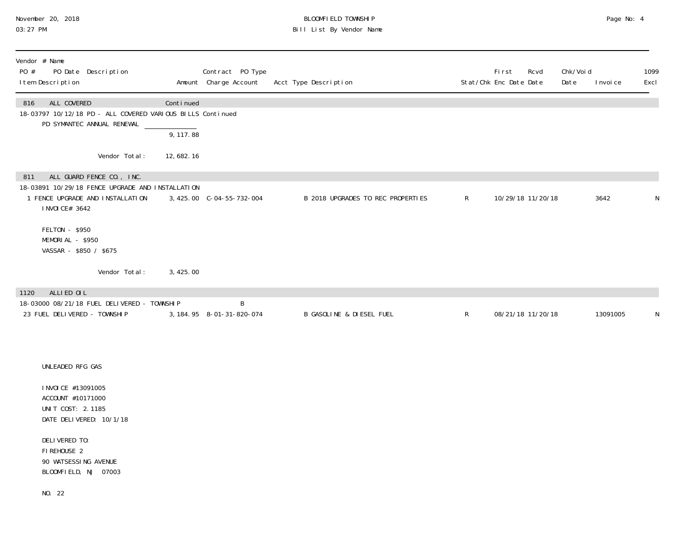### November 20, 2018 BLOOMFIELD TOWNSHIP Page No: 4 Page No: 4 03:27 PM Bill List By Vendor Name

| PO # | Vendor # Name<br>PO Date Description<br>I tem Description                                                                            |           | Contract PO Type<br>Amount Charge Account | Acct Type Description             |              | <b>First</b><br>Rcvd<br>Stat/Chk Enc Date Date | Chk/Voi d<br>Date | 1099<br>Excl<br>I nvoi ce |
|------|--------------------------------------------------------------------------------------------------------------------------------------|-----------|-------------------------------------------|-----------------------------------|--------------|------------------------------------------------|-------------------|---------------------------|
| 816  | ALL COVERED<br>18-03797 10/12/18 PD - ALL COVERED VARIOUS BILLS Continued<br>PD SYMANTEC ANNUAL RENEWAL                              | Continued |                                           |                                   |              |                                                |                   |                           |
|      |                                                                                                                                      | 9, 117.88 |                                           |                                   |              |                                                |                   |                           |
|      | Vendor Total:                                                                                                                        | 12,682.16 |                                           |                                   |              |                                                |                   |                           |
| 811  | ALL GUARD FENCE CO., INC.<br>18-03891 10/29/18 FENCE UPGRADE AND INSTALLATION<br>1 FENCE UPGRADE AND INSTALLATION<br>I NVOI CE# 3642 |           | 3, 425.00 C-04-55-732-004                 | B 2018 UPGRADES TO REC PROPERTIES | $\mathsf{R}$ | 10/29/18 11/20/18                              |                   | 3642<br>N                 |
|      | FELTON - \$950<br>MEMORIAL - \$950<br>VASSAR - \$850 / \$675                                                                         |           |                                           |                                   |              |                                                |                   |                           |
|      | Vendor Total:                                                                                                                        | 3,425.00  |                                           |                                   |              |                                                |                   |                           |
| 1120 | ALLIED OIL                                                                                                                           |           |                                           |                                   |              |                                                |                   |                           |
|      | 18-03000 08/21/18 FUEL DELIVERED - TOWNSHIP<br>23 FUEL DELIVERED - TOWNSHIP                                                          |           | B<br>3, 184. 95 8-01-31-820-074           | B GASOLINE & DIESEL FUEL          | $\mathsf{R}$ | 08/21/18 11/20/18                              |                   | 13091005<br>N             |
|      |                                                                                                                                      |           |                                           |                                   |              |                                                |                   |                           |
|      | UNLEADED RFG GAS                                                                                                                     |           |                                           |                                   |              |                                                |                   |                           |
|      | I NVOI CE #13091005<br>ACCOUNT #10171000<br>UNIT COST: 2.1185<br>DATE DELIVERED: 10/1/18                                             |           |                                           |                                   |              |                                                |                   |                           |
|      | DELIVERED TO:<br>FIREHOUSE 2<br>90 WATSESSING AVENUE<br>BLOOMFIELD, NJ 07003                                                         |           |                                           |                                   |              |                                                |                   |                           |

NO. 22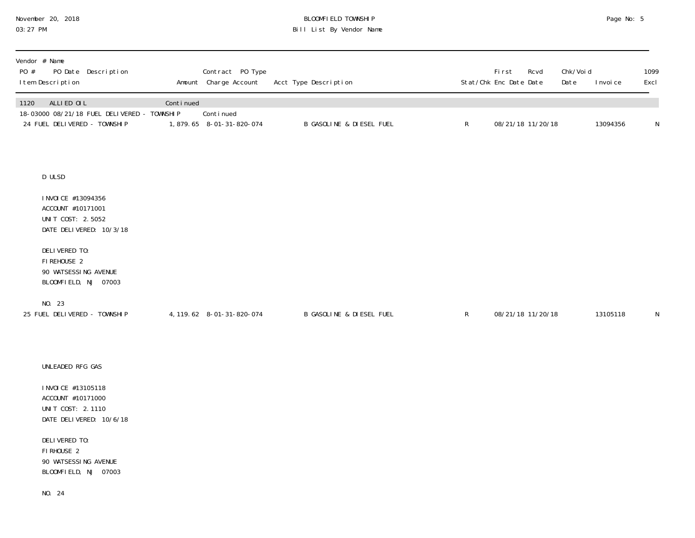## November 20, 2018 BLOOMFIELD TOWNSHIP Page No: 5 03:27 PM Bill List By Vendor Name

| Vendor # Name<br>PO #<br>PO Date Description<br>I tem Description                                                                                                                           |           | Contract PO Type<br>Amount Charge Account | Acct Type Description    |              | First<br>Rcvd<br>Stat/Chk Enc Date Date | Chk/Voi d<br>Date | I nvoi ce | 1099<br>Excl |
|---------------------------------------------------------------------------------------------------------------------------------------------------------------------------------------------|-----------|-------------------------------------------|--------------------------|--------------|-----------------------------------------|-------------------|-----------|--------------|
| ALLIED OIL<br>1120<br>18-03000 08/21/18 FUEL DELIVERED - TOWNSHIP<br>24 FUEL DELIVERED - TOWNSHIP                                                                                           | Continued | Continued<br>1,879.65 8-01-31-820-074     | B GASOLINE & DIESEL FUEL | $\mathsf{R}$ | 08/21/18 11/20/18                       |                   | 13094356  | $\mathsf N$  |
| D ULSD<br>I NVOI CE #13094356<br>ACCOUNT #10171001<br>UNIT COST: 2.5052<br>DATE DELIVERED: 10/3/18<br>DELIVERED TO:<br>FIREHOUSE 2                                                          |           |                                           |                          |              |                                         |                   |           |              |
| 90 WATSESSING AVENUE<br>BLOOMFIELD, NJ 07003<br>NO. 23<br>25 FUEL DELIVERED - TOWNSHIP                                                                                                      |           | 4, 119. 62 8-01-31-820-074                | B GASOLINE & DIESEL FUEL | $\mathsf R$  | 08/21/18 11/20/18                       |                   | 13105118  | N            |
| UNLEADED RFG GAS<br>I NVOI CE #13105118<br>ACCOUNT #10171000<br>UNIT COST: 2.1110<br>DATE DELIVERED: 10/6/18<br>DELIVERED TO:<br>FIRHOUSE 2<br>90 WATSESSING AVENUE<br>BLOOMFIELD, NJ 07003 |           |                                           |                          |              |                                         |                   |           |              |

NO. 24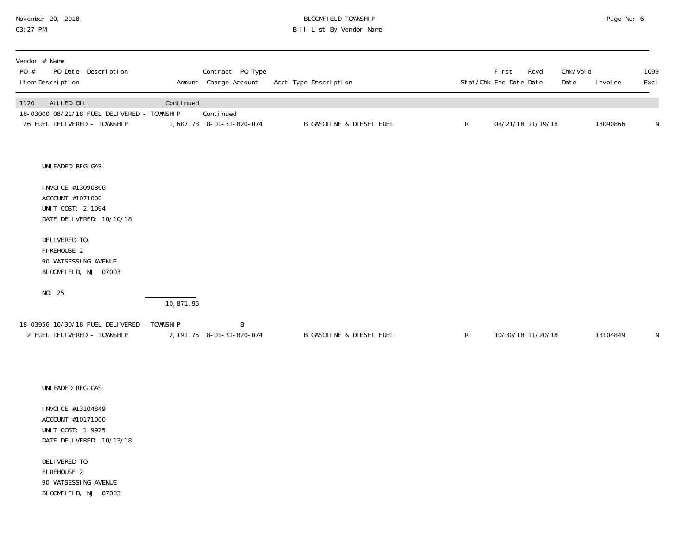# November 20, 2018 **BLOOMFIELD TOWNSHIP** BLOOMFIELD TOWNSHIP **BLOOMFIELD TOWNSHIP Page No: 6**<br>03:27 PM Bill List By Vendor Name

| Vendor # Name<br>PO #<br>PO Date Description<br>I tem Description                                            |                          | Contract PO Type<br>Amount Charge Account | Acct Type Description               |              | First<br>Rcvd<br>Stat/Chk Enc Date Date | Chk/Void<br>Date | 1099<br>Excl<br>I nvoi ce |   |
|--------------------------------------------------------------------------------------------------------------|--------------------------|-------------------------------------------|-------------------------------------|--------------|-----------------------------------------|------------------|---------------------------|---|
| ALLIED OIL<br>1120<br>18-03000 08/21/18 FUEL DELIVERED - TOWNSHIP<br>26 FUEL DELIVERED - TOWNSHIP            | Continued                | Continued<br>1,687.73 8-01-31-820-074     | B GASOLINE & DIESEL FUEL            | $\mathsf{R}$ | 08/21/18 11/19/18                       |                  | 13090866                  | N |
| UNLEADED RFG GAS<br>I NVOI CE #13090866<br>ACCOUNT #1071000<br>UNIT COST: 2.1094<br>DATE DELIVERED: 10/10/18 |                          |                                           |                                     |              |                                         |                  |                           |   |
| DELIVERED TO:<br>FIREHOUSE 2<br>90 WATSESSING AVENUE<br>BLOOMFIELD, NJ 07003                                 |                          |                                           |                                     |              |                                         |                  |                           |   |
| NO. 25                                                                                                       | $\overline{10, 871, 95}$ |                                           |                                     |              |                                         |                  |                           |   |
| 18-03956 10/30/18 FUEL DELIVERED - TOWNSHIP<br>2 FUEL DELIVERED - TOWNSHIP                                   |                          | B<br>2, 191. 75 8-01-31-820-074           | <b>B GASOLINE &amp; DIESEL FUEL</b> | $\mathsf{R}$ | 10/30/18 11/20/18                       |                  | 13104849                  | N |
| UNLEADED RFG GAS                                                                                             |                          |                                           |                                     |              |                                         |                  |                           |   |
| I NVOI CE #13104849<br>ACCOUNT #10171000<br>UNIT COST: 1.9925<br>DATE DELIVERED: 10/13/18                    |                          |                                           |                                     |              |                                         |                  |                           |   |

 DELIVERED TO: FIREHOUSE 2 90 WATSESSING AVENUE BLOOMFIELD, NJ 07003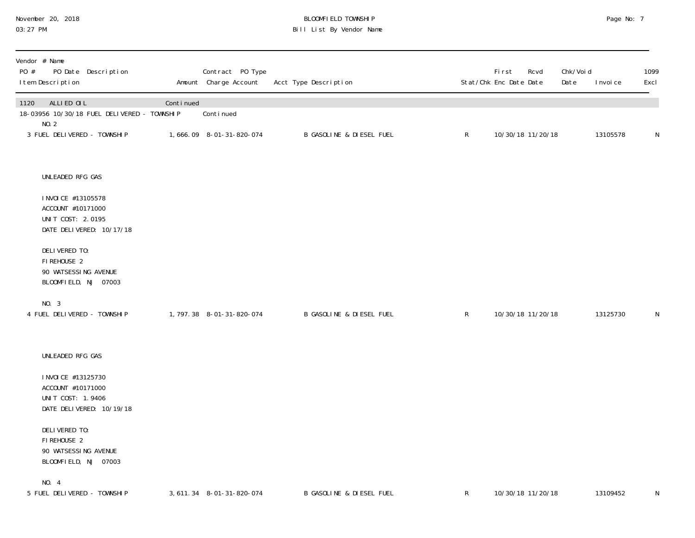#### November 20, 2018 BLOOMFIELD TOWNSHIP Page No: 7 Page No: 7 03:27 PM Bill List By Vendor Name

| Vendor # Name<br>PO #<br>PO Date Description<br>I tem Description                         |           | Contract PO Type<br>Amount Charge Account | Acct Type Description    |              | <b>First</b><br>Stat/Chk Enc Date Date | Rcvd | Chk/Voi d<br>Date | I nvoi ce | 1099<br>Excl |
|-------------------------------------------------------------------------------------------|-----------|-------------------------------------------|--------------------------|--------------|----------------------------------------|------|-------------------|-----------|--------------|
| ALLIED OIL<br>1120<br>18-03956 10/30/18 FUEL DELIVERED - TOWNSHIP                         | Continued | Continued                                 |                          |              |                                        |      |                   |           |              |
| NO.2<br>3 FUEL DELIVERED - TOWNSHIP                                                       |           | 1,666.09 8-01-31-820-074                  | B GASOLINE & DIESEL FUEL | $\mathsf{R}$ | 10/30/18 11/20/18                      |      |                   | 13105578  | N            |
| UNLEADED RFG GAS                                                                          |           |                                           |                          |              |                                        |      |                   |           |              |
| I NVOI CE #13105578<br>ACCOUNT #10171000<br>UNIT COST: 2.0195<br>DATE DELIVERED: 10/17/18 |           |                                           |                          |              |                                        |      |                   |           |              |
| DELIVERED TO:<br>FIREHOUSE 2<br>90 WATSESSING AVENUE<br>BLOOMFIELD, NJ 07003              |           |                                           |                          |              |                                        |      |                   |           |              |
| NO. 3<br>4 FUEL DELIVERED - TOWNSHIP                                                      |           | 1, 797. 38 8-01-31-820-074                | B GASOLINE & DIESEL FUEL | $\mathsf{R}$ | 10/30/18 11/20/18                      |      |                   | 13125730  | N            |
| UNLEADED RFG GAS                                                                          |           |                                           |                          |              |                                        |      |                   |           |              |
| I NVOI CE #13125730<br>ACCOUNT #10171000<br>UNIT COST: 1.9406<br>DATE DELIVERED: 10/19/18 |           |                                           |                          |              |                                        |      |                   |           |              |
| DELIVERED TO:<br>FIREHOUSE 2<br>90 WATSESSING AVENUE<br>BLOOMFIELD, NJ 07003              |           |                                           |                          |              |                                        |      |                   |           |              |
| NO. 4<br>5 FUEL DELIVERED - TOWNSHIP                                                      |           | 3, 611. 34 8-01-31-820-074                | B GASOLINE & DIESEL FUEL | $\mathsf{R}$ | 10/30/18 11/20/18                      |      |                   | 13109452  | N            |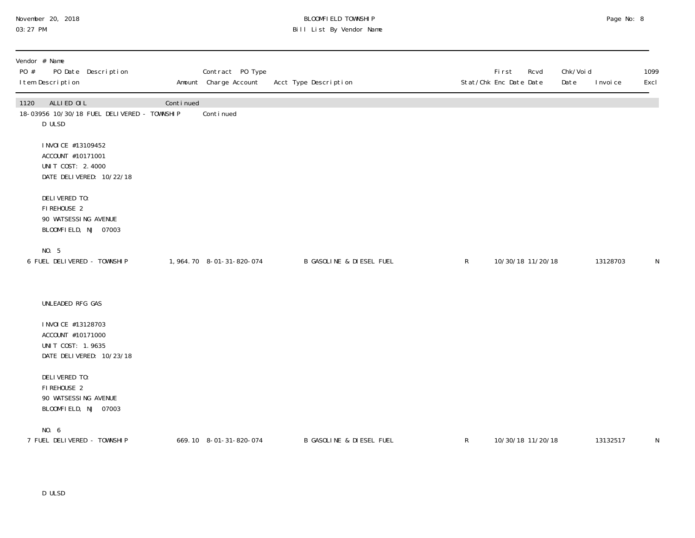### November 20, 2018 BLOOMFIELD TOWNSHIP Page No: 8 Page No: 8 03:27 PM Bill List By Vendor Name

| Vendor # Name<br>PO #<br>PO Date Description<br>I tem Description                         |           | Contract PO Type<br>Amount Charge Account | Acct Type Description               |              | <b>First</b><br>Rcvd<br>Stat/Chk Enc Date Date | Chk/Voi d<br>Date | I nvoi ce | 1099<br>Excl |
|-------------------------------------------------------------------------------------------|-----------|-------------------------------------------|-------------------------------------|--------------|------------------------------------------------|-------------------|-----------|--------------|
| ALLIED OIL<br>1120<br>18-03956 10/30/18 FUEL DELIVERED - TOWNSHIP<br>D ULSD               | Continued | Conti nued                                |                                     |              |                                                |                   |           |              |
| I NVOI CE #13109452<br>ACCOUNT #10171001<br>UNIT COST: 2.4000<br>DATE DELIVERED: 10/22/18 |           |                                           |                                     |              |                                                |                   |           |              |
| DELIVERED TO:<br>FIREHOUSE 2<br>90 WATSESSING AVENUE<br>BLOOMFIELD, NJ 07003              |           |                                           |                                     |              |                                                |                   |           |              |
| NO. 5<br>6 FUEL DELIVERED - TOWNSHIP                                                      |           | 1,964.70 8-01-31-820-074                  | <b>B GASOLINE &amp; DIESEL FUEL</b> | $\mathsf{R}$ | 10/30/18 11/20/18                              |                   | 13128703  | N            |
| UNLEADED RFG GAS                                                                          |           |                                           |                                     |              |                                                |                   |           |              |
| I NVOI CE #13128703<br>ACCOUNT #10171000<br>UNIT COST: 1.9635<br>DATE DELIVERED: 10/23/18 |           |                                           |                                     |              |                                                |                   |           |              |
| DELIVERED TO:<br>FIREHOUSE 2<br>90 WATSESSING AVENUE<br>BLOOMFIELD, NJ 07003              |           |                                           |                                     |              |                                                |                   |           |              |
| NO. 6<br>7 FUEL DELIVERED - TOWNSHIP                                                      |           | 669.10 8-01-31-820-074                    | <b>B GASOLINE &amp; DIESEL FUEL</b> | $\mathsf{R}$ | 10/30/18 11/20/18                              |                   | 13132517  | N            |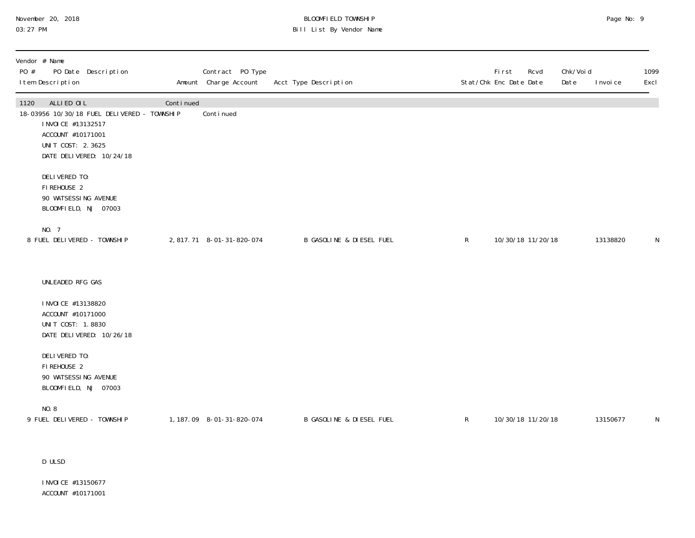#### November 20, 2018 BLOOMFIELD TOWNSHIP Page No: 9 Page No: 9 03:27 PM Bill List By Vendor Name

| Vendor # Name<br>PO #<br>I tem Description                                          | PO Date Description                                                     |           | Contract PO Type<br>Amount Charge Account | Acct Type Description               |              | First<br>Rcvd<br>Stat/Chk Enc Date Date | Chk/Voi d<br>Date | I nvoi ce | 1099<br>Excl |
|-------------------------------------------------------------------------------------|-------------------------------------------------------------------------|-----------|-------------------------------------------|-------------------------------------|--------------|-----------------------------------------|-------------------|-----------|--------------|
| ALLIED OIL<br>1120<br>I NVOI CE #13132517<br>ACCOUNT #10171001<br>UNIT COST: 2.3625 | 18-03956 10/30/18 FUEL DELIVERED - TOWNSHIP<br>DATE DELIVERED: 10/24/18 | Continued | Continued                                 |                                     |              |                                         |                   |           |              |
| DELIVERED TO:<br>FIREHOUSE 2<br>90 WATSESSING AVENUE<br>BLOOMFIELD, NJ 07003        |                                                                         |           |                                           |                                     |              |                                         |                   |           |              |
| NO. 7<br>8 FUEL DELIVERED - TOWNSHIP                                                |                                                                         |           | 2,817.71 8-01-31-820-074                  | <b>B GASOLINE &amp; DIESEL FUEL</b> | $\mathsf{R}$ | 10/30/18 11/20/18                       |                   | 13138820  | ${\sf N}$    |
| UNLEADED RFG GAS                                                                    |                                                                         |           |                                           |                                     |              |                                         |                   |           |              |
| I NVOI CE #13138820<br>ACCOUNT #10171000<br>UNIT COST: 1.8830                       | DATE DELIVERED: 10/26/18                                                |           |                                           |                                     |              |                                         |                   |           |              |
| DELIVERED TO:<br>FIREHOUSE 2<br>90 WATSESSING AVENUE<br>BLOOMFIELD, NJ 07003        |                                                                         |           |                                           |                                     |              |                                         |                   |           |              |
| NO.8<br>9 FUEL DELIVERED - TOWNSHIP                                                 |                                                                         |           | 1, 187.09 8-01-31-820-074                 | <b>B GASOLINE &amp; DIESEL FUEL</b> | $\mathsf{R}$ | 10/30/18 11/20/18                       |                   | 13150677  | N            |

D ULSD

 INVOICE #13150677 ACCOUNT #10171001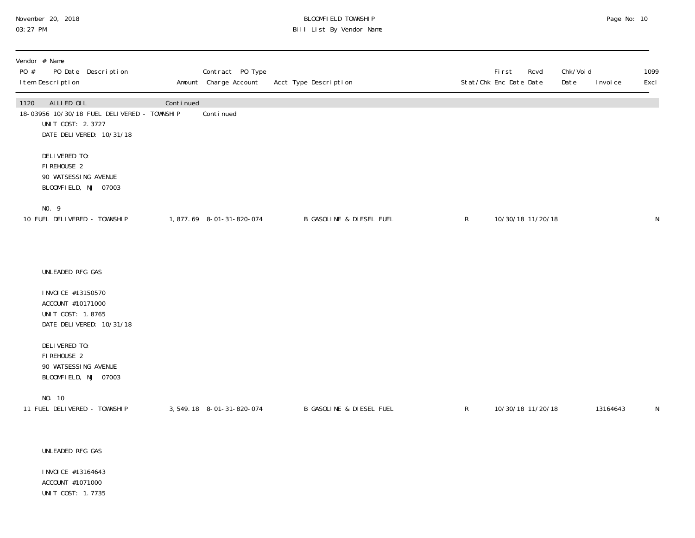#### November 20, 2018 BLOOMFIELD TOWNSHIP Page No: 10 03:27 PM Bill List By Vendor Name

| Vendor # Name<br>PO #<br>PO Date Description<br>I tem Description                                                  |           | Contract PO Type<br>Amount Charge Account | Acct Type Description               |              | <b>First</b><br>Rcvd<br>Stat/Chk Enc Date Date | Chk/Voi d<br>Date<br>I nvoi ce | 1099<br>Excl |
|--------------------------------------------------------------------------------------------------------------------|-----------|-------------------------------------------|-------------------------------------|--------------|------------------------------------------------|--------------------------------|--------------|
| ALLIED OIL<br>1120<br>18-03956 10/30/18 FUEL DELIVERED - TOWNSHIP<br>UNIT COST: 2.3727<br>DATE DELIVERED: 10/31/18 | Continued | Conti nued                                |                                     |              |                                                |                                |              |
| DELIVERED TO:<br>FIREHOUSE 2<br>90 WATSESSING AVENUE<br>BLOOMFIELD, NJ 07003                                       |           |                                           |                                     |              |                                                |                                |              |
| NO. 9<br>10 FUEL DELIVERED - TOWNSHIP                                                                              |           | 1,877.69 8-01-31-820-074                  | <b>B GASOLINE &amp; DIESEL FUEL</b> | $\mathsf{R}$ | 10/30/18 11/20/18                              |                                | N            |
| UNLEADED RFG GAS                                                                                                   |           |                                           |                                     |              |                                                |                                |              |
| I NVOI CE #13150570<br>ACCOUNT #10171000<br>UNIT COST: 1.8765<br>DATE DELIVERED: 10/31/18                          |           |                                           |                                     |              |                                                |                                |              |
| DELIVERED TO:<br>FIREHOUSE 2<br>90 WATSESSING AVENUE<br>BLOOMFIELD, NJ 07003                                       |           |                                           |                                     |              |                                                |                                |              |
| NO. 10<br>11 FUEL DELIVERED - TOWNSHIP                                                                             |           | 3, 549. 18 8-01-31-820-074                | B GASOLINE & DIESEL FUEL            | $\mathsf{R}$ | 10/30/18 11/20/18                              | 13164643                       | N            |
| UNLEADED RFG GAS                                                                                                   |           |                                           |                                     |              |                                                |                                |              |

INVOICE #13164643 ACCOUNT #1071000 UNIT COST: 1.7735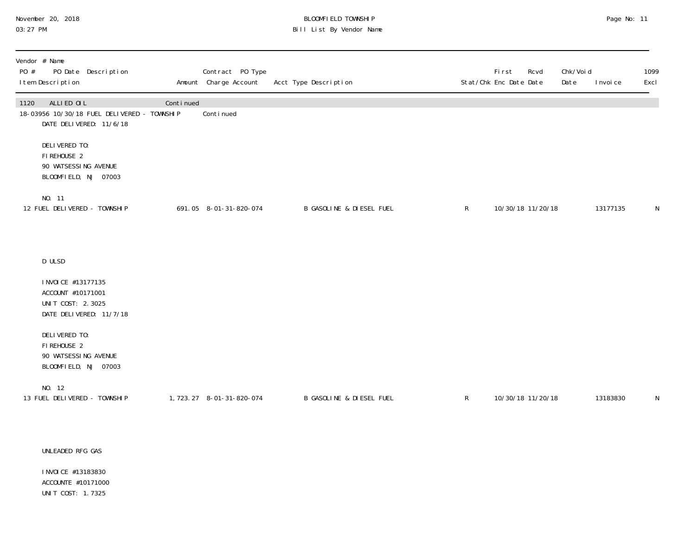# November 20, 2018 **BLOOMFIELD TOWNSHIP** BLOOMFIELD TOWNSHIP BLOOMFIELD TOWNSHIP Page No: 11<br>03:27 PM Bill List By Vendor Name

| Vendor # Name<br>PO #<br>PO Date Description<br>I tem Description                            |           | Contract PO Type<br>Amount Charge Account | Acct Type Description               |              | First<br>Stat/Chk Enc Date Date | Rcvd              | Chk/Void<br>Date | I nvoi ce | 1099<br>Excl |
|----------------------------------------------------------------------------------------------|-----------|-------------------------------------------|-------------------------------------|--------------|---------------------------------|-------------------|------------------|-----------|--------------|
| ALLIED OIL<br>1120<br>18-03956 10/30/18 FUEL DELIVERED - TOWNSHIP<br>DATE DELIVERED: 11/6/18 | Continued | Continued                                 |                                     |              |                                 |                   |                  |           |              |
| DELIVERED TO:<br>FIREHOUSE 2<br>90 WATSESSING AVENUE<br>BLOOMFIELD, NJ 07003                 |           |                                           |                                     |              |                                 |                   |                  |           |              |
| NO. 11<br>12 FUEL DELIVERED - TOWNSHIP                                                       |           | 691.05 8-01-31-820-074                    | <b>B GASOLINE &amp; DIESEL FUEL</b> | $\mathsf{R}$ |                                 | 10/30/18 11/20/18 |                  | 13177135  | N            |
| D ULSD                                                                                       |           |                                           |                                     |              |                                 |                   |                  |           |              |
| I NVOI CE #13177135<br>ACCOUNT #10171001<br>UNIT COST: 2.3025<br>DATE DELIVERED: 11/7/18     |           |                                           |                                     |              |                                 |                   |                  |           |              |
| DELIVERED TO:<br>FIREHOUSE 2<br>90 WATSESSING AVENUE<br>BLOOMFIELD, NJ 07003                 |           |                                           |                                     |              |                                 |                   |                  |           |              |
| NO. 12<br>13 FUEL DELIVERED - TOWNSHIP                                                       |           | 1, 723. 27 8-01-31-820-074                | <b>B GASOLINE &amp; DIESEL FUEL</b> | $\mathsf{R}$ | 10/30/18 11/20/18               |                   |                  | 13183830  | N            |

#### UNLEADED RFG GAS

 INVOICE #13183830 ACCOUNTE #10171000 UNIT COST: 1.7325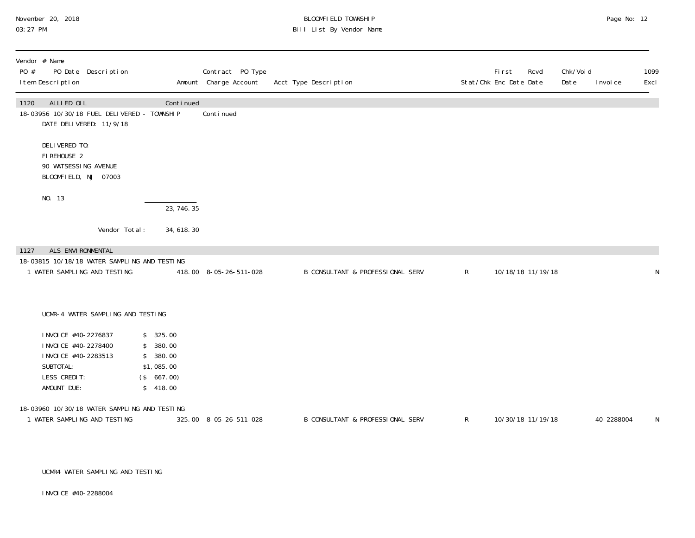# November 20, 2018 **BLOOMFIELD TOWNSHIP** BLOOMFIELD TOWNSHIP BLOOMFIELD TOWNSHIP Page No: 12<br>03:27 PM Bill List By Vendor Name

| Vendor # Name<br>PO Date Description<br>PO #<br>I tem Description                                                   |                                                                          | Contract PO Type<br>Amount Charge Account | Acct Type Description            |              | <b>First</b><br>Rcvd<br>Stat/Chk Enc Date Date | Chk/Void<br>Date | I nvoi ce  | 1099<br>Excl |
|---------------------------------------------------------------------------------------------------------------------|--------------------------------------------------------------------------|-------------------------------------------|----------------------------------|--------------|------------------------------------------------|------------------|------------|--------------|
| ALLIED OIL<br>1120<br>18-03956 10/30/18 FUEL DELIVERED - TOWNSHIP<br>DATE DELIVERED: 11/9/18                        | Continued                                                                | Continued                                 |                                  |              |                                                |                  |            |              |
| DELIVERED TO:<br>FIREHOUSE 2<br>90 WATSESSING AVENUE<br>BLOOMFIELD, NJ 07003                                        |                                                                          |                                           |                                  |              |                                                |                  |            |              |
| NO. 13                                                                                                              | 23, 746. 35                                                              |                                           |                                  |              |                                                |                  |            |              |
| Vendor Total:                                                                                                       | 34, 618. 30                                                              |                                           |                                  |              |                                                |                  |            |              |
| ALS ENVIRONMENTAL<br>1127<br>18-03815 10/18/18 WATER SAMPLING AND TESTING<br>1 WATER SAMPLING AND TESTING           |                                                                          | 418.00 8-05-26-511-028                    | B CONSULTANT & PROFESSIONAL SERV | $\mathsf{R}$ | 10/18/18 11/19/18                              |                  |            | N            |
| UCMR-4 WATER SAMPLING AND TESTING                                                                                   |                                                                          |                                           |                                  |              |                                                |                  |            |              |
| I NVOI CE #40-2276837<br>I NVOI CE #40-2278400<br>I NVOI CE #40-2283513<br>SUBTOTAL:<br>LESS CREDIT:<br>AMOUNT DUE: | \$325.00<br>\$380.00<br>\$380.00<br>\$1,085.00<br>(\$667.00)<br>\$418.00 |                                           |                                  |              |                                                |                  |            |              |
| 18-03960 10/30/18 WATER SAMPLING AND TESTING<br>1 WATER SAMPLING AND TESTING                                        |                                                                          | 325.00 8-05-26-511-028                    | B CONSULTANT & PROFESSIONAL SERV | $\mathsf{R}$ | 10/30/18 11/19/18                              |                  | 40-2288004 | N            |

UCMR4 WATER SAMPLING AND TESTING

INVOICE #40-2288004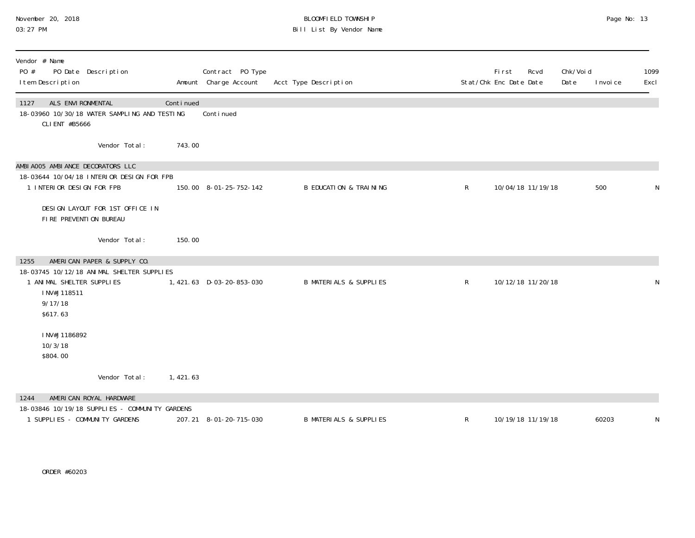#### November 20, 2018 BLOOMFIELD TOWNSHIP Page No: 13 03:27 PM Bill List By Vendor Name

| Vendor # Name<br>PO #<br>PO Date Description<br>I tem Description                                            |           | Contract PO Type<br>Amount Charge Account | Acct Type Description             |              | First<br>Rcvd<br>Stat/Chk Enc Date Date | Chk/Void<br>Date<br>I nvoi ce | 1099<br>Excl |
|--------------------------------------------------------------------------------------------------------------|-----------|-------------------------------------------|-----------------------------------|--------------|-----------------------------------------|-------------------------------|--------------|
| ALS ENVIRONMENTAL<br>1127<br>18-03960 10/30/18 WATER SAMPLING AND TESTING<br>CLI ENT #B5666                  | Continued | Conti nued                                |                                   |              |                                         |                               |              |
| Vendor Total:                                                                                                | 743.00    |                                           |                                   |              |                                         |                               |              |
| AMBIA005 AMBIANCE DECORATORS LLC<br>18-03644 10/04/18 INTERIOR DESIGN FOR FPB<br>1 INTERIOR DESIGN FOR FPB   |           | 150.00 8-01-25-752-142                    | <b>B EDUCATION &amp; TRAINING</b> | R            | 10/04/18 11/19/18                       | 500                           | N            |
| DESIGN LAYOUT FOR 1ST OFFICE IN<br>FIRE PREVENTION BUREAU                                                    |           |                                           |                                   |              |                                         |                               |              |
| Vendor Total:                                                                                                | 150.00    |                                           |                                   |              |                                         |                               |              |
| AMERICAN PAPER & SUPPLY CO.<br>1255                                                                          |           |                                           |                                   |              |                                         |                               |              |
| 18-03745 10/12/18 ANIMAL SHELTER SUPPLIES<br>1 ANIMAL SHELTER SUPPLIES<br>INV#J118511<br>9/17/18<br>\$617.63 |           | 1,421.63 D-03-20-853-030                  | <b>B MATERIALS &amp; SUPPLIES</b> | $\mathsf{R}$ | 10/12/18 11/20/18                       |                               | N            |
| INV#J1186892<br>10/3/18<br>\$804.00                                                                          |           |                                           |                                   |              |                                         |                               |              |
| Vendor Total:                                                                                                | 1,421.63  |                                           |                                   |              |                                         |                               |              |
| AMERICAN ROYAL HARDWARE<br>1244                                                                              |           |                                           |                                   |              |                                         |                               |              |
| 18-03846 10/19/18 SUPPLIES - COMMUNITY GARDENS<br>1 SUPPLIES - COMMUNITY GARDENS                             |           | 207.21 8-01-20-715-030                    | <b>B MATERIALS &amp; SUPPLIES</b> | R            | 10/19/18 11/19/18                       | 60203                         | N            |

ORDER #60203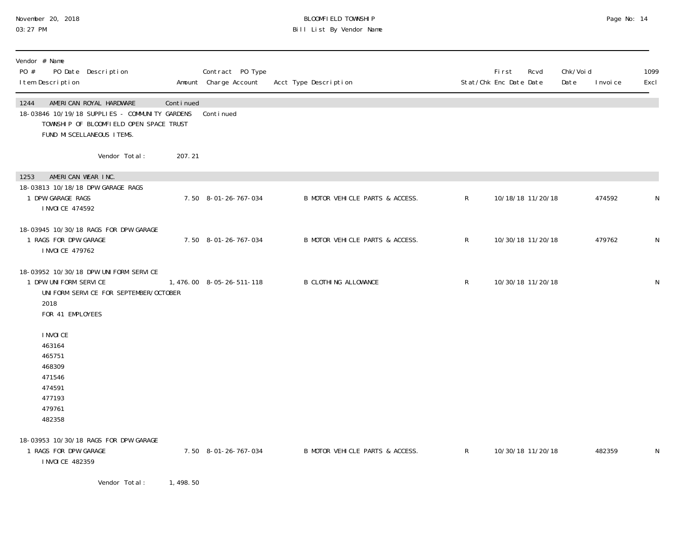### November 20, 2018 BLOOMFIELD TOWNSHIP Page No: 14 03:27 PM Bill List By Vendor Name

| Vendor # Name<br>PO #<br>PO Date Description<br>I tem Description                                                                                           |           | Contract PO Type<br>Amount Charge Account | Acct Type Description           |                | <b>First</b><br>Stat/Chk Enc Date Date | Rcvd | Chk/Voi d<br>Date | I nvoi ce | 1099<br>Excl |
|-------------------------------------------------------------------------------------------------------------------------------------------------------------|-----------|-------------------------------------------|---------------------------------|----------------|----------------------------------------|------|-------------------|-----------|--------------|
| 1244<br>AMERICAN ROYAL HARDWARE<br>18-03846 10/19/18 SUPPLIES - COMMUNITY GARDENS<br>TOWNSHIP OF BLOOMFIELD OPEN SPACE TRUST<br>FUND MI SCELLANEOUS I TEMS. | Continued | Conti nued                                |                                 |                |                                        |      |                   |           |              |
| Vendor Total:                                                                                                                                               | 207.21    |                                           |                                 |                |                                        |      |                   |           |              |
| AMERICAN WEAR INC.<br>1253<br>18-03813 10/18/18 DPW GARAGE RAGS<br>1 DPW GARAGE RAGS<br>I NVOI CE 474592                                                    |           | 7.50 8-01-26-767-034                      | B MOTOR VEHICLE PARTS & ACCESS. | $\mathsf{R}^-$ | 10/18/18 11/20/18                      |      |                   | 474592    | N            |
| 18-03945 10/30/18 RAGS FOR DPW GARAGE<br>1 RAGS FOR DPW GARAGE<br>I NVOI CE 479762                                                                          |           | 7.50 8-01-26-767-034                      | B MOTOR VEHICLE PARTS & ACCESS. | $\mathsf{R}$   | 10/30/18 11/20/18                      |      |                   | 479762    | N            |
| 18-03952 10/30/18 DPW UNIFORM SERVICE<br>1 DPW UNIFORM SERVICE<br>UNI FORM SERVICE FOR SEPTEMBER/OCTOBER<br>2018<br>FOR 41 EMPLOYEES                        |           | 1,476.00 8-05-26-511-118                  | <b>B CLOTHING ALLOWANCE</b>     | $\mathsf R$    | 10/30/18 11/20/18                      |      |                   |           | N            |
| I NVOI CE<br>463164<br>465751<br>468309<br>471546<br>474591<br>477193<br>479761<br>482358                                                                   |           |                                           |                                 |                |                                        |      |                   |           |              |
| 18-03953 10/30/18 RAGS FOR DPW GARAGE<br>1 RAGS FOR DPW GARAGE<br>I NVOI CE 482359                                                                          |           | 7.50 8-01-26-767-034                      | B MOTOR VEHICLE PARTS & ACCESS. | $\mathsf{R}^-$ | 10/30/18 11/20/18                      |      |                   | 482359    | N            |

Vendor Total: 1,498.50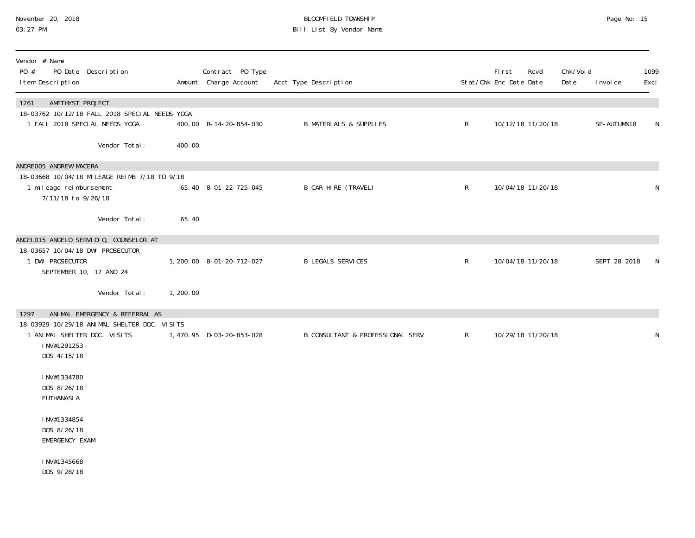| November 20, 2018 |  |
|-------------------|--|
| 03:27 PM          |  |

#### November 20, 2018 BLOOMFIELD TOWNSHIP Page No: 15 03:27 PM Bill List By Vendor Name

| Vendor # Name<br>PO #<br>PO Date Description<br>I tem Description                                                         |          | Contract PO Type<br>Amount Charge Account | Acct Type Description             |              | <b>First</b><br>Stat/Chk Enc Date Date | Rcvd              | Chk/Voi d<br>Date | I nvoi ce    | 1099<br>Excl |
|---------------------------------------------------------------------------------------------------------------------------|----------|-------------------------------------------|-----------------------------------|--------------|----------------------------------------|-------------------|-------------------|--------------|--------------|
| AMETHYST PROJECT<br>1261<br>18-03762 10/12/18 FALL 2018 SPECIAL NEEDS YOGA<br>1 FALL 2018 SPECIAL NEEDS YOGA              |          | 400.00 R-14-20-854-030                    | <b>B MATERIALS &amp; SUPPLIES</b> | $\mathsf{R}$ |                                        | 10/12/18 11/20/18 |                   | SP-AUTUMN18  | N            |
| Vendor Total:                                                                                                             | 400.00   |                                           |                                   |              |                                        |                   |                   |              |              |
| ANDREOO5 ANDREW MACERA<br>18-03668 10/04/18 MILEAGE REIMB 7/18 TO 9/18<br>1 mileage reimbursement<br>7/11/18 to 9/26/18   |          | 65.40 8-01-22-725-045                     | B CAR HIRE (TRAVEL)               | $\mathsf{R}$ |                                        | 10/04/18 11/20/18 |                   |              | N            |
| Vendor Total:                                                                                                             | 65.40    |                                           |                                   |              |                                        |                   |                   |              |              |
| ANGELO15 ANGELO SERVIDIO, COUNSELOR AT<br>18-03657 10/04/18 DWI PROSECUTOR<br>1 DWI PROSECUTOR<br>SEPTEMBER 10, 17 AND 24 |          | 1, 200. 00 8-01-20-712-027                | <b>B LEGALS SERVICES</b>          | $\mathsf{R}$ |                                        | 10/04/18 11/20/18 |                   | SEPT 28 2018 | N            |
| Vendor Total:                                                                                                             | 1,200.00 |                                           |                                   |              |                                        |                   |                   |              |              |
| ANIMAL EMERGENCY & REFERRAL AS<br>1297<br>18-03929 10/29/18 ANIMAL SHELTER DOC. VISITS                                    |          |                                           |                                   |              |                                        |                   |                   |              |              |
| 1 ANIMAL SHELTER DOC. VISITS<br>INV#1291253<br>DOS 4/15/18                                                                |          | 1,470.95 D-03-20-853-028                  | B CONSULTANT & PROFESSIONAL SERV  | $\mathsf{R}$ |                                        | 10/29/18 11/20/18 |                   |              | N            |
| INV#1334780<br>DOS 8/26/18<br><b>EUTHANASIA</b>                                                                           |          |                                           |                                   |              |                                        |                   |                   |              |              |
| INV#1334854<br>DOS 8/26/18<br>EMERGENCY EXAM                                                                              |          |                                           |                                   |              |                                        |                   |                   |              |              |
| INV#1345668<br>DOS 9/28/18                                                                                                |          |                                           |                                   |              |                                        |                   |                   |              |              |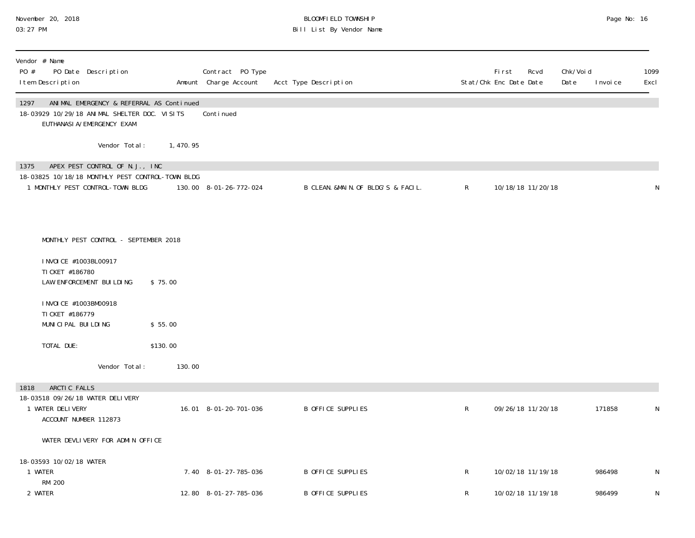#### November 20, 2018 BLOOMFIELD TOWNSHIP Page No: 16 03:27 PM Bill List By Vendor Name

| PO # | Vendor # Name<br>I tem Description                              | PO Date Description                                                                                                    |           | Contract PO Type<br>Amount Charge Account | Acct Type Description              |              | <b>First</b><br>Rcvd<br>Stat/Chk Enc Date Date | Chk/Voi d<br>Date | I nvoi ce | 1099<br>Excl |
|------|-----------------------------------------------------------------|------------------------------------------------------------------------------------------------------------------------|-----------|-------------------------------------------|------------------------------------|--------------|------------------------------------------------|-------------------|-----------|--------------|
| 1297 |                                                                 | ANIMAL EMERGENCY & REFERRAL AS Continued<br>18-03929 10/29/18 ANIMAL SHELTER DOC. VISITS<br>EUTHANASI A/EMERGENCY EXAM |           | Conti nued                                |                                    |              |                                                |                   |           |              |
|      |                                                                 | Vendor Total:                                                                                                          | 1, 470.95 |                                           |                                    |              |                                                |                   |           |              |
| 1375 |                                                                 | APEX PEST CONTROL OF N.J., INC<br>18-03825 10/18/18 MONTHLY PEST CONTROL-TOWN BLDG<br>1 MONTHLY PEST CONTROL-TOWN BLDG |           | 130.00 8-01-26-772-024                    | B CLEAN. &MAIN. OF BLDG'S & FACIL. | $\mathsf{R}$ | 10/18/18 11/20/18                              |                   |           | N            |
|      |                                                                 | MONTHLY PEST CONTROL - SEPTEMBER 2018                                                                                  |           |                                           |                                    |              |                                                |                   |           |              |
|      | I NVOI CE #1003BL00917<br>TI CKET #186780                       | LAW ENFORCEMENT BUILDING                                                                                               | \$75.00   |                                           |                                    |              |                                                |                   |           |              |
|      | I NVOI CE #1003BM00918<br>TI CKET #186779<br>MUNICIPAL BUILDING |                                                                                                                        | \$55.00   |                                           |                                    |              |                                                |                   |           |              |
|      | TOTAL DUE:                                                      |                                                                                                                        | \$130.00  |                                           |                                    |              |                                                |                   |           |              |
|      |                                                                 | Vendor Total:                                                                                                          | 130.00    |                                           |                                    |              |                                                |                   |           |              |
| 1818 | ARCTIC FALLS<br>1 WATER DELIVERY<br>ACCOUNT NUMBER 112873       | 18-03518 09/26/18 WATER DELIVERY                                                                                       |           | 16.01 8-01-20-701-036                     | B OFFICE SUPPLIES                  | $\mathsf{R}$ | 09/26/18 11/20/18                              |                   | 171858    | N            |
|      |                                                                 | WATER DEVLIVERY FOR ADMIN OFFICE                                                                                       |           |                                           |                                    |              |                                                |                   |           |              |
|      | 18-03593 10/02/18 WATER<br>1 WATER<br>RM 200                    |                                                                                                                        |           | 7.40 8-01-27-785-036                      | B OFFICE SUPPLIES                  | R            | 10/02/18 11/19/18                              |                   | 986498    | N            |
|      | 2 WATER                                                         |                                                                                                                        |           | 12.80 8-01-27-785-036                     | <b>B OFFICE SUPPLIES</b>           | R            | 10/02/18 11/19/18                              |                   | 986499    | N            |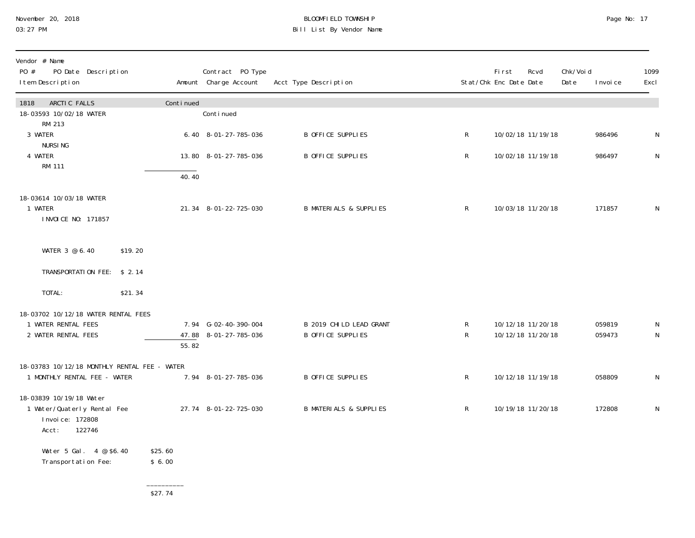#### November 20, 2018 BLOOMFIELD TOWNSHIP Page No: 17 03:27 PM Bill List By Vendor Name

| Vendor # Name<br>PO #<br>PO Date Description<br>I tem Description                            |                   | Contract PO Type<br>Amount Charge Account     | Acct Type Description                               |                   | First<br>Rcvd<br>Stat/Chk Enc Date Date | Chk/Voi d<br>Date | 1099<br>I nvoi ce<br>Excl             |
|----------------------------------------------------------------------------------------------|-------------------|-----------------------------------------------|-----------------------------------------------------|-------------------|-----------------------------------------|-------------------|---------------------------------------|
| ARCTIC FALLS<br>1818<br>18-03593 10/02/18 WATER<br>RM 213                                    | Continued         | Continued                                     |                                                     |                   |                                         |                   |                                       |
| 3 WATER<br><b>NURSING</b>                                                                    |                   | 6.40 8-01-27-785-036                          | <b>B OFFICE SUPPLIES</b>                            | $\mathsf{R}$      | 10/02/18 11/19/18                       |                   | 986496<br>N                           |
| 4 WATER<br><b>RM 111</b>                                                                     |                   | 13.80 8-01-27-785-036                         | <b>B OFFICE SUPPLIES</b>                            | $\mathsf{R}$      | 10/02/18 11/19/18                       |                   | 986497<br>$\mathsf{N}$                |
|                                                                                              | 40.40             |                                               |                                                     |                   |                                         |                   |                                       |
| 18-03614 10/03/18 WATER<br>1 WATER<br>I NVOI CE NO: 171857                                   |                   | 21.34 8-01-22-725-030                         | <b>B MATERIALS &amp; SUPPLIES</b>                   | $\mathsf{R}$      | 10/03/18 11/20/18                       |                   | 171857<br>N                           |
| WATER 3 @ 6.40<br>\$19.20                                                                    |                   |                                               |                                                     |                   |                                         |                   |                                       |
| TRANSPORTATION FEE: \$2.14                                                                   |                   |                                               |                                                     |                   |                                         |                   |                                       |
| TOTAL:<br>\$21.34                                                                            |                   |                                               |                                                     |                   |                                         |                   |                                       |
| 18-03702 10/12/18 WATER RENTAL FEES<br>1 WATER RENTAL FEES<br>2 WATER RENTAL FEES            | 55.82             | 7.94 G-02-40-390-004<br>47.88 8-01-27-785-036 | B 2019 CHILD LEAD GRANT<br><b>B OFFICE SUPPLIES</b> | R<br>$\mathsf{R}$ | 10/12/18 11/20/18<br>10/12/18 11/20/18  |                   | 059819<br>N<br>$\mathsf{N}$<br>059473 |
| 18-03783 10/12/18 MONTHLY RENTAL FEE - WATER<br>1 MONTHLY RENTAL FEE - WATER                 |                   | 7.94 8-01-27-785-036                          | B OFFICE SUPPLIES                                   | $\mathsf{R}$      | 10/12/18 11/19/18                       |                   | 058809<br>$\mathsf{N}$                |
| 18-03839 10/19/18 Water<br>1 Water/Quaterly Rental Fee<br>Invoice: 172808<br>122746<br>Acct: |                   | 27.74 8-01-22-725-030                         | <b>B MATERIALS &amp; SUPPLIES</b>                   | $\mathsf{R}$      | 10/19/18 11/20/18                       |                   | 172808<br>N                           |
| Water 5 Gal. 4 @ \$6.40<br>Transportation Fee:                                               | \$25.60<br>\$6.00 |                                               |                                                     |                   |                                         |                   |                                       |

 $\frac{$27.74}{}$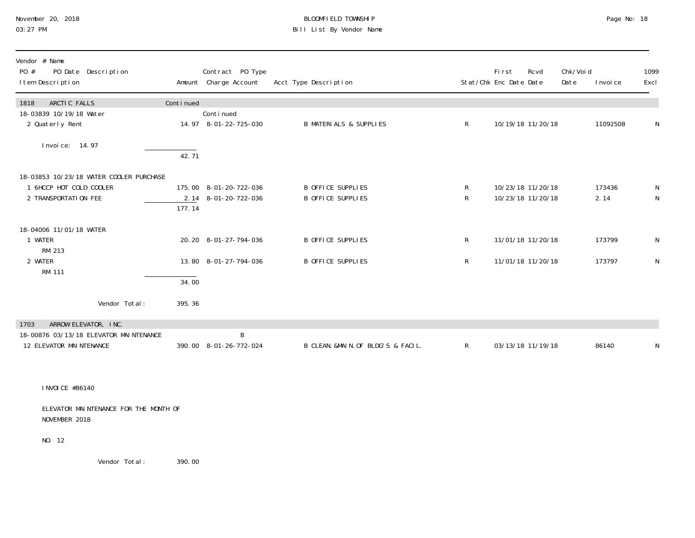# November 20, 2018<br>
O3:27 PM Bill List By Vendor Name

| Page No: |  | 18 |
|----------|--|----|
|----------|--|----|

| Vendor # Name<br>PO Date Description<br>PO #<br>I tem Description                                 |           | Contract PO Type<br>Amount Charge Account      | Acct Type Description                  |              | <b>First</b><br>Stat/Chk Enc Date Date | Rcvd                                   | Chk/Voi d<br>Date | I nvoi ce      | 1099<br>Excl |
|---------------------------------------------------------------------------------------------------|-----------|------------------------------------------------|----------------------------------------|--------------|----------------------------------------|----------------------------------------|-------------------|----------------|--------------|
| ARCTIC FALLS<br>1818                                                                              | Continued |                                                |                                        |              |                                        |                                        |                   |                |              |
| 18-03839 10/19/18 Water<br>2 Quaterly Rent                                                        |           | Continued<br>14.97 8-01-22-725-030             | <b>B MATERIALS &amp; SUPPLIES</b>      | $\mathsf{R}$ |                                        | 10/19/18 11/20/18                      |                   | 11092508       | N            |
| Invoice: 14.97                                                                                    | 42.71     |                                                |                                        |              |                                        |                                        |                   |                |              |
| 18-03853 10/23/18 WATER COOLER PURCHASE<br>6HCCP HOT COLD COOLER<br>2 TRANSPORTATION FEE          | 177.14    | 175.00 8-01-20-722-036<br>2.14 8-01-20-722-036 | B OFFICE SUPPLIES<br>B OFFICE SUPPLIES | R<br>R       |                                        | 10/23/18 11/20/18<br>10/23/18 11/20/18 |                   | 173436<br>2.14 | N<br>N       |
| 18-04006 11/01/18 WATER<br>1 WATER<br>RM 213                                                      |           | 20.20 8-01-27-794-036                          | B OFFICE SUPPLIES                      | R            |                                        | 11/01/18 11/20/18                      |                   | 173799         | N            |
| 2 WATER<br>RM 111                                                                                 | 34.00     | 13.80 8-01-27-794-036                          | B OFFICE SUPPLIES                      | $\mathsf{R}$ |                                        | 11/01/18 11/20/18                      |                   | 173797         | N            |
| Vendor Total:                                                                                     | 395.36    |                                                |                                        |              |                                        |                                        |                   |                |              |
| ARROW ELEVATOR, INC.<br>1703<br>18-00876 03/13/18 ELEVATOR MAINTENANCE<br>12 ELEVATOR MAINTENANCE |           | B<br>390.00 8-01-26-772-024                    | B CLEAN. &MAIN. OF BLDG'S & FACIL.     | R            |                                        | 03/13/18 11/19/18                      |                   | 86140          | N            |

INVOICE #86140

 ELEVATOR MAINTENANCE FOR THE MONTH OF NOVEMBER 2018

NO. 12

Vendor Total: 390.00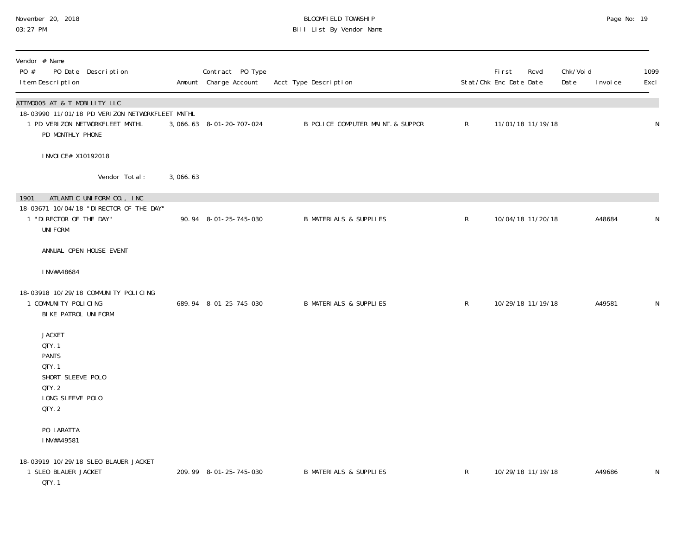#### November 20, 2018 BLOOMFIELD TOWNSHIP Page No: 19 03:27 PM Bill List By Vendor Name

| Vendor # Name<br>PO #<br>PO Date Description<br>I tem Description                                                                      |          | Contract PO Type<br>Amount Charge Account | Acct Type Description             |                | First<br>Stat/Chk Enc Date Date | Rcvd              | Chk/Void<br>Date | I nvoi ce | 1099<br>Excl |
|----------------------------------------------------------------------------------------------------------------------------------------|----------|-------------------------------------------|-----------------------------------|----------------|---------------------------------|-------------------|------------------|-----------|--------------|
| ATTM0005 AT & T MOBILITY LLC<br>18-03990 11/01/18 PD VERIZON NETWORKFLEET MNTHL<br>1 PD VERIZON NETWORKFLEET MNTHL<br>PD MONTHLY PHONE |          | 3,066.63 8-01-20-707-024                  | B POLICE COMPUTER MAINT. & SUPPOR | $\mathsf{R}$   |                                 | 11/01/18 11/19/18 |                  |           | ${\sf N}$    |
| I NVOI CE# X10192018                                                                                                                   |          |                                           |                                   |                |                                 |                   |                  |           |              |
| Vendor Total:                                                                                                                          | 3,066.63 |                                           |                                   |                |                                 |                   |                  |           |              |
| ATLANTIC UNIFORM CO., INC<br>1901<br>18-03671 10/04/18 "DIRECTOR OF THE DAY"<br>1 "DI RECTOR OF THE DAY"<br><b>UNIFORM</b>             |          | 90.94 8-01-25-745-030                     | <b>B MATERIALS &amp; SUPPLIES</b> | $\mathsf R$    |                                 | 10/04/18 11/20/18 |                  | A48684    | N            |
| ANNUAL OPEN HOUSE EVENT                                                                                                                |          |                                           |                                   |                |                                 |                   |                  |           |              |
| I NV#A48684                                                                                                                            |          |                                           |                                   |                |                                 |                   |                  |           |              |
| 18-03918 10/29/18 COMMUNITY POLICING<br>1 COMMUNITY POLICING<br>BIKE PATROL UNIFORM                                                    |          | 689.94 8-01-25-745-030                    | <b>B MATERIALS &amp; SUPPLIES</b> | $\mathsf{R}^-$ |                                 | 10/29/18 11/19/18 |                  | A49581    | N            |
| <b>JACKET</b><br>QTY. 1<br><b>PANTS</b><br>QTY. 1<br>SHORT SLEEVE POLO<br>QTY. 2<br>LONG SLEEVE POLO<br>QTY. 2                         |          |                                           |                                   |                |                                 |                   |                  |           |              |
| PO LARATTA<br>INV#A49581                                                                                                               |          |                                           |                                   |                |                                 |                   |                  |           |              |
| 18-03919 10/29/18 SLEO BLAUER JACKET<br>1 SLEO BLAUER JACKET<br>QTY. 1                                                                 |          | 209.99 8-01-25-745-030                    | <b>B MATERIALS &amp; SUPPLIES</b> | R              |                                 | 10/29/18 11/19/18 |                  | A49686    | N            |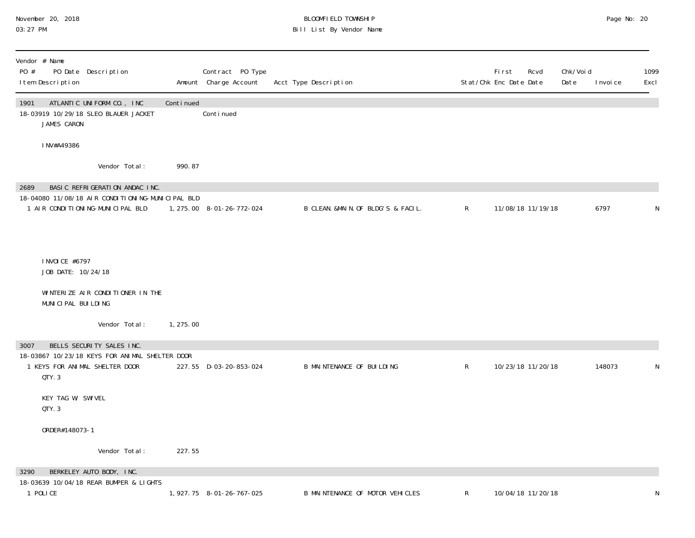#### November 20, 2018 BLOOMFIELD TOWNSHIP Page No: 20 03:27 PM Bill List By Vendor Name

| Vendor # Name<br>PO #<br>PO Date Description<br>I tem Description                                                              |           | Contract PO Type<br>Amount Charge Account | Acct Type Description              |              | <b>First</b><br>Rcvd<br>Stat/Chk Enc Date Date | Chk/Void<br>Date | I nvoi ce | 1099<br>Excl |
|--------------------------------------------------------------------------------------------------------------------------------|-----------|-------------------------------------------|------------------------------------|--------------|------------------------------------------------|------------------|-----------|--------------|
| 1901<br>ATLANTIC UNIFORM CO., INC<br>18-03919 10/29/18 SLEO BLAUER JACKET<br>JAMES CARON                                       | Continued | Conti nued                                |                                    |              |                                                |                  |           |              |
| INV#A49386                                                                                                                     |           |                                           |                                    |              |                                                |                  |           |              |
| Vendor Total:                                                                                                                  | 990.87    |                                           |                                    |              |                                                |                  |           |              |
| BASIC REFRIGERATION ANDAC INC.<br>2689<br>18-04080 11/08/18 AIR CONDITIONING-MUNICIPAL BLD<br>1 AIR CONDITIONING-MUNICIPAL BLD |           | 1, 275.00 8-01-26-772-024                 | B CLEAN. &MAIN. OF BLDG'S & FACIL. | $\mathsf{R}$ | 11/08/18 11/19/18                              |                  | 6797      | N            |
| I NVOI CE #6797<br>JOB DATE: 10/24/18<br>WINTERIZE AIR CONDITIONER IN THE                                                      |           |                                           |                                    |              |                                                |                  |           |              |
| MUNICIPAL BUILDING                                                                                                             |           |                                           |                                    |              |                                                |                  |           |              |
| Vendor Total:                                                                                                                  | 1, 275.00 |                                           |                                    |              |                                                |                  |           |              |
| BELLS SECURITY SALES INC.<br>3007<br>18-03867 10/23/18 KEYS FOR ANIMAL SHELTER DOOR<br>1 KEYS FOR ANIMAL SHELTER DOOR<br>QTY.3 |           | 227.55 D-03-20-853-024                    | <b>B MAINTENANCE OF BUILDING</b>   | $\mathsf R$  | 10/23/18 11/20/18                              |                  | 148073    | N            |
| KEY TAG W/ SWIVEL<br>QTY.3                                                                                                     |           |                                           |                                    |              |                                                |                  |           |              |
| ORDER#148073-1                                                                                                                 |           |                                           |                                    |              |                                                |                  |           |              |
| Vendor Total:                                                                                                                  | 227.55    |                                           |                                    |              |                                                |                  |           |              |
| BERKELEY AUTO BODY, INC.<br>3290<br>18-03639 10/04/18 REAR BUMPER & LIGHTS<br>1 POLICE                                         |           | 1, 927. 75 8-01-26-767-025                | B MAINTENANCE OF MOTOR VEHICLES    | R            | 10/04/18 11/20/18                              |                  |           | N            |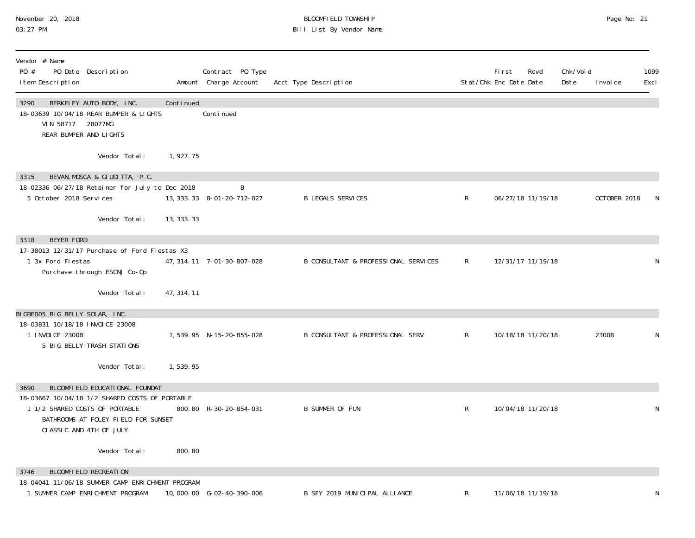#### November 20, 2018 BLOOMFIELD TOWNSHIP Page No: 21 03:27 PM Bill List By Vendor Name

| Vendor # Name<br>PO #<br>PO Date Description<br>I tem Description                                                                                  |             | Contract PO Type<br>Amount Charge Account | Acct Type Description                       |              | <b>First</b><br>Stat/Chk Enc Date Date | Rcvd              | Chk/Void<br>Date | I nvoi ce    | 1099<br>Excl |
|----------------------------------------------------------------------------------------------------------------------------------------------------|-------------|-------------------------------------------|---------------------------------------------|--------------|----------------------------------------|-------------------|------------------|--------------|--------------|
| 3290<br>BERKELEY AUTO BODY, INC.<br>18-03639 10/04/18 REAR BUMPER & LIGHTS<br>VIN 58717 28077MG<br>REAR BUMPER AND LIGHTS                          | Continued   | Conti nued                                |                                             |              |                                        |                   |                  |              |              |
| Vendor Total:                                                                                                                                      | 1,927.75    |                                           |                                             |              |                                        |                   |                  |              |              |
| BEVAN, MOSCA & GIUDITTA, P.C.<br>3315<br>18-02336 06/27/18 Retainer for July to Dec 2018                                                           |             | B                                         |                                             |              |                                        |                   |                  |              |              |
| 5 October 2018 Services                                                                                                                            |             | 13, 333. 33 8-01-20-712-027               | <b>B LEGALS SERVICES</b>                    | $\mathsf{R}$ |                                        | 06/27/18 11/19/18 |                  | OCTOBER 2018 |              |
| Vendor Total:                                                                                                                                      | 13, 333. 33 |                                           |                                             |              |                                        |                   |                  |              |              |
| BEYER FORD<br>3318                                                                                                                                 |             |                                           |                                             |              |                                        |                   |                  |              |              |
| 17-38013 12/31/17 Purchase of Ford Fiestas X3<br>1 3x Ford Fiestas<br>Purchase through ESCNJ Co-Op                                                 |             | 47, 314. 11 7-01-30-807-028               | B CONSULTANT & PROFESSIONAL SERVICES        | $\mathsf{R}$ |                                        | 12/31/17 11/19/18 |                  |              | N            |
| Vendor Total:                                                                                                                                      | 47, 314. 11 |                                           |                                             |              |                                        |                   |                  |              |              |
| BIGBE005 BIG BELLY SOLAR, INC.<br>18-03831 10/18/18 INVOICE 23008<br>1 I NVOI CE 23008<br>5 BIG BELLY TRASH STATIONS                               |             | 1,539.95 N-15-20-855-028                  | <b>B CONSULTANT &amp; PROFESSIONAL SERV</b> | $\mathsf{R}$ |                                        | 10/18/18 11/20/18 |                  | 23008        | N            |
| Vendor Total:                                                                                                                                      | 1,539.95    |                                           |                                             |              |                                        |                   |                  |              |              |
| BLOOMFIELD EDUCATIONAL FOUNDAT<br>3690                                                                                                             |             |                                           |                                             |              |                                        |                   |                  |              |              |
| 18-03667 10/04/18 1/2 SHARED COSTS OF PORTABLE<br>1 1/2 SHARED COSTS OF PORTABLE<br>BATHROOMS AT FOLEY FIELD FOR SUNSET<br>CLASSIC AND 4TH OF JULY |             | 800.80 R-30-20-854-031                    | <b>B SUMMER OF FUN</b>                      | R            |                                        | 10/04/18 11/20/18 |                  |              | N            |
| Vendor Total:                                                                                                                                      | 800.80      |                                           |                                             |              |                                        |                   |                  |              |              |
| BLOOMFIELD RECREATION<br>3746                                                                                                                      |             |                                           |                                             |              |                                        |                   |                  |              |              |
| 18-04041 11/06/18 SUMMER CAMP ENRICHMENT PROGRAM<br>1 SUMMER CAMP ENRICHMENT PROGRAM                                                               |             | 10,000.00 G-02-40-390-006                 | B SFY 2019 MUNICIPAL ALLIANCE               | R            |                                        | 11/06/18 11/19/18 |                  |              | N            |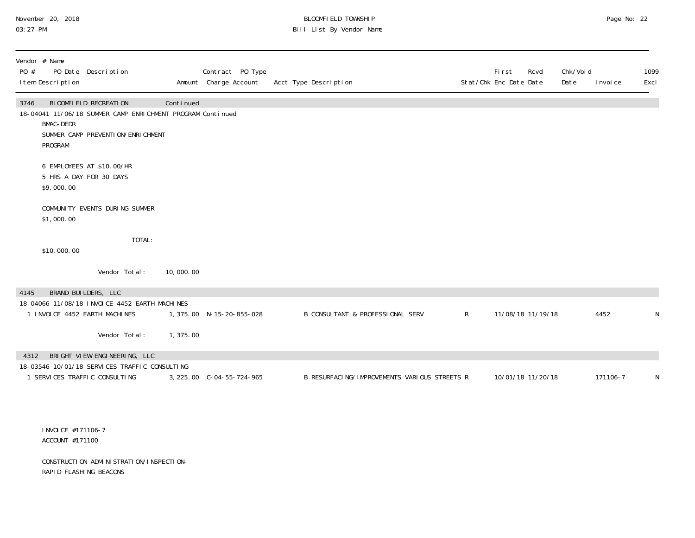# November 20, 2018 **BLOOMFIELD TOWNSHIP** BLOOMFIELD TOWNSHIP BLOOMFIELD TOWNSHIP Page No: 22<br>03:27 PM Bill List By Vendor Name

| PO # | Vendor # Name<br>I tem Description    | PO Date Description                                                                                                      |           | Contract PO Type<br>Amount Charge Account | Acct Type Description                        |              | <b>First</b><br>Rcvd<br>Stat/Chk Enc Date Date | Chk/Voi d<br>Date | I nvoi ce | 1099<br>Excl |
|------|---------------------------------------|--------------------------------------------------------------------------------------------------------------------------|-----------|-------------------------------------------|----------------------------------------------|--------------|------------------------------------------------|-------------------|-----------|--------------|
| 3746 | <b>BMAC-DEDR</b><br>PROGRAM           | BLOOMFIELD RECREATION<br>18-04041 11/06/18 SUMMER CAMP ENRICHMENT PROGRAM Continued<br>SUMMER CAMP PREVENTION/ENRICHMENT | Continued |                                           |                                              |              |                                                |                   |           |              |
|      | 5 HRS A DAY FOR 30 DAYS<br>\$9,000.00 | 6 EMPLOYEES AT \$10.00/HR                                                                                                |           |                                           |                                              |              |                                                |                   |           |              |
|      | \$1,000.00                            | COMMUNITY EVENTS DURING SUMMER                                                                                           |           |                                           |                                              |              |                                                |                   |           |              |
|      | \$10,000.00                           | TOTAL:                                                                                                                   |           |                                           |                                              |              |                                                |                   |           |              |
|      |                                       | Vendor Total:                                                                                                            | 10,000.00 |                                           |                                              |              |                                                |                   |           |              |
| 4145 | BRAND BUILDERS, LLC                   | 18-04066 11/08/18 INVOICE 4452 EARTH MACHINES<br>1 INVOICE 4452 EARTH MACHINES                                           |           | 1, 375.00 N-15-20-855-028                 | B CONSULTANT & PROFESSIONAL SERV             | $\mathsf{R}$ | 11/08/18 11/19/18                              |                   | 4452      | N            |
|      |                                       | Vendor Total:                                                                                                            | 1,375.00  |                                           |                                              |              |                                                |                   |           |              |
| 4312 |                                       | BRIGHT VIEW ENGINEERING, LLC<br>18-03546 10/01/18 SERVICES TRAFFIC CONSULTING                                            |           |                                           |                                              |              |                                                |                   |           |              |
|      |                                       | 1 SERVICES TRAFFIC CONSULTING                                                                                            |           | 3, 225.00 C-04-55-724-965                 | B RESURFACING/IMPROVEMENTS VARIOUS STREETS R |              | 10/01/18 11/20/18                              |                   | 171106-7  | $\mathsf N$  |
|      |                                       |                                                                                                                          |           |                                           |                                              |              |                                                |                   |           |              |

 INVOICE #171106-7 ACCOUNT #171100

 CONSTRUCTION ADMINISTRATION/INSPECTION- RAPID FLASHING BEACONS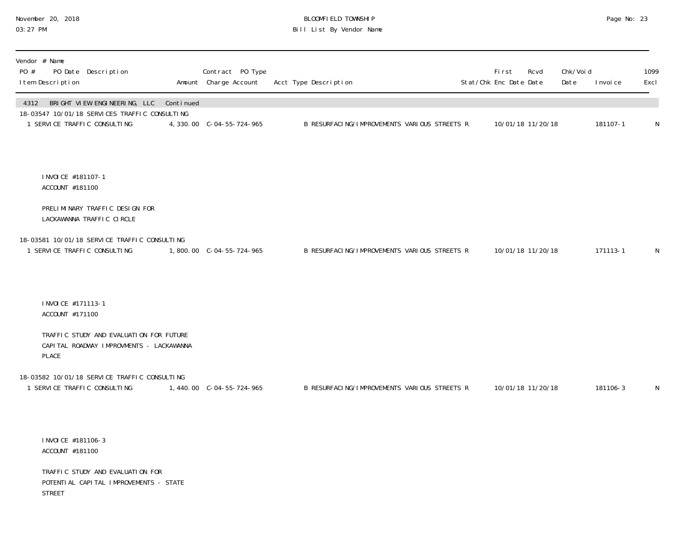#### November 20, 2018 BLOOMFIELD TOWNSHIP Page No: 23 03:27 PM Bill List By Vendor Name

| Vendor # Name<br>PO #<br>PO Date Description<br>I tem Description                                                               | Contract PO Type<br>Amount Charge Account | Acct Type Description                        | <b>First</b><br>Stat/Chk Enc Date Date | Rcvd              | Chk/Voi d<br>Date | I nvoi ce | 1099<br>Excl |
|---------------------------------------------------------------------------------------------------------------------------------|-------------------------------------------|----------------------------------------------|----------------------------------------|-------------------|-------------------|-----------|--------------|
| BRIGHT VIEW ENGINEERING, LLC Continued<br>4312<br>18-03547 10/01/18 SERVICES TRAFFIC CONSULTING<br>1 SERVICE TRAFFIC CONSULTING | 4, 330.00 C-04-55-724-965                 | B RESURFACING/IMPROVEMENTS VARIOUS STREETS R |                                        | 10/01/18 11/20/18 |                   | 181107-1  | $\mathsf N$  |
| I NVOI CE #181107-1<br>ACCOUNT #181100                                                                                          |                                           |                                              |                                        |                   |                   |           |              |
| PRELIMINARY TRAFFIC DESIGN FOR<br>LACKAWANNA TRAFFIC CIRCLE                                                                     |                                           |                                              |                                        |                   |                   |           |              |
| 18-03581 10/01/18 SERVICE TRAFFIC CONSULTING<br>1 SERVICE TRAFFIC CONSULTING                                                    |                                           | B RESURFACING/IMPROVEMENTS VARIOUS STREETS R |                                        | 10/01/18 11/20/18 |                   | 171113-1  | N            |
| I NVOI CE #171113-1<br>ACCOUNT #171100                                                                                          |                                           |                                              |                                        |                   |                   |           |              |
| TRAFFIC STUDY AND EVALUATION FOR FUTURE<br>CAPITAL ROADWAY IMPROVMENTS - LACKAWANNA<br>PLACE                                    |                                           |                                              |                                        |                   |                   |           |              |
| 18-03582 10/01/18 SERVICE TRAFFIC CONSULTING<br>1 SERVICE TRAFFIC CONSULTING                                                    |                                           | B RESURFACING/IMPROVEMENTS VARIOUS STREETS R |                                        | 10/01/18 11/20/18 |                   | 181106-3  | $\mathsf N$  |
| I NVOI CE #181106-3<br>ACCOUNT #181100                                                                                          |                                           |                                              |                                        |                   |                   |           |              |
| TRAFFIC STUDY AND EVALUATION FOR<br>POTENTI AL CAPI TAL IMPROVEMENTS - STATE                                                    |                                           |                                              |                                        |                   |                   |           |              |

STREET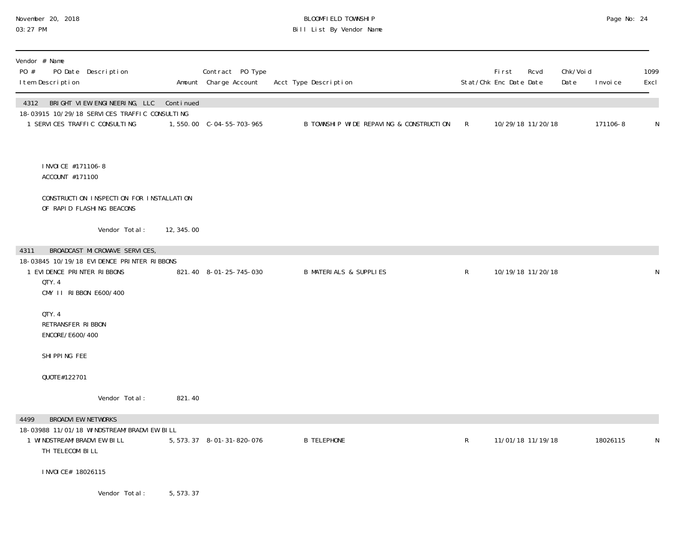### November 20, 2018 BLOOMFIELD TOWNSHIP Page No: 24 03:27 PM Bill List By Vendor Name

| Vendor # Name<br>PO #<br>PO Date Description<br>I tem Description                                                             |            | Contract PO Type<br>Amount Charge Account | Acct Type Description                   |             | First<br>Rcvd<br>Stat/Chk Enc Date Date | Chk/Voi d<br>Date | I nvoi ce | 1099<br>Excl |
|-------------------------------------------------------------------------------------------------------------------------------|------------|-------------------------------------------|-----------------------------------------|-------------|-----------------------------------------|-------------------|-----------|--------------|
| 4312 BRIGHT VIEW ENGINEERING, LLC Continued<br>18-03915 10/29/18 SERVICES TRAFFIC CONSULTING<br>1 SERVICES TRAFFIC CONSULTING |            |                                           | B TOWNSHIP WIDE REPAVING & CONSTRUCTION | $\mathsf R$ | 10/29/18 11/20/18                       |                   | 171106-8  | $\mathsf N$  |
| I NVOI CE #171106-8<br>ACCOUNT #171100                                                                                        |            |                                           |                                         |             |                                         |                   |           |              |
| CONSTRUCTION INSPECTION FOR INSTALLATION<br>OF RAPID FLASHING BEACONS                                                         |            |                                           |                                         |             |                                         |                   |           |              |
| Vendor Total:                                                                                                                 | 12, 345.00 |                                           |                                         |             |                                         |                   |           |              |
| 4311<br>BROADCAST MICROWAVE SERVICES,                                                                                         |            |                                           |                                         |             |                                         |                   |           |              |
| 18-03845 10/19/18 EVIDENCE PRINTER RIBBONS<br>1 EVIDENCE PRINTER RIBBONS<br>QTY. 4<br>CMY II RIBBON E600/400                  |            | 821.40 8-01-25-745-030                    | <b>B MATERIALS &amp; SUPPLIES</b>       | $\mathsf R$ | 10/19/18 11/20/18                       |                   |           | N            |
| QTY. 4<br>RETRANSFER RIBBON<br>ENCORE/E600/400                                                                                |            |                                           |                                         |             |                                         |                   |           |              |
| SHI PPI NG FEE                                                                                                                |            |                                           |                                         |             |                                         |                   |           |              |
| QUOTE#122701                                                                                                                  |            |                                           |                                         |             |                                         |                   |           |              |
| Vendor Total:                                                                                                                 | 821.40     |                                           |                                         |             |                                         |                   |           |              |
| <b>BROADVI EW NETWORKS</b><br>4499                                                                                            |            |                                           |                                         |             |                                         |                   |           |              |
| 18-03988 11/01/18 WINDSTREAM/BRADVIEW BILL<br>1 WINDSTREAM/BRADVI EW BILL<br>TH TELECOM BILL                                  |            | 5, 573. 37 8-01-31-820-076                | <b>B TELEPHONE</b>                      | $\mathsf R$ | 11/01/18 11/19/18                       |                   | 18026115  | N            |
| I NVOI CE# 18026115                                                                                                           |            |                                           |                                         |             |                                         |                   |           |              |
| Vendor Total:                                                                                                                 | 5, 573.37  |                                           |                                         |             |                                         |                   |           |              |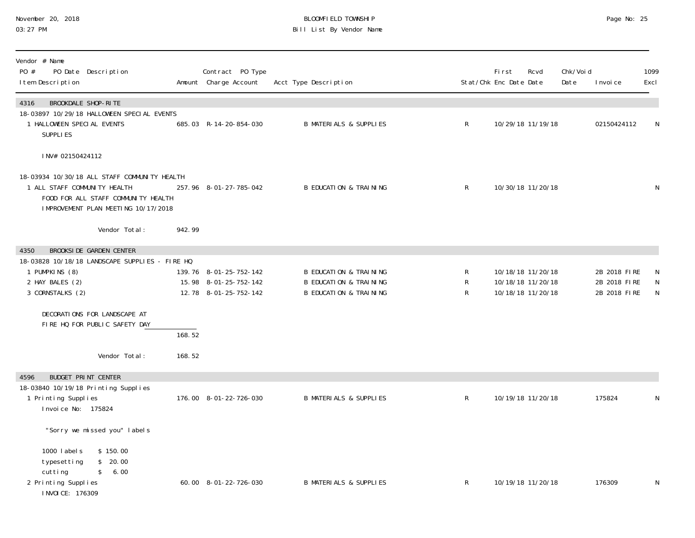#### November 20, 2018 BLOOMFIELD TOWNSHIP Page No: 25 03:27 PM Bill List By Vendor Name

| Vendor # Name<br>PO #<br>I tem Description                                        | PO Date Description                                                                                                                                                |                  | Contract PO Type<br>Amount Charge Account                                | Acct Type Description                                                                                       |              | First<br>Stat/Chk Enc Date Date | Rcvd                                                        | Chk/Void<br>Date | I nvoi ce                                    | 1099<br>Excl |
|-----------------------------------------------------------------------------------|--------------------------------------------------------------------------------------------------------------------------------------------------------------------|------------------|--------------------------------------------------------------------------|-------------------------------------------------------------------------------------------------------------|--------------|---------------------------------|-------------------------------------------------------------|------------------|----------------------------------------------|--------------|
| 4316<br>1 HALLOWEEN SPECIAL EVENTS<br>SUPPLIES                                    | BROOKDALE SHOP-RITE<br>18-03897 10/29/18 HALLOWEEN SPECIAL EVENTS                                                                                                  |                  | 685.03 R-14-20-854-030                                                   | <b>B MATERIALS &amp; SUPPLIES</b>                                                                           | $\mathsf{R}$ |                                 | 10/29/18 11/19/18                                           |                  | 02150424112                                  | N            |
| INV# 02150424112                                                                  |                                                                                                                                                                    |                  |                                                                          |                                                                                                             |              |                                 |                                                             |                  |                                              |              |
| 1 ALL STAFF COMMUNITY HEALTH                                                      | 18-03934 10/30/18 ALL STAFF COMMUNITY HEALTH<br>FOOD FOR ALL STAFF COMMUNITY HEALTH<br>IMPROVEMENT PLAN MEETING 10/17/2018                                         |                  | 257.96 8-01-27-785-042                                                   | <b>B EDUCATION &amp; TRAINING</b>                                                                           | $\mathsf{R}$ |                                 | 10/30/18 11/20/18                                           |                  |                                              | N            |
|                                                                                   | Vendor Total:                                                                                                                                                      | 942.99           |                                                                          |                                                                                                             |              |                                 |                                                             |                  |                                              |              |
| 4350<br>1 PUMPKINS (8)<br>2 HAY BALES (2)<br>3 CORNSTALKS (2)                     | <b>BROOKSIDE GARDEN CENTER</b><br>18-03828 10/18/18 LANDSCAPE SUPPLIES - FIRE HQ<br>DECORATIONS FOR LANDSCAPE AT<br>FIRE HQ FOR PUBLIC SAFETY DAY<br>Vendor Total: | 168.52<br>168.52 | 139.76 8-01-25-752-142<br>15.98 8-01-25-752-142<br>12.78 8-01-25-752-142 | <b>B EDUCATION &amp; TRAINING</b><br><b>B EDUCATION &amp; TRAINING</b><br><b>B EDUCATION &amp; TRAINING</b> | R<br>R<br>R  |                                 | 10/18/18 11/20/18<br>10/18/18 11/20/18<br>10/18/18 11/20/18 |                  | 2B 2018 FIRE<br>2B 2018 FIRE<br>2B 2018 FIRE | N<br>N       |
| 4596                                                                              | <b>BUDGET PRINT CENTER</b>                                                                                                                                         |                  |                                                                          |                                                                                                             |              |                                 |                                                             |                  |                                              |              |
| 1 Printing Supplies<br>Invoice No: 175824                                         | 18-03840 10/19/18 Printing Supplies                                                                                                                                |                  | 176.00 8-01-22-726-030                                                   | <b>B MATERIALS &amp; SUPPLIES</b>                                                                           | $\mathsf{R}$ |                                 | 10/19/18 11/20/18                                           |                  | 175824                                       | N            |
|                                                                                   | "Sorry we missed you" labels                                                                                                                                       |                  |                                                                          |                                                                                                             |              |                                 |                                                             |                  |                                              |              |
| 1000 labels<br>typesetting<br>cutting<br>2 Printing Supplies<br>I NVOI CE: 176309 | \$150.00<br>\$20.00<br>\$ 6.00                                                                                                                                     |                  | 60.00 8-01-22-726-030                                                    | <b>B MATERIALS &amp; SUPPLIES</b>                                                                           | $\mathsf{R}$ |                                 | 10/19/18 11/20/18                                           |                  | 176309                                       | N            |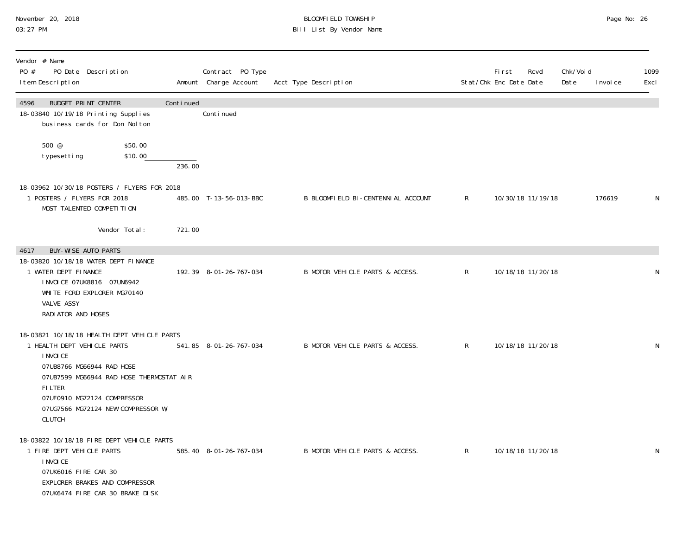#### November 20, 2018 BLOOMFIELD TOWNSHIP Page No: 26 03:27 PM Bill List By Vendor Name

| Vendor # Name<br>PO #<br>PO Date Description<br>I tem Description                                                                                                                                                                                                       |           | Contract PO Type<br>Amount Charge Account | Acct Type Description              |              | <b>First</b><br>Stat/Chk Enc Date Date | Rcvd              | Chk/Voi d<br>Date | I nvoi ce | 1099<br>Excl |
|-------------------------------------------------------------------------------------------------------------------------------------------------------------------------------------------------------------------------------------------------------------------------|-----------|-------------------------------------------|------------------------------------|--------------|----------------------------------------|-------------------|-------------------|-----------|--------------|
| 4596<br>BUDGET PRINT CENTER<br>18-03840 10/19/18 Printing Supplies<br>business cards for Don Nol ton                                                                                                                                                                    | Continued | Conti nued                                |                                    |              |                                        |                   |                   |           |              |
| 500 @<br>\$50.00<br>\$10.00<br>typesetting                                                                                                                                                                                                                              | 236.00    |                                           |                                    |              |                                        |                   |                   |           |              |
| 18-03962 10/30/18 POSTERS / FLYERS FOR 2018<br>1 POSTERS / FLYERS FOR 2018<br>MOST TALENTED COMPETITION                                                                                                                                                                 |           | 485.00 T-13-56-013-BBC                    | B BLOOMFIELD BI-CENTENNIAL ACCOUNT | $\mathsf{R}$ |                                        | 10/30/18 11/19/18 |                   | 176619    | N            |
| Vendor Total:                                                                                                                                                                                                                                                           | 721.00    |                                           |                                    |              |                                        |                   |                   |           |              |
| <b>BUY-WISE AUTO PARTS</b><br>4617<br>18-03820 10/18/18 WATER DEPT FINANCE<br>1 WATER DEPT FINANCE<br>I NVOI CE 07UK8816 07UN6942<br>WHITE FORD EXPLORER MG70140<br>VALVE ASSY<br>RADI ATOR AND HOSES                                                                   |           | 192.39 8-01-26-767-034                    | B MOTOR VEHICLE PARTS & ACCESS.    | $\mathsf{R}$ |                                        | 10/18/18 11/20/18 |                   |           | N            |
| 18-03821 10/18/18 HEALTH DEPT VEHICLE PARTS<br>1 HEALTH DEPT VEHICLE PARTS<br>I NVOI CE<br>07UB8766 MG66944 RAD HOSE<br>07UB7599 MG66944 RAD HOSE THERMOSTAT AIR<br><b>FILTER</b><br>07UF0910 MG72124 COMPRESSOR<br>07UG7566 MG72124 NEW COMPRESSOR W/<br><b>CLUTCH</b> |           | 541.85 8-01-26-767-034                    | B MOTOR VEHICLE PARTS & ACCESS.    | $\mathsf{R}$ |                                        | 10/18/18 11/20/18 |                   |           | $\mathsf N$  |
| 18-03822 10/18/18 FIRE DEPT VEHICLE PARTS<br>1 FIRE DEPT VEHICLE PARTS<br>I NVOI CE<br>07UK6016 FIRE CAR 30<br>EXPLORER BRAKES AND COMPRESSOR<br>07UK6474 FIRE CAR 30 BRAKE DISK                                                                                        |           | 585.40 8-01-26-767-034                    | B MOTOR VEHICLE PARTS & ACCESS.    | $\mathsf{R}$ |                                        | 10/18/18 11/20/18 |                   |           | N            |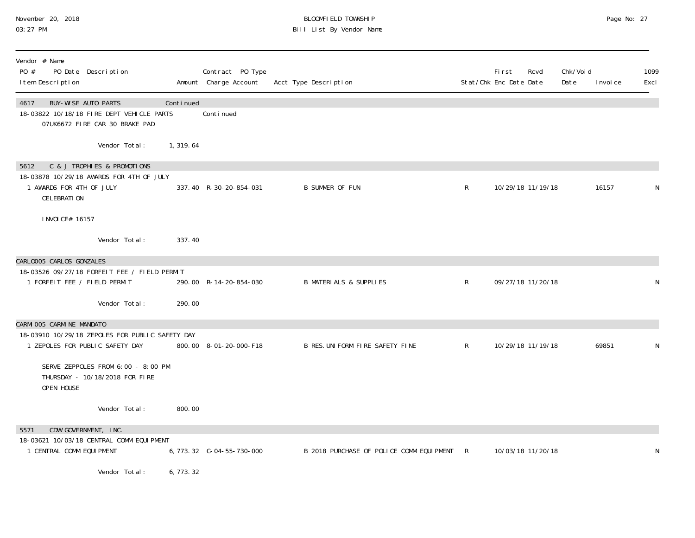#### November 20, 2018 BLOOMFIELD TOWNSHIP Page No: 27 03:27 PM Bill List By Vendor Name

| Vendor # Name<br>PO #<br>PO Date Description<br>I tem Description                                                                 |            | Contract PO Type<br>Amount Charge Account | Acct Type Description                    |              | Fi rst<br>Stat/Chk Enc Date Date | Rcvd              | Chk/Void<br>Date | I nvoi ce | 1099<br>Excl |
|-----------------------------------------------------------------------------------------------------------------------------------|------------|-------------------------------------------|------------------------------------------|--------------|----------------------------------|-------------------|------------------|-----------|--------------|
| BUY-WISE AUTO PARTS<br>4617<br>18-03822 10/18/18 FIRE DEPT VEHICLE PARTS<br>07UK6672 FIRE CAR 30 BRAKE PAD                        | Continued  | Continued                                 |                                          |              |                                  |                   |                  |           |              |
| Vendor Total:                                                                                                                     | 1,319.64   |                                           |                                          |              |                                  |                   |                  |           |              |
| C & J TROPHIES & PROMOTIONS<br>5612<br>18-03878 10/29/18 AWARDS FOR 4TH OF JULY<br>1 AWARDS FOR 4TH OF JULY<br><b>CELEBRATION</b> |            | 337.40 R-30-20-854-031                    | <b>B SUMMER OF FUN</b>                   | $\mathsf{R}$ |                                  | 10/29/18 11/19/18 |                  | 16157     | N            |
| I NVOI CE# 16157                                                                                                                  |            |                                           |                                          |              |                                  |                   |                  |           |              |
| Vendor Total:                                                                                                                     | 337.40     |                                           |                                          |              |                                  |                   |                  |           |              |
| CARLOOO5 CARLOS GONZALES<br>18-03526 09/27/18 FORFEIT FEE / FIELD PERMIT<br>1 FORFEIT FEE / FIELD PERMIT<br>Vendor Total:         | 290.00     | 290.00 R-14-20-854-030                    | <b>B MATERIALS &amp; SUPPLIES</b>        | $\mathsf{R}$ | 09/27/18 11/20/18                |                   |                  |           | N            |
| CARMI 005 CARMI NE MANDATO                                                                                                        |            |                                           |                                          |              |                                  |                   |                  |           |              |
| 18-03910 10/29/18 ZEPOLES FOR PUBLIC SAFETY DAY<br>1 ZEPOLES FOR PUBLIC SAFETY DAY                                                |            | 800.00 8-01-20-000-F18                    | B RES. UNIFORM FIRE SAFETY FINE          | $\mathsf{R}$ |                                  | 10/29/18 11/19/18 |                  | 69851     | N            |
| SERVE ZEPPOLES FROM 6:00 - 8:00 PM<br>THURSDAY - 10/18/2018 FOR FIRE<br>OPEN HOUSE                                                |            |                                           |                                          |              |                                  |                   |                  |           |              |
| Vendor Total:                                                                                                                     | 800.00     |                                           |                                          |              |                                  |                   |                  |           |              |
| CDW GOVERNMENT, INC.<br>5571<br>18-03621 10/03/18 CENTRAL COMM EQUIPMENT<br>1 CENTRAL COMM EQUI PMENT                             |            |                                           | B 2018 PURCHASE OF POLICE COMM EQUIPMENT | $\mathsf{R}$ |                                  | 10/03/18 11/20/18 |                  |           | N            |
| Vendor Total:                                                                                                                     | 6, 773. 32 |                                           |                                          |              |                                  |                   |                  |           |              |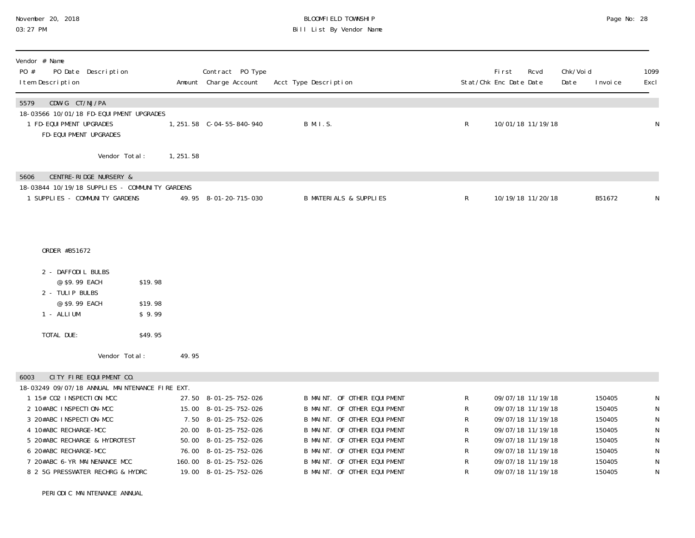PERIODIC MAINTENANCE ANNUAL

#### November 20, 2018 **BLOOMFIELD TOWNSHIP** BLOOMFIELD TOWNSHIP **BLOOMFIELD TOWNSHIP** Page No: 28 Bill List By Vendor Name

| Vendor # Name<br>PO #<br>PO Date Description<br>I tem Description                                      |                              |            | Contract PO Type<br>Amount Charge Account | Acct Type Description             |   | <b>First</b><br>Rcvd<br>Stat/Chk Enc Date Date | Chk/Void<br>Date | 1099<br>Excl<br>I nvoi ce |
|--------------------------------------------------------------------------------------------------------|------------------------------|------------|-------------------------------------------|-----------------------------------|---|------------------------------------------------|------------------|---------------------------|
| CDW-G CT/NJ/PA<br>5579<br>18-03566 10/01/18 FD-EQUI PMENT UPGRADES                                     |                              |            |                                           |                                   |   |                                                |                  |                           |
| 1 FD-EQUI PMENT UPGRADES<br>FD-EQUI PMENT UPGRADES                                                     |                              |            | 1, 251.58 C-04-55-840-940                 | B M. I.S.                         | R | 10/01/18 11/19/18                              |                  | N                         |
| Vendor Total:                                                                                          |                              | 1, 251. 58 |                                           |                                   |   |                                                |                  |                           |
| <b>CENTRE-RIDGE NURSERY &amp;</b><br>5606                                                              |                              |            |                                           |                                   |   |                                                |                  |                           |
| 18-03844 10/19/18 SUPPLIES - COMMUNITY GARDENS                                                         |                              |            |                                           |                                   |   |                                                |                  |                           |
| 1 SUPPLIES - COMMUNITY GARDENS                                                                         |                              |            | 49.95 8-01-20-715-030                     | <b>B MATERIALS &amp; SUPPLIES</b> | R | 10/19/18 11/20/18                              |                  | B51672<br>N               |
| ORDER #B51672<br>2 - DAFFODIL BULBS<br>@ \$9.99 EACH<br>2 - TULIP BULBS<br>@ \$9.99 EACH<br>1 - ALLIUM | \$19.98<br>\$19.98<br>\$9.99 |            |                                           |                                   |   |                                                |                  |                           |
| TOTAL DUE:                                                                                             | \$49.95                      |            |                                           |                                   |   |                                                |                  |                           |
| Vendor Total:                                                                                          |                              | 49.95      |                                           |                                   |   |                                                |                  |                           |
| CITY FIRE EQUIPMENT CO.<br>6003                                                                        |                              |            |                                           |                                   |   |                                                |                  |                           |
| 18-03249 09/07/18 ANNUAL MAINTENANCE FIRE EXT.                                                         |                              |            |                                           |                                   |   |                                                |                  |                           |
| 1 15# CO2 INSPECTION MCC                                                                               |                              |            | 27.50 8-01-25-752-026                     | B MAINT. OF OTHER EQUIPMENT       | R | 09/07/18 11/19/18                              |                  | 150405<br>N               |
| 2 10#ABC INSPECTION-MCC                                                                                |                              |            | 15.00 8-01-25-752-026                     | B MAINT. OF OTHER EQUIPMENT       | R | 09/07/18 11/19/18                              |                  | ${\sf N}$<br>150405       |
| 3 20#ABC INSPECTION-MCC                                                                                |                              |            | 7.50 8-01-25-752-026                      | B MAINT. OF OTHER EQUIPMENT       | R | 09/07/18 11/19/18                              |                  | ${\sf N}$<br>150405       |
| 4 10#ABC RECHARGE-MCC                                                                                  |                              |            | 20.00 8-01-25-752-026                     | B MAINT. OF OTHER EQUIPMENT       | R | 09/07/18 11/19/18                              |                  | ${\sf N}$<br>150405       |
| 5 20#ABC RECHARGE & HYDROTEST                                                                          |                              |            | 50.00 8-01-25-752-026                     | B MAINT. OF OTHER EQUIPMENT       | R | 09/07/18 11/19/18                              |                  | ${\sf N}$<br>150405       |
| 6 20#ABC RECHARGE-MCC                                                                                  |                              |            | 76.00 8-01-25-752-026                     | B MAINT. OF OTHER EQUIPMENT       | R | 09/07/18 11/19/18                              |                  | N<br>150405               |

 7 20#ABC 6-YR MAINENANCE MCC 160.00 8-01-25-752-026 B MAINT. OF OTHER EQUIPMENT R 09/07/18 11/19/18 150405 N8 2 5G PRESSWATER RECHRG & HYDRC 19.00 8-01-25-752-026 B MAINT. OF OTHER EQUIPMENT R 09/07/18 11/19/18 150405 N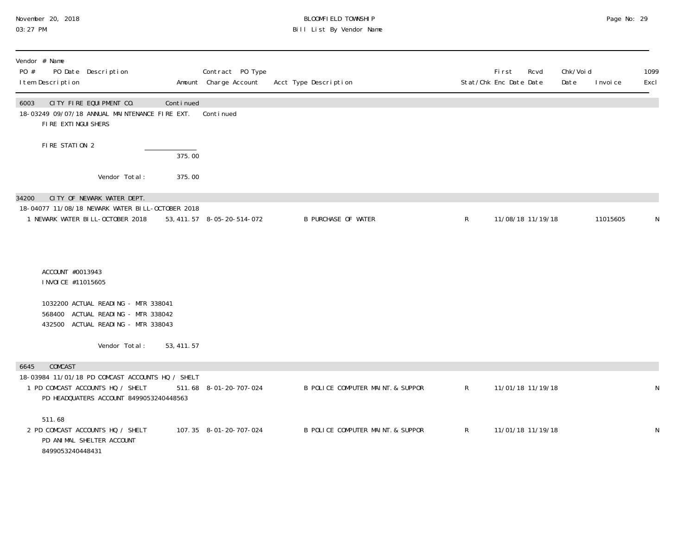#### November 20, 2018 BLOOMFIELD TOWNSHIP Page No: 29 03:27 PM Bill List By Vendor Name

| Vendor # Name<br>PO #<br>PO Date Description<br>I tem Description                                                               | Contract PO Type<br>Amount Charge Account | Acct Type Description             | Stat/Chk Enc Date Date | First | Rcvd              | Chk/Voi d<br>Date | I nvoi ce | 1099<br>Excl |
|---------------------------------------------------------------------------------------------------------------------------------|-------------------------------------------|-----------------------------------|------------------------|-------|-------------------|-------------------|-----------|--------------|
| CITY FIRE EQUIPMENT CO.<br>Continued<br>6003<br>18-03249 09/07/18 ANNUAL MAINTENANCE FIRE EXT.<br>FIRE EXTINGUI SHERS           | Continued                                 |                                   |                        |       |                   |                   |           |              |
| FIRE STATION 2<br>375.00                                                                                                        |                                           |                                   |                        |       |                   |                   |           |              |
| Vendor Total:<br>375.00                                                                                                         |                                           |                                   |                        |       |                   |                   |           |              |
| CITY OF NEWARK WATER DEPT.<br>34200                                                                                             |                                           |                                   |                        |       |                   |                   |           |              |
| 18-04077 11/08/18 NEWARK WATER BILL-OCTOBER 2018<br>1 NEWARK WATER BILL-OCTOBER 2018                                            | 53, 411. 57 8-05-20-514-072               | <b>B PURCHASE OF WATER</b>        | R                      |       | 11/08/18 11/19/18 |                   | 11015605  | N            |
| ACCOUNT #0013943<br>I NVOI CE #11015605                                                                                         |                                           |                                   |                        |       |                   |                   |           |              |
| 1032200 ACTUAL READING - MTR 338041<br>568400 ACTUAL READING - MTR 338042<br>432500 ACTUAL READING - MTR 338043                 |                                           |                                   |                        |       |                   |                   |           |              |
| Vendor Total:<br>53, 411.57                                                                                                     |                                           |                                   |                        |       |                   |                   |           |              |
| COMCAST<br>6645                                                                                                                 |                                           |                                   |                        |       |                   |                   |           |              |
| 18-03984 11/01/18 PD COMCAST ACCOUNTS HQ / SHELT<br>1 PD COMCAST ACCOUNTS HQ / SHELT<br>PD HEADQUATERS ACCOUNT 8499053240448563 | 511.68 8-01-20-707-024                    | B POLICE COMPUTER MAINT. & SUPPOR | $\mathsf{R}$           |       | 11/01/18 11/19/18 |                   |           | N            |
| 511.68<br>2 PD COMCAST ACCOUNTS HQ / SHELT<br>PD ANIMAL SHELTER ACCOUNT<br>8499053240448431                                     | 107.35 8-01-20-707-024                    | B POLICE COMPUTER MAINT. & SUPPOR | $\mathsf{R}$           |       | 11/01/18 11/19/18 |                   |           | N            |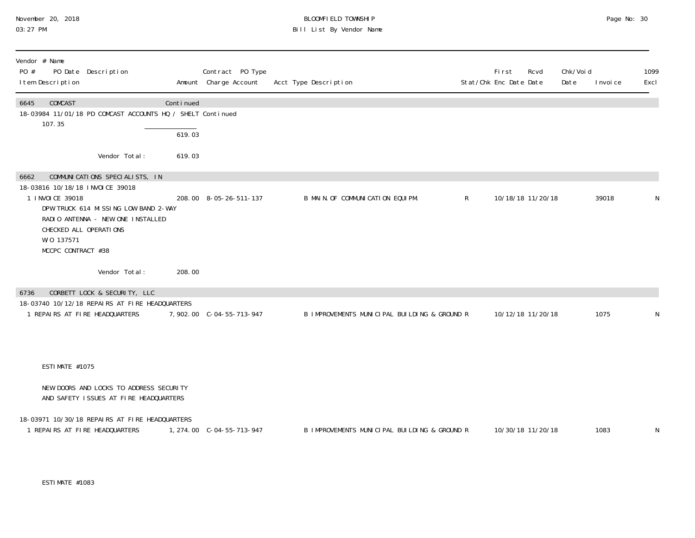#### November 20, 2018 BLOOMFIELD TOWNSHIP Page No: 30 03:27 PM Bill List By Vendor Name

| Vendor # Name<br>PO #<br>PO Date Description<br>I tem Description                                                                                                                                                                         |                     | Contract PO Type<br>Amount Charge Account | Acct Type Description                        |              | <b>First</b><br>Stat/Chk Enc Date Date | Rcvd | Chk/Voi d<br>Date | I nvoi ce | 1099<br>Excl |
|-------------------------------------------------------------------------------------------------------------------------------------------------------------------------------------------------------------------------------------------|---------------------|-------------------------------------------|----------------------------------------------|--------------|----------------------------------------|------|-------------------|-----------|--------------|
| COMCAST<br>6645<br>18-03984 11/01/18 PD COMCAST ACCOUNTS HQ / SHELT Continued<br>107.35                                                                                                                                                   | Continued<br>619.03 |                                           |                                              |              |                                        |      |                   |           |              |
| Vendor Total:                                                                                                                                                                                                                             | 619.03              |                                           |                                              |              |                                        |      |                   |           |              |
| COMMUNICATIONS SPECIALISTS, IN<br>6662<br>18-03816 10/18/18 INVOICE 39018<br>1 I NVOI CE 39018<br>DPW TRUCK 614 MISSING LOW BAND 2-WAY<br>RADIO ANTENNA - NEW ONE INSTALLED<br>CHECKED ALL OPERATIONS<br>W/0 137571<br>MCCPC CONTRACT #38 |                     | 208.00 8-05-26-511-137                    | B MAIN. OF COMMUNICATION EQUIPM.             | $\mathsf{R}$ | 10/18/18 11/20/18                      |      |                   | 39018     | N            |
| Vendor Total:                                                                                                                                                                                                                             | 208.00              |                                           |                                              |              |                                        |      |                   |           |              |
| CORBETT LOCK & SECURITY, LLC<br>6736                                                                                                                                                                                                      |                     |                                           |                                              |              |                                        |      |                   |           |              |
| 18-03740 10/12/18 REPAIRS AT FIRE HEADQUARTERS<br>1 REPAIRS AT FIRE HEADQUARTERS                                                                                                                                                          |                     | 7,902.00 C-04-55-713-947                  | B IMPROVEMENTS MUNICIPAL BUILDING & GROUND R |              | 10/12/18 11/20/18                      |      |                   | 1075      | N            |
| ESTIMATE #1075                                                                                                                                                                                                                            |                     |                                           |                                              |              |                                        |      |                   |           |              |
| NEW DOORS AND LOCKS TO ADDRESS SECURITY<br>AND SAFETY ISSUES AT FIRE HEADQUARTERS                                                                                                                                                         |                     |                                           |                                              |              |                                        |      |                   |           |              |
| 18-03971 10/30/18 REPAIRS AT FIRE HEADQUARTERS<br>1 REPAIRS AT FIRE HEADQUARTERS                                                                                                                                                          |                     |                                           | B IMPROVEMENTS MUNICIPAL BUILDING & GROUND R |              | 10/30/18 11/20/18                      |      |                   | 1083      | N            |

ESTIMATE #1083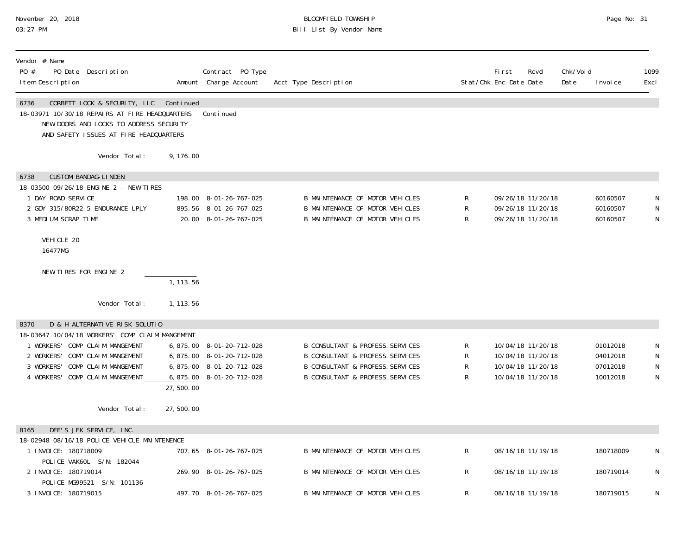#### November 20, 2018 BLOOMFIELD TOWNSHIP Page No: 31 03:27 PM Bill List By Vendor Name

| Vendor # Name<br>PO #<br>PO Date Description<br>I tem Description                                                                                                                                                                           |                        | Contract PO Type<br>Amount Charge Account                                                                     | Acct Type Description                                                                                                                                                                    |                          | First<br>Rcvd<br>Stat/Chk Enc Date Date                                          | Chk/Voi d<br>Date | I nvoi ce                                    | 1099<br>Excl     |
|---------------------------------------------------------------------------------------------------------------------------------------------------------------------------------------------------------------------------------------------|------------------------|---------------------------------------------------------------------------------------------------------------|------------------------------------------------------------------------------------------------------------------------------------------------------------------------------------------|--------------------------|----------------------------------------------------------------------------------|-------------------|----------------------------------------------|------------------|
| 6736<br>CORBETT LOCK & SECURITY, LLC Continued<br>18-03971 10/30/18 REPAIRS AT FIRE HEADQUARTERS<br>NEW DOORS AND LOCKS TO ADDRESS SECURITY<br>AND SAFETY ISSUES AT FIRE HEADQUARTERS                                                       |                        | Continued                                                                                                     |                                                                                                                                                                                          |                          |                                                                                  |                   |                                              |                  |
| Vendor Total:                                                                                                                                                                                                                               | 9, 176.00              |                                                                                                               |                                                                                                                                                                                          |                          |                                                                                  |                   |                                              |                  |
| <b>CUSTOM BANDAG-LINDEN</b><br>6738<br>18-03500 09/26/18 ENGINE 2 - NEW TIRES<br>1 DAY ROAD SERVICE<br>2 GDY 315/80R22.5 ENDURANCE LPLY                                                                                                     |                        | 198.00 8-01-26-767-025<br>895.56 8-01-26-767-025                                                              | B MAINTENANCE OF MOTOR VEHICLES<br>B MAINTENANCE OF MOTOR VEHICLES                                                                                                                       | R<br>${\sf R}$           | 09/26/18 11/20/18<br>09/26/18 11/20/18                                           |                   | 60160507<br>60160507                         | N<br>N           |
| 3 MEDIUM SCRAP TIME<br>VEHICLE 20<br>16477MG                                                                                                                                                                                                |                        | 20.00 8-01-26-767-025                                                                                         | B MAINTENANCE OF MOTOR VEHICLES                                                                                                                                                          | $\mathsf{R}$             | 09/26/18 11/20/18                                                                |                   | 60160507                                     | N                |
| NEW TIRES FOR ENGINE 2                                                                                                                                                                                                                      | 1, 113.56              |                                                                                                               |                                                                                                                                                                                          |                          |                                                                                  |                   |                                              |                  |
| Vendor Total:                                                                                                                                                                                                                               | 1, 113.56              |                                                                                                               |                                                                                                                                                                                          |                          |                                                                                  |                   |                                              |                  |
| D & H ALTERNATIVE RISK SOLUTIO<br>8370<br>18-03647 10/04/18 WORKERS' COMP CLAIM MANGEMENT<br>1 WORKERS' COMP CLAIM MANGEMENT<br>COMP CLAIM MANGEMENT<br>2 WORKERS'<br>3 WORKERS'<br>COMP CLAIM MANGEMENT<br>4 WORKERS' COMP CLAIM MANGEMENT |                        | 6, 875.00 8-01-20-712-028<br>6,875.00 8-01-20-712-028<br>6,875.00 8-01-20-712-028<br>6,875.00 8-01-20-712-028 | <b>B CONSULTANT &amp; PROFESS. SERVICES</b><br><b>B CONSULTANT &amp; PROFESS. SERVICES</b><br><b>B CONSULTANT &amp; PROFESS. SERVICES</b><br><b>B CONSULTANT &amp; PROFESS. SERVICES</b> | ${\sf R}$<br>R<br>R<br>R | 10/04/18 11/20/18<br>10/04/18 11/20/18<br>10/04/18 11/20/18<br>10/04/18 11/20/18 |                   | 01012018<br>04012018<br>07012018<br>10012018 | N<br>N<br>N<br>N |
| Vendor Total:                                                                                                                                                                                                                               | 27,500.00<br>27,500.00 |                                                                                                               |                                                                                                                                                                                          |                          |                                                                                  |                   |                                              |                  |
| DEE'S JFK SERVICE, INC.<br>8165                                                                                                                                                                                                             |                        |                                                                                                               |                                                                                                                                                                                          |                          |                                                                                  |                   |                                              |                  |
| 18-02948 08/16/18 POLICE VEHICLE MAINTENENCE<br>1 INVOICE: 180718009<br>POLICE VAK6OL S/N: 182044                                                                                                                                           |                        | 707.65 8-01-26-767-025                                                                                        | B MAINTENANCE OF MOTOR VEHICLES                                                                                                                                                          | $\mathsf{R}$             | 08/16/18 11/19/18                                                                |                   | 180718009                                    | N                |
| 2 INVOICE: 180719014<br>POLICE MG99521 S/N: 101136                                                                                                                                                                                          |                        | 269.90 8-01-26-767-025                                                                                        | B MAINTENANCE OF MOTOR VEHICLES                                                                                                                                                          | R                        | 08/16/18 11/19/18                                                                |                   | 180719014                                    | N                |
| 3 I NVOI CE: 180719015                                                                                                                                                                                                                      |                        | 497.70 8-01-26-767-025                                                                                        | <b>B MAINTENANCE OF MOTOR VEHICLES</b>                                                                                                                                                   | R                        | 08/16/18 11/19/18                                                                |                   | 180719015                                    | N                |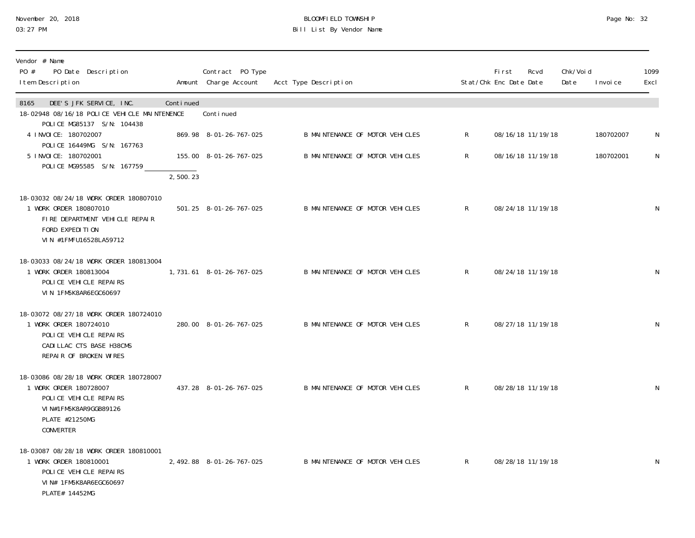# November 20, 2018 **BLOOMFIELD TOWNSHIP** BLOOMFIELD TOWNSHIP BLOOMFIELD TOWNSHIP Page No: 32<br>03:27 PM Bill List By Vendor Name

| Vendor # Name<br>PO #<br>PO Date Description<br>I tem Description                                                                                  |           | Contract PO Type<br>Amount Charge Account | Acct Type Description           | Stat/Chk Enc Date Date | <b>First</b> | Rcvd              | Chk/Void<br>Date | I nvoi ce | 1099<br>Excl |
|----------------------------------------------------------------------------------------------------------------------------------------------------|-----------|-------------------------------------------|---------------------------------|------------------------|--------------|-------------------|------------------|-----------|--------------|
| 8165<br>DEE'S JFK SERVICE, INC.<br>18-02948 08/16/18 POLICE VEHICLE MAINTENENCE<br>POLICE MG85137 S/N: 104438                                      | Continued | Continued                                 |                                 |                        |              |                   |                  |           |              |
| 4 I NVOI CE: 180702007                                                                                                                             |           | 869.98 8-01-26-767-025                    | B MAINTENANCE OF MOTOR VEHICLES | $\mathsf{R}$           |              | 08/16/18 11/19/18 |                  | 180702007 | N            |
| POLICE 16449MG S/N: 167763<br>5 INVOICE: 180702001<br>POLICE MG95585 S/N: 167759                                                                   |           | 155.00 8-01-26-767-025                    | B MAINTENANCE OF MOTOR VEHICLES | $R_{\perp}$            |              | 08/16/18 11/19/18 |                  | 180702001 | $\mathsf{N}$ |
|                                                                                                                                                    | 2,500.23  |                                           |                                 |                        |              |                   |                  |           |              |
| 18-03032 08/24/18 WORK ORDER 180807010<br>1 WORK ORDER 180807010<br>FIRE DEPARTMENT VEHICLE REPAIR<br>FORD EXPEDITION<br>VIN #1FMFU16528LA59712    |           | 501.25 8-01-26-767-025                    | B MAINTENANCE OF MOTOR VEHICLES | R                      |              | 08/24/18 11/19/18 |                  |           | N            |
| 18-03033 08/24/18 WORK ORDER 180813004<br>1 WORK ORDER 180813004<br>POLICE VEHICLE REPAIRS<br>VIN 1FM5K8AR6EGC60697                                |           | 1, 731.61 8-01-26-767-025                 | B MAINTENANCE OF MOTOR VEHICLES | R                      |              | 08/24/18 11/19/18 |                  |           | $\mathsf N$  |
| 18-03072 08/27/18 WORK ORDER 180724010<br>1 WORK ORDER 180724010<br>POLICE VEHICLE REPAIRS<br>CADILLAC CTS BASE H38CMS<br>REPAIR OF BROKEN WIRES   |           | 280.00 8-01-26-767-025                    | B MAINTENANCE OF MOTOR VEHICLES | R                      |              | 08/27/18 11/19/18 |                  |           | N            |
| 18-03086 08/28/18 WORK ORDER 180728007<br>1 WORK ORDER 180728007<br>POLICE VEHICLE REPAIRS<br>VIN#1FM5K8AR9GGB89126<br>PLATE #21250MG<br>CONVERTER |           | 437.28 8-01-26-767-025                    | B MAINTENANCE OF MOTOR VEHICLES | R                      |              | 08/28/18 11/19/18 |                  |           | $\mathsf{N}$ |
| 18-03087 08/28/18 WORK ORDER 180810001<br>1 WORK ORDER 180810001<br>POLICE VEHICLE REPAIRS<br>VIN# 1FM5K8AR6EGC60697<br>PLATE# 14452MG             |           | 2, 492.88 8-01-26-767-025                 | B MAINTENANCE OF MOTOR VEHICLES | $\mathsf{R}$           |              | 08/28/18 11/19/18 |                  |           | $\mathsf{N}$ |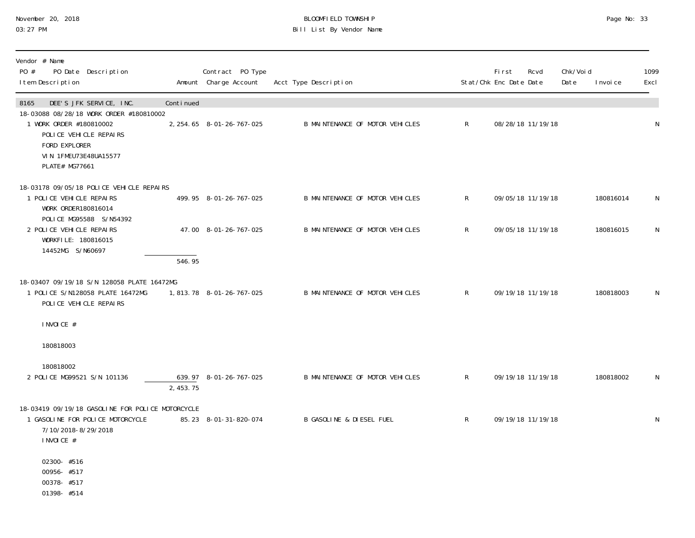#### November 20, 2018 BLOOMFIELD TOWNSHIP Page No: 33 03:27 PM Bill List By Vendor Name

| Vendor # Name<br>PO #<br>PO Date Description<br>I tem Description                                                                                        |                     | Contract PO Type<br>Amount Charge Account | Acct Type Description               |              | First<br>Stat/Chk Enc Date Date | Rcvd              | Chk/Voi d<br>Date | I nvoi ce | 1099<br>Excl |
|----------------------------------------------------------------------------------------------------------------------------------------------------------|---------------------|-------------------------------------------|-------------------------------------|--------------|---------------------------------|-------------------|-------------------|-----------|--------------|
| DEE'S JFK SERVICE, INC.<br>8165                                                                                                                          | Continued           |                                           |                                     |              |                                 |                   |                   |           |              |
| 18-03088 08/28/18 WORK ORDER #180810002<br>1 WORK ORDER #180810002<br>POLICE VEHICLE REPAIRS<br>FORD EXPLORER<br>VIN 1FMEU73E48UA15577<br>PLATE# MG77661 |                     | 2, 254.65 8-01-26-767-025                 | B MAINTENANCE OF MOTOR VEHICLES     | R            |                                 | 08/28/18 11/19/18 |                   |           | $\mathsf N$  |
| 18-03178 09/05/18 POLICE VEHICLE REPAIRS                                                                                                                 |                     |                                           |                                     |              |                                 |                   |                   |           |              |
| 1 POLICE VEHICLE REPAIRS<br>WORK ORDER180816014                                                                                                          |                     | 499.95 8-01-26-767-025                    | B MAINTENANCE OF MOTOR VEHICLES     | $\mathsf{R}$ |                                 | 09/05/18 11/19/18 |                   | 180816014 | N            |
| POLICE MG95588 S/N54392<br>2 POLICE VEHICLE REPAIRS<br>WORKFILE: 180816015<br>14452MG S/N60697                                                           |                     | 47.00 8-01-26-767-025                     | B MAINTENANCE OF MOTOR VEHICLES     | $\mathsf{R}$ |                                 | 09/05/18 11/19/18 |                   | 180816015 | $\mathsf N$  |
|                                                                                                                                                          | $\overline{546.95}$ |                                           |                                     |              |                                 |                   |                   |           |              |
| 18-03407 09/19/18 S/N 128058 PLATE 16472MG<br>1 POLICE S/N128058 PLATE 16472MG<br>POLICE VEHICLE REPAIRS                                                 |                     | 1,813.78 8-01-26-767-025                  | B MAINTENANCE OF MOTOR VEHICLES     | R            |                                 | 09/19/18 11/19/18 |                   | 180818003 | N            |
| INVOICE #                                                                                                                                                |                     |                                           |                                     |              |                                 |                   |                   |           |              |
| 180818003                                                                                                                                                |                     |                                           |                                     |              |                                 |                   |                   |           |              |
| 180818002                                                                                                                                                |                     |                                           |                                     |              |                                 |                   |                   |           |              |
| 2 POLICE MG99521 S/N 101136                                                                                                                              | 2,453.75            | 639.97 8-01-26-767-025                    | B MAINTENANCE OF MOTOR VEHICLES     | $\mathsf{R}$ |                                 | 09/19/18 11/19/18 |                   | 180818002 | N            |
| 18-03419 09/19/18 GASOLINE FOR POLICE MOTORCYCLE<br>1 GASOLINE FOR POLICE MOTORCYCLE<br>7/10/2018-8/29/2018<br>INVOICE #                                 |                     | 85.23 8-01-31-820-074                     | <b>B GASOLINE &amp; DIESEL FUEL</b> | $\mathsf{R}$ |                                 | 09/19/18 11/19/18 |                   |           | N            |
| 02300-#516<br>00956-#517<br>00378-#517<br>01398-#514                                                                                                     |                     |                                           |                                     |              |                                 |                   |                   |           |              |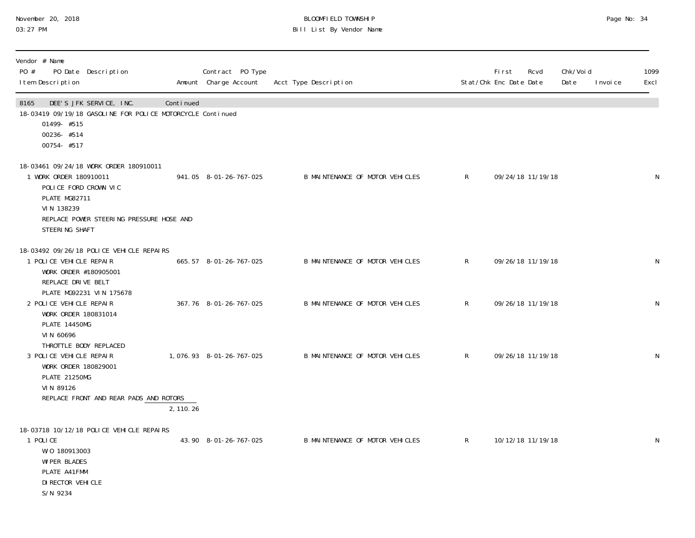#### November 20, 2018 BLOOMFIELD TOWNSHIP Page No: 34 03:27 PM Bill List By Vendor Name

| Vendor # Name<br>PO #<br>PO Date Description<br>I tem Description                                                                                                                      |           | Contract PO Type<br>Amount Charge Account | Acct Type Description           | Stat/Chk Enc Date Date | <b>First</b> | Rcvd              | Chk/Void<br>Date<br>I nvoi ce | 1099<br>Excl |
|----------------------------------------------------------------------------------------------------------------------------------------------------------------------------------------|-----------|-------------------------------------------|---------------------------------|------------------------|--------------|-------------------|-------------------------------|--------------|
| 8165<br>DEE'S JFK SERVICE, INC.<br>18-03419 09/19/18 GASOLINE FOR POLICE MOTORCYCLE Continued<br>01499- #515<br>00236-#514<br>00754-#517                                               | Continued |                                           |                                 |                        |              |                   |                               |              |
| 18-03461 09/24/18 WORK ORDER 180910011<br>1 WORK ORDER 180910011<br>POLICE FORD CROWN VIC<br>PLATE MG82711<br>VIN 138239<br>REPLACE POWER STEERING PRESSURE HOSE AND<br>STEERING SHAFT |           | 941.05 8-01-26-767-025                    | B MAINTENANCE OF MOTOR VEHICLES | R                      |              | 09/24/18 11/19/18 |                               | $\mathsf N$  |
| 18-03492 09/26/18 POLICE VEHICLE REPAIRS<br>1 POLICE VEHICLE REPAIR<br>WORK ORDER #180905001<br>REPLACE DRIVE BELT                                                                     |           | 665.57 8-01-26-767-025                    | B MAINTENANCE OF MOTOR VEHICLES | $\mathsf{R}$           |              | 09/26/18 11/19/18 |                               | $\mathsf N$  |
| PLATE MG92231 VIN 175678<br>2 POLICE VEHICLE REPAIR<br>WORK ORDER 180831014<br>PLATE 14450MG<br>VIN 60696                                                                              |           | 367.76 8-01-26-767-025                    | B MAINTENANCE OF MOTOR VEHICLES | $\mathsf{R}$           |              | 09/26/18 11/19/18 |                               | N            |
| THROTTLE BODY REPLACED<br>3 POLICE VEHICLE REPAIR<br>WORK ORDER 180829001<br><b>PLATE 21250MG</b><br>VIN 89126                                                                         |           | 1,076.93 8-01-26-767-025                  | B MAINTENANCE OF MOTOR VEHICLES | $\mathsf{R}$           |              | 09/26/18 11/19/18 |                               | ${\sf N}$    |
| REPLACE FRONT AND REAR PADS AND ROTORS                                                                                                                                                 | 2, 110.26 |                                           |                                 |                        |              |                   |                               |              |
| 18-03718 10/12/18 POLICE VEHICLE REPAIRS<br>1 POLICE<br>W/0 180913003<br><b>WI PER BLADES</b><br>PLATE A41FMM<br>DI RECTOR VEHI CLE<br>S/N 9234                                        |           | 43.90 8-01-26-767-025                     | B MAINTENANCE OF MOTOR VEHICLES | $\mathsf{R}$           |              | 10/12/18 11/19/18 |                               | N            |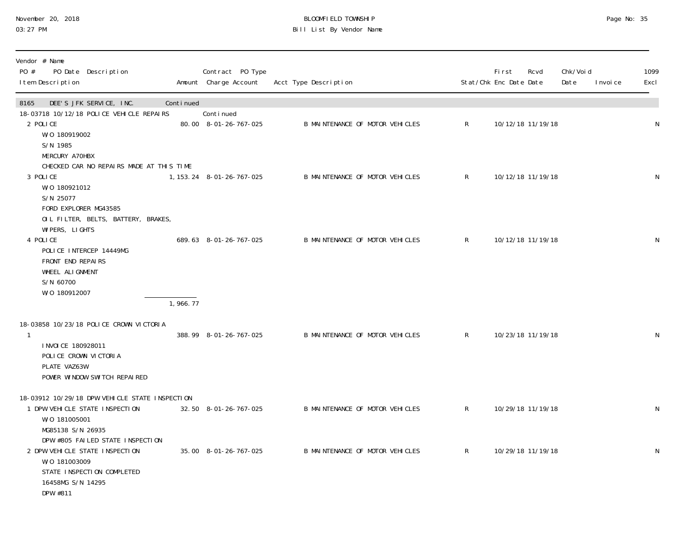| November 20, 2018 |  |
|-------------------|--|
| 03:27 PM          |  |

#### November 20, 2018 BLOOMFIELD TOWNSHIP Page No: 35 03:27 PM Bill List By Vendor Name

| Vendor # Name<br>PO #<br>PO Date Description<br>I tem Description                                                                                       |           | Contract PO Type<br>Amount Charge Account | Acct Type Description           |              | <b>First</b><br>Stat/Chk Enc Date Date | Rcvd              | Chk/Void<br>Date<br>I nvoi ce | 1099<br>Excl |
|---------------------------------------------------------------------------------------------------------------------------------------------------------|-----------|-------------------------------------------|---------------------------------|--------------|----------------------------------------|-------------------|-------------------------------|--------------|
| 8165<br>DEE'S JFK SERVICE, INC.<br>18-03718 10/12/18 POLICE VEHICLE REPAIRS<br>2 POLICE<br>W/0 180919002                                                | Continued | Continued<br>80.00 8-01-26-767-025        | B MAINTENANCE OF MOTOR VEHICLES | $\mathsf{R}$ |                                        | 10/12/18 11/19/18 |                               | N            |
| S/N 1985<br>MERCURY A70HBX<br>CHECKED CAR NO REPAIRS MADE AT THIS TIME<br>3 POLICE<br>W/0 180921012                                                     |           | 1, 153. 24  8-01-26-767-025               | B MAINTENANCE OF MOTOR VEHICLES | $\mathsf{R}$ |                                        | 10/12/18 11/19/18 |                               | ${\sf N}$    |
| S/N 25077<br>FORD EXPLORER MG43585<br>OIL FILTER, BELTS, BATTERY, BRAKES,<br>WI PERS, LIGHTS<br>4 POLICE<br>POLICE INTERCEP 14449MG                     |           | 689.63 8-01-26-767-025                    | B MAINTENANCE OF MOTOR VEHICLES | $\mathsf{R}$ |                                        | 10/12/18 11/19/18 |                               | $\mathsf N$  |
| FRONT END REPAIRS<br>WHEEL ALIGNMENT<br>S/N 60700<br>W/0 180912007                                                                                      | 1,966.77  |                                           |                                 |              |                                        |                   |                               |              |
| 18-03858 10/23/18 POLICE CROWN VICTORIA<br>$\mathbf{1}$<br>I NVOI CE 180928011<br>POLICE CROWN VICTORIA<br>PLATE VAZ63W<br>POWER WINDOW SWITCH REPAIRED |           | 388.99 8-01-26-767-025                    | B MAINTENANCE OF MOTOR VEHICLES | $\mathsf{R}$ |                                        | 10/23/18 11/19/18 |                               | N            |
| 18-03912 10/29/18 DPW VEHICLE STATE INSPECTION<br>1 DPW VEHICLE STATE INSPECTION<br>W/0 181005001<br>MG85138 S/N 26935                                  |           | 32.50 8-01-26-767-025                     | B MAINTENANCE OF MOTOR VEHICLES | $\mathsf{R}$ |                                        | 10/29/18 11/19/18 |                               | $\mathsf N$  |
| DPW #805 FAILED STATE INSPECTION<br>2 DPW VEHICLE STATE INSPECTION<br>W/0 181003009<br>STATE INSPECTION COMPLETED<br>16458MG S/N 14295<br>DPW #811      |           | 35.00 8-01-26-767-025                     | B MAINTENANCE OF MOTOR VEHICLES | $\mathsf{R}$ |                                        | 10/29/18 11/19/18 |                               | ${\sf N}$    |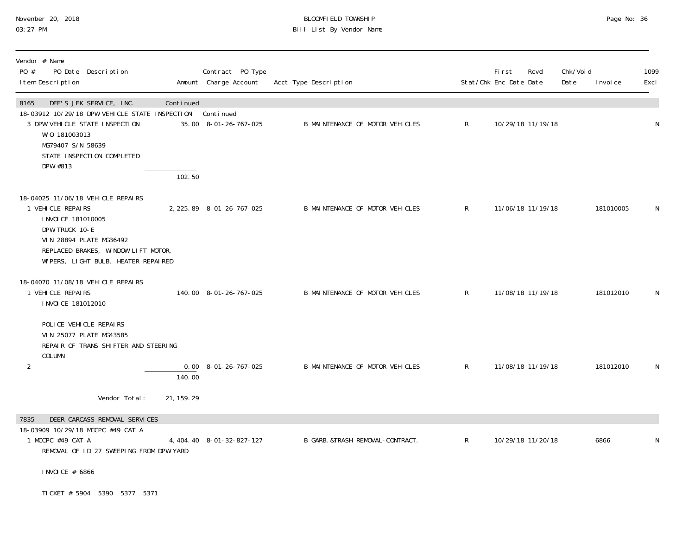#### November 20, 2018 BLOOMFIELD TOWNSHIP Page No: 36 03:27 PM Bill List By Vendor Name

| Vendor # Name<br>PO #<br>PO Date Description<br>I tem Description                                                                                                                                             |                     | Contract PO Type<br>Amount Charge Account | Acct Type Description            |              | First<br>Stat/Chk Enc Date Date | Rcvd              | Chk/Voi d<br>Date | I nvoi ce | 1099<br>Excl |
|---------------------------------------------------------------------------------------------------------------------------------------------------------------------------------------------------------------|---------------------|-------------------------------------------|----------------------------------|--------------|---------------------------------|-------------------|-------------------|-----------|--------------|
| DEE'S JFK SERVICE, INC.<br>8165<br>18-03912 10/29/18 DPW VEHICLE STATE INSPECTION Continued<br>3 DPW VEHICLE STATE INSPECTION<br>W/0 181003013<br>MG79407 S/N 58639<br>STATE INSPECTION COMPLETED<br>DPW #813 | Continued<br>102.50 | 35.00 8-01-26-767-025                     | B MAINTENANCE OF MOTOR VEHICLES  | $\mathsf{R}$ | 10/29/18 11/19/18               |                   |                   |           | N            |
| 18-04025 11/06/18 VEHICLE REPAIRS<br>1 VEHICLE REPAIRS<br>I NVOI CE 181010005<br>DPW TRUCK 10-E<br>VIN 28894 PLATE MG36492<br>REPLACED BRAKES, WINDOW LIFT MOTOR,<br>WIPERS, LIGHT BULB, HEATER REPAIRED      |                     | 2, 225.89 8-01-26-767-025                 | B MAINTENANCE OF MOTOR VEHICLES  | R            | 11/06/18 11/19/18               |                   |                   | 181010005 | N            |
| 18-04070 11/08/18 VEHICLE REPAIRS<br>1 VEHICLE REPAIRS<br>I NVOI CE 181012010                                                                                                                                 |                     | 140.00 8-01-26-767-025                    | B MAINTENANCE OF MOTOR VEHICLES  | $\mathsf{R}$ | 11/08/18 11/19/18               |                   |                   | 181012010 | N            |
| POLICE VEHICLE REPAIRS<br>VIN 25077 PLATE MG43585<br>REPAIR OF TRANS SHIFTER AND STEERING<br>COLUMN<br>$\overline{2}$                                                                                         | 140.00              | $0.00 \quad 8 - 01 - 26 - 767 - 025$      | B MAINTENANCE OF MOTOR VEHICLES  | R            | 11/08/18 11/19/18               |                   |                   | 181012010 | N            |
| Vendor Total:                                                                                                                                                                                                 | 21, 159. 29         |                                           |                                  |              |                                 |                   |                   |           |              |
| 7835<br>DEER CARCASS REMOVAL SERVICES<br>18-03909 10/29/18 MCCPC #49 CAT A<br>1 MCCPC #49 CAT A<br>REMOVAL OF ID 27 SWEEPING FROM DPW YARD<br>I NVOI CE # 6866                                                |                     | 4, 404. 40 8-01-32-827-127                | B GARB. &TRASH REMOVAL-CONTRACT. | $\mathsf{R}$ |                                 | 10/29/18 11/20/18 |                   | 6866      | N            |
| TI CKET # 5904 5390 5377 5371                                                                                                                                                                                 |                     |                                           |                                  |              |                                 |                   |                   |           |              |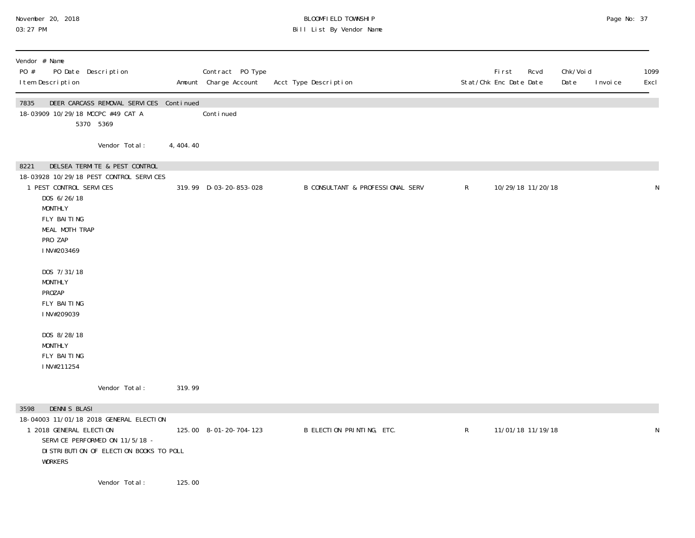# November 20, 2018 BLOOMFIELD TOWNSHIP Page No: 37 03:27 PM Bill List By Vendor Name

| Vendor # Name<br>PO #<br>PO Date Description<br>I tem Description                                                                                                    |            | Contract PO Type<br>Amount Charge Account | Acct Type Description            |              | First<br>Stat/Chk Enc Date Date | Rcvd              | Chk/Voi d<br>Date | I nvoi ce | 1099<br>Excl |
|----------------------------------------------------------------------------------------------------------------------------------------------------------------------|------------|-------------------------------------------|----------------------------------|--------------|---------------------------------|-------------------|-------------------|-----------|--------------|
| 7835<br>DEER CARCASS REMOVAL SERVICES Continued<br>18-03909 10/29/18 MCCPC #49 CAT A<br>5370 5369                                                                    |            | Continued                                 |                                  |              |                                 |                   |                   |           |              |
| Vendor Total:                                                                                                                                                        | 4, 404. 40 |                                           |                                  |              |                                 |                   |                   |           |              |
| DELSEA TERMITE & PEST CONTROL<br>8221<br>18-03928 10/29/18 PEST CONTROL SERVICES<br>1 PEST CONTROL SERVICES                                                          |            | 319.99 D-03-20-853-028                    | B CONSULTANT & PROFESSIONAL SERV | $\mathsf{R}$ |                                 | 10/29/18 11/20/18 |                   |           | N            |
| DOS 6/26/18<br><b>MONTHLY</b><br>FLY BAITING<br>MEAL MOTH TRAP<br>PRO ZAP<br>INV#203469                                                                              |            |                                           |                                  |              |                                 |                   |                   |           |              |
| DOS 7/31/18<br><b>MONTHLY</b><br>PROZAP<br>FLY BAITING<br>INV#209039                                                                                                 |            |                                           |                                  |              |                                 |                   |                   |           |              |
| DOS 8/28/18<br><b>MONTHLY</b><br>FLY BAITING<br>INV#211254                                                                                                           |            |                                           |                                  |              |                                 |                   |                   |           |              |
| Vendor Total:                                                                                                                                                        | 319.99     |                                           |                                  |              |                                 |                   |                   |           |              |
| <b>DENNIS BLASI</b><br>3598                                                                                                                                          |            |                                           |                                  |              |                                 |                   |                   |           |              |
| 18-04003 11/01/18 2018 GENERAL ELECTION<br>1 2018 GENERAL ELECTION<br>SERVICE PERFORMED ON 11/5/18 -<br>DI STRI BUTI ON OF ELECTI ON BOOKS TO POLL<br><b>WORKERS</b> |            | 125.00 8-01-20-704-123                    | B ELECTION PRINTING, ETC.        | $\mathsf{R}$ |                                 | 11/01/18 11/19/18 |                   |           | N            |
| Vendor Total:                                                                                                                                                        | 125.00     |                                           |                                  |              |                                 |                   |                   |           |              |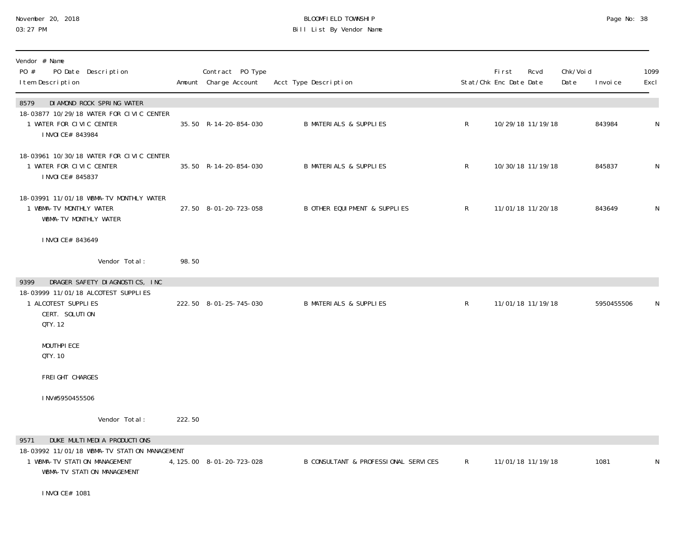# November 20, 2018 BLOOMFIELD TOWNSHIP Page No: 38 03:27 PM Bill List By Vendor Name

| Vendor # Name<br>PO #<br>PO Date Description<br>I tem Description                                                   |        | Contract PO Type<br>Amount Charge Account | Acct Type Description                |              | First<br>Stat/Chk Enc Date Date | Rcvd              | Chk/Voi d<br>Date | I nvoi ce  | 1099<br>Excl |
|---------------------------------------------------------------------------------------------------------------------|--------|-------------------------------------------|--------------------------------------|--------------|---------------------------------|-------------------|-------------------|------------|--------------|
| DI AMOND ROCK SPRING WATER<br>8579                                                                                  |        |                                           |                                      |              |                                 |                   |                   |            |              |
| 18-03877 10/29/18 WATER FOR CIVIC CENTER<br>1 WATER FOR CIVIC CENTER<br>I NVOI CE# 843984                           |        | 35.50 R-14-20-854-030                     | <b>B MATERIALS &amp; SUPPLIES</b>    | $\mathsf{R}$ |                                 | 10/29/18 11/19/18 |                   | 843984     | N            |
| 18-03961 10/30/18 WATER FOR CIVIC CENTER<br>1 WATER FOR CIVIC CENTER<br>I NVOI CE# 845837                           |        | 35.50 R-14-20-854-030                     | <b>B MATERIALS &amp; SUPPLIES</b>    | $\mathsf{R}$ |                                 | 10/30/18 11/19/18 |                   | 845837     | ${\sf N}$    |
| 18-03991 11/01/18 WBMA-TV MONTHLY WATER<br>1 WBMA-TV MONTHLY WATER<br>WBMA-TV MONTHLY WATER                         |        | 27.50 8-01-20-723-058                     | B OTHER EQUI PMENT & SUPPLIES        | $\mathsf{R}$ |                                 | 11/01/18 11/20/18 |                   | 843649     | N            |
| I NVOI CE# 843649                                                                                                   |        |                                           |                                      |              |                                 |                   |                   |            |              |
| Vendor Total:                                                                                                       | 98.50  |                                           |                                      |              |                                 |                   |                   |            |              |
| DRAGER SAFETY DIAGNOSTICS, INC<br>9399                                                                              |        |                                           |                                      |              |                                 |                   |                   |            |              |
| 18-03999 11/01/18 ALCOTEST SUPPLIES<br>1 ALCOTEST SUPPLIES<br>CERT. SOLUTION<br>QTY. 12                             |        | 222.50 8-01-25-745-030                    | <b>B MATERIALS &amp; SUPPLIES</b>    | $\mathsf{R}$ |                                 | 11/01/18 11/19/18 |                   | 5950455506 | N            |
| MOUTHPI ECE<br>QTY. 10                                                                                              |        |                                           |                                      |              |                                 |                   |                   |            |              |
| FREI GHT CHARGES                                                                                                    |        |                                           |                                      |              |                                 |                   |                   |            |              |
| INV#5950455506                                                                                                      |        |                                           |                                      |              |                                 |                   |                   |            |              |
| Vendor Total:                                                                                                       | 222.50 |                                           |                                      |              |                                 |                   |                   |            |              |
| DUKE MULTIMEDIA PRODUCTIONS<br>9571<br>18-03992 11/01/18 WBMA-TV STATION MANAGEMENT<br>1 WBMA-TV STATION MANAGEMENT |        | 4, 125.00 8-01-20-723-028                 | B CONSULTANT & PROFESSIONAL SERVICES | $\mathsf{R}$ |                                 | 11/01/18 11/19/18 |                   | 1081       | N            |
| WBMA-TV STATION MANAGEMENT                                                                                          |        |                                           |                                      |              |                                 |                   |                   |            |              |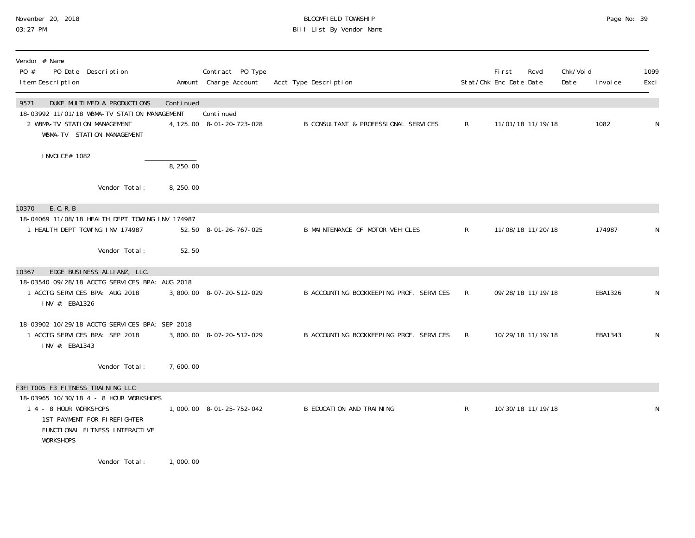#### November 20, 2018 BLOOMFIELD TOWNSHIP Page No: 39 03:27 PM Bill List By Vendor Name

| Vendor # Name<br>PO #<br>PO Date Description<br>I tem Description                                                                                                                         |                               | Contract PO Type<br>Amount Charge Account | Acct Type Description                   |              | First<br>Stat/Chk Enc Date Date | Rcvd              | Chk/Voi d<br>Date | I nvoi ce | 1099<br>Excl |
|-------------------------------------------------------------------------------------------------------------------------------------------------------------------------------------------|-------------------------------|-------------------------------------------|-----------------------------------------|--------------|---------------------------------|-------------------|-------------------|-----------|--------------|
| DUKE MULTIMEDIA PRODUCTIONS<br>9571<br>18-03992 11/01/18 WBMA-TV STATION MANAGEMENT<br>2 WBMA-TV STATION MANAGEMENT<br>WBMA-TV STATION MANAGEMENT                                         | Continued                     | Conti nued<br>4, 125.00 8-01-20-723-028   | B CONSULTANT & PROFESSIONAL SERVICES    | R            |                                 | 11/01/18 11/19/18 |                   | 1082      | N            |
| I NVOI CE# 1082                                                                                                                                                                           | 8, 250.00                     |                                           |                                         |              |                                 |                   |                   |           |              |
| Vendor Total:                                                                                                                                                                             | 8, 250.00                     |                                           |                                         |              |                                 |                   |                   |           |              |
| 10370<br>E. C. R. B<br>18-04069 11/08/18 HEALTH DEPT TOWING INV 174987<br>1 HEALTH DEPT TOWING INV 174987                                                                                 |                               | 52.50 8-01-26-767-025                     | B MAINTENANCE OF MOTOR VEHICLES         | $\mathsf{R}$ |                                 | 11/08/18 11/20/18 |                   | 174987    | N            |
| Vendor Total:                                                                                                                                                                             | 52.50                         |                                           |                                         |              |                                 |                   |                   |           |              |
| EDGE BUSINESS ALLIANZ, LLC.<br>10367<br>18-03540 09/28/18 ACCTG SERVICES BPA: AUG 2018<br>1 ACCTG SERVICES BPA: AUG 2018<br>INV #: EBA1326                                                |                               | 3,800.00 8-07-20-512-029                  | B ACCOUNTING BOOKKEEPING PROF. SERVICES | R            |                                 | 09/28/18 11/19/18 |                   | EBA1326   | N            |
| 18-03902 10/29/18 ACCTG SERVICES BPA: SEP 2018<br>1 ACCTG SERVICES BPA: SEP 2018<br>INV #: EBA1343                                                                                        |                               | 3,800.00 8-07-20-512-029                  | B ACCOUNTING BOOKKEEPING PROF. SERVICES | $\mathsf{R}$ |                                 | 10/29/18 11/19/18 |                   | EBA1343   | N            |
| Vendor Total:                                                                                                                                                                             | 7,600.00                      |                                           |                                         |              |                                 |                   |                   |           |              |
| F3FIT005 F3 FITNESS TRAINING LLC<br>18-03965 10/30/18 4 - 8 HOUR WORKSHOPS<br>1 4 - 8 HOUR WORKSHOPS<br>1ST PAYMENT FOR FIREFIGHTER<br>FUNCTIONAL FITNESS INTERACTIVE<br><b>WORKSHOPS</b> |                               | 1,000.00 8-01-25-752-042                  | B EDUCATION AND TRAINING                | $\mathsf{R}$ |                                 | 10/30/18 11/19/18 |                   |           | N            |
| $\mathbf{u}$ , and $\mathbf{v}$ are the set of $\mathbf{v}$                                                                                                                               | $\overline{a}$ $\overline{a}$ |                                           |                                         |              |                                 |                   |                   |           |              |

Vendor Total: 1,000.00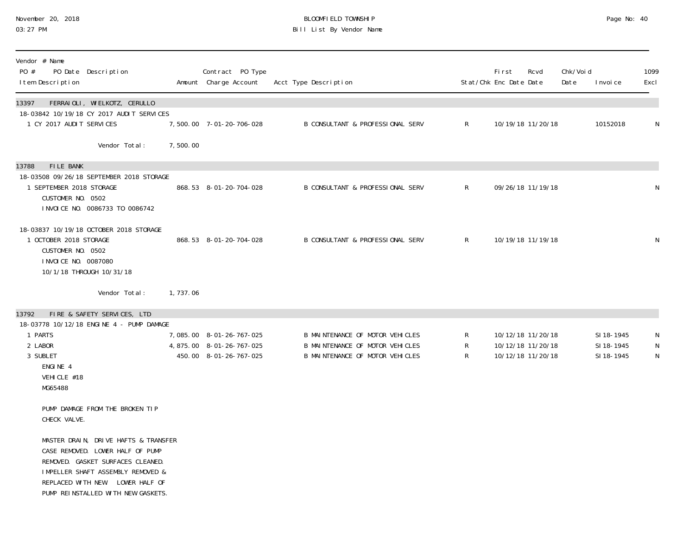#### November 20, 2018 BLOOMFIELD TOWNSHIP Page No: 40 03:27 PM Bill List By Vendor Name

| Vendor # Name<br>PO #<br>I tem Description                                    | PO Date Description                                                                                                                                                                                                          |          | Contract PO Type<br>Amount Charge Account                                      | Acct Type Description                                                                                 |              | <b>First</b><br>Stat/Chk Enc Date Date | Rcvd                                   | Chk/Voi d<br>Date | I nvoi ce                              | 1099<br>Excl          |
|-------------------------------------------------------------------------------|------------------------------------------------------------------------------------------------------------------------------------------------------------------------------------------------------------------------------|----------|--------------------------------------------------------------------------------|-------------------------------------------------------------------------------------------------------|--------------|----------------------------------------|----------------------------------------|-------------------|----------------------------------------|-----------------------|
| 13397<br>1 CY 2017 AUDIT SERVICES                                             | FERRAIOLI, WIELKOTZ, CERULLO<br>18-03842 10/19/18 CY 2017 AUDIT SERVICES                                                                                                                                                     |          | 7,500.00 7-01-20-706-028                                                       | B CONSULTANT & PROFESSIONAL SERV                                                                      | $\mathsf{R}$ |                                        | 10/19/18 11/20/18                      |                   | 10152018                               | N                     |
|                                                                               | Vendor Total:                                                                                                                                                                                                                | 7,500.00 |                                                                                |                                                                                                       |              |                                        |                                        |                   |                                        |                       |
| FILE BANK<br>13788<br>1 SEPTEMBER 2018 STORAGE<br>CUSTOMER NO. 0502           | 18-03508 09/26/18 SEPTEMBER 2018 STORAGE<br>INVOICE NO. 0086733 TO 0086742                                                                                                                                                   |          | 868.53 8-01-20-704-028                                                         | <b>B CONSULTANT &amp; PROFESSIONAL SERV</b>                                                           | $\mathsf{R}$ |                                        | 09/26/18 11/19/18                      |                   |                                        | N                     |
| 1 OCTOBER 2018 STORAGE<br>CUSTOMER NO. 0502<br>I NVOI CE NO. 0087080          | 18-03837 10/19/18 OCTOBER 2018 STORAGE<br>10/1/18 THROUGH 10/31/18                                                                                                                                                           |          | 868.53 8-01-20-704-028                                                         | B CONSULTANT & PROFESSIONAL SERV                                                                      | $\mathsf{R}$ |                                        | 10/19/18 11/19/18                      |                   |                                        | N                     |
|                                                                               | Vendor Total:                                                                                                                                                                                                                | 1,737.06 |                                                                                |                                                                                                       |              |                                        |                                        |                   |                                        |                       |
| 13792<br>1 PARTS<br>2 LABOR<br>3 SUBLET<br>ENGINE 4<br>VEHICLE #18<br>MG65488 | FIRE & SAFETY SERVICES, LTD<br>18-03778 10/12/18 ENGINE 4 - PUMP DAMAGE                                                                                                                                                      |          | 7,085.00 8-01-26-767-025<br>4,875.00 8-01-26-767-025<br>450.00 8-01-26-767-025 | B MAINTENANCE OF MOTOR VEHICLES<br>B MAINTENANCE OF MOTOR VEHICLES<br>B MAINTENANCE OF MOTOR VEHICLES | R<br>R<br>R  | 10/12/18 11/20/18                      | 10/12/18 11/20/18<br>10/12/18 11/20/18 |                   | SI 18-1945<br>SI 18-1945<br>SI 18-1945 | N<br>$\mathsf N$<br>N |
| CHECK VALVE.                                                                  | PUMP DAMAGE FROM THE BROKEN TIP                                                                                                                                                                                              |          |                                                                                |                                                                                                       |              |                                        |                                        |                   |                                        |                       |
|                                                                               | MASTER DRAIN, DRIVE HAFTS & TRANSFER<br>CASE REMOVED. LOWER HALF OF PUMP<br>REMOVED. GASKET SURFACES CLEANED.<br>IMPELLER SHAFT ASSEMBLY REMOVED &<br>REPLACED WITH NEW. LOWER HALF OF<br>PUMP REINSTALLED WITH NEW GASKETS. |          |                                                                                |                                                                                                       |              |                                        |                                        |                   |                                        |                       |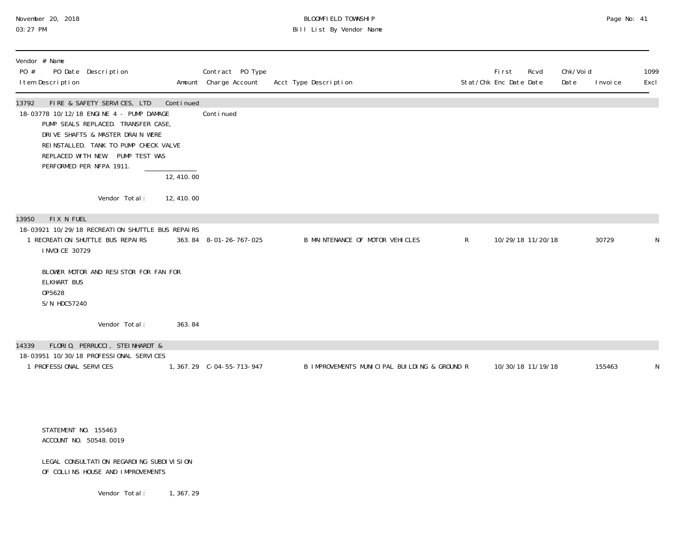### November 20, 2018 **BLOOMFIELD TOWNSHIP** BLOOMFIELD TOWNSHIP BLOOMFIELD TOWNSHIP Page No: 41 Bill List By Vendor Name

| Vendor # Name<br>PO #<br>PO Date Description<br>I tem Description                                                                                                                                                                                                                     |                                      | Contract PO Type<br>Amount Charge Account | Acct Type Description                        |              | <b>First</b><br>Stat/Chk Enc Date Date | Rcvd              | Chk/Voi d<br>Date | I nvoi ce | 1099<br>Excl |
|---------------------------------------------------------------------------------------------------------------------------------------------------------------------------------------------------------------------------------------------------------------------------------------|--------------------------------------|-------------------------------------------|----------------------------------------------|--------------|----------------------------------------|-------------------|-------------------|-----------|--------------|
| FIRE & SAFETY SERVICES, LTD<br>13792<br>18-03778 10/12/18 ENGINE 4 - PUMP DAMAGE<br>PUMP SEALS REPLACED. TRANSFER CASE,<br>DRIVE SHAFTS & MASTER DRAIN WERE<br>REINSTALLED. TANK TO PUMP CHECK VALVE<br>REPLACED WITH NEW. PUMP TEST WAS<br>PERFORMED PER NFPA 1911.<br>Vendor Total: | Continued<br>12,410.00<br>12, 410.00 | Continued                                 |                                              |              |                                        |                   |                   |           |              |
|                                                                                                                                                                                                                                                                                       |                                      |                                           |                                              |              |                                        |                   |                   |           |              |
| FIX N FUEL<br>13950<br>18-03921 10/29/18 RECREATION SHUTTLE BUS REPAIRS<br>1 RECREATION SHUTTLE BUS REPAIRS<br>I NVOI CE 30729                                                                                                                                                        |                                      | 363.84 8-01-26-767-025                    | B MAINTENANCE OF MOTOR VEHICLES              | $\mathsf{R}$ |                                        | 10/29/18 11/20/18 |                   | 30729     | N            |
| BLOWER MOTOR AND RESISTOR FOR FAN FOR<br><b>ELKHART BUS</b><br>0P5628<br>S/N HDC57240                                                                                                                                                                                                 |                                      |                                           |                                              |              |                                        |                   |                   |           |              |
| Vendor Total:                                                                                                                                                                                                                                                                         | 363.84                               |                                           |                                              |              |                                        |                   |                   |           |              |
| FLORIO, PERRUCCI, STEINHARDT &<br>14339<br>18-03951 10/30/18 PROFESSIONAL SERVICES                                                                                                                                                                                                    |                                      |                                           |                                              |              |                                        |                   |                   |           |              |
| 1 PROFESSIONAL SERVICES                                                                                                                                                                                                                                                               |                                      |                                           | B IMPROVEMENTS MUNICIPAL BUILDING & GROUND R |              |                                        | 10/30/18 11/19/18 |                   | 155463    | N            |
|                                                                                                                                                                                                                                                                                       |                                      |                                           |                                              |              |                                        |                   |                   |           |              |
|                                                                                                                                                                                                                                                                                       |                                      |                                           |                                              |              |                                        |                   |                   |           |              |

 STATEMENT NO. 155463 ACCOUNT NO. 50548.0019

#### LEGAL CONSULTATION REGARDING SUBDIVISION OF COLLINS HOUSE AND IMPROVEMENTS

Vendor Total: 1, 367.29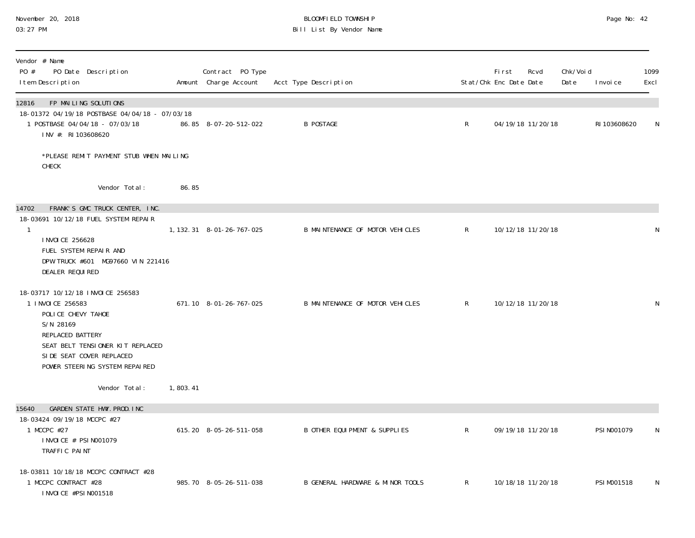#### November 20, 2018 BLOOMFIELD TOWNSHIP Page No: 42 03:27 PM Bill List By Vendor Name

| Vendor # Name<br>PO #<br>PO Date Description<br>I tem Description                                                                                                                                             |          | Contract PO Type<br>Amount Charge Account | Acct Type Description            |              | First<br>Stat/Chk Enc Date Date | Rcvd              | Chk/Voi d<br>Date | I nvoi ce    | 1099<br>Excl |
|---------------------------------------------------------------------------------------------------------------------------------------------------------------------------------------------------------------|----------|-------------------------------------------|----------------------------------|--------------|---------------------------------|-------------------|-------------------|--------------|--------------|
| FP MAILING SOLUTIONS<br>12816<br>18-01372 04/19/18 POSTBASE 04/04/18 - 07/03/18<br>1 POSTBASE 04/04/18 - 07/03/18<br>INV #: RI 103608620                                                                      |          | 86.85 8-07-20-512-022                     | <b>B POSTAGE</b>                 | $\mathsf{R}$ |                                 | 04/19/18 11/20/18 |                   | RI 103608620 | N            |
| *PLEASE REMIT PAYMENT STUB WHEN MAILING<br>CHECK                                                                                                                                                              |          |                                           |                                  |              |                                 |                   |                   |              |              |
| Vendor Total:                                                                                                                                                                                                 | 86.85    |                                           |                                  |              |                                 |                   |                   |              |              |
| FRANK'S GMC TRUCK CENTER, INC.<br>14702<br>18-03691 10/12/18 FUEL SYSTEM REPAIR<br>$\mathbf{1}$                                                                                                               |          | 1, 132. 31 8-01-26-767-025                | B MAINTENANCE OF MOTOR VEHICLES  | $\mathsf{R}$ |                                 | 10/12/18 11/20/18 |                   |              | N            |
| I NVOI CE 256628<br>FUEL SYSTEM REPAIR AND<br>DPW TRUCK #601 MG97660 VIN 221416<br>DEALER REQUIRED                                                                                                            |          |                                           |                                  |              |                                 |                   |                   |              |              |
| 18-03717 10/12/18 INVOICE 256583<br>1 INVOICE 256583<br>POLICE CHEVY TAHOE<br>S/N 28169<br>REPLACED BATTERY<br>SEAT BELT TENSIONER KIT REPLACED<br>SIDE SEAT COVER REPLACED<br>POWER STEERING SYSTEM REPAIRED |          | 671.10 8-01-26-767-025                    | B MAINTENANCE OF MOTOR VEHICLES  | $\mathsf{R}$ |                                 | 10/12/18 11/20/18 |                   |              | N            |
| Vendor Total:                                                                                                                                                                                                 | 1,803.41 |                                           |                                  |              |                                 |                   |                   |              |              |
| GARDEN STATE HWY. PROD. INC<br>15640<br>18-03424 09/19/18 MCCPC #27<br>1 MCCPC #27<br>I NVOI CE # PSI N001079<br>TRAFFIC PAINT                                                                                |          | 615.20 8-05-26-511-058                    | B OTHER EQUI PMENT & SUPPLIES    | $\mathsf{R}$ |                                 | 09/19/18 11/20/18 |                   | PSI N001079  | N            |
| 18-03811 10/18/18 MCCPC CONTRACT #28<br>1 MCCPC CONTRACT #28<br>INVOICE #PSIN001518                                                                                                                           |          | 985.70 8-05-26-511-038                    | B GENERAL HARDWARE & MINOR TOOLS | $\mathsf{R}$ |                                 | 10/18/18 11/20/18 |                   | PSI M001518  | N            |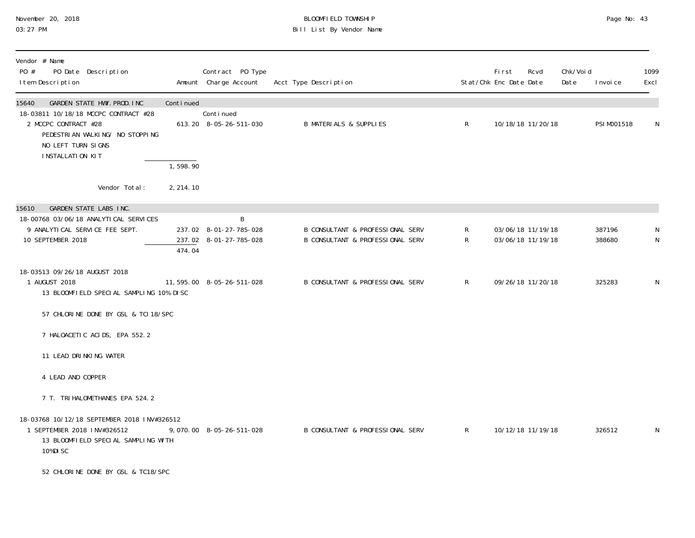| November 20, 2018 |  |
|-------------------|--|
| 03:27 PM          |  |

# November 20, 2018 BLOOMFIELD TOWNSHIP Page No: 43 03:27 PM Bill List By Vendor Name

| Vendor # Name<br>PO #<br>PO Date Description<br>I tem Description                                                                                                                        |            | Contract PO Type<br>Amount Charge Account             | Acct Type Description                                                           |                     | <b>First</b><br>Stat/Chk Enc Date Date | Rcvd                                   | Chk/Voi d<br>Date | I nvoi ce        | 1099<br>Excl |
|------------------------------------------------------------------------------------------------------------------------------------------------------------------------------------------|------------|-------------------------------------------------------|---------------------------------------------------------------------------------|---------------------|----------------------------------------|----------------------------------------|-------------------|------------------|--------------|
| 15640<br>GARDEN STATE HWY. PROD. INC<br>18-03811 10/18/18 MCCPC CONTRACT #28<br>2 MCCPC CONTRACT #28<br>PEDESTRIAN WALKING/ NO STOPPING<br>NO LEFT TURN SIGNS<br><b>INSTALLATION KIT</b> | Continued  | Continued<br>613.20 8-05-26-511-030                   | <b>B MATERIALS &amp; SUPPLIES</b>                                               | $\mathsf{R}$        |                                        | 10/18/18 11/20/18                      |                   | PSI M001518      | N            |
|                                                                                                                                                                                          | 1,598.90   |                                                       |                                                                                 |                     |                                        |                                        |                   |                  |              |
| Vendor Total:                                                                                                                                                                            | 2, 214. 10 |                                                       |                                                                                 |                     |                                        |                                        |                   |                  |              |
| GARDEN STATE LABS INC.<br>15610<br>18-00768 03/06/18 ANALYTICAL SERVICES<br>9 ANALYTICAL SERVICE FEE SEPT.<br>10 SEPTEMBER 2018                                                          | 474.04     | B<br>237.02 8-01-27-785-028<br>237.02 8-01-27-785-028 | B CONSULTANT & PROFESSIONAL SERV<br><b>B CONSULTANT &amp; PROFESSIONAL SERV</b> | R<br>$\mathsf{R}^-$ |                                        | 03/06/18 11/19/18<br>03/06/18 11/19/18 |                   | 387196<br>388680 | N<br>N       |
| 18-03513 09/26/18 AUGUST 2018<br>1 AUGUST 2018<br>13 BLOOMFIELD SPECIAL SAMPLING 10% DISC                                                                                                |            | 11, 595.00  8-05-26-511-028                           | B CONSULTANT & PROFESSIONAL SERV                                                | R                   |                                        | 09/26/18 11/20/18                      |                   | 325283           | N            |
| 57 CHLORINE DONE BY GSL & TCI 18/SPC                                                                                                                                                     |            |                                                       |                                                                                 |                     |                                        |                                        |                   |                  |              |
| 7 HALOACETIC ACIDS, EPA 552.2                                                                                                                                                            |            |                                                       |                                                                                 |                     |                                        |                                        |                   |                  |              |
| 11 LEAD DRINKING WATER                                                                                                                                                                   |            |                                                       |                                                                                 |                     |                                        |                                        |                   |                  |              |
| 4 LEAD AND COPPER                                                                                                                                                                        |            |                                                       |                                                                                 |                     |                                        |                                        |                   |                  |              |
| 7 T. TRI HALOMETHANES EPA 524.2                                                                                                                                                          |            |                                                       |                                                                                 |                     |                                        |                                        |                   |                  |              |
| 18-03768 10/12/18 SEPTEMBER 2018 INV#326512<br>1 SEPTEMBER 2018 INV#326512<br>13 BLOOMFIELD SPECIAL SAMPLING WITH<br>10%DISC                                                             |            | 9,070.00 8-05-26-511-028                              | B CONSULTANT & PROFESSIONAL SERV                                                | $\mathsf{R}$        |                                        | 10/12/18 11/19/18                      |                   | 326512           | N            |
| 52 CHLORINE DONE BY GSL & TC18/SPC                                                                                                                                                       |            |                                                       |                                                                                 |                     |                                        |                                        |                   |                  |              |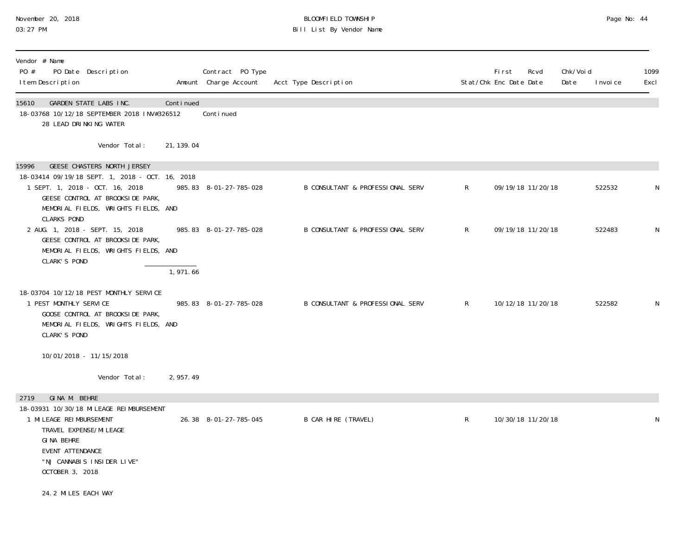# November 20, 2018 BLOOMFIELD TOWNSHIP Page No: 44 03:27 PM Bill List By Vendor Name

| Vendor # Name<br>PO #<br>PO Date Description<br>I tem Description                                                                                                                    |            | Contract PO Type<br>Amount Charge Account | Acct Type Description            |              | Fi rst<br>Stat/Chk Enc Date Date | Rcvd              | Chk/Voi d<br>Date | I nvoi ce | 1099<br>Excl |
|--------------------------------------------------------------------------------------------------------------------------------------------------------------------------------------|------------|-------------------------------------------|----------------------------------|--------------|----------------------------------|-------------------|-------------------|-----------|--------------|
| 15610<br>GARDEN STATE LABS INC.<br>18-03768 10/12/18 SEPTEMBER 2018 INV#326512<br>28 LEAD DRINKING WATER                                                                             | Continued  | Continued                                 |                                  |              |                                  |                   |                   |           |              |
| Vendor Total:                                                                                                                                                                        | 21, 139.04 |                                           |                                  |              |                                  |                   |                   |           |              |
| <b>GEESE CHASTERS NORTH JERSEY</b><br>15996                                                                                                                                          |            |                                           |                                  |              |                                  |                   |                   |           |              |
| 18-03414 09/19/18 SEPT. 1, 2018 - OCT. 16, 2018<br>1 SEPT. 1, 2018 - OCT. 16, 2018<br>GEESE CONTROL AT BROOKSIDE PARK,<br>MEMORIAL FIELDS, WRIGHTS FIELDS, AND<br><b>CLARKS POND</b> |            | 985.83 8-01-27-785-028                    | B CONSULTANT & PROFESSIONAL SERV | R            |                                  | 09/19/18 11/20/18 |                   | 522532    |              |
| 2 AUG. 1, 2018 - SEPT. 15, 2018<br>GEESE CONTROL AT BROOKSIDE PARK,<br>MEMORIAL FIELDS, WRIGHTS FIELDS, AND<br>CLARK'S POND                                                          |            | 985.83 8-01-27-785-028                    | B CONSULTANT & PROFESSIONAL SERV | R            |                                  | 09/19/18 11/20/18 |                   | 522483    | N            |
|                                                                                                                                                                                      | 1,971.66   |                                           |                                  |              |                                  |                   |                   |           |              |
| 18-03704 10/12/18 PEST MONTHLY SERVICE<br>1 PEST MONTHLY SERVICE<br>GOOSE CONTROL AT BROOKSIDE PARK,<br>MEMORIAL FIELDS, WRIGHTS FIELDS, AND<br>CLARK'S POND                         |            | 985.83 8-01-27-785-028                    | B CONSULTANT & PROFESSIONAL SERV | R            |                                  | 10/12/18 11/20/18 |                   | 522582    | N            |
| 10/01/2018 - 11/15/2018                                                                                                                                                              |            |                                           |                                  |              |                                  |                   |                   |           |              |
| Vendor Total:                                                                                                                                                                        | 2, 957.49  |                                           |                                  |              |                                  |                   |                   |           |              |
| GINA M. BEHRE<br>2719                                                                                                                                                                |            |                                           |                                  |              |                                  |                   |                   |           |              |
| 18-03931 10/30/18 MI LEAGE REI MBURSEMENT<br>1 MILEAGE REIMBURSEMENT<br>TRAVEL EXPENSE/MI LEAGE<br>GI NA BEHRE<br>EVENT ATTENDANCE<br>"NJ CANNABIS INSIDER LIVE"<br>OCTOBER 3, 2018  |            | 26.38 8-01-27-785-045                     | B CAR HIRE (TRAVEL)              | $\mathsf{R}$ |                                  | 10/30/18 11/20/18 |                   |           | N            |
| 24.2 MILES EACH WAY                                                                                                                                                                  |            |                                           |                                  |              |                                  |                   |                   |           |              |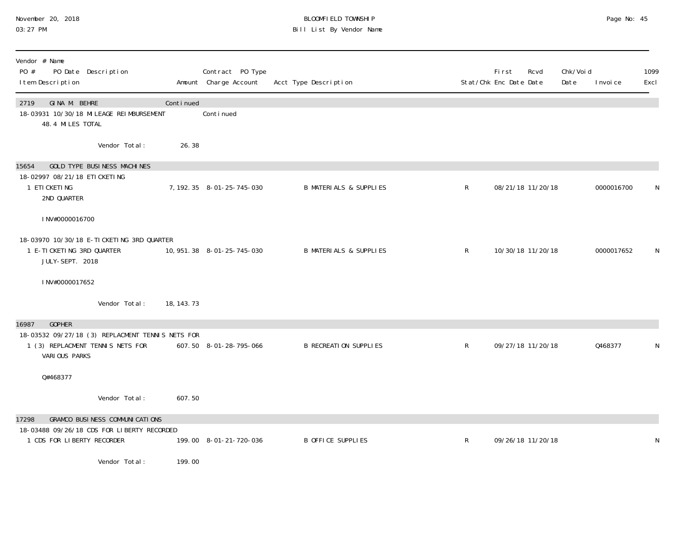### November 20, 2018 BLOOMFIELD TOWNSHIP Page No: 45 03:27 PM Bill List By Vendor Name

| Vendor # Name<br>PO #<br>PO Date Description<br>I tem Description                                                               |             | Contract PO Type<br>Amount Charge Account | Acct Type Description             |              | <b>First</b><br>Stat/Chk Enc Date Date | Rcvd              | Chk/Voi d<br>Date | I nvoi ce  | 1099<br>Excl |
|---------------------------------------------------------------------------------------------------------------------------------|-------------|-------------------------------------------|-----------------------------------|--------------|----------------------------------------|-------------------|-------------------|------------|--------------|
| GINA M. BEHRE<br>2719<br>18-03931 10/30/18 MI LEAGE REI MBURSEMENT<br>48.4 MILES TOTAL                                          | Continued   | Conti nued                                |                                   |              |                                        |                   |                   |            |              |
| Vendor Total:                                                                                                                   | 26.38       |                                           |                                   |              |                                        |                   |                   |            |              |
| 15654<br>GOLD TYPE BUSINESS MACHINES<br>18-02997 08/21/18 ETICKETING                                                            |             |                                           |                                   |              |                                        |                   |                   |            |              |
| 1 ETI CKETI NG<br>2ND QUARTER                                                                                                   |             | 7, 192. 35 8-01-25-745-030                | <b>B MATERIALS &amp; SUPPLIES</b> | $\mathsf{R}$ |                                        | 08/21/18 11/20/18 |                   | 0000016700 |              |
| INV#0000016700                                                                                                                  |             |                                           |                                   |              |                                        |                   |                   |            |              |
| 18-03970 10/30/18 E-TICKETING 3RD QUARTER<br>1 E-TICKETING 3RD QUARTER<br>JULY-SEPT. 2018                                       |             | 10, 951. 38  8-01-25-745-030              | <b>B MATERIALS &amp; SUPPLIES</b> | $\mathsf{R}$ |                                        | 10/30/18 11/20/18 |                   | 0000017652 | N            |
| INV#0000017652                                                                                                                  |             |                                           |                                   |              |                                        |                   |                   |            |              |
| Vendor Total:                                                                                                                   | 18, 143. 73 |                                           |                                   |              |                                        |                   |                   |            |              |
| <b>GOPHER</b><br>16987<br>18-03532 09/27/18 (3) REPLACMENT TENNIS NETS FOR<br>1 (3) REPLACMENT TENNIS NETS FOR<br>VARIOUS PARKS |             | 607.50 8-01-28-795-066                    | <b>B RECREATION SUPPLIES</b>      | ${\sf R}$    |                                        | 09/27/18 11/20/18 |                   | 0468377    |              |
| Q#468377                                                                                                                        |             |                                           |                                   |              |                                        |                   |                   |            |              |
| Vendor Total:                                                                                                                   | 607.50      |                                           |                                   |              |                                        |                   |                   |            |              |
| <b>GRAMCO BUSINESS COMMUNICATIONS</b><br>17298<br>18-03488 09/26/18 CDS FOR LIBERTY RECORDED<br>1 CDS FOR LIBERTY RECORDER      |             | 199.00 8-01-21-720-036                    | <b>B OFFICE SUPPLIES</b>          | $\mathsf R$  |                                        | 09/26/18 11/20/18 |                   |            | N            |
| Vendor Total:                                                                                                                   | 199.00      |                                           |                                   |              |                                        |                   |                   |            |              |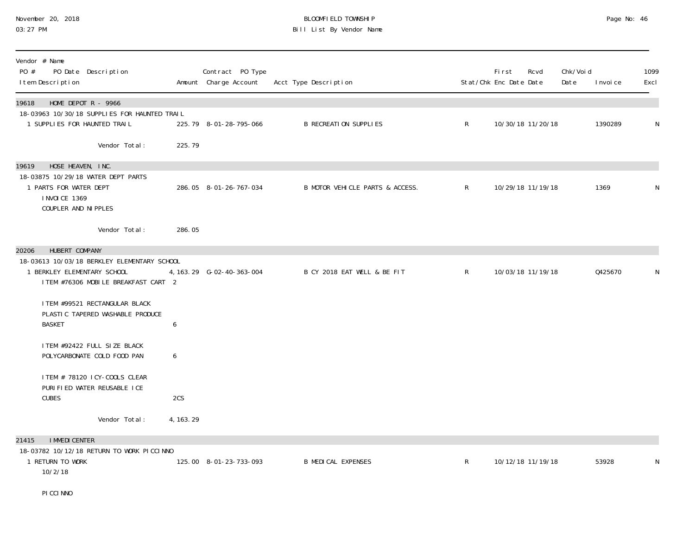#### November 20, 2018 BLOOMFIELD TOWNSHIP Page No: 46 03:27 PM Bill List By Vendor Name

| Vendor # Name<br>PO #<br>PO Date Description<br>I tem Description                                                 |            | Contract PO Type<br>Amount Charge Account | Acct Type Description           |              | First<br>Stat/Chk Enc Date Date | Rcvd              | Chk/Voi d<br>Date | I nvoi ce | 1099<br>Excl |
|-------------------------------------------------------------------------------------------------------------------|------------|-------------------------------------------|---------------------------------|--------------|---------------------------------|-------------------|-------------------|-----------|--------------|
| HOME DEPOT $R - 9966$<br>19618                                                                                    |            |                                           |                                 |              |                                 |                   |                   |           |              |
| 18-03963 10/30/18 SUPPLIES FOR HAUNTED TRAIL<br>1 SUPPLIES FOR HAUNTED TRAIL                                      |            | 225.79 8-01-28-795-066                    | <b>B RECREATION SUPPLIES</b>    | $\mathsf{R}$ |                                 | 10/30/18 11/20/18 |                   | 1390289   | N            |
| Vendor Total:                                                                                                     | 225.79     |                                           |                                 |              |                                 |                   |                   |           |              |
| HOSE HEAVEN, INC.<br>19619                                                                                        |            |                                           |                                 |              |                                 |                   |                   |           |              |
| 18-03875 10/29/18 WATER DEPT PARTS<br>1 PARTS FOR WATER DEPT<br><b>INVOICE 1369</b><br>COUPLER AND NI PPLES       |            | 286.05 8-01-26-767-034                    | B MOTOR VEHICLE PARTS & ACCESS. | $\mathsf{R}$ |                                 | 10/29/18 11/19/18 |                   | 1369      | N            |
| Vendor Total:                                                                                                     | 286.05     |                                           |                                 |              |                                 |                   |                   |           |              |
| HUBERT COMPANY<br>20206                                                                                           |            |                                           |                                 |              |                                 |                   |                   |           |              |
| 18-03613 10/03/18 BERKLEY ELEMENTARY SCHOOL<br>1 BERKLEY ELEMENTARY SCHOOL<br>ITEM #76306 MOBILE BREAKFAST CART 2 |            | 4, 163. 29    G-02-40-363-004             | B CY 2018 EAT WELL & BE FIT     | $\mathsf{R}$ |                                 | 10/03/18 11/19/18 |                   | 0425670   | N            |
| ITEM #99521 RECTANGULAR BLACK<br>PLASTIC TAPERED WASHABLE PRODUCE                                                 |            |                                           |                                 |              |                                 |                   |                   |           |              |
| <b>BASKET</b>                                                                                                     | 6          |                                           |                                 |              |                                 |                   |                   |           |              |
| ITEM #92422 FULL SIZE BLACK<br>POLYCARBONATE COLD FOOD PAN                                                        | 6          |                                           |                                 |              |                                 |                   |                   |           |              |
| ITEM # 78120 ICY-COOLS CLEAR<br>PURIFIED WATER REUSABLE ICE                                                       |            |                                           |                                 |              |                                 |                   |                   |           |              |
| <b>CUBES</b>                                                                                                      | 2CS        |                                           |                                 |              |                                 |                   |                   |           |              |
| Vendor Total:                                                                                                     | 4, 163. 29 |                                           |                                 |              |                                 |                   |                   |           |              |
| <b>I MMEDI CENTER</b><br>21415                                                                                    |            |                                           |                                 |              |                                 |                   |                   |           |              |
| 18-03782 10/12/18 RETURN TO WORK PICCINNO<br>1 RETURN TO WORK<br>10/2/18                                          |            | 125.00 8-01-23-733-093                    | <b>B MEDICAL EXPENSES</b>       | $\mathsf{R}$ |                                 | 10/12/18 11/19/18 |                   | 53928     | N            |
| PI CCI NNO                                                                                                        |            |                                           |                                 |              |                                 |                   |                   |           |              |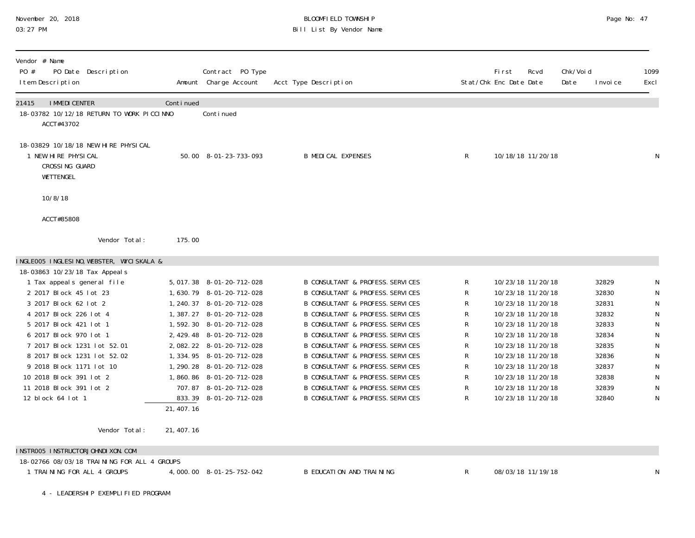| November 20, 2018 |  |
|-------------------|--|
| 03:27 PM          |  |

# BLOOMFIELD TOWNSHIP PAGE 2018 Page No: 47 Bill List By Vendor Name

| Vendor # Name<br>PO #<br>PO Date Description<br>I tem Description                         |                     | Contract PO Type<br>Amount Charge Account | Acct Type Description                                                                      |                  | First<br>Stat/Chk Enc Date Date        | Chk/Voi d<br>Rcvd<br>Date | I nvoi ce      | 1099<br>Excl             |
|-------------------------------------------------------------------------------------------|---------------------|-------------------------------------------|--------------------------------------------------------------------------------------------|------------------|----------------------------------------|---------------------------|----------------|--------------------------|
| <b>I MMEDI CENTER</b><br>21415<br>18-03782 10/12/18 RETURN TO WORK PICCINNO<br>ACCT#43702 | Continued           | Conti nued                                |                                                                                            |                  |                                        |                           |                |                          |
| 18-03829 10/18/18 NEW HIRE PHYSICAL<br>1 NEW HIRE PHYSICAL<br>CROSSING GUARD<br>WETTENGEL |                     | 50.00 8-01-23-733-093                     | <b>B MEDICAL EXPENSES</b>                                                                  | $\mathsf{R}$     | 10/18/18 11/20/18                      |                           |                | N                        |
| 10/8/18                                                                                   |                     |                                           |                                                                                            |                  |                                        |                           |                |                          |
| ACCT#85808                                                                                |                     |                                           |                                                                                            |                  |                                        |                           |                |                          |
| Vendor Total:                                                                             | 175.00              |                                           |                                                                                            |                  |                                        |                           |                |                          |
| INGLEOO5 INGLESINO, WEBSTER, WYCISKALA &                                                  |                     |                                           |                                                                                            |                  |                                        |                           |                |                          |
| 18-03863 10/23/18 Tax Appeal s                                                            |                     |                                           |                                                                                            |                  |                                        |                           |                |                          |
| 1 Tax appeals general file                                                                |                     | 5, 017.38 8-01-20-712-028                 | <b>B CONSULTANT &amp; PROFESS. SERVICES</b>                                                | R                | 10/23/18 11/20/18                      |                           | 32829          | N                        |
| 2 2017 Block 45 lot 23                                                                    |                     | 1, 630. 79 8-01-20-712-028                | <b>B CONSULTANT &amp; PROFESS. SERVICES</b>                                                | R                | 10/23/18 11/20/18                      |                           | 32830          | N                        |
| 3 2017 Block 62 lot 2                                                                     |                     | 1, 240. 37 8-01-20-712-028                | <b>B CONSULTANT &amp; PROFESS. SERVICES</b>                                                | R                | 10/23/18 11/20/18                      |                           | 32831          | N                        |
| 4 2017 Block 226 lot 4                                                                    |                     | 1, 387. 27 8-01-20-712-028                | <b>B CONSULTANT &amp; PROFESS. SERVICES</b>                                                | R                | 10/23/18 11/20/18                      |                           | 32832          | ${\sf N}$                |
| 5 2017 Block 421 lot 1                                                                    |                     | 1,592.30 8-01-20-712-028                  | <b>B CONSULTANT &amp; PROFESS. SERVICES</b>                                                | R                | 10/23/18 11/20/18                      |                           | 32833          | ${\sf N}$                |
| 6 2017 Block 970 lot 1                                                                    |                     | 2, 429. 48 8-01-20-712-028                | <b>B CONSULTANT &amp; PROFESS. SERVICES</b>                                                | R                | 10/23/18 11/20/18                      |                           | 32834          | ${\sf N}$                |
| 7 2017 Block 1231 lot 52.01                                                               |                     | 2, 082. 22 8-01-20-712-028                | <b>B CONSULTANT &amp; PROFESS. SERVICES</b>                                                | R                | 10/23/18 11/20/18                      |                           | 32835          | ${\sf N}$                |
| 8 2017 Block 1231 lot 52.02                                                               |                     | 1, 334. 95 8-01-20-712-028                | <b>B CONSULTANT &amp; PROFESS. SERVICES</b>                                                | R                | 10/23/18 11/20/18                      |                           | 32836          | ${\sf N}$                |
| 9 2018 Block 1171 lot 10                                                                  |                     | 1, 290. 28 8-01-20-712-028                | <b>B CONSULTANT &amp; PROFESS. SERVICES</b>                                                | R                | 10/23/18 11/20/18                      |                           | 32837          | ${\sf N}$                |
| 10 2018 Block 391 lot 2                                                                   |                     | 1,860.86 8-01-20-712-028                  | <b>B CONSULTANT &amp; PROFESS. SERVICES</b><br><b>B CONSULTANT &amp; PROFESS. SERVICES</b> | R                | 10/23/18 11/20/18                      |                           | 32838          | ${\sf N}$                |
| 11 2018 Block 391 lot 2<br>12 block 64 lot 1                                              | 833.39<br>21,407.16 | 707.87 8-01-20-712-028<br>8-01-20-712-028 | <b>B CONSULTANT &amp; PROFESS. SERVICES</b>                                                | $\mathsf R$<br>R | 10/23/18 11/20/18<br>10/23/18 11/20/18 |                           | 32839<br>32840 | ${\sf N}$<br>$\mathsf N$ |
| Vendor Total:                                                                             | 21, 407. 16         |                                           |                                                                                            |                  |                                        |                           |                |                          |

INSTROO5 INSTRUCTORJOHNDIXON.COM

| 18-02766 08/03/18 TRAINING FOR ALL 4 GROUPS |                          |                          |                   |  |
|---------------------------------------------|--------------------------|--------------------------|-------------------|--|
| TRAINING FOR ALL 4 GROUPS                   | 4,000.00 8-01-25-752-042 | B EDUCATION AND TRAINING | 08/03/18 11/19/18 |  |
|                                             |                          |                          |                   |  |

4 - LEADERSHIP EXEMPLIFIED PROGRAM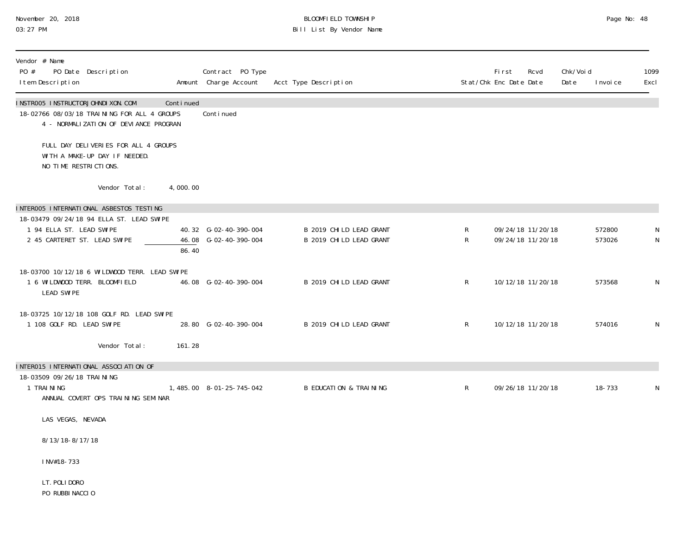# November 20, 2018 BLOOMFIELD TOWNSHIP Page No: 48 03:27 PM Bill List By Vendor Name

| Vendor # Name<br>PO #<br>PO Date Description<br>I tem Description                                                          |           | Contract PO Type<br>Amount Charge Account      | Acct Type Description                              |              | Fi rst<br>Stat/Chk Enc Date Date       | Rcvd<br>Chk/Voi d<br>Date | I nvoi ce        | 1099<br>Excl |
|----------------------------------------------------------------------------------------------------------------------------|-----------|------------------------------------------------|----------------------------------------------------|--------------|----------------------------------------|---------------------------|------------------|--------------|
| INSTROO5 INSTRUCTORJOHNDI XON. COM<br>18-02766 08/03/18 TRAINING FOR ALL 4 GROUPS<br>4 - NORMALIZATION OF DEVIANCE PROGRAN | Continued | Conti nued                                     |                                                    |              |                                        |                           |                  |              |
| FULL DAY DELIVERIES FOR ALL 4 GROUPS<br>WITH A MAKE-UP DAY IF NEEDED.<br>NO TIME RESTRICTIONS.                             |           |                                                |                                                    |              |                                        |                           |                  |              |
| Vendor Total:                                                                                                              | 4,000.00  |                                                |                                                    |              |                                        |                           |                  |              |
| INTEROO5 INTERNATIONAL ASBESTOS TESTING                                                                                    |           |                                                |                                                    |              |                                        |                           |                  |              |
| 18-03479 09/24/18 94 ELLA ST. LEAD SWIPE<br>1 94 ELLA ST. LEAD SWIPE<br>2 45 CARTERET ST. LEAD SWIPE                       | 86.40     | 40.32 G-02-40-390-004<br>46.08 G-02-40-390-004 | B 2019 CHILD LEAD GRANT<br>B 2019 CHILD LEAD GRANT | R<br>R       | 09/24/18 11/20/18<br>09/24/18 11/20/18 |                           | 572800<br>573026 | N<br>N       |
| 18-03700 10/12/18 6 WILDWOOD TERR. LEAD SWIPE<br>1 6 WILDWOOD TERR. BLOOMFIELD<br><b>LEAD SWIPE</b>                        |           | 46.08 G-02-40-390-004                          | B 2019 CHILD LEAD GRANT                            | $\mathsf{R}$ | 10/12/18 11/20/18                      |                           | 573568           | N            |
| 18-03725 10/12/18 108 GOLF RD. LEAD SWIPE<br>1 108 GOLF RD. LEAD SWIPE                                                     |           | 28.80 G-02-40-390-004                          | B 2019 CHILD LEAD GRANT                            | $\mathsf{R}$ | 10/12/18 11/20/18                      |                           | 574016           | N            |
| Vendor Total:                                                                                                              | 161.28    |                                                |                                                    |              |                                        |                           |                  |              |
| INTER015 INTERNATIONAL ASSOCIATION OF                                                                                      |           |                                                |                                                    |              |                                        |                           |                  |              |
| 18-03509 09/26/18 TRAINING<br>1 TRAINING<br>ANNUAL COVERT OPS TRAINING SEMINAR                                             |           | 1,485.00 8-01-25-745-042                       | <b>B EDUCATION &amp; TRAINING</b>                  | $\mathsf{R}$ | 09/26/18 11/20/18                      |                           | 18-733           | N            |
| LAS VEGAS, NEVADA                                                                                                          |           |                                                |                                                    |              |                                        |                           |                  |              |
| 8/13/18-8/17/18                                                                                                            |           |                                                |                                                    |              |                                        |                           |                  |              |
| INV#18-733                                                                                                                 |           |                                                |                                                    |              |                                        |                           |                  |              |
| LT. POLI DORO<br>PO RUBBINACCIO                                                                                            |           |                                                |                                                    |              |                                        |                           |                  |              |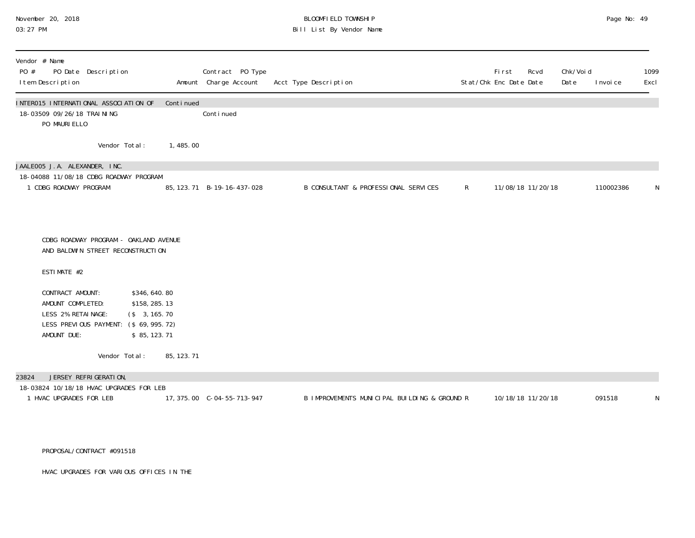# November 20, 2018 **BLOOMFIELD TOWNSHIP** BLOOMFIELD TOWNSHIP BLOOMFIELD TOWNSHIP Page No: 49<br>03:27 PM Bill List By Vendor Name

| Vendor # Name<br>PO #<br>PO Date Description<br>I tem Description                                                                                                                                                                                    |                                                                                                    | Contract PO Type<br>Amount Charge Account | Acct Type Description                        |              | <b>First</b><br>Stat/Chk Enc Date Date | Rcvd | Chk/Void<br>Date | I nvoi ce | 1099<br>Excl |
|------------------------------------------------------------------------------------------------------------------------------------------------------------------------------------------------------------------------------------------------------|----------------------------------------------------------------------------------------------------|-------------------------------------------|----------------------------------------------|--------------|----------------------------------------|------|------------------|-----------|--------------|
| INTER015 INTERNATIONAL ASSOCIATION OF<br>18-03509 09/26/18 TRAI NI NG<br>PO MAURI ELLO                                                                                                                                                               | Continued                                                                                          | Continued                                 |                                              |              |                                        |      |                  |           |              |
| Vendor Total:                                                                                                                                                                                                                                        | 1, 485.00                                                                                          |                                           |                                              |              |                                        |      |                  |           |              |
| JAALEOO5 J.A. ALEXANDER, INC.<br>18-04088 11/08/18 CDBG ROADWAY PROGRAM<br>1 CDBG ROADWAY PROGRAM                                                                                                                                                    |                                                                                                    | 85, 123. 71 B-19-16-437-028               | B CONSULTANT & PROFESSIONAL SERVICES         | $\mathsf{R}$ | 11/08/18 11/20/18                      |      |                  | 110002386 | N            |
|                                                                                                                                                                                                                                                      |                                                                                                    |                                           |                                              |              |                                        |      |                  |           |              |
| CDBG ROADWAY PROGRAM - OAKLAND AVENUE<br>AND BALDWIN STREET RECONSTRUCTION<br>ESTIMATE #2<br>CONTRACT AMOUNT:<br>AMOUNT COMPLETED:<br>LESS 2% RETAINAGE:<br>LESS PREVIOUS PAYMENT:<br>AMOUNT DUE:<br>Vendor Total:<br>JERSEY REFRIGERATION,<br>23824 | \$346,640.80<br>\$158, 285. 13<br>\$3, 165.70<br>$($ \$69, 995. 72)<br>\$85, 123.71<br>85, 123. 71 |                                           |                                              |              |                                        |      |                  |           |              |
| 18-03824 10/18/18 HVAC UPGRADES FOR LEB<br>1 HVAC UPGRADES FOR LEB                                                                                                                                                                                   |                                                                                                    | 17, 375.00 C-04-55-713-947                | B IMPROVEMENTS MUNICIPAL BUILDING & GROUND R |              | 10/18/18 11/20/18                      |      |                  | 091518    | N            |
|                                                                                                                                                                                                                                                      |                                                                                                    |                                           |                                              |              |                                        |      |                  |           |              |

PROPOSAL/CONTRACT #091518

HVAC UPGRADES FOR VARIOUS OFFICES IN THE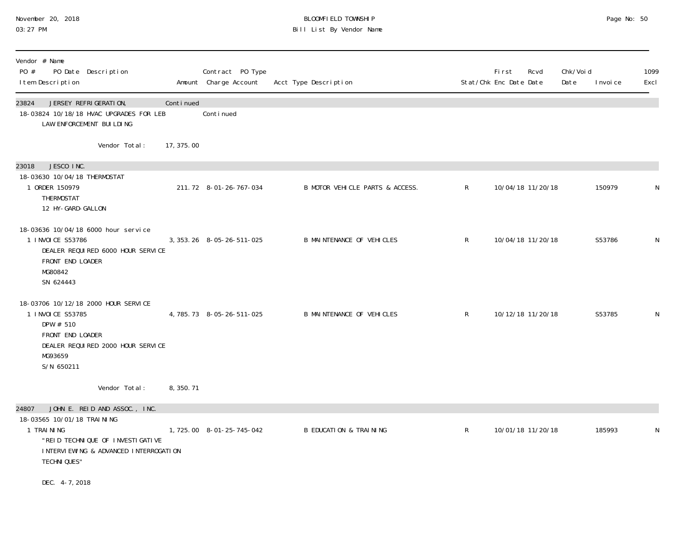### November 20, 2018 BLOOMFIELD TOWNSHIP Page No: 50 03:27 PM Bill List By Vendor Name

| Vendor # Name<br>PO #<br>PO Date Description<br>I tem Description                                                                                        |            | Contract PO Type<br>Amount Charge Account | Acct Type Description             |              | <b>First</b><br>Stat/Chk Enc Date Date | Rcvd              | Chk/Voi d<br>Date | I nvoi ce | 1099<br>Excl |
|----------------------------------------------------------------------------------------------------------------------------------------------------------|------------|-------------------------------------------|-----------------------------------|--------------|----------------------------------------|-------------------|-------------------|-----------|--------------|
| 23824<br>JERSEY REFRIGERATION,<br>18-03824 10/18/18 HVAC UPGRADES FOR LEB<br>LAW ENFORCEMENT BUILDING                                                    | Continued  | Continued                                 |                                   |              |                                        |                   |                   |           |              |
| Vendor Total:                                                                                                                                            | 17, 375.00 |                                           |                                   |              |                                        |                   |                   |           |              |
| JESCO INC.<br>23018<br>18-03630 10/04/18 THERMOSTAT<br>1 ORDER 150979<br>THERMOSTAT<br>12 HY-GARD-GALLON                                                 |            | 211.72 8-01-26-767-034                    | B MOTOR VEHICLE PARTS & ACCESS.   | $\mathsf{R}$ |                                        | 10/04/18 11/20/18 |                   | 150979    | N            |
| 18-03636 10/04/18 6000 hour service<br>1 I NVOI CE S53786<br>DEALER REQUIRED 6000 HOUR SERVICE<br>FRONT END LOADER<br>MG80842<br>SN 624443               |            | 3, 353. 26 8-05-26-511-025                | B MAINTENANCE OF VEHICLES         | $\mathsf{R}$ |                                        | 10/04/18 11/20/18 |                   | S53786    | N            |
| 18-03706 10/12/18 2000 HOUR SERVICE<br>1 I NVOI CE S53785<br>DPW # 510<br>FRONT END LOADER<br>DEALER REQUIRED 2000 HOUR SERVICE<br>MG93659<br>S/N 650211 |            | 4, 785. 73 8-05-26-511-025                | <b>B MAINTENANCE OF VEHICLES</b>  | $\mathsf{R}$ |                                        | 10/12/18 11/20/18 |                   | S53785    | N            |
| Vendor Total:                                                                                                                                            | 8, 350. 71 |                                           |                                   |              |                                        |                   |                   |           |              |
| JOHN E. REID AND ASSOC., INC.<br>24807<br>18-03565 10/01/18 TRAI NI NG                                                                                   |            |                                           |                                   |              |                                        |                   |                   |           |              |
| 1 TRAINING<br>"REID TECHNIQUE OF INVESTIGATIVE<br>INTERVIEWING & ADVANCED INTERROGATION<br><b>TECHNI QUES"</b>                                           |            | 1,725.00 8-01-25-745-042                  | <b>B EDUCATION &amp; TRAINING</b> | $\mathsf{R}$ |                                        | 10/01/18 11/20/18 |                   | 185993    | N            |
| DEC. 4-7, 2018                                                                                                                                           |            |                                           |                                   |              |                                        |                   |                   |           |              |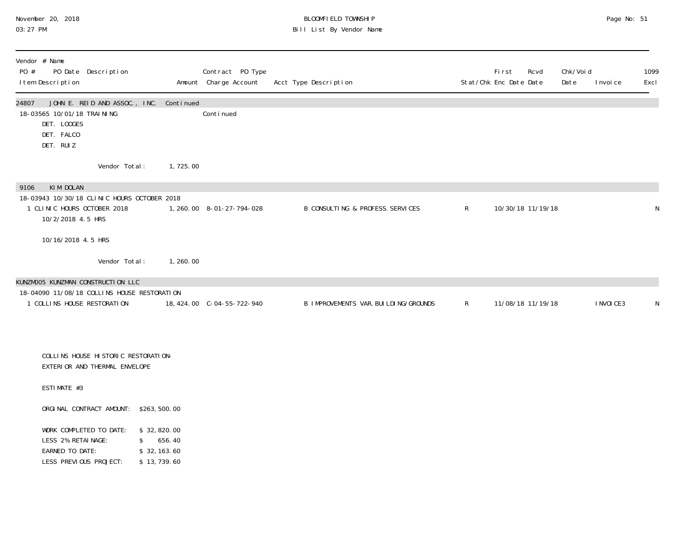### November 20, 2018 BLOOMFIELD TOWNSHIP Page No: 51 03:27 PM Bill List By Vendor Name

| Vendor # Name<br>PO #<br>PO Date Description<br>I tem Description                                                                |                                       | Contract PO Type<br>Amount Charge Account | Acct Type Description                  |   | <b>First</b><br>Stat/Chk Enc Date Date | Rcvd              | Chk/Void<br>Date | I nvoi ce  | 1099<br>Excl |
|----------------------------------------------------------------------------------------------------------------------------------|---------------------------------------|-------------------------------------------|----------------------------------------|---|----------------------------------------|-------------------|------------------|------------|--------------|
| JOHN E. REID AND ASSOC., INC. Continued<br>24807<br>18-03565 10/01/18 TRAI NI NG<br>DET. LOOGES<br>DET. FALCO<br>DET. RUIZ       |                                       | Conti nued                                |                                        |   |                                        |                   |                  |            |              |
| Vendor Total:                                                                                                                    | 1,725.00                              |                                           |                                        |   |                                        |                   |                  |            |              |
| KIM DOLAN<br>9106<br>18-03943 10/30/18 CLINIC HOURS OCTOBER 2018<br>1 CLINIC HOURS OCTOBER 2018<br>10/2/2018 4.5 HRS             |                                       | 1, 260.00 8-01-27-794-028                 | B CONSULTING & PROFESS. SERVICES       | R |                                        | 10/30/18 11/19/18 |                  |            | N            |
| 10/16/2018 4.5 HRS                                                                                                               |                                       |                                           |                                        |   |                                        |                   |                  |            |              |
| Vendor Total:<br>KUNZMOO5 KUNZMAN CONSTRUCTION LLC<br>18-04090 11/08/18 COLLINS HOUSE RESTORATION<br>1 COLLINS HOUSE RESTORATION | 1, 260.00                             | 18, 424.00 C-04-55-722-940                | B IMPROVEMENTS VAR. BUI LDI NG/GROUNDS | R | 11/08/18 11/19/18                      |                   |                  | I NVOI CE3 | N            |
| COLLINS HOUSE HISTORIC RESTORATION-<br>EXTERIOR AND THERMAL ENVELOPE                                                             |                                       |                                           |                                        |   |                                        |                   |                  |            |              |
| ESTIMATE #3                                                                                                                      |                                       |                                           |                                        |   |                                        |                   |                  |            |              |
| ORGINAL CONTRACT AMOUNT: \$263,500.00                                                                                            |                                       |                                           |                                        |   |                                        |                   |                  |            |              |
| WORK COMPLETED TO DATE:<br>LESS 2% RETAINAGE:<br>$\mathbb{S}$<br>EARNED TO DATE:                                                 | \$32,820.00<br>656.40<br>\$32, 163.60 |                                           |                                        |   |                                        |                   |                  |            |              |

LESS PREVIOUS PROJECT: \$ 13,739.60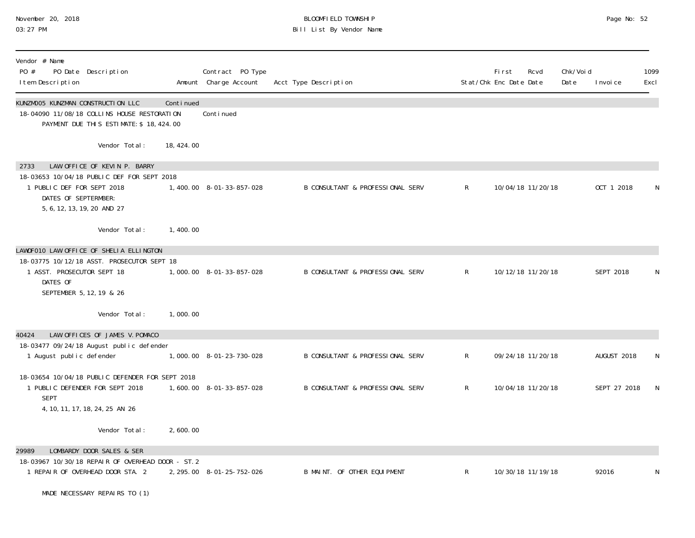# November 20, 2018 **BLOOMFIELD TOWNSHIP** BLOOMFIELD TOWNSHIP BLOOMFIELD TOWNSHIP Page No: 52<br>03:27 PM Bill List By Vendor Name

| Vendor # Name<br>PO #<br>PO Date Description<br>I tem Description                                                                    |            | Contract PO Type<br>Amount Charge Account | Acct Type Description                       |              | Fi rst<br>Stat/Chk Enc Date Date | Rcvd              | Chk/Voi d<br>Date | I nvoi ce    | 1099<br>Excl |
|--------------------------------------------------------------------------------------------------------------------------------------|------------|-------------------------------------------|---------------------------------------------|--------------|----------------------------------|-------------------|-------------------|--------------|--------------|
| KUNZMOO5 KUNZMAN CONSTRUCTION LLC<br>18-04090 11/08/18 COLLINS HOUSE RESTORATION<br>PAYMENT DUE THIS ESTIMATE: \$ 18, 424.00         | Continued  | Continued                                 |                                             |              |                                  |                   |                   |              |              |
| Vendor Total:                                                                                                                        | 18, 424.00 |                                           |                                             |              |                                  |                   |                   |              |              |
| LAW OFFICE OF KEVIN P. BARRY<br>2733                                                                                                 |            |                                           |                                             |              |                                  |                   |                   |              |              |
| 18-03653 10/04/18 PUBLIC DEF FOR SEPT 2018<br>1 PUBLIC DEF FOR SEPT 2018<br>DATES OF SEPTERMBER:<br>5, 6, 12, 13, 19, 20 AND 27      |            | 1,400.00 8-01-33-857-028                  | <b>B CONSULTANT &amp; PROFESSIONAL SERV</b> | $\mathsf{R}$ |                                  | 10/04/18 11/20/18 |                   | OCT 1 2018   |              |
| Vendor Total:                                                                                                                        | 1,400.00   |                                           |                                             |              |                                  |                   |                   |              |              |
| LAWOFO10 LAW OFFICE OF SHELIA ELLINGTON                                                                                              |            |                                           |                                             |              |                                  |                   |                   |              |              |
| 18-03775 10/12/18 ASST. PROSECUTOR SEPT 18<br>1 ASST. PROSECUTOR SEPT 18<br>DATES OF<br>SEPTEMBER 5, 12, 19 & 26                     |            | 1,000.00 8-01-33-857-028                  | <b>B CONSULTANT &amp; PROFESSIONAL SERV</b> | $\mathsf{R}$ |                                  | 10/12/18 11/20/18 |                   | SEPT 2018    | N            |
| Vendor Total:                                                                                                                        | 1,000.00   |                                           |                                             |              |                                  |                   |                   |              |              |
| LAW OFFICES OF JAMES V. POMACO<br>40424                                                                                              |            |                                           |                                             |              |                                  |                   |                   |              |              |
| 18-03477 09/24/18 August public defender<br>1 August public defender                                                                 |            | 1,000.00 8-01-23-730-028                  | B CONSULTANT & PROFESSIONAL SERV            | $\mathsf R$  |                                  | 09/24/18 11/20/18 |                   | AUGUST 2018  | N            |
| 18-03654 10/04/18 PUBLIC DEFENDER FOR SEPT 2018<br>1 PUBLIC DEFENDER FOR SEPT 2018<br><b>SEPT</b><br>4, 10, 11, 17, 18, 24, 25 AN 26 |            | 1,600.00 8-01-33-857-028                  | <b>B CONSULTANT &amp; PROFESSIONAL SERV</b> | R            |                                  | 10/04/18 11/20/18 |                   | SEPT 27 2018 | N.           |
| Vendor Total:                                                                                                                        | 2,600.00   |                                           |                                             |              |                                  |                   |                   |              |              |
| LOMBARDY DOOR SALES & SER<br>29989<br>18-03967 10/30/18 REPAIR OF OVERHEAD DOOR - ST. 2                                              |            |                                           |                                             |              |                                  |                   |                   |              |              |
| 1 REPAIR OF OVERHEAD DOOR STA. 2<br>MADE NECESSARY REPAIRS TO (1)                                                                    |            | 2, 295.00 8-01-25-752-026                 | B MAINT. OF OTHER EQUIPMENT                 | $\mathsf R$  |                                  | 10/30/18 11/19/18 |                   | 92016        | N            |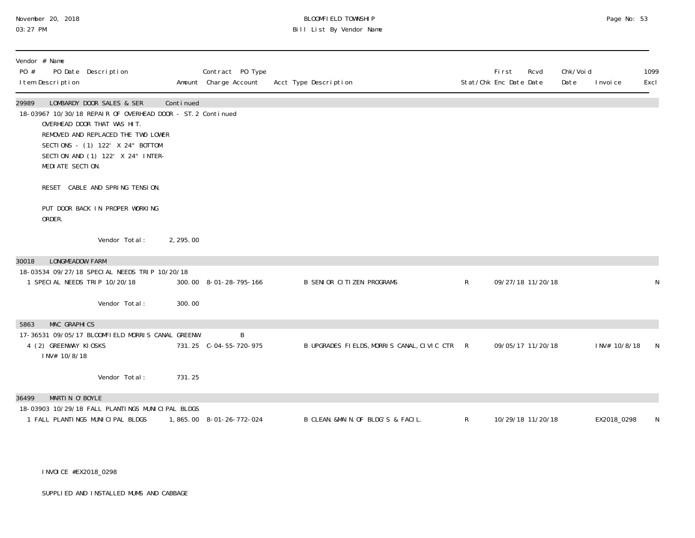# November 20, 2018 **BLOOMFIELD TOWNSHIP** BLOOMFIELD TOWNSHIP BLOOMFIELD TOWNSHIP Page No: 53<br>03:27 PM Bill List By Vendor Name

| Vendor # Name<br>PO #<br>I tem Description | PO Date Description                                                                                                                                                                                                                    |           | Contract PO Type<br>Amount Charge Account | Acct Type Description                        |              | Fi rst<br>Rcvd<br>Stat/Chk Enc Date Date | Chk/Voi d<br>Date | I nvoi ce    | 1099<br>Excl |
|--------------------------------------------|----------------------------------------------------------------------------------------------------------------------------------------------------------------------------------------------------------------------------------------|-----------|-------------------------------------------|----------------------------------------------|--------------|------------------------------------------|-------------------|--------------|--------------|
| 29989<br>MEDIATE SECTION.                  | LOMBARDY DOOR SALES & SER<br>18-03967 10/30/18 REPAIR OF OVERHEAD DOOR - ST. 2 Continued<br>OVERHEAD DOOR THAT WAS HIT.<br>REMOVED AND REPLACED THE TWO LOWER<br>SECTIONS - (1) 122' X 24" BOTTOM<br>SECTION AND (1) 122' X 24" INTER- | Continued |                                           |                                              |              |                                          |                   |              |              |
|                                            | RESET CABLE AND SPRING TENSION.                                                                                                                                                                                                        |           |                                           |                                              |              |                                          |                   |              |              |
| ORDER.                                     | PUT DOOR BACK IN PROPER WORKING                                                                                                                                                                                                        |           |                                           |                                              |              |                                          |                   |              |              |
|                                            | Vendor Total:                                                                                                                                                                                                                          | 2, 295.00 |                                           |                                              |              |                                          |                   |              |              |
| <b>LONGMEADOW FARM</b><br>30018            | 18-03534 09/27/18 SPECIAL NEEDS TRIP 10/20/18                                                                                                                                                                                          |           |                                           |                                              |              |                                          |                   |              |              |
| 1 SPECIAL NEEDS TRIP 10/20/18              |                                                                                                                                                                                                                                        |           | 300.00 8-01-28-795-166                    | <b>B SENIOR CITIZEN PROGRAMS</b>             | $\mathsf{R}$ | 09/27/18 11/20/18                        |                   |              | N            |
|                                            | Vendor Total:                                                                                                                                                                                                                          | 300.00    |                                           |                                              |              |                                          |                   |              |              |
| <b>MAC GRAPHICS</b><br>5863                |                                                                                                                                                                                                                                        |           |                                           |                                              |              |                                          |                   |              |              |
| 4 (2) GREENWAY KIOSKS<br>INV# 10/8/18      | 17-36531 09/05/17 BLOOMFIELD MORRIS CANAL GREENW                                                                                                                                                                                       |           | B                                         | B UPGRADES FIELDS, MORRIS CANAL, CIVIC CTR R |              | 09/05/17 11/20/18                        |                   | INV# 10/8/18 | <sup>N</sup> |
|                                            | Vendor Total:                                                                                                                                                                                                                          | 731.25    |                                           |                                              |              |                                          |                   |              |              |
| MARTIN O'BOYLE<br>36499                    |                                                                                                                                                                                                                                        |           |                                           |                                              |              |                                          |                   |              |              |
| 1 FALL PLANTINGS MUNICIPAL BLDGS           | 18-03903 10/29/18 FALL PLANTINGS MUNICIPAL BLDGS                                                                                                                                                                                       |           | 1,865.00 8-01-26-772-024                  | B CLEAN. &MAIN. OF BLDG'S & FACIL.           | $\mathsf{R}$ | 10/29/18 11/20/18                        |                   | EX2018_0298  | N            |

INVOICE #EX2018\_0298

SUPPLIED AND INSTALLED MUMS AND CABBAGE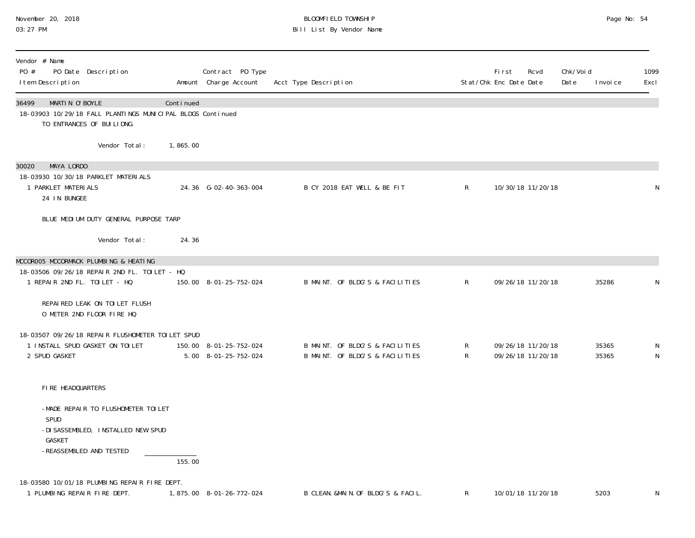# November 20, 2018 **BLOOMFIELD TOWNSHIP** BLOOMFIELD TOWNSHIP BLOOMFIELD TOWNSHIP Page No: 54<br>03:27 PM Bill List By Vendor Name

| Vendor # Name<br>PO #<br>PO Date Description<br>I tem Description                                                     |           | Contract PO Type<br>Amount Charge Account      | Acct Type Description                                              |                   | First<br>Stat/Chk Enc Date Date | Rcvd                                   | Chk/Void<br>Date<br>I nvoi ce | 1099<br>Excl |
|-----------------------------------------------------------------------------------------------------------------------|-----------|------------------------------------------------|--------------------------------------------------------------------|-------------------|---------------------------------|----------------------------------------|-------------------------------|--------------|
| 36499<br>MARTIN O'BOYLE<br>18-03903 10/29/18 FALL PLANTINGS MUNICIPAL BLDGS Continued<br>TO ENTRANCES OF BUILIDNG.    | Continued |                                                |                                                                    |                   |                                 |                                        |                               |              |
| Vendor Total:                                                                                                         | 1,865.00  |                                                |                                                                    |                   |                                 |                                        |                               |              |
| 30020<br>MAYA LORDO<br>18-03930 10/30/18 PARKLET MATERIALS<br>1 PARKLET MATERIALS<br>24 IN BUNGEE                     |           | 24.36 G-02-40-363-004                          | B CY 2018 EAT WELL & BE FIT                                        | R                 |                                 | 10/30/18 11/20/18                      |                               | N            |
| BLUE MEDIUM DUTY GENERAL PURPOSE TARP                                                                                 |           |                                                |                                                                    |                   |                                 |                                        |                               |              |
| Vendor Total:                                                                                                         | 24.36     |                                                |                                                                    |                   |                                 |                                        |                               |              |
| MCCOROO5 MCCORMACK PLUMBING & HEATING<br>18-03506 09/26/18 REPAIR 2ND FL. TOILET - HQ<br>1 REPAIR 2ND FL. TOILET - HQ |           | 150.00 8-01-25-752-024                         | B MAINT. OF BLDG'S & FACILITIES                                    | $\mathsf{R}$      |                                 | 09/26/18 11/20/18                      | 35286                         | N            |
| REPAIRED LEAK ON TOILET FLUSH<br>O METER 2ND FLOOR FIRE HQ                                                            |           |                                                |                                                                    |                   |                                 |                                        |                               |              |
| 18-03507 09/26/18 REPAIR FLUSHOMETER TOILET SPUD<br>1 INSTALL SPUD GASKET ON TOILET<br>2 SPUD GASKET                  |           | 150.00 8-01-25-752-024<br>5.00 8-01-25-752-024 | B MAINT. OF BLDG'S & FACILITIES<br>B MAINT. OF BLDG'S & FACILITIES | R<br>$\mathsf{R}$ |                                 | 09/26/18 11/20/18<br>09/26/18 11/20/18 | 35365<br>35365                | N<br>N       |
| FIRE HEADQUARTERS                                                                                                     |           |                                                |                                                                    |                   |                                 |                                        |                               |              |
| -MADE REPAIR TO FLUSHOMETER TOILET<br>SPUD<br>-DI SASSEMBLED, INSTALLED NEW SPUD<br>GASKET<br>-REASSEMBLED AND TESTED | 155.00    |                                                |                                                                    |                   |                                 |                                        |                               |              |
| 18-03580 10/01/18 PLUMBING REPAIR FIRE DEPT.<br>1 PLUMBING REPAIR FIRE DEPT.                                          |           | 1,875.00 8-01-26-772-024                       | B CLEAN. &MAIN. OF BLDG'S & FACIL.                                 | R                 |                                 | 10/01/18 11/20/18                      | 5203                          | N            |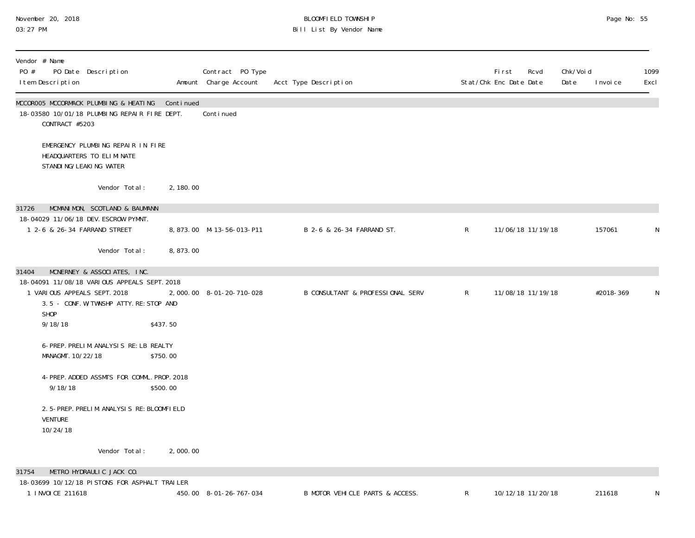### November 20, 2018 BLOOMFIELD TOWNSHIP Page No: 55 03:27 PM Bill List By Vendor Name

| Vendor # Name<br>PO Date Description<br>PO #<br>I tem Description                                                                      |           | Contract PO Type<br>Amount Charge Account | Acct Type Description            |              | First<br>Rcvd<br>Stat/Chk Enc Date Date | Chk/Voi d<br>Date | I nvoi ce | 1099<br>Excl |
|----------------------------------------------------------------------------------------------------------------------------------------|-----------|-------------------------------------------|----------------------------------|--------------|-----------------------------------------|-------------------|-----------|--------------|
| MCCOROO5 MCCORMACK PLUMBING & HEATING<br>18-03580 10/01/18 PLUMBING REPAIR FIRE DEPT.<br>CONTRACT #5203                                | Continued | Conti nued                                |                                  |              |                                         |                   |           |              |
| EMERGENCY PLUMBING REPAIR IN FIRE<br>HEADQUARTERS TO ELIMINATE<br>STANDI NG/LEAKI NG WATER                                             |           |                                           |                                  |              |                                         |                   |           |              |
| Vendor Total:                                                                                                                          | 2, 180.00 |                                           |                                  |              |                                         |                   |           |              |
| MCMANIMON, SCOTLAND & BAUMANN<br>31726                                                                                                 |           |                                           |                                  |              |                                         |                   |           |              |
| 18-04029 11/06/18 DEV. ESCROW PYMNT.<br>1 2-6 & 26-34 FARRAND STREET                                                                   |           | 8,873.00 M-13-56-013-P11                  | B 2-6 & 26-34 FARRAND ST.        | $\mathsf{R}$ | 11/06/18 11/19/18                       |                   | 157061    | N            |
| Vendor Total:                                                                                                                          | 8,873.00  |                                           |                                  |              |                                         |                   |           |              |
| 31404<br>MCNERNEY & ASSOCIATES, INC.                                                                                                   |           |                                           |                                  |              |                                         |                   |           |              |
| 18-04091 11/08/18 VARIOUS APPEALS SEPT. 2018<br>1 VARIOUS APPEALS SEPT. 2018<br>3.5 - CONF. W/TWNSHP ATTY. RE: STOP AND<br><b>SHOP</b> |           | 2,000.00 8-01-20-710-028                  | B CONSULTANT & PROFESSIONAL SERV | $\mathsf{R}$ | 11/08/18 11/19/18                       |                   | #2018-369 | N            |
| 9/18/18                                                                                                                                | \$437.50  |                                           |                                  |              |                                         |                   |           |              |
| 6-PREP. PRELIM. ANALYSIS RE: LB REALTY<br>MANAGMT. 10/22/18                                                                            | \$750.00  |                                           |                                  |              |                                         |                   |           |              |
| 4-PREP. ADDED ASSMTS FOR COMML. PROP. 2018<br>9/18/18                                                                                  | \$500.00  |                                           |                                  |              |                                         |                   |           |              |
| 2.5-PREP. PRELIM. ANALYSIS RE: BLOOMFIELD<br><b>VENTURE</b><br>10/24/18                                                                |           |                                           |                                  |              |                                         |                   |           |              |
| Vendor Total:                                                                                                                          | 2,000.00  |                                           |                                  |              |                                         |                   |           |              |
| METRO HYDRAULIC JACK CO.<br>31754                                                                                                      |           |                                           |                                  |              |                                         |                   |           |              |
| 18-03699 10/12/18 PISTONS FOR ASPHALT TRAILER<br>1 INVOICE 211618                                                                      |           | 450.00 8-01-26-767-034                    | B MOTOR VEHICLE PARTS & ACCESS.  | R            | 10/12/18 11/20/18                       |                   | 211618    | N            |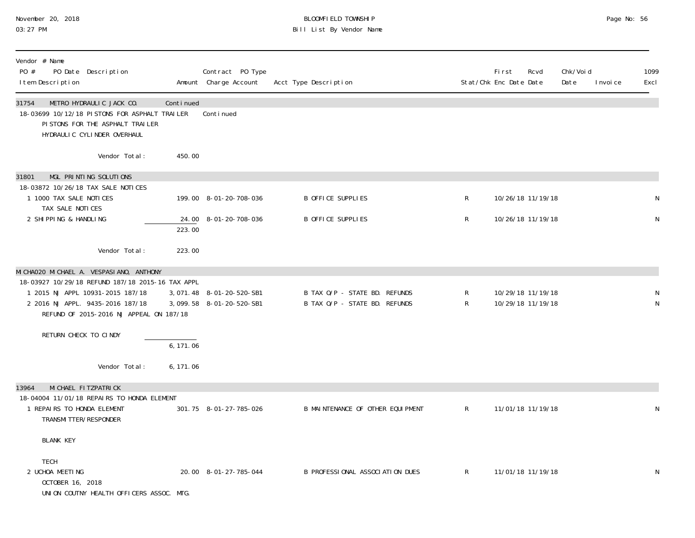# November 20, 2018 BLOOMFIELD TOWNSHIP Page No: 56 03:27 PM Bill List By Vendor Name

| Vendor # Name<br>PO Date Description<br>PO #<br>I tem Description                                                                                                                                                 |           | Contract PO Type<br>Amount Charge Account            | Acct Type Description                                          |              | <b>First</b><br>Stat/Chk Enc Date Date | Rcvd                                   | Chk/Voi d<br>Date<br>I nvoi ce | 1099<br>Excl |
|-------------------------------------------------------------------------------------------------------------------------------------------------------------------------------------------------------------------|-----------|------------------------------------------------------|----------------------------------------------------------------|--------------|----------------------------------------|----------------------------------------|--------------------------------|--------------|
| METRO HYDRAULIC JACK CO.<br>31754<br>18-03699 10/12/18 PISTONS FOR ASPHALT TRAILER<br>PISTONS FOR THE ASPHALT TRAILER<br>HYDRAULIC CYLINDER OVERHAUL                                                              | Continued | Conti nued                                           |                                                                |              |                                        |                                        |                                |              |
| Vendor Total:                                                                                                                                                                                                     | 450.00    |                                                      |                                                                |              |                                        |                                        |                                |              |
| MGL PRINTING SOLUTIONS<br>31801<br>18-03872 10/26/18 TAX SALE NOTICES                                                                                                                                             |           |                                                      |                                                                |              |                                        |                                        |                                |              |
| 1 1000 TAX SALE NOTICES<br>TAX SALE NOTICES                                                                                                                                                                       |           | 199.00 8-01-20-708-036                               | B OFFICE SUPPLIES                                              | ${\sf R}$    |                                        | 10/26/18 11/19/18                      |                                |              |
| 2 SHIPPING & HANDLING                                                                                                                                                                                             | 223.00    | 24.00 8-01-20-708-036                                | B OFFICE SUPPLIES                                              | R            |                                        | 10/26/18 11/19/18                      |                                | $\mathsf N$  |
| Vendor Total:                                                                                                                                                                                                     | 223.00    |                                                      |                                                                |              |                                        |                                        |                                |              |
| MI CHAO2O MI CHAEL A. VESPASI ANO, ANTHONY<br>18-03927 10/29/18 REFUND 187/18 2015-16 TAX APPL<br>1 2015 NJ APPL 10931-2015 187/18<br>2 2016 NJ APPL. 9435-2016 187/18<br>REFUND OF 2015-2016 NJ APPEAL ON 187/18 |           | 3,071.48 8-01-20-520-SB1<br>3,099.58 8-01-20-520-SB1 | B TAX O/P - STATE BD. REFUNDS<br>B TAX O/P - STATE BD. REFUNDS | R<br>R       |                                        | 10/29/18 11/19/18<br>10/29/18 11/19/18 |                                | N            |
| RETURN CHECK TO CINDY                                                                                                                                                                                             | 6, 171.06 |                                                      |                                                                |              |                                        |                                        |                                |              |
| Vendor Total:                                                                                                                                                                                                     | 6, 171.06 |                                                      |                                                                |              |                                        |                                        |                                |              |
| MI CHAEL FI TZPATRI CK<br>13964<br>18-04004 11/01/18 REPAIRS TO HONDA ELEMENT<br>1 REPAIRS TO HONDA ELEMENT<br>TRANSMI TTER/RESPONDER                                                                             |           | 301.75 8-01-27-785-026                               | B MAINTENANCE OF OTHER EQUIPMENT                               | $\mathsf{R}$ |                                        | 11/01/18 11/19/18                      |                                |              |
| <b>BLANK KEY</b>                                                                                                                                                                                                  |           |                                                      |                                                                |              |                                        |                                        |                                |              |
| <b>TECH</b><br>2 UCHOA MEETING<br>OCTOBER 16, 2018<br>UNION COUTNY HEALTH OFFICERS ASSOC. MTG.                                                                                                                    |           | 20.00 8-01-27-785-044                                | B PROFESSIONAL ASSOCIATION DUES                                | $\mathsf{R}$ |                                        | 11/01/18 11/19/18                      |                                | N            |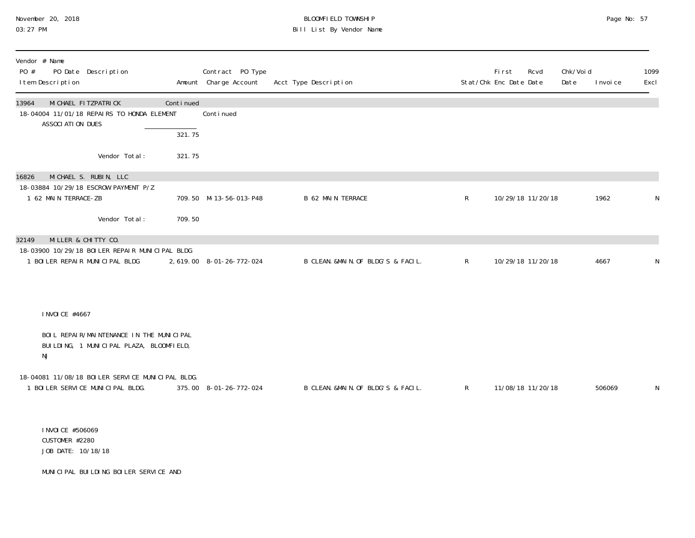# November 20, 2018 **BLOOMFIELD TOWNSHIP** BLOOMFIELD TOWNSHIP BLOOMFIELD TOWNSHIP Page No: 57<br>03:27 PM Bill List By Vendor Name

| Vendor # Name<br>PO #<br>PO Date Description<br>I tem Description                                 |           | Contract PO Type<br>Amount Charge Account | Acct Type Description              |              | First<br>Rcvd<br>Stat/Chk Enc Date Date | Chk/Voi d<br>Date | I nvoi ce | 1099<br>Excl |
|---------------------------------------------------------------------------------------------------|-----------|-------------------------------------------|------------------------------------|--------------|-----------------------------------------|-------------------|-----------|--------------|
| MI CHAEL FI TZPATRI CK<br>13964<br>18-04004 11/01/18 REPAIRS TO HONDA ELEMENT<br>ASSOCIATION DUES | Continued | Continued                                 |                                    |              |                                         |                   |           |              |
|                                                                                                   | 321.75    |                                           |                                    |              |                                         |                   |           |              |
| Vendor Total:                                                                                     | 321.75    |                                           |                                    |              |                                         |                   |           |              |
| MICHAEL S. RUBIN, LLC<br>16826                                                                    |           |                                           |                                    |              |                                         |                   |           |              |
| 18-03884 10/29/18 ESCROW PAYMENT P/Z<br>1 62 MAIN TERRACE-ZB                                      |           | 709.50 M-13-56-013-P48                    | <b>B 62 MAIN TERRACE</b>           | $\mathsf{R}$ | 10/29/18 11/20/18                       |                   | 1962      | $\mathsf N$  |
| Vendor Total:                                                                                     | 709.50    |                                           |                                    |              |                                         |                   |           |              |
| MILLER & CHITTY CO.<br>32149                                                                      |           |                                           |                                    |              |                                         |                   |           |              |
| 18-03900 10/29/18 BOILER REPAIR MUNICIPAL BLDG<br>1 BOILER REPAIR MUNICIPAL BLDG                  |           | 2, 619.00 8-01-26-772-024                 | B CLEAN. &MAIN. OF BLDG'S & FACIL. | $\mathsf{R}$ | 10/29/18 11/20/18                       |                   | 4667      | N            |
|                                                                                                   |           |                                           |                                    |              |                                         |                   |           |              |
| I NVOI CE #4667                                                                                   |           |                                           |                                    |              |                                         |                   |           |              |
|                                                                                                   |           |                                           |                                    |              |                                         |                   |           |              |
| BOIL REPAIR/MAINTENANCE IN THE MUNICIPAL<br>BUILDING, 1 MUNICIPAL PLAZA, BLOOMFIELD,<br>NJ        |           |                                           |                                    |              |                                         |                   |           |              |
| 18-04081 11/08/18 BOILER SERVICE MUNICIPAL BLDG.                                                  |           |                                           |                                    |              |                                         |                   |           |              |
| 1 BOILER SERVICE MUNICIPAL BLDG.                                                                  |           | 375.00 8-01-26-772-024                    | B CLEAN. &MAIN. OF BLDG'S & FACIL. | $\mathsf{R}$ | 11/08/18 11/20/18                       |                   | 506069    | N            |
|                                                                                                   |           |                                           |                                    |              |                                         |                   |           |              |
| I NVOI CE #506069<br>CUSTOMER #2280<br>JOB DATE: 10/18/18                                         |           |                                           |                                    |              |                                         |                   |           |              |
| MUNICIPAL BUILDING BOILER SERVICE AND                                                             |           |                                           |                                    |              |                                         |                   |           |              |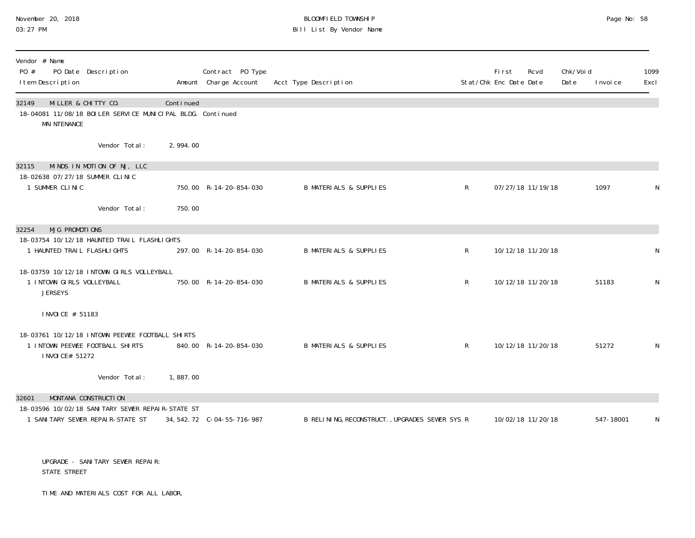# November 20, 2018 **BLOOMFIELD TOWNSHIP** BLOOMFIELD TOWNSHIP BLOOMFIELD TOWNSHIP Page No: 58 Bill List By Vendor Name

| Vendor # Name<br>PO #<br>PO Date Description<br>I tem Description                                                 |                           | Contract PO Type<br>Amount Charge Account | Acct Type Description                          |              | First<br>Rcvd<br>Stat/Chk Enc Date Date | Chk/Voi d<br>Date<br>I nvoi ce | 1099<br>Excl |
|-------------------------------------------------------------------------------------------------------------------|---------------------------|-------------------------------------------|------------------------------------------------|--------------|-----------------------------------------|--------------------------------|--------------|
| MILLER & CHITTY CO.<br>32149<br>18-04081 11/08/18 BOILER SERVICE MUNICIPAL BLDG. Continued<br><b>MAI NTENANCE</b> | Continued                 |                                           |                                                |              |                                         |                                |              |
|                                                                                                                   | Vendor Total:<br>2,994.00 |                                           |                                                |              |                                         |                                |              |
| MINDS IN MOTION OF NJ, LLC<br>32115                                                                               |                           |                                           |                                                |              |                                         |                                |              |
| 18-02638 07/27/18 SUMMER CLINIC<br>1 SUMMER CLINIC                                                                |                           | 750.00 R-14-20-854-030                    | <b>B MATERIALS &amp; SUPPLIES</b>              | $\mathsf{R}$ | 07/27/18 11/19/18                       | 1097                           | N            |
|                                                                                                                   | Vendor Total:<br>750.00   |                                           |                                                |              |                                         |                                |              |
| <b>MJG PROMOTIONS</b><br>32254                                                                                    |                           |                                           |                                                |              |                                         |                                |              |
| 18-03754 10/12/18 HAUNTED TRAIL FLASHLIGHTS<br>1 HAUNTED TRAIL FLASHLIGHTS                                        |                           | 297.00 R-14-20-854-030                    | <b>B MATERIALS &amp; SUPPLIES</b>              | $\mathsf{R}$ | 10/12/18 11/20/18                       |                                | N            |
| 18-03759 10/12/18 INTOWN GIRLS VOLLEYBALL<br>1 INTOWN GIRLS VOLLEYBALL<br><b>JERSEYS</b>                          |                           | 750.00 R-14-20-854-030                    | <b>B MATERIALS &amp; SUPPLIES</b>              | $\mathsf{R}$ | 10/12/18 11/20/18                       | 51183                          | N            |
| I NVOI CE # 51183                                                                                                 |                           |                                           |                                                |              |                                         |                                |              |
| 18-03761 10/12/18 INTOWN PEEWEE FOOTBALL SHIRTS<br>1 INTOWN PEEWEE FOOTBALL SHIRTS<br>I NVOI CE# 51272            |                           | 840.00 R-14-20-854-030                    | <b>B MATERIALS &amp; SUPPLIES</b>              | $\mathsf{R}$ | 10/12/18 11/20/18                       | 51272                          | N            |
|                                                                                                                   | Vendor Total:<br>1,887.00 |                                           |                                                |              |                                         |                                |              |
| MONTANA CONSTRUCTION<br>32601                                                                                     |                           |                                           |                                                |              |                                         |                                |              |
| 18-03596 10/02/18 SANITARY SEWER REPAIR-STATE ST<br>1 SANITARY SEWER REPAIR-STATE ST                              |                           |                                           | B RELINING, RECONSTRUCT., UPGRADES SEWER SYS R |              | 10/02/18 11/20/18                       | 547-18001                      | N            |
|                                                                                                                   |                           |                                           |                                                |              |                                         |                                |              |

 UPGRADE - SANITARY SEWER REPAIR: STATE STREET

TIME AND MATERIALS COST FOR ALL LABOR,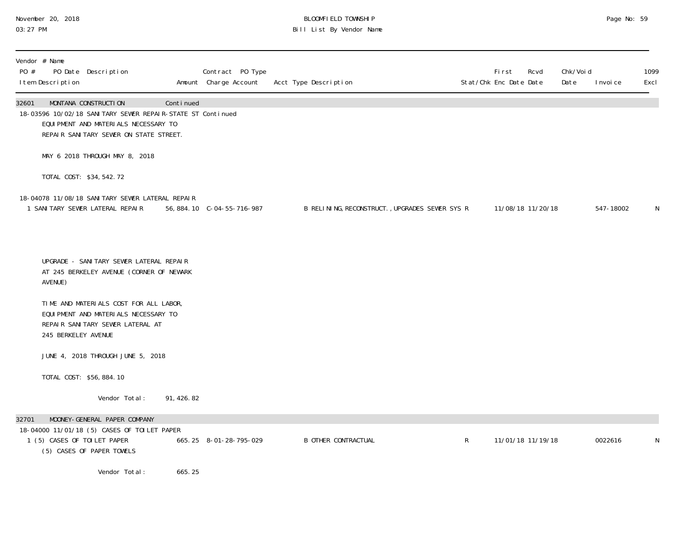# November 20, 2018 BLOOMFIELD TOWNSHIP Page No: 59 03:27 PM Bill List By Vendor Name

| Vendor # Name<br>PO #<br>I tem Description | PO Date Description                                                                                                                                                   |            | Contract PO Type<br>Amount Charge Account | Acct Type Description                          |             | First<br>Stat/Chk Enc Date Date | Rcvd              | Chk/Void<br>Date | I nvoi ce | 1099<br>Excl |
|--------------------------------------------|-----------------------------------------------------------------------------------------------------------------------------------------------------------------------|------------|-------------------------------------------|------------------------------------------------|-------------|---------------------------------|-------------------|------------------|-----------|--------------|
| 32601                                      | MONTANA CONSTRUCTION<br>18-03596 10/02/18 SANITARY SEWER REPAIR-STATE ST Continued<br>EQUI PMENT AND MATERIALS NECESSARY TO<br>REPAIR SANITARY SEWER ON STATE STREET. | Continued  |                                           |                                                |             |                                 |                   |                  |           |              |
|                                            | MAY 6 2018 THROUGH MAY 8, 2018                                                                                                                                        |            |                                           |                                                |             |                                 |                   |                  |           |              |
|                                            | TOTAL COST: \$34,542.72                                                                                                                                               |            |                                           |                                                |             |                                 |                   |                  |           |              |
|                                            | 18-04078 11/08/18 SANITARY SEWER LATERAL REPAIR<br>1 SANITARY SEWER LATERAL REPAIR                                                                                    |            | 56, 884. 10 C-04-55-716-987               | B RELINING, RECONSTRUCT., UPGRADES SEWER SYS R |             |                                 | 11/08/18 11/20/18 |                  | 547-18002 | N            |
| AVENUE)                                    | UPGRADE - SANITARY SEWER LATERAL REPAIR<br>AT 245 BERKELEY AVENUE (CORNER OF NEWARK                                                                                   |            |                                           |                                                |             |                                 |                   |                  |           |              |
|                                            | TIME AND MATERIALS COST FOR ALL LABOR,<br>EQUIPMENT AND MATERIALS NECESSARY TO<br>REPAIR SANITARY SEWER LATERAL AT<br>245 BERKELEY AVENUE                             |            |                                           |                                                |             |                                 |                   |                  |           |              |
|                                            | JUNE 4, 2018 THROUGH JUNE 5, 2018                                                                                                                                     |            |                                           |                                                |             |                                 |                   |                  |           |              |
|                                            | TOTAL COST: \$56,884.10                                                                                                                                               |            |                                           |                                                |             |                                 |                   |                  |           |              |
|                                            | Vendor Total:                                                                                                                                                         | 91, 426.82 |                                           |                                                |             |                                 |                   |                  |           |              |
| 32701                                      | MOONEY-GENERAL PAPER COMPANY<br>18-04000 11/01/18 (5) CASES OF TOILET PAPER<br>1 (5) CASES OF TOILET PAPER<br>(5) CASES OF PAPER TOWELS                               |            | 665.25 8-01-28-795-029                    | <b>B OTHER CONTRACTUAL</b>                     | $\mathsf R$ |                                 | 11/01/18 11/19/18 |                  | 0022616   | N            |
|                                            | Vendor Total:                                                                                                                                                         | 665.25     |                                           |                                                |             |                                 |                   |                  |           |              |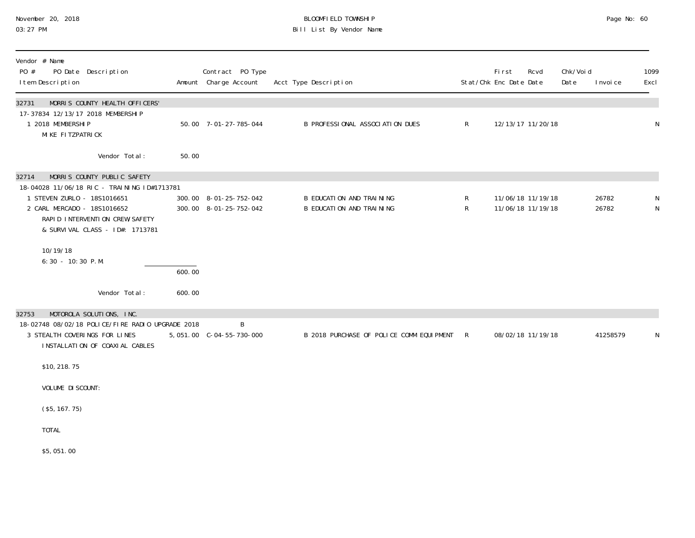# November 20, 2018 BLOOMFIELD TOWNSHIP Page No: 60 03:27 PM Bill List By Vendor Name

| Vendor # Name<br>PO #<br>PO Date Description<br>I tem Description                                                                                                                                                                                                        |                  | Contract PO Type<br>Amount Charge Account        | Acct Type Description                                |                   | <b>First</b><br>Stat/Chk Enc Date Date | Rcvd | Chk/Void<br>Date | I nvoi ce      | 1099<br>Excl |
|--------------------------------------------------------------------------------------------------------------------------------------------------------------------------------------------------------------------------------------------------------------------------|------------------|--------------------------------------------------|------------------------------------------------------|-------------------|----------------------------------------|------|------------------|----------------|--------------|
| MORRIS COUNTY HEALTH OFFICERS'<br>32731<br>17-37834 12/13/17 2018 MEMBERSHIP<br>1 2018 MEMBERSHIP<br>MIKE FITZPATRICK                                                                                                                                                    |                  | 50.00 7-01-27-785-044                            | B PROFESSIONAL ASSOCIATION DUES                      | $\mathsf{R}$      | 12/13/17 11/20/18                      |      |                  |                | N            |
| Vendor Total:                                                                                                                                                                                                                                                            | 50.00            |                                                  |                                                      |                   |                                        |      |                  |                |              |
| MORRIS COUNTY PUBLIC SAFETY<br>32714<br>18-04028 11/06/18 RIC - TRAINING ID#1713781<br>1 STEVEN ZURLO - 18S1016651<br>2 CARL MERCADO - 18S1016652<br>RAPID INTERVENTION CREW/SAFETY<br>& SURVIVAL CLASS - ID#: 1713781<br>10/19/18<br>6:30 - 10:30 P.M.<br>Vendor Total: | 600.00<br>600.00 | 300.00 8-01-25-752-042<br>300.00 8-01-25-752-042 | B EDUCATION AND TRAINING<br>B EDUCATION AND TRAINING | R<br>$\mathsf{R}$ | 11/06/18 11/19/18<br>11/06/18 11/19/18 |      |                  | 26782<br>26782 | N            |
| MOTOROLA SOLUTIONS, INC.<br>32753                                                                                                                                                                                                                                        |                  |                                                  |                                                      |                   |                                        |      |                  |                |              |
| 18-02748 08/02/18 POLICE/FIRE RADIO UPGRADE 2018<br>3 STEALTH COVERINGS FOR LINES<br>INSTALLATION OF COAXIAL CABLES                                                                                                                                                      |                  | B                                                | B 2018 PURCHASE OF POLICE COMM EQUIPMENT R           |                   | 08/02/18 11/19/18                      |      |                  | 41258579       | N            |
| \$10, 218.75                                                                                                                                                                                                                                                             |                  |                                                  |                                                      |                   |                                        |      |                  |                |              |
| VOLUME DI SCOUNT:                                                                                                                                                                                                                                                        |                  |                                                  |                                                      |                   |                                        |      |                  |                |              |
| (\$5, 167.75)                                                                                                                                                                                                                                                            |                  |                                                  |                                                      |                   |                                        |      |                  |                |              |
| <b>TOTAL</b>                                                                                                                                                                                                                                                             |                  |                                                  |                                                      |                   |                                        |      |                  |                |              |
| \$5,051.00                                                                                                                                                                                                                                                               |                  |                                                  |                                                      |                   |                                        |      |                  |                |              |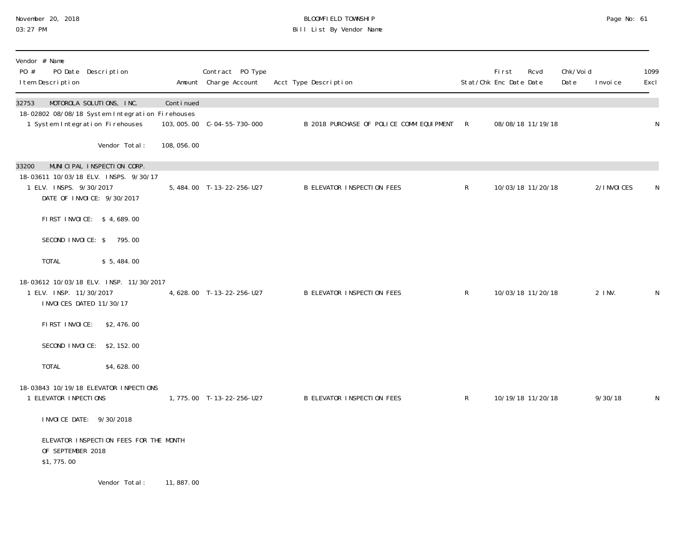# November 20, 2018 **BLOOMFIELD TOWNSHIP** BLOOMFIELD TOWNSHIP BLOOMFIELD TOWNSHIP Page No: 61<br>03:27 PM Bill List By Vendor Name

| Vendor # Name<br>PO #<br>PO Date Description<br>I tem Description                                                                     |               |             | Contract PO Type<br>Amount Charge Account | Acct Type Description                    |              | First<br>Stat/Chk Enc Date Date | Rcvd              | Chk/Voi d<br>Date | I nvoi ce    | 1099<br>Excl |
|---------------------------------------------------------------------------------------------------------------------------------------|---------------|-------------|-------------------------------------------|------------------------------------------|--------------|---------------------------------|-------------------|-------------------|--------------|--------------|
| MOTOROLA SOLUTIONS, INC.<br>32753<br>18-02802 08/08/18 System Integration Firehouses<br>1 System Integration Firehouses               |               | Continued   |                                           | B 2018 PURCHASE OF POLICE COMM EQUIPMENT | $\mathsf{R}$ |                                 | 08/08/18 11/19/18 |                   |              | N            |
|                                                                                                                                       | Vendor Total: | 108, 056.00 |                                           |                                          |              |                                 |                   |                   |              |              |
| 33200<br>MUNICIPAL INSPECTION CORP.<br>18-03611 10/03/18 ELV. INSPS. 9/30/17<br>1 ELV. INSPS. 9/30/2017<br>DATE OF INVOICE: 9/30/2017 |               |             | 5, 484.00 T-13-22-256-U27                 | <b>B ELEVATOR INSPECTION FEES</b>        | $\mathsf{R}$ |                                 | 10/03/18 11/20/18 |                   | 2/I NVOI CES | N            |
| FIRST INVOICE: \$4,689.00                                                                                                             |               |             |                                           |                                          |              |                                 |                   |                   |              |              |
| SECOND INVOICE: \$795.00                                                                                                              |               |             |                                           |                                          |              |                                 |                   |                   |              |              |
| TOTAL                                                                                                                                 | \$5,484.00    |             |                                           |                                          |              |                                 |                   |                   |              |              |
| 18-03612 10/03/18 ELV. INSP. 11/30/2017<br>1 ELV. INSP. 11/30/2017<br>I NVOI CES DATED 11/30/17                                       |               |             | 4, 628.00 T-13-22-256-U27                 | <b>B ELEVATOR INSPECTION FEES</b>        | $\mathsf{R}$ |                                 | 10/03/18 11/20/18 |                   | $2$ INV.     | N            |
| FIRST INVOICE:                                                                                                                        | \$2,476.00    |             |                                           |                                          |              |                                 |                   |                   |              |              |
| SECOND INVOICE: \$2,152.00                                                                                                            |               |             |                                           |                                          |              |                                 |                   |                   |              |              |
| <b>TOTAL</b>                                                                                                                          | \$4,628.00    |             |                                           |                                          |              |                                 |                   |                   |              |              |
| 18-03843 10/19/18 ELEVATOR INPECTIONS<br>1 ELEVATOR INPECTIONS                                                                        |               |             | 1,775.00 T-13-22-256-U27                  | <b>B ELEVATOR INSPECTION FEES</b>        | $\mathsf{R}$ |                                 | 10/19/18 11/20/18 |                   | 9/30/18      | N            |
| I NVOI CE DATE: 9/30/2018                                                                                                             |               |             |                                           |                                          |              |                                 |                   |                   |              |              |
| ELEVATOR INSPECTION FEES FOR THE MONTH<br>OF SEPTEMBER 2018<br>\$1,775.00                                                             |               |             |                                           |                                          |              |                                 |                   |                   |              |              |
|                                                                                                                                       | Vendor Total: | 11,887.00   |                                           |                                          |              |                                 |                   |                   |              |              |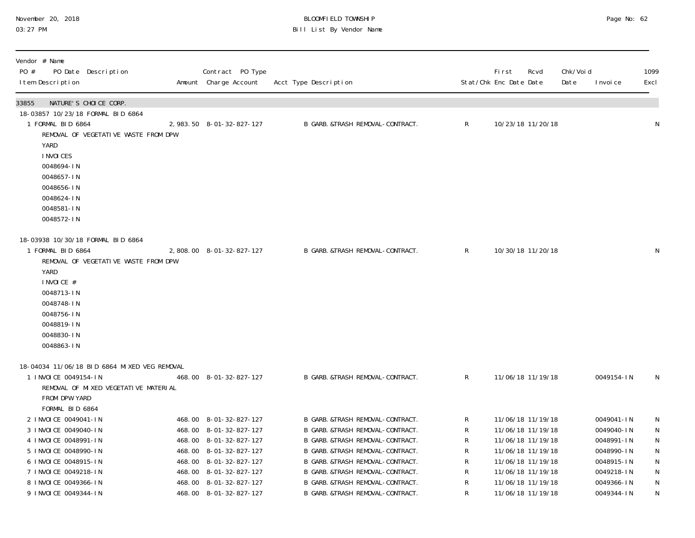| November 20, 2018 |  |
|-------------------|--|
| 03:27 PM          |  |

# BLOOMFIELD TOWNSHIP PAGE 2001 CONTROL PAGE NO: 62 Bill List By Vendor Name

| Vendor # Name<br>PO #<br>PO Date Description<br>I tem Description                                                                                                                                                                          | Contract PO Type<br>Amount Charge Account                                                                                                                                                                    | Acct Type Description                                                                                                                                                                                                                                                                          |                                         | <b>First</b><br>Rcvd<br>Stat/Chk Enc Date Date                                                                                                                       | Chk/Voi d<br>Date<br>I nvoi ce                                                                               | 1099<br>Excl                                                         |
|--------------------------------------------------------------------------------------------------------------------------------------------------------------------------------------------------------------------------------------------|--------------------------------------------------------------------------------------------------------------------------------------------------------------------------------------------------------------|------------------------------------------------------------------------------------------------------------------------------------------------------------------------------------------------------------------------------------------------------------------------------------------------|-----------------------------------------|----------------------------------------------------------------------------------------------------------------------------------------------------------------------|--------------------------------------------------------------------------------------------------------------|----------------------------------------------------------------------|
| 33855<br>NATURE'S CHOICE CORP.<br>18-03857 10/23/18 FORMAL BID 6864<br>1 FORMAL BID 6864<br>REMOVAL OF VEGETATIVE WASTE FROM DPW<br>YARD<br>I NVOI CES<br>0048694-IN<br>0048657-IN<br>0048656-IN<br>0048624-IN<br>0048581-IN<br>0048572-IN | 2, 983. 50 8-01-32-827-127                                                                                                                                                                                   | B GARB. &TRASH REMOVAL-CONTRACT.                                                                                                                                                                                                                                                               | $\mathsf{R}$                            | 10/23/18 11/20/18                                                                                                                                                    |                                                                                                              | N                                                                    |
| 18-03938 10/30/18 FORMAL BID 6864<br>1 FORMAL BID 6864<br>REMOVAL OF VEGETATIVE WASTE FROM DPW<br>YARD<br>INVOICE #<br>0048713-IN<br>0048748-IN<br>0048756-IN<br>0048819-IN<br>0048830-IN<br>0048863-IN                                    | 2,808.00 8-01-32-827-127                                                                                                                                                                                     | B GARB. & TRASH REMOVAL-CONTRACT.                                                                                                                                                                                                                                                              | $\mathsf{R}$                            | 10/30/18 11/20/18                                                                                                                                                    |                                                                                                              | N                                                                    |
| 18-04034 11/06/18 BID 6864 MIXED VEG REMOVAL<br>1 INVOICE 0049154-IN<br>REMOVAL OF MIXED VEGETATIVE MATERIAL<br>FROM DPW YARD<br>FORMAL BID 6864                                                                                           | 468.00 8-01-32-827-127                                                                                                                                                                                       | B GARB. &TRASH REMOVAL-CONTRACT.                                                                                                                                                                                                                                                               | $\mathsf{R}$                            | 11/06/18 11/19/18                                                                                                                                                    | 0049154-IN                                                                                                   | N                                                                    |
| 2 I NVOI CE 0049041-IN<br>3 INVOICE 0049040-IN<br>4 INVOICE 0048991-IN<br>5 INVOICE 0048990-IN<br>6 INVOICE 0048915-IN<br>7 INVOICE 0049218-IN<br>8 INVOICE 0049366-IN<br>9 INVOICE 0049344-IN                                             | 468.00 8-01-32-827-127<br>468.00 8-01-32-827-127<br>468.00 8-01-32-827-127<br>468.00 8-01-32-827-127<br>468.00 8-01-32-827-127<br>468.00 8-01-32-827-127<br>468.00 8-01-32-827-127<br>468.00 8-01-32-827-127 | B GARB. &TRASH REMOVAL-CONTRACT.<br>B GARB. &TRASH REMOVAL-CONTRACT.<br>B GARB. &TRASH REMOVAL-CONTRACT.<br>B GARB. &TRASH REMOVAL-CONTRACT.<br>B GARB. &TRASH REMOVAL-CONTRACT.<br>B GARB. &TRASH REMOVAL-CONTRACT.<br>B GARB. & TRASH REMOVAL-CONTRACT.<br>B GARB. & TRASH REMOVAL-CONTRACT. | R<br>R<br>R<br>R<br>R<br>${\sf R}$<br>R | 11/06/18 11/19/18<br>11/06/18 11/19/18<br>11/06/18 11/19/18<br>11/06/18 11/19/18<br>11/06/18 11/19/18<br>11/06/18 11/19/18<br>11/06/18 11/19/18<br>11/06/18 11/19/18 | 0049041-IN<br>0049040-IN<br>0048991-IN<br>0048990-IN<br>0048915-IN<br>0049218-IN<br>0049366-IN<br>0049344-IN | N<br>N<br>${\sf N}$<br>${\sf N}$<br>${\sf N}$<br>N<br>${\sf N}$<br>N |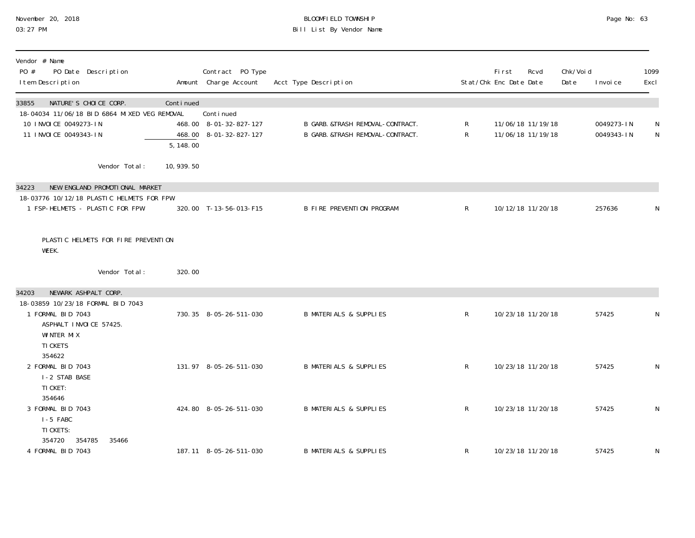# November 20, 2018 BLOOMFIELD TOWNSHIP Page No: 63 03:27 PM Bill List By Vendor Name

| Vendor # Name<br>PO #<br>PO Date Description<br>I tem Description     |                        | Contract PO Type<br>Amount Charge Account | Acct Type Description             |              | First<br>Stat/Chk Enc Date Date | Rcvd              | Chk/Voi d<br>Date | I nvoi ce  | 1099<br>Excl |
|-----------------------------------------------------------------------|------------------------|-------------------------------------------|-----------------------------------|--------------|---------------------------------|-------------------|-------------------|------------|--------------|
| NATURE'S CHOICE CORP.<br>33855                                        | Continued              |                                           |                                   |              |                                 |                   |                   |            |              |
| 18-04034 11/06/18 BID 6864 MIXED VEG REMOVAL<br>10 INVOICE 0049273-IN |                        | Continued<br>468.00 8-01-32-827-127       | B GARB. &TRASH REMOVAL-CONTRACT.  | R            |                                 | 11/06/18 11/19/18 |                   | 0049273-IN | N            |
| 11 INVOICE 0049343-IN                                                 |                        | 468.00 8-01-32-827-127                    | B GARB. &TRASH REMOVAL-CONTRACT.  | $\mathsf{R}$ |                                 | 11/06/18 11/19/18 |                   | 0049343-IN | N            |
|                                                                       | $\overline{5, 148.00}$ |                                           |                                   |              |                                 |                   |                   |            |              |
| Vendor Total:                                                         | 10, 939.50             |                                           |                                   |              |                                 |                   |                   |            |              |
| NEW ENGLAND PROMOTIONAL MARKET<br>34223                               |                        |                                           |                                   |              |                                 |                   |                   |            |              |
| 18-03776 10/12/18 PLASTIC HELMETS FOR FPW                             |                        |                                           |                                   |              |                                 |                   |                   |            |              |
| 1 FSP-HELMETS - PLASTIC FOR FPW                                       |                        | 320.00 T-13-56-013-F15                    | <b>B FIRE PREVENTION PROGRAM</b>  | $\mathsf{R}$ |                                 | 10/12/18 11/20/18 |                   | 257636     | ${\sf N}$    |
| PLASTIC HELMETS FOR FIRE PREVENTION<br>WEEK.                          |                        |                                           |                                   |              |                                 |                   |                   |            |              |
| Vendor Total:                                                         | 320.00                 |                                           |                                   |              |                                 |                   |                   |            |              |
| 34203<br>NEWARK ASHPALT CORP.                                         |                        |                                           |                                   |              |                                 |                   |                   |            |              |
| 18-03859 10/23/18 FORMAL BID 7043                                     |                        |                                           |                                   |              |                                 |                   |                   |            |              |
| 1 FORMAL BID 7043<br>ASPHALT INVOICE 57425.                           |                        | 730.35 8-05-26-511-030                    | <b>B MATERIALS &amp; SUPPLIES</b> | $\mathsf{R}$ |                                 | 10/23/18 11/20/18 |                   | 57425      | N            |
| WINTER MIX                                                            |                        |                                           |                                   |              |                                 |                   |                   |            |              |
| TI CKETS                                                              |                        |                                           |                                   |              |                                 |                   |                   |            |              |
| 354622                                                                |                        |                                           |                                   |              |                                 |                   |                   |            |              |
| 2 FORMAL BID 7043<br>I-2 STAB BASE                                    |                        | 131.97 8-05-26-511-030                    | <b>B MATERIALS &amp; SUPPLIES</b> | $\mathsf{R}$ |                                 | 10/23/18 11/20/18 |                   | 57425      | N            |
| TI CKET:                                                              |                        |                                           |                                   |              |                                 |                   |                   |            |              |
| 354646                                                                |                        |                                           |                                   |              |                                 |                   |                   |            |              |
| 3 FORMAL BID 7043                                                     |                        | 424.80 8-05-26-511-030                    | <b>B MATERIALS &amp; SUPPLIES</b> | $\mathsf{R}$ |                                 | 10/23/18 11/20/18 |                   | 57425      | N            |
| I-5 FABC<br>TI CKETS:                                                 |                        |                                           |                                   |              |                                 |                   |                   |            |              |
| 354785<br>35466<br>354720                                             |                        |                                           |                                   |              |                                 |                   |                   |            |              |
| 4 FORMAL BID 7043                                                     |                        | 187.11 8-05-26-511-030                    | <b>B MATERIALS &amp; SUPPLIES</b> | $\mathsf R$  |                                 | 10/23/18 11/20/18 |                   | 57425      | N            |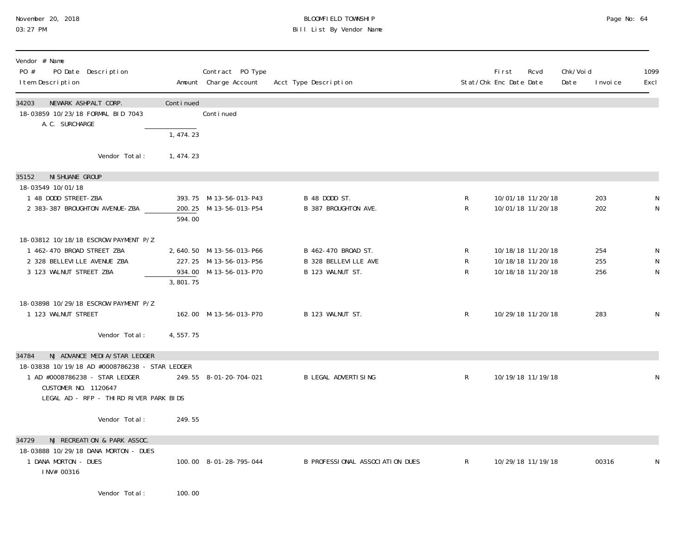### November 20, 2018 BLOOMFIELD TOWNSHIP Page No: 64 03:27 PM Bill List By Vendor Name

| Vendor # Name<br>PO #<br>PO Date Description<br>I tem Description                     |            | Contract PO Type<br>Amount Charge Account | Acct Type Description           |              | <b>First</b><br>Rcvd<br>Stat/Chk Enc Date Date | Chk/Void<br>Date | I nvoi ce | 1099<br>Excl |
|---------------------------------------------------------------------------------------|------------|-------------------------------------------|---------------------------------|--------------|------------------------------------------------|------------------|-----------|--------------|
| NEWARK ASHPALT CORP.<br>34203<br>18-03859 10/23/18 FORMAL BID 7043<br>A. C. SURCHARGE | Continued  | Conti nued                                |                                 |              |                                                |                  |           |              |
|                                                                                       | 1,474.23   |                                           |                                 |              |                                                |                  |           |              |
| Vendor Total:                                                                         | 1, 474. 23 |                                           |                                 |              |                                                |                  |           |              |
| NI SHUANE GROUP<br>35152                                                              |            |                                           |                                 |              |                                                |                  |           |              |
| 18-03549 10/01/18<br>1 48 DODD STREET-ZBA                                             |            | 393.75 M-13-56-013-P43                    | B 48 DODD ST.                   | R            | 10/01/18 11/20/18                              |                  | 203       |              |
| 2 383-387 BROUGHTON AVENUE-ZBA                                                        |            | 200.25 M-13-56-013-P54                    | B 387 BROUGHTON AVE.            | R            | 10/01/18 11/20/18                              |                  | 202       | N            |
|                                                                                       | 594.00     |                                           |                                 |              |                                                |                  |           |              |
| 18-03812 10/18/18 ESCROW PAYMENT P/Z                                                  |            |                                           |                                 |              |                                                |                  |           |              |
| 1 462-470 BROAD STREET ZBA                                                            |            | 2,640.50 M-13-56-013-P66                  | B 462-470 BROAD ST.             | R            | 10/18/18 11/20/18                              |                  | 254       | N            |
| 2 328 BELLEVILLE AVENUE ZBA                                                           |            | 227.25 M-13-56-013-P56                    | B 328 BELLEVILLE AVE            | R            | 10/18/18 11/20/18                              |                  | 255       | N            |
| 3 123 WALNUT STREET ZBA                                                               |            | 934.00 M-13-56-013-P70                    | B 123 WALNUT ST.                | R            | 10/18/18 11/20/18                              |                  | 256       | N            |
|                                                                                       | 3,801.75   |                                           |                                 |              |                                                |                  |           |              |
| 18-03898 10/29/18 ESCROW PAYMENT P/Z                                                  |            |                                           |                                 |              |                                                |                  |           |              |
| 1 123 WALNUT STREET                                                                   |            | 162.00 M-13-56-013-P70                    | B 123 WALNUT ST.                | $\mathsf{R}$ | 10/29/18 11/20/18                              |                  | 283       | N            |
|                                                                                       |            |                                           |                                 |              |                                                |                  |           |              |
| Vendor Total:                                                                         | 4,557.75   |                                           |                                 |              |                                                |                  |           |              |
| NJ ADVANCE MEDIA/STAR LEDGER<br>34784                                                 |            |                                           |                                 |              |                                                |                  |           |              |
| 18-03838 10/19/18 AD #0008786238 - STAR LEDGER                                        |            |                                           |                                 |              |                                                |                  |           |              |
| 1 AD #0008786238 - STAR LEDGER<br>CUSTOMER NO. 1120647                                |            | 249.55 8-01-20-704-021                    | <b>B LEGAL ADVERTISING</b>      | $\mathsf{R}$ | 10/19/18 11/19/18                              |                  |           | N            |
| LEGAL AD - RFP - THIRD RIVER PARK BIDS                                                |            |                                           |                                 |              |                                                |                  |           |              |
|                                                                                       |            |                                           |                                 |              |                                                |                  |           |              |
| Vendor Total:                                                                         | 249.55     |                                           |                                 |              |                                                |                  |           |              |
| NJ RECREATION & PARK ASSOC.<br>34729                                                  |            |                                           |                                 |              |                                                |                  |           |              |
| 18-03888 10/29/18 DANA MORTON - DUES                                                  |            |                                           |                                 |              |                                                |                  |           |              |
| 1 DANA MORTON - DUES                                                                  |            | 100.00 8-01-28-795-044                    | B PROFESSIONAL ASSOCIATION DUES | $\mathsf{R}$ | 10/29/18 11/19/18                              |                  | 00316     | N            |
| INV# 00316                                                                            |            |                                           |                                 |              |                                                |                  |           |              |
|                                                                                       |            |                                           |                                 |              |                                                |                  |           |              |

Vendor Total: 100.00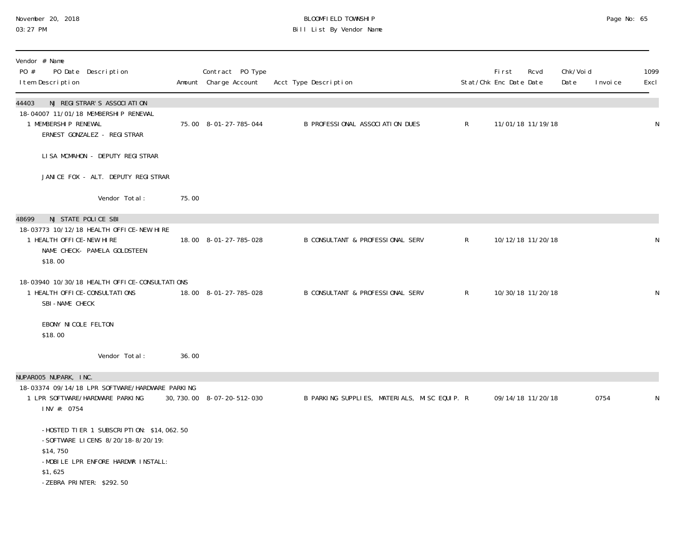#### November 20, 2018 BLOOMFIELD TOWNSHIP Page No: 65 03:27 PM Bill List By Vendor Name

| Vendor # Name<br>PO #<br>PO Date Description<br>I tem Description                                                                                                      |       | Contract PO Type<br>Amount Charge Account | Acct Type Description                        |              | <b>First</b><br>Stat/Chk Enc Date Date | Rcvd              | Chk/Void<br>Date | I nvoi ce | 1099<br>Excl |
|------------------------------------------------------------------------------------------------------------------------------------------------------------------------|-------|-------------------------------------------|----------------------------------------------|--------------|----------------------------------------|-------------------|------------------|-----------|--------------|
| NJ REGISTRAR'S ASSOCIATION<br>44403<br>18-04007 11/01/18 MEMBERSHIP RENEWAL<br>1 MEMBERSHIP RENEWAL<br>ERNEST GONZALEZ - REGI STRAR                                    |       | 75.00 8-01-27-785-044                     | B PROFESSIONAL ASSOCIATION DUES              | $\mathsf{R}$ |                                        | 11/01/18 11/19/18 |                  |           | N            |
| LISA MCMAHON - DEPUTY REGISTRAR                                                                                                                                        |       |                                           |                                              |              |                                        |                   |                  |           |              |
| JANICE FOX - ALT. DEPUTY REGISTRAR                                                                                                                                     |       |                                           |                                              |              |                                        |                   |                  |           |              |
| Vendor Total:                                                                                                                                                          | 75.00 |                                           |                                              |              |                                        |                   |                  |           |              |
| NJ STATE POLICE SBI<br>48699                                                                                                                                           |       |                                           |                                              |              |                                        |                   |                  |           |              |
| 18-03773 10/12/18 HEALTH OFFICE-NEW HIRE<br>1 HEALTH OFFICE-NEW HIRE<br>NAME CHECK- PAMELA GOLDSTEEN<br>\$18.00                                                        |       | 18.00 8-01-27-785-028                     | B CONSULTANT & PROFESSIONAL SERV             | $\mathsf{R}$ |                                        | 10/12/18 11/20/18 |                  |           | N            |
| 18-03940 10/30/18 HEALTH OFFICE-CONSULTATIONS<br>1 HEALTH OFFICE-CONSULTATIONS<br>SBI-NAME CHECK                                                                       |       | 18.00 8-01-27-785-028                     | B CONSULTANT & PROFESSIONAL SERV             | $\mathsf{R}$ |                                        | 10/30/18 11/20/18 |                  |           | N            |
| EBONY NICOLE FELTON<br>\$18.00                                                                                                                                         |       |                                           |                                              |              |                                        |                   |                  |           |              |
| Vendor Total:                                                                                                                                                          | 36.00 |                                           |                                              |              |                                        |                   |                  |           |              |
| NUPAROO5 NUPARK, INC.                                                                                                                                                  |       |                                           |                                              |              |                                        |                   |                  |           |              |
| 18-03374 09/14/18 LPR SOFTWARE/HARDWARE PARKING<br>1 LPR SOFTWARE/HARDWARE PARKING<br>INV #: 0754                                                                      |       | 30, 730. 00 8-07-20-512-030               | B PARKING SUPPLIES, MATERIALS, MISC EQUIP. R |              |                                        | 09/14/18 11/20/18 |                  | 0754      | N            |
| -HOSTED TIER 1 SUBSCRIPTION: \$14,062.50<br>-SOFTWARE LICENS 8/20/18-8/20/19:<br>\$14,750<br>-MOBILE LPR ENFORE HARDWR INSTALL:<br>\$1,625<br>-ZEBRA PRINTER: \$292.50 |       |                                           |                                              |              |                                        |                   |                  |           |              |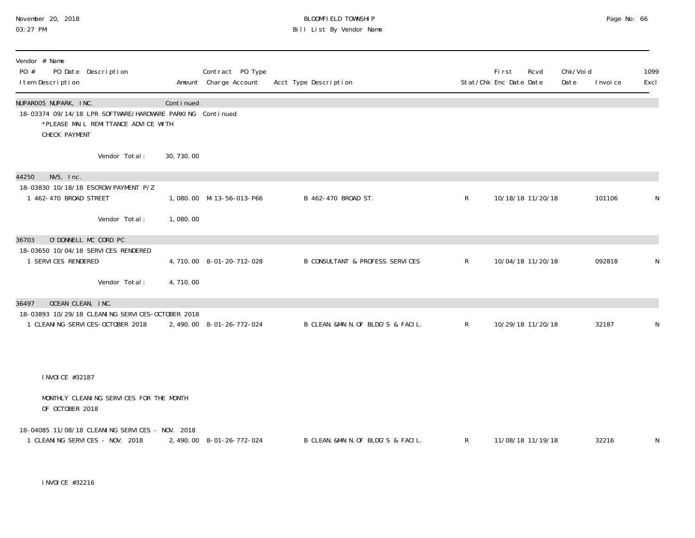### November 20, 2018 BLOOMFIELD TOWNSHIP Page No: 66 03:27 PM Bill List By Vendor Name

| Vendor # Name<br>PO #<br>PO Date Description<br>I tem Description                                                                          |            | Contract PO Type<br>Amount Charge Account | Acct Type Description              |                | <b>First</b><br>Stat/Chk Enc Date Date | Rcvd              | Chk/Void<br>Date | I nvoi ce | 1099<br>Excl |
|--------------------------------------------------------------------------------------------------------------------------------------------|------------|-------------------------------------------|------------------------------------|----------------|----------------------------------------|-------------------|------------------|-----------|--------------|
| NUPAROO5 NUPARK, INC.<br>18-03374 09/14/18 LPR SOFTWARE/HARDWARE PARKING Continued<br>*PLEASE MAIL REMITTANCE ADVICE WITH<br>CHECK PAYMENT | Continued  |                                           |                                    |                |                                        |                   |                  |           |              |
| Vendor Total:                                                                                                                              | 30, 730.00 |                                           |                                    |                |                                        |                   |                  |           |              |
| $NV5$ , $Inc.$<br>44250                                                                                                                    |            |                                           |                                    |                |                                        |                   |                  |           |              |
| 18-03830 10/18/18 ESCROW PAYMENT P/Z<br>1 462-470 BROAD STREET                                                                             |            | 1,080.00 M-13-56-013-P66                  | B 462-470 BROAD ST.                | $\mathsf{R}^-$ |                                        | 10/18/18 11/20/18 |                  | 101106    | N            |
| Vendor Total:                                                                                                                              | 1,080.00   |                                           |                                    |                |                                        |                   |                  |           |              |
| O'DONNELL MC CORD PC<br>36703                                                                                                              |            |                                           |                                    |                |                                        |                   |                  |           |              |
| 18-03650 10/04/18 SERVICES RENDERED<br>1 SERVICES RENDERED                                                                                 |            | 4, 710.00 8-01-20-712-028                 | B CONSULTANT & PROFESS. SERVICES   | $\mathsf{R}$   |                                        | 10/04/18 11/20/18 |                  | 092818    | N            |
| Vendor Total:                                                                                                                              | 4,710.00   |                                           |                                    |                |                                        |                   |                  |           |              |
| OCEAN CLEAN, INC.<br>36497                                                                                                                 |            |                                           |                                    |                |                                        |                   |                  |           |              |
| 18-03893 10/29/18 CLEANING SERVICES-OCTOBER 2018<br>1 CLEANING SERVICES-OCTOBER 2018                                                       |            | 2, 490.00 8-01-26-772-024                 | B CLEAN. &MAIN. OF BLDG'S & FACIL. | $\mathsf{R}$   |                                        | 10/29/18 11/20/18 |                  | 32187     | N            |
|                                                                                                                                            |            |                                           |                                    |                |                                        |                   |                  |           |              |
| I NVOI CE #32187                                                                                                                           |            |                                           |                                    |                |                                        |                   |                  |           |              |
| MONTHLY CLEANING SERVICES FOR THE MONTH<br>OF OCTOBER 2018                                                                                 |            |                                           |                                    |                |                                        |                   |                  |           |              |
| 18-04085 11/08/18 CLEANING SERVICES - NOV. 2018<br>1 CLEANING SERVICES - NOV. 2018                                                         |            | 2, 490.00 8-01-26-772-024                 | B CLEAN. &MAIN. OF BLDG'S & FACIL. | $\mathsf{R}$   |                                        | 11/08/18 11/19/18 |                  | 32216     | N            |

INVOICE #32216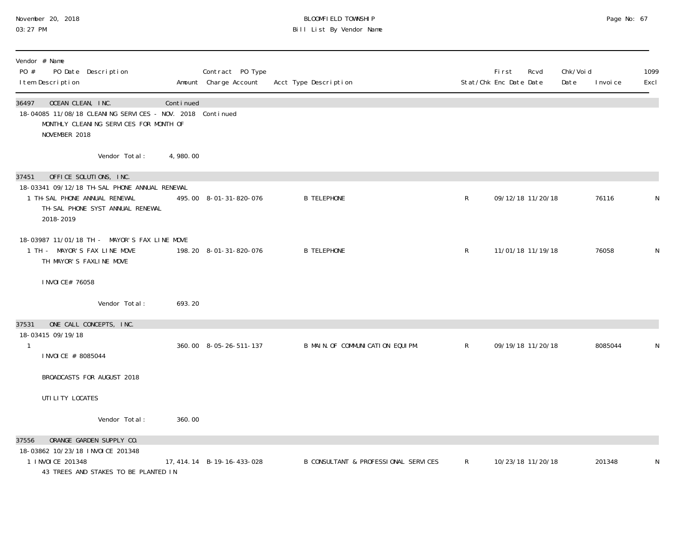#### November 20, 2018 BLOOMFIELD TOWNSHIP Page No: 67 03:27 PM Bill List By Vendor Name

| Vendor # Name<br>PO #<br>PO Date Description<br>I tem Description                                                                                                  |           | Contract PO Type<br>Amount Charge Account | Acct Type Description                |              | Fi rst<br>Stat/Chk Enc Date Date | Rcvd | Chk/Voi d<br>Date | I nvoi ce | 1099<br>Excl |
|--------------------------------------------------------------------------------------------------------------------------------------------------------------------|-----------|-------------------------------------------|--------------------------------------|--------------|----------------------------------|------|-------------------|-----------|--------------|
| 36497<br>OCEAN CLEAN, INC.<br>18-04085 11/08/18 CLEANING SERVICES - NOV. 2018 Continued<br>MONTHLY CLEANING SERVICES FOR MONTH OF<br>NOVEMBER 2018                 | Continued |                                           |                                      |              |                                  |      |                   |           |              |
| Vendor Total:                                                                                                                                                      | 4,980.00  |                                           |                                      |              |                                  |      |                   |           |              |
| OFFICE SOLUTIONS, INC.<br>37451<br>18-03341 09/12/18 TH-SAL PHONE ANNUAL RENEWAL<br>1 TH-SAL PHONE ANNUAL RENEWAL<br>TH-SAL PHONE SYST ANNUAL RENEWAL<br>2018-2019 |           | 495.00 8-01-31-820-076                    | <b>B TELEPHONE</b>                   | R            | 09/12/18 11/20/18                |      |                   | 76116     |              |
| 18-03987 11/01/18 TH - MAYOR'S FAX LINE MOVE<br>1 TH - MAYOR'S FAX LINE MOVE<br>TH MAYOR'S FAXLINE MOVE                                                            |           | 198.20 8-01-31-820-076                    | <b>B TELEPHONE</b>                   | R            | 11/01/18 11/19/18                |      |                   | 76058     | N            |
| I NVOI CE# 76058                                                                                                                                                   |           |                                           |                                      |              |                                  |      |                   |           |              |
| Vendor Total:                                                                                                                                                      | 693.20    |                                           |                                      |              |                                  |      |                   |           |              |
| ONE CALL CONCEPTS, INC.<br>37531<br>18-03415 09/19/18<br>$\mathbf{1}$<br>I NVOI CE # 8085044                                                                       |           | 360.00 8-05-26-511-137                    | B MAIN. OF COMMUNICATION EQUIPM.     | $\mathsf{R}$ | 09/19/18 11/20/18                |      |                   | 8085044   |              |
| BROADCASTS FOR AUGUST 2018                                                                                                                                         |           |                                           |                                      |              |                                  |      |                   |           |              |
| UTI LI TY LOCATES                                                                                                                                                  |           |                                           |                                      |              |                                  |      |                   |           |              |
| Vendor Total:                                                                                                                                                      | 360.00    |                                           |                                      |              |                                  |      |                   |           |              |
| ORANGE GARDEN SUPPLY CO.<br>37556<br>18-03862 10/23/18 INVOICE 201348<br>1 I NVOI CE 201348<br>43 TREES AND STAKES TO BE PLANTED IN                                |           | 17, 414. 14 B-19-16-433-028               | B CONSULTANT & PROFESSIONAL SERVICES | R            | 10/23/18 11/20/18                |      |                   | 201348    |              |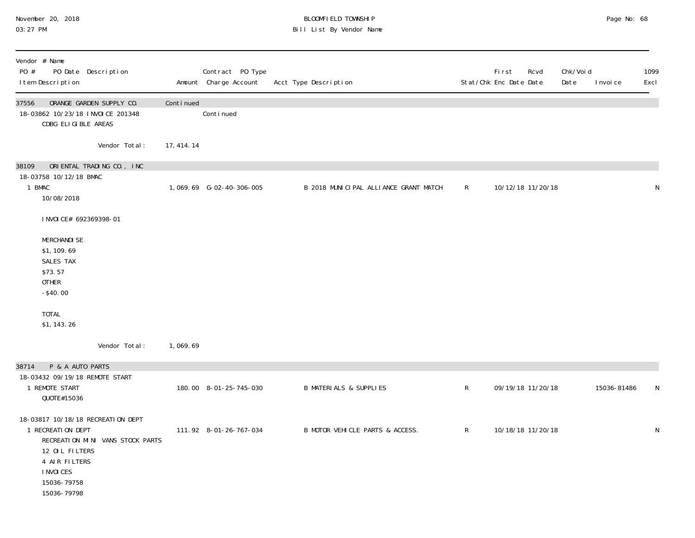### November 20, 2018 BLOOMFIELD TOWNSHIP Page No: 68 03:27 PM Bill List By Vendor Name

| Vendor # Name<br>PO #<br>PO Date Description<br>I tem Description                                                                                                         |             | Contract PO Type<br>Amount Charge Account | Acct Type Description                 |              | First<br>Rcvd<br>Stat/Chk Enc Date Date | Chk/Voi d<br>Date | I nvoi ce   | 1099<br>Excl |
|---------------------------------------------------------------------------------------------------------------------------------------------------------------------------|-------------|-------------------------------------------|---------------------------------------|--------------|-----------------------------------------|-------------------|-------------|--------------|
| ORANGE GARDEN SUPPLY CO.<br>37556<br>18-03862 10/23/18 INVOICE 201348<br>CDBG ELIGIBLE AREAS                                                                              | Continued   | Continued                                 |                                       |              |                                         |                   |             |              |
| Vendor Total:                                                                                                                                                             | 17, 414. 14 |                                           |                                       |              |                                         |                   |             |              |
| 38109<br>ORIENTAL TRADING CO., INC<br>18-03758 10/12/18 BMAC<br>1 BMAC<br>10/08/2018                                                                                      |             | 1,069.69 G-02-40-306-005                  | B 2018 MUNICIPAL ALLIANCE GRANT MATCH | $\mathsf{R}$ | 10/12/18 11/20/18                       |                   |             | $\mathsf N$  |
| I NVOI CE# 692369398-01                                                                                                                                                   |             |                                           |                                       |              |                                         |                   |             |              |
| <b>MERCHANDI SE</b><br>\$1, 109.69<br>SALES TAX<br>\$73.57<br><b>OTHER</b><br>$-$40.00$<br><b>TOTAL</b>                                                                   |             |                                           |                                       |              |                                         |                   |             |              |
| \$1, 143. 26                                                                                                                                                              |             |                                           |                                       |              |                                         |                   |             |              |
| Vendor Total:                                                                                                                                                             | 1,069.69    |                                           |                                       |              |                                         |                   |             |              |
| P & A AUTO PARTS<br>38714                                                                                                                                                 |             |                                           |                                       |              |                                         |                   |             |              |
| 18-03432 09/19/18 REMOTE START<br>1 REMOTE START<br>QUOTE#15036                                                                                                           |             | 180.00 8-01-25-745-030                    | <b>B MATERIALS &amp; SUPPLIES</b>     | $\mathsf R$  | 09/19/18 11/20/18                       |                   | 15036-81486 | N            |
| 18-03817 10/18/18 RECREATION DEPT<br>1 RECREATION DEPT<br>RECREATION MINI VANS STOCK PARTS<br>12 OIL FILTERS<br>4 AIR FILTERS<br>I NVOI CES<br>15036-79758<br>15036-79798 |             | 111.92 8-01-26-767-034                    | B MOTOR VEHICLE PARTS & ACCESS.       | $\mathsf{R}$ | 10/18/18 11/20/18                       |                   |             | ${\sf N}$    |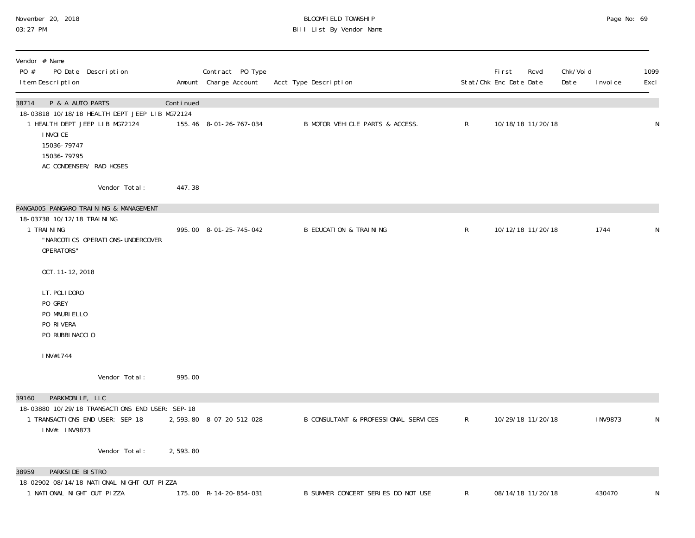# November 20, 2018 BLOOMFIELD TOWNSHIP Page No: 69 03:27 PM Bill List By Vendor Name

| Vendor # Name<br>PO #<br>PO Date Description<br>I tem Description                                    |           | Contract PO Type<br>Amount Charge Account | Acct Type Description                |              | First<br>Stat/Chk Enc Date Date | Rcvd              | Chk/Voi d<br>Date | I nvoi ce | 1099<br>Excl |
|------------------------------------------------------------------------------------------------------|-----------|-------------------------------------------|--------------------------------------|--------------|---------------------------------|-------------------|-------------------|-----------|--------------|
| 38714<br>P & A AUTO PARTS<br>18-03818 10/18/18 HEALTH DEPT JEEP LIB MG72124                          | Continued |                                           |                                      |              |                                 |                   |                   |           |              |
| 1 HEALTH DEPT JEEP LIB MG72124<br>I NVOI CE<br>15036-79747<br>15036-79795<br>AC CONDENSER/ RAD HOSES |           | 155.46 8-01-26-767-034                    | B MOTOR VEHICLE PARTS & ACCESS.      | ${\sf R}$    |                                 | 10/18/18 11/20/18 |                   |           | N            |
| Vendor Total:                                                                                        | 447.38    |                                           |                                      |              |                                 |                   |                   |           |              |
| PANGAOO5 PANGARO TRAINING & MANAGEMENT                                                               |           |                                           |                                      |              |                                 |                   |                   |           |              |
| 18-03738 10/12/18 TRAINING<br>1 TRAINING<br>"NARCOTICS OPERATIONS-UNDERCOVER<br>OPERATORS"           |           | 995.00 8-01-25-745-042                    | <b>B EDUCATION &amp; TRAINING</b>    | $\mathsf{R}$ |                                 | 10/12/18 11/20/18 |                   | 1744      | N            |
| OCT. 11-12, 2018                                                                                     |           |                                           |                                      |              |                                 |                   |                   |           |              |
| LT. POLI DORO<br>PO GREY<br>PO MAURI ELLO<br>PO RIVERA<br>PO RUBBI NACCIO                            |           |                                           |                                      |              |                                 |                   |                   |           |              |
| INV#1744                                                                                             |           |                                           |                                      |              |                                 |                   |                   |           |              |
| Vendor Total:                                                                                        | 995.00    |                                           |                                      |              |                                 |                   |                   |           |              |
| PARKMOBILE, LLC<br>39160                                                                             |           |                                           |                                      |              |                                 |                   |                   |           |              |
| 18-03880 10/29/18 TRANSACTIONS END USER: SEP-18<br>1 TRANSACTIONS END USER: SEP-18<br>INV#: INV9873  |           | 2,593.80 8-07-20-512-028                  | B CONSULTANT & PROFESSIONAL SERVICES | $\mathsf{R}$ |                                 | 10/29/18 11/20/18 |                   | I NV9873  | N            |
| Vendor Total:                                                                                        | 2,593.80  |                                           |                                      |              |                                 |                   |                   |           |              |
| PARKSIDE BISTRO<br>38959                                                                             |           |                                           |                                      |              |                                 |                   |                   |           |              |
| 18-02902 08/14/18 NATIONAL NIGHT OUT PIZZA<br>1 NATIONAL NIGHT OUT PIZZA                             |           | 175.00 R-14-20-854-031                    | B SUMMER CONCERT SERIES DO NOT USE   | $\mathsf{R}$ | 08/14/18 11/20/18               |                   |                   | 430470    | N            |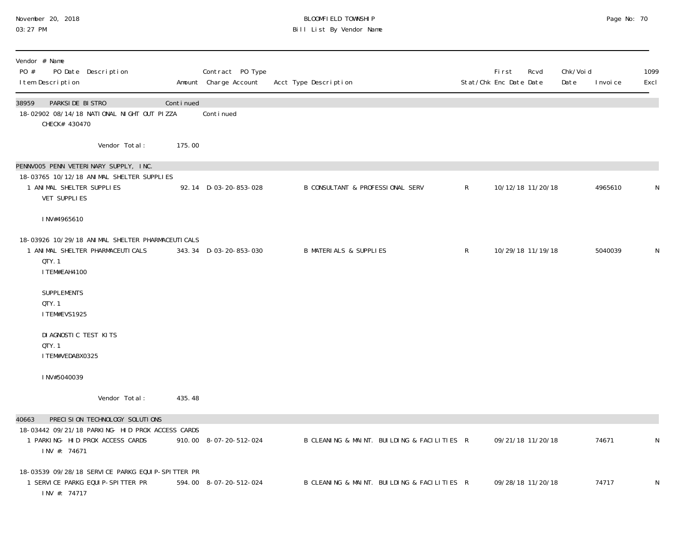### November 20, 2018 BLOOMFIELD TOWNSHIP Page No: 70 03:27 PM Bill List By Vendor Name

| Vendor # Name<br>PO #<br>PO Date Description<br>I tem Description                                                                               |           | Contract PO Type<br>Amount Charge Account | Acct Type Description                       |              | First<br>Stat/Chk Enc Date Date | Rcvd              | Chk/Voi d<br>Date | I nvoi ce | 1099<br>Excl |
|-------------------------------------------------------------------------------------------------------------------------------------------------|-----------|-------------------------------------------|---------------------------------------------|--------------|---------------------------------|-------------------|-------------------|-----------|--------------|
| PARKSIDE BISTRO<br>38959<br>18-02902 08/14/18 NATIONAL NIGHT OUT PIZZA<br>CHECK# 430470                                                         | Continued | Continued                                 |                                             |              |                                 |                   |                   |           |              |
| Vendor Total:                                                                                                                                   | 175.00    |                                           |                                             |              |                                 |                   |                   |           |              |
| PENNVOO5 PENN VETERINARY SUPPLY, INC.<br>18-03765 10/12/18 ANIMAL SHELTER SUPPLIES<br>1 ANIMAL SHELTER SUPPLIES<br>VET SUPPLIES                 |           | 92.14 D-03-20-853-028                     | <b>B CONSULTANT &amp; PROFESSIONAL SERV</b> | $\mathsf{R}$ |                                 | 10/12/18 11/20/18 |                   | 4965610   | N            |
| INV#4965610                                                                                                                                     |           |                                           |                                             |              |                                 |                   |                   |           |              |
| 18-03926 10/29/18 ANIMAL SHELTER PHARMACEUTICALS<br>1 ANIMAL SHELTER PHARMACEUTICALS<br>QTY. 1<br>I TEM#EAH4100                                 |           | 343.34 D-03-20-853-030                    | <b>B MATERIALS &amp; SUPPLIES</b>           | R            |                                 | 10/29/18 11/19/18 |                   | 5040039   | N            |
| <b>SUPPLEMENTS</b><br>QTY. 1<br>ITEM#EVS1925                                                                                                    |           |                                           |                                             |              |                                 |                   |                   |           |              |
| DI AGNOSTIC TEST KITS<br>QTY. 1<br>I TEM#VEDABX0325                                                                                             |           |                                           |                                             |              |                                 |                   |                   |           |              |
| INV#5040039                                                                                                                                     |           |                                           |                                             |              |                                 |                   |                   |           |              |
| Vendor Total:                                                                                                                                   | 435.48    |                                           |                                             |              |                                 |                   |                   |           |              |
| PRECISION TECHNOLOGY SOLUTIONS<br>40663<br>18-03442 09/21/18 PARKING- HID PROX ACCESS CARDS<br>1 PARKING- HID PROX ACCESS CARDS<br>INV #: 74671 |           | 910.00 8-07-20-512-024                    | B CLEANING & MAINT. BUILDING & FACILITIES R |              |                                 | 09/21/18 11/20/18 |                   | 74671     | N            |
| 18-03539 09/28/18 SERVICE PARKG EQUIP-SPITTER PR<br>1 SERVICE PARKG EQUIP-SPITTER PR<br>INV #: 74717                                            |           | 594.00 8-07-20-512-024                    | B CLEANING & MAINT. BUILDING & FACILITIES R |              |                                 | 09/28/18 11/20/18 |                   | 74717     | N            |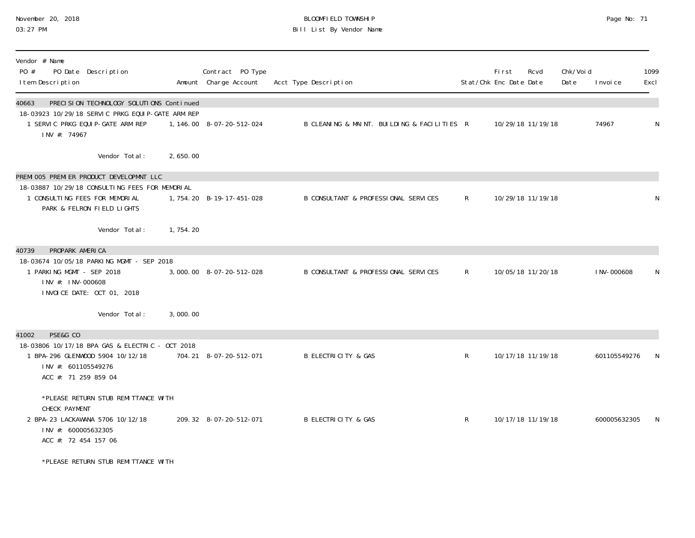### November 20, 2018 BLOOMFIELD TOWNSHIP Page No: 71 03:27 PM Bill List By Vendor Name

| Vendor # Name<br>PO #<br>PO Date Description<br>I tem Description                                                                                           |            | Contract PO Type<br>Amount Charge Account | Acct Type Description                       |              | <b>First</b><br>Stat/Chk Enc Date Date | Rcvd              | Chk/Voi d<br>Date | I nvoi ce    | 1099<br>Excl |
|-------------------------------------------------------------------------------------------------------------------------------------------------------------|------------|-------------------------------------------|---------------------------------------------|--------------|----------------------------------------|-------------------|-------------------|--------------|--------------|
| PRECISION TECHNOLOGY SOLUTIONS Continued<br>40663<br>18-03923 10/29/18 SERVIC PRKG EQUIP-GATE ARM REP<br>1 SERVIC PRKG EQUIP-GATE ARM REP<br>INV #: 74967   |            | 1, 146.00 8-07-20-512-024                 | B CLEANING & MAINT. BUILDING & FACILITIES R |              |                                        | 10/29/18 11/19/18 |                   | 74967        | N            |
| Vendor Total:                                                                                                                                               | 2,650.00   |                                           |                                             |              |                                        |                   |                   |              |              |
| PREMI 005 PREMI ER PRODUCT DEVELOPMNT LLC<br>18-03887 10/29/18 CONSULTING FEES FOR MEMORIAL<br>1 CONSULTING FEES FOR MEMORIAL<br>PARK & FELRON FIELD LIGHTS |            | 1, 754. 20 B-19-17-451-028                | B CONSULTANT & PROFESSIONAL SERVICES        | $\mathsf{R}$ |                                        | 10/29/18 11/19/18 |                   |              | N            |
| Vendor Total:                                                                                                                                               | 1, 754. 20 |                                           |                                             |              |                                        |                   |                   |              |              |
| PROPARK AMERICA<br>40739<br>18-03674 10/05/18 PARKING MGMT - SEP 2018<br>1 PARKING MGMT - SEP 2018<br>INV #: INV-000608<br>INVOICE DATE: OCT 01, 2018       |            | 3,000.00 8-07-20-512-028                  | B CONSULTANT & PROFESSIONAL SERVICES        | $\mathsf{R}$ |                                        | 10/05/18 11/20/18 |                   | I NV-000608  | N            |
| Vendor Total:                                                                                                                                               | 3,000.00   |                                           |                                             |              |                                        |                   |                   |              |              |
| PSE&G CO<br>41002<br>18-03806 10/17/18 BPA GAS & ELECTRIC - OCT 2018<br>1 BPA-296 GLENWOOD 5904 10/12/18<br>INV #: 601105549276<br>ACC #: 71 259 859 04     |            | 704.21 8-07-20-512-071                    | <b>B ELECTRICITY &amp; GAS</b>              | $\mathsf{R}$ |                                        | 10/17/18 11/19/18 |                   | 601105549276 | N            |
| *PLEASE RETURN STUB REMITTANCE WITH<br>CHECK PAYMENT<br>2 BPA-23 LACKAWANA 5706 10/12/18<br>INV #: 600005632305<br>ACC #: 72 454 157 06                     |            | 209.32 8-07-20-512-071                    | <b>B ELECTRICITY &amp; GAS</b>              | $\mathsf{R}$ |                                        | 10/17/18 11/19/18 |                   | 600005632305 | N            |
| *PLEASE RETURN STUB REMITTANCE WITH                                                                                                                         |            |                                           |                                             |              |                                        |                   |                   |              |              |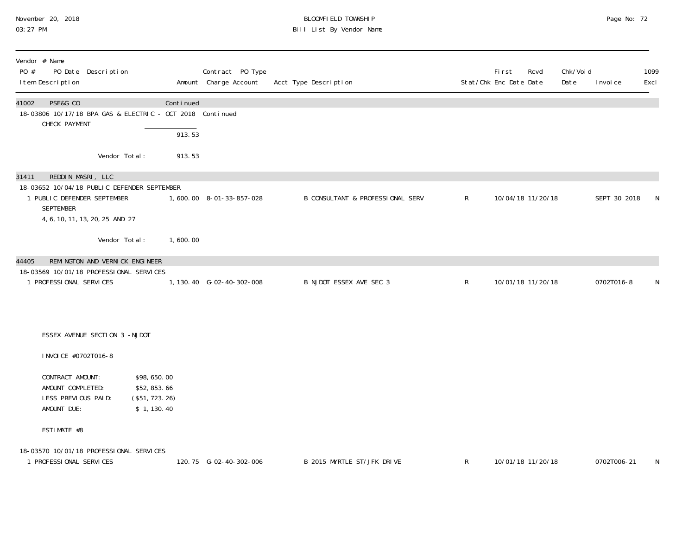### November 20, 2018 BLOOMFIELD TOWNSHIP Page No: 72 03:27 PM Bill List By Vendor Name

| Vendor # Name<br>PO #<br>PO Date Description<br>I tem Description                                                                                               |                                                              | Contract PO Type<br>Amount Charge Account | Acct Type Description            |              | <b>First</b><br>Stat/Chk Enc Date Date | Rcvd              | Chk/Voi d<br>Date | I nvoi ce    | 1099<br>Excl |
|-----------------------------------------------------------------------------------------------------------------------------------------------------------------|--------------------------------------------------------------|-------------------------------------------|----------------------------------|--------------|----------------------------------------|-------------------|-------------------|--------------|--------------|
| 41002<br>PSE&G CO<br>18-03806 10/17/18 BPA GAS & ELECTRIC - OCT 2018 Continued<br>CHECK PAYMENT                                                                 | Continued                                                    |                                           |                                  |              |                                        |                   |                   |              |              |
|                                                                                                                                                                 | 913.53                                                       |                                           |                                  |              |                                        |                   |                   |              |              |
| Vendor Total:                                                                                                                                                   | 913.53                                                       |                                           |                                  |              |                                        |                   |                   |              |              |
| REDDIN MASRI, LLC<br>31411<br>18-03652 10/04/18 PUBLIC DEFENDER SEPTEMBER<br>1 PUBLIC DEFENDER SEPTEMBER<br><b>SEPTEMBER</b><br>4, 6, 10, 11, 13, 20, 25 AND 27 |                                                              | 1,600.00 8-01-33-857-028                  | B CONSULTANT & PROFESSIONAL SERV | $\mathsf{R}$ |                                        | 10/04/18 11/20/18 |                   | SEPT 30 2018 | N            |
| Vendor Total:                                                                                                                                                   | 1,600.00                                                     |                                           |                                  |              |                                        |                   |                   |              |              |
| REMINGTON AND VERNICK ENGINEER<br>44405                                                                                                                         |                                                              |                                           |                                  |              |                                        |                   |                   |              |              |
| 18-03569 10/01/18 PROFESSIONAL SERVICES<br>1 PROFESSIONAL SERVICES                                                                                              |                                                              | 1, 130.40 G-02-40-302-008                 | B NJDOT ESSEX AVE SEC 3          | $\mathsf{R}$ |                                        | 10/01/18 11/20/18 |                   | 0702T016-8   | N            |
|                                                                                                                                                                 |                                                              |                                           |                                  |              |                                        |                   |                   |              |              |
| ESSEX AVENUE SECTION 3 -NJDOT                                                                                                                                   |                                                              |                                           |                                  |              |                                        |                   |                   |              |              |
| I NVOI CE #0702T016-8                                                                                                                                           |                                                              |                                           |                                  |              |                                        |                   |                   |              |              |
| CONTRACT AMOUNT:<br>AMOUNT COMPLETED:<br>LESS PREVIOUS PAID:<br>AMOUNT DUE:                                                                                     | \$98,650.00<br>\$52,853.66<br>(\$51, 723. 26)<br>\$1, 130.40 |                                           |                                  |              |                                        |                   |                   |              |              |
| ESTIMATE #8                                                                                                                                                     |                                                              |                                           |                                  |              |                                        |                   |                   |              |              |
| 18-03570 10/01/18 PROFESSIONAL SERVICES<br>1 PROFESSIONAL SERVICES                                                                                              |                                                              | 120.75 G-02-40-302-006                    | B 2015 MYRTLE ST/JFK DRIVE       | $\mathsf R$  |                                        | 10/01/18 11/20/18 |                   | 0702T006-21  | N            |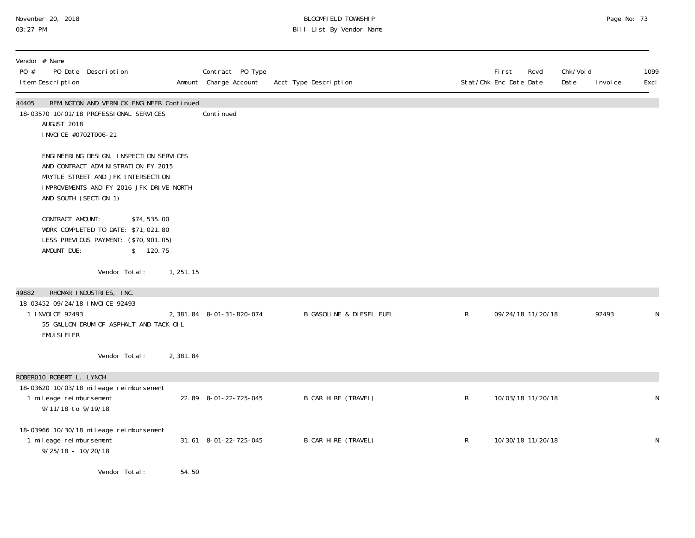# November 20, 2018 BLOOMFIELD TOWNSHIP Page No: 73 03:27 PM Bill List By Vendor Name

| Vendor # Name<br>PO #<br>I tem Description | PO Date Description                                                                                                                                                                       |                          | Contract PO Type<br>Amount Charge Account | Acct Type Description               |              | First<br>Rcvd<br>Stat/Chk Enc Date Date | Chk/Voi d<br>Date<br>I nvoi ce | 1099<br>Excl |
|--------------------------------------------|-------------------------------------------------------------------------------------------------------------------------------------------------------------------------------------------|--------------------------|-------------------------------------------|-------------------------------------|--------------|-----------------------------------------|--------------------------------|--------------|
| 44405<br>AUGUST 2018                       | REMINGTON AND VERNICK ENGINEER Continued<br>18-03570 10/01/18 PROFESSIONAL SERVICES<br>I NVOI CE #0702T006-21                                                                             |                          | Continued                                 |                                     |              |                                         |                                |              |
|                                            | ENGINEERING DESIGN, INSPECTION SERVICES<br>AND CONTRACT ADMINISTRATION FY 2015<br>MRYTLE STREET AND JFK INTERSECTION<br>IMPROVEMENTS AND FY 2016 JFK DRIVE NORTH<br>AND SOUTH (SECTION 1) |                          |                                           |                                     |              |                                         |                                |              |
| CONTRACT AMOUNT:<br>AMOUNT DUE:            | WORK COMPLETED TO DATE: \$71,021.80<br>LESS PREVIOUS PAYMENT: (\$70, 901.05)                                                                                                              | \$74,535.00<br>\$ 120.75 |                                           |                                     |              |                                         |                                |              |
|                                            | Vendor Total:                                                                                                                                                                             | 1, 251. 15               |                                           |                                     |              |                                         |                                |              |
| 49882                                      | RHOMAR INDUSTRIES, INC.                                                                                                                                                                   |                          |                                           |                                     |              |                                         |                                |              |
| 1 INVOICE 92493<br><b>EMULSIFIER</b>       | 18-03452 09/24/18 INVOICE 92493<br>55 GALLON DRUM OF ASPHALT AND TACK OIL                                                                                                                 |                          | 2, 381.84 8-01-31-820-074                 | <b>B GASOLINE &amp; DIESEL FUEL</b> | $\mathsf{R}$ | 09/24/18 11/20/18                       | 92493                          | N            |
|                                            | Vendor Total:                                                                                                                                                                             | 2,381.84                 |                                           |                                     |              |                                         |                                |              |
| ROBERO10 ROBERT L. LYNCH                   |                                                                                                                                                                                           |                          |                                           |                                     |              |                                         |                                |              |
| 1 mileage reimbursement                    | 18-03620 10/03/18 mileage reimbursement<br>9/11/18 to 9/19/18                                                                                                                             |                          | 22.89 8-01-22-725-045                     | B CAR HIRE (TRAVEL)                 | $\mathsf{R}$ | 10/03/18 11/20/18                       |                                | N            |
| 1 mileage reimbursement                    | 18-03966 10/30/18 mileage reimbursement<br>$9/25/18 - 10/20/18$                                                                                                                           |                          | 31.61 8-01-22-725-045                     | B CAR HIRE (TRAVEL)                 | $\mathsf{R}$ | 10/30/18 11/20/18                       |                                | N            |
|                                            | Vendor Total:                                                                                                                                                                             | 54.50                    |                                           |                                     |              |                                         |                                |              |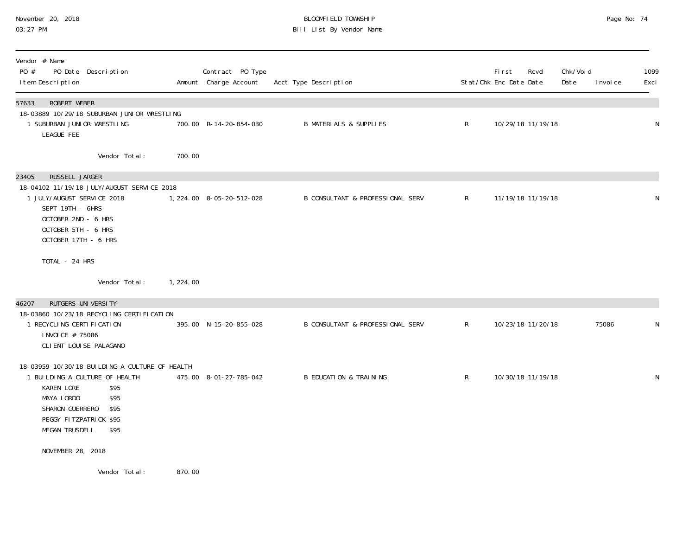# November 20, 2018 BLOOMFIELD TOWNSHIP Page No: 74 03:27 PM Bill List By Vendor Name

| Vendor # Name<br>PO #<br>PO Date Description<br>I tem Description                                                                                                                                                  |          | Contract PO Type<br>Amount Charge Account | Acct Type Description                       |              | <b>First</b><br>Stat/Chk Enc Date Date | Rcvd              | Chk/Void<br>Date | I nvoi ce | 1099<br>Excl |
|--------------------------------------------------------------------------------------------------------------------------------------------------------------------------------------------------------------------|----------|-------------------------------------------|---------------------------------------------|--------------|----------------------------------------|-------------------|------------------|-----------|--------------|
| <b>ROBERT WEBER</b><br>57633<br>18-03889 10/29/18 SUBURBAN JUNIOR WRESTLING<br>1 SUBURBAN JUNIOR WRESTLING<br>LEAGUE FEE                                                                                           |          | 700.00 R-14-20-854-030                    | <b>B MATERIALS &amp; SUPPLIES</b>           | $\mathsf{R}$ |                                        | 10/29/18 11/19/18 |                  |           | N            |
| Vendor Total:                                                                                                                                                                                                      | 700.00   |                                           |                                             |              |                                        |                   |                  |           |              |
| RUSSELL JARGER<br>23405<br>18-04102 11/19/18 JULY/AUGUST SERVICE 2018<br>1 JULY/AUGUST SERVICE 2018<br>SEPT 19TH - 6HRS<br>OCTOBER 2ND - 6 HRS<br>OCTOBER 5TH - 6 HRS<br>OCTOBER 17TH - 6 HRS                      |          | 1, 224.00 8-05-20-512-028                 | <b>B CONSULTANT &amp; PROFESSIONAL SERV</b> | $\mathsf{R}$ |                                        | 11/19/18 11/19/18 |                  |           | ${\sf N}$    |
| TOTAL - 24 HRS                                                                                                                                                                                                     |          |                                           |                                             |              |                                        |                   |                  |           |              |
| Vendor Total:                                                                                                                                                                                                      | 1,224.00 |                                           |                                             |              |                                        |                   |                  |           |              |
| RUTGERS UNIVERSITY<br>46207<br>18-03860 10/23/18 RECYCLING CERTIFICATION<br>1 RECYCLING CERTIFICATION<br>I NVOI CE # 75086<br>CLI ENT LOUI SE PALAGANO                                                             |          | 395.00 N-15-20-855-028                    | B CONSULTANT & PROFESSIONAL SERV            | R            |                                        | 10/23/18 11/20/18 |                  | 75086     | N            |
| 18-03959 10/30/18 BUILDING A CULTURE OF HEALTH<br>1 BUILDING A CULTURE OF HEALTH<br>KAREN LORE<br>\$95<br>MAYA LORDO<br>\$95<br>SHARON GUERRERO<br>\$95<br>PEGGY FITZPATRICK \$95<br><b>MEGAN TRUSDELL</b><br>\$95 |          | 475.00 8-01-27-785-042                    | <b>B EDUCATION &amp; TRAINING</b>           | $\mathsf R$  |                                        | 10/30/18 11/19/18 |                  |           | N            |
| NOVEMBER 28, 2018                                                                                                                                                                                                  |          |                                           |                                             |              |                                        |                   |                  |           |              |
| Vendor Total:                                                                                                                                                                                                      | 870.00   |                                           |                                             |              |                                        |                   |                  |           |              |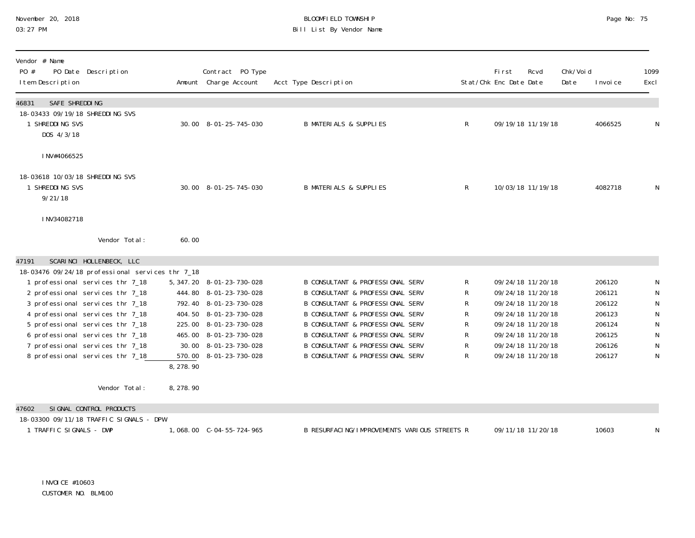# November 20, 2018 **BLOOMFIELD TOWNSHIP** BLOOMFIELD TOWNSHIP BLOOMFIELD TOWNSHIP Page No: 75<br>03:27 PM Bill List By Vendor Name

| Vendor # Name<br>PO #<br>I tem Description                                                                                                                                                                                                                                                           | PO Date Description                                                                           |                                  | Contract PO Type<br>Amount Charge Account                                                                                                                                                                | Acct Type Description                                                                                                                                                                                                                                                                                                                                                     |                                       | <b>First</b><br>Stat/Chk Enc Date Date | Rcvd                                                                                                                                                                 | Chk/Voi d<br>Date | I nvoi ce                                                                    | 1099<br>Excl                                                                         |
|------------------------------------------------------------------------------------------------------------------------------------------------------------------------------------------------------------------------------------------------------------------------------------------------------|-----------------------------------------------------------------------------------------------|----------------------------------|----------------------------------------------------------------------------------------------------------------------------------------------------------------------------------------------------------|---------------------------------------------------------------------------------------------------------------------------------------------------------------------------------------------------------------------------------------------------------------------------------------------------------------------------------------------------------------------------|---------------------------------------|----------------------------------------|----------------------------------------------------------------------------------------------------------------------------------------------------------------------|-------------------|------------------------------------------------------------------------------|--------------------------------------------------------------------------------------|
| SAFE SHREDDING<br>46831<br>18-03433 09/19/18 SHREDDING SVS<br>1 SHREDDING SVS<br>DOS 4/3/18                                                                                                                                                                                                          |                                                                                               |                                  | 30.00 8-01-25-745-030                                                                                                                                                                                    | <b>B MATERIALS &amp; SUPPLIES</b>                                                                                                                                                                                                                                                                                                                                         | $\mathsf{R}$                          |                                        | 09/19/18 11/19/18                                                                                                                                                    |                   | 4066525                                                                      | $\mathsf N$                                                                          |
| INV#4066525<br>18-03618 10/03/18 SHREDDING SVS<br>1 SHREDDING SVS<br>9/21/18<br>INV34082718                                                                                                                                                                                                          |                                                                                               |                                  | 30.00 8-01-25-745-030                                                                                                                                                                                    | <b>B MATERIALS &amp; SUPPLIES</b>                                                                                                                                                                                                                                                                                                                                         | $\mathsf{R}$                          |                                        | 10/03/18 11/19/18                                                                                                                                                    |                   | 4082718                                                                      | N                                                                                    |
|                                                                                                                                                                                                                                                                                                      | Vendor Total:                                                                                 | 60.00                            |                                                                                                                                                                                                          |                                                                                                                                                                                                                                                                                                                                                                           |                                       |                                        |                                                                                                                                                                      |                   |                                                                              |                                                                                      |
| 47191<br>1 professional services thr 7_18<br>2 professional services thr 7_18<br>3 professional services thr 7_18<br>4 professional services thr 7_18<br>5 professional services thr 7_18<br>6 professional services thr 7_18<br>7 professional services thr 7_18<br>8 professional services thr 718 | SCARINCI HOLLENBECK, LLC<br>18-03476 09/24/18 professional services thr 7_18<br>Vendor Total: | 570.00<br>8, 278.90<br>8, 278.90 | 5, 347. 20 8-01-23-730-028<br>444.80 8-01-23-730-028<br>792.40 8-01-23-730-028<br>404.50 8-01-23-730-028<br>225.00 8-01-23-730-028<br>465.00 8-01-23-730-028<br>30.00 8-01-23-730-028<br>8-01-23-730-028 | <b>B CONSULTANT &amp; PROFESSIONAL SERV</b><br><b>B CONSULTANT &amp; PROFESSIONAL SERV</b><br><b>B CONSULTANT &amp; PROFESSIONAL SERV</b><br><b>B CONSULTANT &amp; PROFESSIONAL SERV</b><br>B CONSULTANT & PROFESSIONAL SERV<br><b>B CONSULTANT &amp; PROFESSIONAL SERV</b><br><b>B CONSULTANT &amp; PROFESSIONAL SERV</b><br><b>B CONSULTANT &amp; PROFESSIONAL SERV</b> | R<br>R.<br>R<br>R<br>R<br>R<br>R<br>R |                                        | 09/24/18 11/20/18<br>09/24/18 11/20/18<br>09/24/18 11/20/18<br>09/24/18 11/20/18<br>09/24/18 11/20/18<br>09/24/18 11/20/18<br>09/24/18 11/20/18<br>09/24/18 11/20/18 |                   | 206120<br>206121<br>206122<br>206123<br>206124<br>206125<br>206126<br>206127 | N<br>${\sf N}$<br>${\sf N}$<br>${\sf N}$<br>${\sf N}$<br>${\sf N}$<br>${\sf N}$<br>N |
| 47602                                                                                                                                                                                                                                                                                                | SI GNAL CONTROL PRODUCTS<br>18-03300 09/11/18 TRAFFIC SIGNALS - DPW                           |                                  |                                                                                                                                                                                                          |                                                                                                                                                                                                                                                                                                                                                                           |                                       |                                        |                                                                                                                                                                      |                   |                                                                              |                                                                                      |
| 1 TRAFFIC SIGNALS - DWP                                                                                                                                                                                                                                                                              |                                                                                               |                                  |                                                                                                                                                                                                          | B RESURFACING/IMPROVEMENTS VARIOUS STREETS R                                                                                                                                                                                                                                                                                                                              |                                       |                                        | 09/11/18 11/20/18                                                                                                                                                    |                   | 10603                                                                        | N                                                                                    |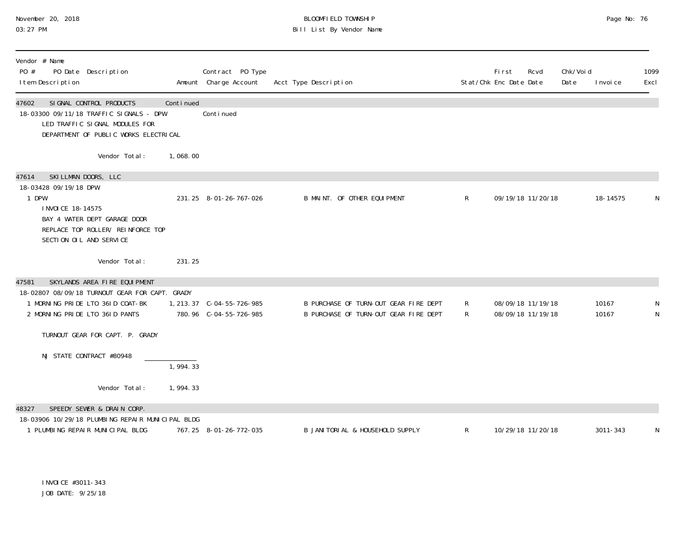# November 20, 2018 BLOOMFIELD TOWNSHIP Page No: 76 03:27 PM Bill List By Vendor Name

| Vendor # Name<br>PO #<br>PO Date Description<br>I tem Description                                                                                                                    |           | Contract PO Type<br>Amount Charge Account            | Acct Type Description                                                          |              | <b>First</b><br>Stat/Chk Enc Date Date | Rcvd                                   | Chk/Voi d<br>Date | I nvoi ce      | 1099<br>Excl |
|--------------------------------------------------------------------------------------------------------------------------------------------------------------------------------------|-----------|------------------------------------------------------|--------------------------------------------------------------------------------|--------------|----------------------------------------|----------------------------------------|-------------------|----------------|--------------|
| SI GNAL CONTROL PRODUCTS<br>47602<br>18-03300 09/11/18 TRAFFIC SIGNALS - DPW<br>LED TRAFFIC SIGNAL MODULES FOR<br>DEPARTMENT OF PUBLIC WORKS ELECTRICAL                              | Continued | Continued                                            |                                                                                |              |                                        |                                        |                   |                |              |
| Vendor Total:                                                                                                                                                                        | 1,068.00  |                                                      |                                                                                |              |                                        |                                        |                   |                |              |
| SKILLMAN DOORS, LLC<br>47614<br>18-03428 09/19/18 DPW<br>1 DPW<br>I NVOI CE 18-14575<br>BAY 4 WATER DEPT GARAGE DOOR<br>REPLACE TOP ROLLER/ REINFORCE TOP<br>SECTION OIL AND SERVICE |           | 231.25 8-01-26-767-026                               | B MAINT. OF OTHER EQUIPMENT                                                    | $\mathsf{R}$ |                                        | 09/19/18 11/20/18                      |                   | 18-14575       | N            |
| Vendor Total:                                                                                                                                                                        | 231.25    |                                                      |                                                                                |              |                                        |                                        |                   |                |              |
| SKYLANDS AREA FIRE EQUIPMENT<br>47581                                                                                                                                                |           |                                                      |                                                                                |              |                                        |                                        |                   |                |              |
| 18-02807 08/09/18 TURNOUT GEAR FOR CAPT. GRADY<br>1 MORNING PRIDE LTO 361D COAT-BK<br>2 MORNING PRIDE LTO 361D PANTS                                                                 |           | 1, 213. 37 C-04-55-726-985<br>780.96 C-04-55-726-985 | B PURCHASE OF TURN-OUT GEAR FIRE DEPT<br>B PURCHASE OF TURN-OUT GEAR FIRE DEPT | R<br>R       |                                        | 08/09/18 11/19/18<br>08/09/18 11/19/18 |                   | 10167<br>10167 | N            |
| TURNOUT GEAR FOR CAPT. P. GRADY                                                                                                                                                      |           |                                                      |                                                                                |              |                                        |                                        |                   |                |              |
| NJ STATE CONTRACT #80948                                                                                                                                                             | 1,994.33  |                                                      |                                                                                |              |                                        |                                        |                   |                |              |
| Vendor Total:                                                                                                                                                                        | 1,994.33  |                                                      |                                                                                |              |                                        |                                        |                   |                |              |
| SPEEDY SEWER & DRAIN CORP.<br>48327<br>18-03906 10/29/18 PLUMBING REPAIR MUNICIPAL BLDG<br>1 PLUMBING REPAIR MUNICIPAL BLDG                                                          |           | 767.25 8-01-26-772-035                               | B JANITORIAL & HOUSEHOLD SUPPLY                                                | R            |                                        | 10/29/18 11/20/18                      |                   | 3011-343       | N            |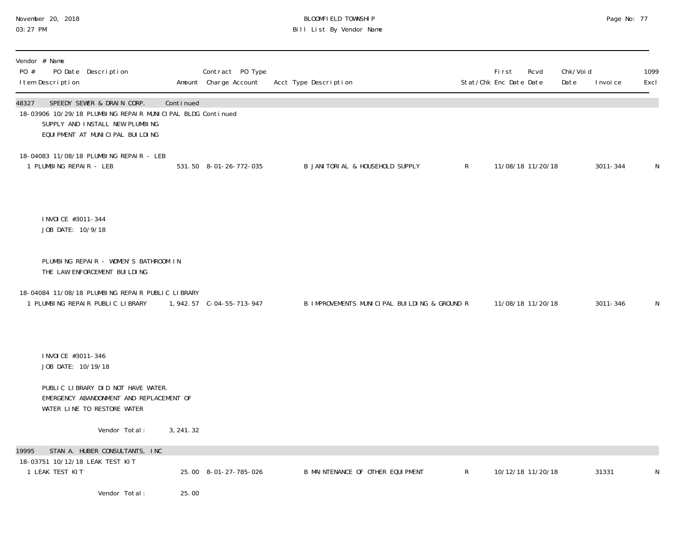# November 20, 2018 BLOOMFIELD TOWNSHIP Page No: 77 03:27 PM Bill List By Vendor Name

| Vendor # Name<br>PO #<br>PO Date Description<br>I tem Description                                                                                                         |            | Contract PO Type<br>Amount Charge Account | Acct Type Description                        |              | First<br>Stat/Chk Enc Date Date | Rcvd | Chk/Voi d<br>Date | I nvoi ce | 1099<br>Excl |
|---------------------------------------------------------------------------------------------------------------------------------------------------------------------------|------------|-------------------------------------------|----------------------------------------------|--------------|---------------------------------|------|-------------------|-----------|--------------|
| SPEEDY SEWER & DRAIN CORP.<br>48327<br>18-03906 10/29/18 PLUMBING REPAIR MUNICIPAL BLDG Continued<br>SUPPLY AND INSTALL NEW PLUMBING<br>EQUI PMENT AT MUNICI PAL BUILDING | Continued  |                                           |                                              |              |                                 |      |                   |           |              |
| 18-04083 11/08/18 PLUMBING REPAIR - LEB<br>1 PLUMBING REPAIR - LEB                                                                                                        |            | 531.50 8-01-26-772-035                    | B JANITORIAL & HOUSEHOLD SUPPLY              | $\mathsf{R}$ | 11/08/18 11/20/18               |      |                   | 3011-344  | N.           |
| I NVOI CE #3011-344<br>JOB DATE: 10/9/18                                                                                                                                  |            |                                           |                                              |              |                                 |      |                   |           |              |
| PLUMBING REPAIR - WOMEN'S BATHROOM IN<br>THE LAW ENFORCEMENT BUILDING                                                                                                     |            |                                           |                                              |              |                                 |      |                   |           |              |
| 18-04084 11/08/18 PLUMBING REPAIR PUBLIC LIBRARY<br>1 PLUMBING REPAIR PUBLIC LIBRARY                                                                                      |            |                                           | B IMPROVEMENTS MUNICIPAL BUILDING & GROUND R |              | 11/08/18 11/20/18               |      |                   | 3011-346  | N            |
| I NVOI CE #3011-346<br>JOB DATE: 10/19/18                                                                                                                                 |            |                                           |                                              |              |                                 |      |                   |           |              |
| PUBLIC LIBRARY DID NOT HAVE WATER.<br>EMERGENCY ABANDONMENT AND REPLACEMENT OF<br>WATER LINE TO RESTORE WATER                                                             |            |                                           |                                              |              |                                 |      |                   |           |              |
| Vendor Total:                                                                                                                                                             | 3, 241. 32 |                                           |                                              |              |                                 |      |                   |           |              |
| STAN A. HUBER CONSULTANTS, INC<br>19995<br>18-03751 10/12/18 LEAK TEST KIT                                                                                                |            |                                           |                                              |              |                                 |      |                   |           |              |
| 1 LEAK TEST KIT                                                                                                                                                           |            | 25.00 8-01-27-785-026                     | B MAINTENANCE OF OTHER EQUIPMENT             | $\mathsf{R}$ | 10/12/18 11/20/18               |      |                   | 31331     | N            |
| Vendor Total:                                                                                                                                                             | 25.00      |                                           |                                              |              |                                 |      |                   |           |              |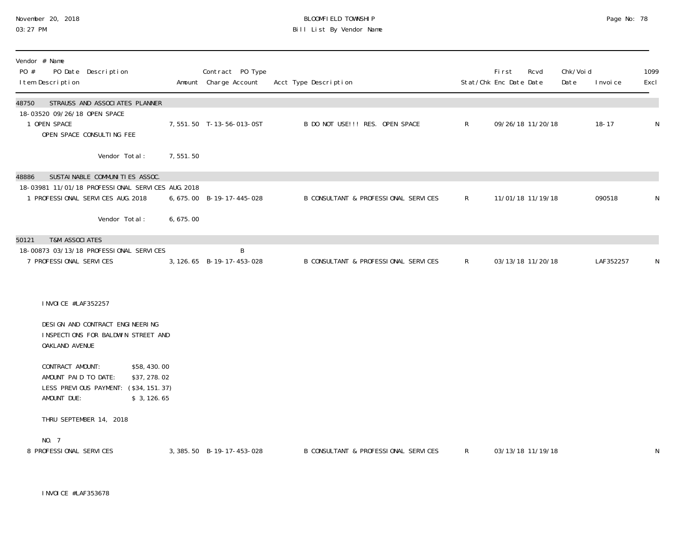#### November 20, 2018 BLOOMFIELD TOWNSHIP Page No: 78 03:27 PM Bill List By Vendor Name

| Vendor # Name<br>PO #<br>I tem Description | PO Date Description                                       |                                                                                                                           |           | Contract PO Type<br>Amount Charge Account | Acct Type Description                |              | <b>First</b><br>Stat/Chk Enc Date Date | Rcvd              | Chk/Voi d<br>Date | I nvoi ce | 1099<br>Excl |
|--------------------------------------------|-----------------------------------------------------------|---------------------------------------------------------------------------------------------------------------------------|-----------|-------------------------------------------|--------------------------------------|--------------|----------------------------------------|-------------------|-------------------|-----------|--------------|
| 48750<br>1 OPEN SPACE                      | 18-03520 09/26/18 OPEN SPACE<br>OPEN SPACE CONSULTING FEE | STRAUSS AND ASSOCIATES PLANNER                                                                                            |           | 7,551.50 T-13-56-013-0ST                  | B DO NOT USE!!! RES. OPEN SPACE      | $\mathsf{R}$ |                                        | 09/26/18 11/20/18 |                   | $18 - 17$ | N            |
|                                            |                                                           | Vendor Total:                                                                                                             | 7,551.50  |                                           |                                      |              |                                        |                   |                   |           |              |
| 48886                                      |                                                           | SUSTAI NABLE COMMUNITIES ASSOC.<br>18-03981 11/01/18 PROFESSIONAL SERVICES AUG. 2018<br>1 PROFESSIONAL SERVICES AUG. 2018 |           | 6, 675.00 B-19-17-445-028                 | B CONSULTANT & PROFESSIONAL SERVICES | $\mathsf{R}$ |                                        | 11/01/18 11/19/18 |                   | 090518    | N            |
|                                            |                                                           | Vendor Total:                                                                                                             | 6, 675.00 |                                           |                                      |              |                                        |                   |                   |           |              |
| 50121                                      | <b>T&amp;M ASSOCIATES</b>                                 |                                                                                                                           |           |                                           |                                      |              |                                        |                   |                   |           |              |
|                                            | 7 PROFESSIONAL SERVICES                                   | 18-00873 03/13/18 PROFESSIONAL SERVICES                                                                                   |           | B<br>3, 126.65 B-19-17-453-028            | B CONSULTANT & PROFESSIONAL SERVICES | $\mathsf{R}$ |                                        | 03/13/18 11/20/18 |                   | LAF352257 | N            |
|                                            | I NVOI CE #LAF352257                                      |                                                                                                                           |           |                                           |                                      |              |                                        |                   |                   |           |              |
|                                            | OAKLAND AVENUE                                            | DESIGN AND CONTRACT ENGINEERING<br>INSPECTIONS FOR BALDWIN STREET AND                                                     |           |                                           |                                      |              |                                        |                   |                   |           |              |
|                                            | CONTRACT AMOUNT:<br>AMOUNT PAID TO DATE:<br>AMOUNT DUE:   | \$58,430.00<br>\$37, 278.02<br>LESS PREVIOUS PAYMENT: (\$34, 151. 37)<br>\$3, 126.65                                      |           |                                           |                                      |              |                                        |                   |                   |           |              |
|                                            | THRU SEPTEMBER 14, 2018                                   |                                                                                                                           |           |                                           |                                      |              |                                        |                   |                   |           |              |
| NO. 7                                      | 8 PROFESSIONAL SERVICES                                   |                                                                                                                           |           | 3, 385. 50 B-19-17-453-028                | B CONSULTANT & PROFESSIONAL SERVICES | $\mathsf{R}$ |                                        | 03/13/18 11/19/18 |                   |           | N            |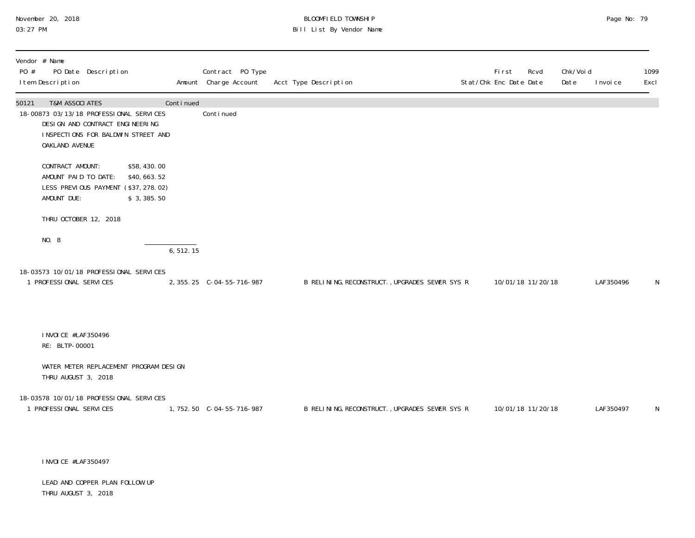# November 20, 2018 **BLOOMFIELD TOWNSHIP** BLOOMFIELD TOWNSHIP BLOOMFIELD TOWNSHIP Page No: 79<br>03:27 PM Bill List By Vendor Name

| PO #  | Vendor # Name<br>I tem Description                                                                                        | PO Date Description |                                                                                  |           | Contract PO Type<br>Amount Charge Account | Acct Type Description                          | First<br>Rcvd<br>Stat/Chk Enc Date Date | Chk/Voi d<br>Date | I nvoi ce | 1099<br>Excl |
|-------|---------------------------------------------------------------------------------------------------------------------------|---------------------|----------------------------------------------------------------------------------|-----------|-------------------------------------------|------------------------------------------------|-----------------------------------------|-------------------|-----------|--------------|
| 50121 | <b>T&amp;M ASSOCIATES</b><br>18-00873 03/13/18 PROFESSIONAL SERVICES<br>DESIGN AND CONTRACT ENGINEERING<br>OAKLAND AVENUE |                     | INSPECTIONS FOR BALDWIN STREET AND                                               | Continued | Continued                                 |                                                |                                         |                   |           |              |
|       | CONTRACT AMOUNT:<br>AMOUNT PAID TO DATE:<br>AMOUNT DUE:                                                                   |                     | \$58,430.00<br>\$40,663.52<br>LESS PREVIOUS PAYMENT (\$37, 278.02)<br>\$3,385.50 |           |                                           |                                                |                                         |                   |           |              |
|       | THRU OCTOBER 12, 2018                                                                                                     |                     |                                                                                  |           |                                           |                                                |                                         |                   |           |              |
|       | NO. 8                                                                                                                     |                     |                                                                                  | 6, 512.15 |                                           |                                                |                                         |                   |           |              |
|       | 18-03573 10/01/18 PROFESSIONAL SERVICES<br>1 PROFESSIONAL SERVICES                                                        |                     |                                                                                  |           | 2, 355. 25 C-04-55-716-987                | B RELINING, RECONSTRUCT., UPGRADES SEWER SYS R | 10/01/18 11/20/18                       |                   | LAF350496 | N            |
|       | I NVOI CE #LAF350496<br>RE: BLTP-00001                                                                                    |                     |                                                                                  |           |                                           |                                                |                                         |                   |           |              |
|       | THRU AUGUST 3, 2018                                                                                                       |                     | WATER METER REPLACEMENT PROGRAM DESIGN                                           |           |                                           |                                                |                                         |                   |           |              |
|       | 18-03578 10/01/18 PROFESSIONAL SERVICES<br>1 PROFESSIONAL SERVICES                                                        |                     |                                                                                  |           | 1, 752. 50 C-04-55-716-987                | B RELINING, RECONSTRUCT., UPGRADES SEWER SYS R | 10/01/18 11/20/18                       |                   | LAF350497 | N            |
|       |                                                                                                                           |                     |                                                                                  |           |                                           |                                                |                                         |                   |           |              |

INVOICE #LAF350497

LEAD AND COPPER PLAN FOLLOW UP THRU AUGUST 3, 2018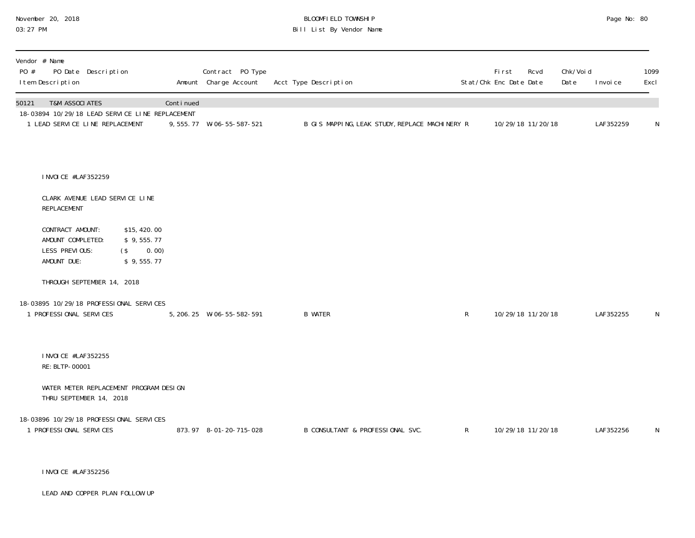# November 20, 2018 **BLOOMFIELD TOWNSHIP** BLOOMFIELD TOWNSHIP BLOOMFIELD TOWNSHIP Page No: 80<br>03:27 PM Bill List By Vendor Name

| Vendor # Name<br>PO #<br>PO Date Description<br>I tem Description                                                        |                                                            |           | Contract PO Type<br>Amount Charge Account | Acct Type Description            |                                                |              | First<br>Stat/Chk Enc Date Date | Rcvd              | Chk/Voi d<br>Date | I nvoi ce | 1099<br>Excl |
|--------------------------------------------------------------------------------------------------------------------------|------------------------------------------------------------|-----------|-------------------------------------------|----------------------------------|------------------------------------------------|--------------|---------------------------------|-------------------|-------------------|-----------|--------------|
| <b>T&amp;M ASSOCIATES</b><br>50121<br>18-03894 10/29/18 LEAD SERVICE LINE REPLACEMENT<br>1 LEAD SERVICE LINE REPLACEMENT |                                                            | Continued | 9, 555. 77 W-06-55-587-521                |                                  | B GIS MAPPING, LEAK STUDY, REPLACE MACHINERY R |              |                                 | 10/29/18 11/20/18 |                   | LAF352259 | $\mathsf{N}$ |
| I NVOI CE #LAF352259<br>CLARK AVENUE LEAD SERVICE LINE                                                                   |                                                            |           |                                           |                                  |                                                |              |                                 |                   |                   |           |              |
| REPLACEMENT                                                                                                              |                                                            |           |                                           |                                  |                                                |              |                                 |                   |                   |           |              |
| CONTRACT AMOUNT:<br>AMOUNT COMPLETED:<br>LESS PREVIOUS:<br>AMOUNT DUE:                                                   | \$15,420.00<br>\$9,555.77<br>0.00)<br>$($ \$<br>\$9,555.77 |           |                                           |                                  |                                                |              |                                 |                   |                   |           |              |
| THROUGH SEPTEMBER 14, 2018                                                                                               |                                                            |           |                                           |                                  |                                                |              |                                 |                   |                   |           |              |
| 18-03895 10/29/18 PROFESSIONAL SERVICES<br>1 PROFESSIONAL SERVICES                                                       |                                                            |           | 5, 206. 25 W-06-55-582-591                | <b>B WATER</b>                   |                                                | $\mathsf{R}$ |                                 | 10/29/18 11/20/18 |                   | LAF352255 | N            |
| I NVOI CE #LAF352255<br>RE: BLTP-00001                                                                                   |                                                            |           |                                           |                                  |                                                |              |                                 |                   |                   |           |              |
| WATER METER REPLACEMENT PROGRAM DESIGN<br>THRU SEPTEMBER 14, 2018                                                        |                                                            |           |                                           |                                  |                                                |              |                                 |                   |                   |           |              |
| 18-03896 10/29/18 PROFESSIONAL SERVICES<br>1 PROFESSIONAL SERVICES                                                       |                                                            |           | 873.97 8-01-20-715-028                    | B CONSULTANT & PROFESSIONAL SVC. |                                                | $\mathsf{R}$ |                                 | 10/29/18 11/20/18 |                   | LAF352256 | N            |

INVOICE #LAF352256

LEAD AND COPPER PLAN FOLLOW UP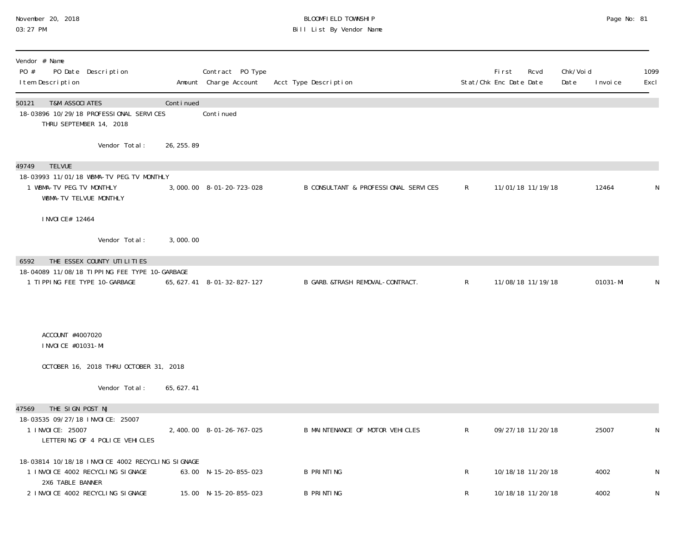## November 20, 2018 BLOOMFIELD TOWNSHIP Page No: 81 03:27 PM Bill List By Vendor Name

| Vendor # Name<br>PO #<br>PO Date Description<br>I tem Description                                        |             | Contract PO Type<br>Amount Charge Account | Acct Type Description                |              | <b>First</b><br>Stat/Chk Enc Date Date | Rcvd              | Chk/Voi d<br>Date | I nvoi ce | 1099<br>Excl |
|----------------------------------------------------------------------------------------------------------|-------------|-------------------------------------------|--------------------------------------|--------------|----------------------------------------|-------------------|-------------------|-----------|--------------|
| 50121<br><b>T&amp;M ASSOCIATES</b><br>18-03896 10/29/18 PROFESSIONAL SERVICES<br>THRU SEPTEMBER 14, 2018 | Continued   | Conti nued                                |                                      |              |                                        |                   |                   |           |              |
| Vendor Total:                                                                                            | 26, 255. 89 |                                           |                                      |              |                                        |                   |                   |           |              |
| <b>TELVUE</b><br>49749<br>18-03993 11/01/18 WBMA-TV PEG. TV MONTHLY<br>1 WBMA-TV PEG. TV MONTHLY         |             | 3,000.00 8-01-20-723-028                  | B CONSULTANT & PROFESSIONAL SERVICES | $\mathsf{R}$ |                                        | 11/01/18 11/19/18 |                   | 12464     | N            |
| WBMA-TV TELVUE MONTHLY<br>I NVOI CE# 12464                                                               |             |                                           |                                      |              |                                        |                   |                   |           |              |
| Vendor Total:                                                                                            | 3,000.00    |                                           |                                      |              |                                        |                   |                   |           |              |
| THE ESSEX COUNTY UTILITIES<br>6592                                                                       |             |                                           |                                      |              |                                        |                   |                   |           |              |
| 18-04089 11/08/18 TIPPING FEE TYPE 10-GARBAGE<br>1 TIPPING FEE TYPE 10-GARBAGE                           |             | 65, 627. 41 8-01-32-827-127               | B GARB. &TRASH REMOVAL-CONTRACT.     | $\mathsf{R}$ |                                        | 11/08/18 11/19/18 |                   | 01031-MI  | N            |
| ACCOUNT #4007020<br>I NVOI CE #01031-MI                                                                  |             |                                           |                                      |              |                                        |                   |                   |           |              |
| OCTOBER 16, 2018 THRU OCTOBER 31, 2018                                                                   |             |                                           |                                      |              |                                        |                   |                   |           |              |
| Vendor Total:                                                                                            | 65, 627.41  |                                           |                                      |              |                                        |                   |                   |           |              |
| THE SIGN POST NJ<br>47569                                                                                |             |                                           |                                      |              |                                        |                   |                   |           |              |
| 18-03535 09/27/18 INVOICE: 25007<br>1 I NVOI CE: 25007<br>LETTERING OF 4 POLICE VEHICLES                 |             | 2, 400.00 8-01-26-767-025                 | B MAINTENANCE OF MOTOR VEHICLES      | $\mathsf{R}$ |                                        | 09/27/18 11/20/18 |                   | 25007     | N            |
| 18-03814 10/18/18 INVOICE 4002 RECYCLING SIGNAGE<br>1 INVOICE 4002 RECYCLING SIGNAGE<br>2X6 TABLE BANNER |             | 63.00 N-15-20-855-023                     | <b>B PRINTING</b>                    | R.           |                                        | 10/18/18 11/20/18 |                   | 4002      | N            |
| 2 INVOICE 4002 RECYCLING SIGNAGE                                                                         |             | 15.00 N-15-20-855-023                     | <b>B PRINTING</b>                    | R            |                                        | 10/18/18 11/20/18 |                   | 4002      | N            |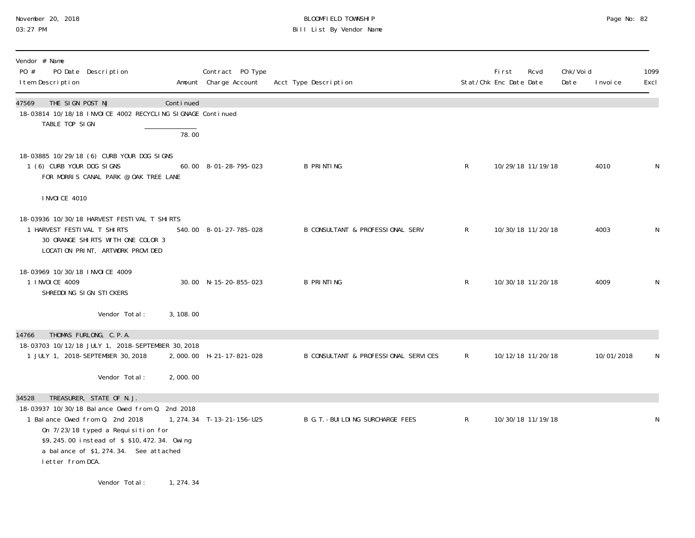# November 20, 2018 **BLOOMFIELD TOWNSHIP** BLOOMFIELD TOWNSHIP BLOOMFIELD TOWNSHIP Page No: 82<br>03:27 PM Bill List By Vendor Name

| Vendor # Name<br>PO #<br>PO Date Description<br>I tem Description                                                                                                                                                                   |           | Contract PO Type<br>Amount Charge Account | Acct Type Description                       |              | <b>First</b><br>Stat/Chk Enc Date Date | Rcvd              | Chk/Voi d<br>Date | I nvoi ce  | 1099<br>Excl |
|-------------------------------------------------------------------------------------------------------------------------------------------------------------------------------------------------------------------------------------|-----------|-------------------------------------------|---------------------------------------------|--------------|----------------------------------------|-------------------|-------------------|------------|--------------|
| THE SIGN POST NJ<br>47569<br>18-03814 10/18/18 INVOICE 4002 RECYCLING SIGNAGE Continued<br>TABLE TOP SIGN                                                                                                                           | Continued |                                           |                                             |              |                                        |                   |                   |            |              |
|                                                                                                                                                                                                                                     | 78.00     |                                           |                                             |              |                                        |                   |                   |            |              |
| 18-03885 10/29/18 (6) CURB YOUR DOG SIGNS<br>1 (6) CURB YOUR DOG SIGNS<br>FOR MORRIS CANAL PARK @ OAK TREE LANE                                                                                                                     |           | 60.00 8-01-28-795-023                     | <b>B PRINTING</b>                           | $\mathsf{R}$ |                                        | 10/29/18 11/19/18 |                   | 4010       | N            |
| <b>INVOICE 4010</b>                                                                                                                                                                                                                 |           |                                           |                                             |              |                                        |                   |                   |            |              |
| 18-03936 10/30/18 HARVEST FESTIVAL T SHIRTS<br>1 HARVEST FESTIVAL T SHIRTS<br>30 ORANGE SHIRTS WITH ONE COLOR 3<br>LOCATION PRINT, ARTWORK PROVIDED                                                                                 |           | 540.00 8-01-27-785-028                    | <b>B CONSULTANT &amp; PROFESSIONAL SERV</b> | $\mathsf{R}$ |                                        | 10/30/18 11/20/18 |                   | 4003       | N            |
| 18-03969 10/30/18 INVOICE 4009<br>1 I NVOI CE 4009<br>SHREDDING SIGN STICKERS                                                                                                                                                       |           | 30.00 N-15-20-855-023                     | <b>B PRINTING</b>                           | R            |                                        | 10/30/18 11/20/18 |                   | 4009       | N            |
| Vendor Total:                                                                                                                                                                                                                       | 3, 108.00 |                                           |                                             |              |                                        |                   |                   |            |              |
| THOMAS FURLONG, C.P.A.<br>14766<br>18-03703 10/12/18 JULY 1, 2018-SEPTEMBER 30, 2018<br>1 JULY 1, 2018-SEPTEMBER 30, 2018                                                                                                           |           | 2,000.00 H-21-17-821-028                  | B CONSULTANT & PROFESSIONAL SERVICES        | $\mathsf{R}$ |                                        | 10/12/18 11/20/18 |                   | 10/01/2018 | N            |
| Vendor Total:                                                                                                                                                                                                                       | 2,000.00  |                                           |                                             |              |                                        |                   |                   |            |              |
| TREASURER, STATE OF N.J.<br>34528                                                                                                                                                                                                   |           |                                           |                                             |              |                                        |                   |                   |            |              |
| 18-03937 10/30/18 Balance Owed from 0. 2nd 2018<br>1 Balance Owed from Q. 2nd 2018<br>On 7/23/18 typed a Requisition for<br>\$9,245.00 instead of \$\$10,472.34. Owing<br>a balance of \$1,274.34. See attached<br>letter from DCA. |           | 1, 274. 34 T-13-21-156-U25                | B G. T. - BUI LDI NG SURCHARGE FEES         | $\mathsf{R}$ |                                        | 10/30/18 11/19/18 |                   |            | N            |
| Vendor Total:                                                                                                                                                                                                                       | 1, 274.34 |                                           |                                             |              |                                        |                   |                   |            |              |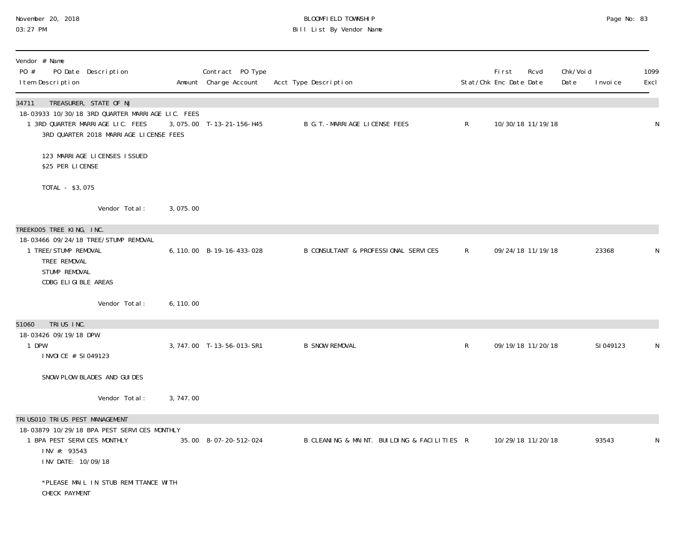#### November 20, 2018 BLOOMFIELD TOWNSHIP Page No: 83 03:27 PM Bill List By Vendor Name

| Vendor # Name<br>PO #<br>PO Date Description<br>I tem Description                                                                                                 |           | Contract PO Type<br>Amount Charge Account | Acct Type Description                       |              | Fi rst<br>Stat/Chk Enc Date Date | Rcvd              | Chk/Voi d<br>Date | I nvoi ce | 1099<br>Excl |
|-------------------------------------------------------------------------------------------------------------------------------------------------------------------|-----------|-------------------------------------------|---------------------------------------------|--------------|----------------------------------|-------------------|-------------------|-----------|--------------|
| TREASURER, STATE OF NJ<br>34711<br>18-03933 10/30/18 3RD QUARTER MARRIAGE LIC. FEES<br>1 3RD QUARTER MARRIAGE LIC. FEES<br>3RD QUARTER 2018 MARRIAGE LICENSE FEES |           | 3,075.00 T-13-21-156-H45                  | B G. T. - MARRI AGE LICENSE FEES            | $\mathsf{R}$ |                                  | 10/30/18 11/19/18 |                   |           | $\mathsf N$  |
| 123 MARRI AGE LICENSES ISSUED<br>\$25 PER LICENSE                                                                                                                 |           |                                           |                                             |              |                                  |                   |                   |           |              |
| TOTAL - \$3,075                                                                                                                                                   |           |                                           |                                             |              |                                  |                   |                   |           |              |
| Vendor Total:                                                                                                                                                     | 3,075.00  |                                           |                                             |              |                                  |                   |                   |           |              |
| TREEKOO5 TREE KING, INC.<br>18-03466 09/24/18 TREE/STUMP REMOVAL<br>1 TREE/STUMP REMOVAL<br>TREE REMOVAL<br>STUMP REMOVAL<br>CDBG ELIGIBLE AREAS                  |           | 6, 110.00 B-19-16-433-028                 | B CONSULTANT & PROFESSIONAL SERVICES        | $\mathsf{R}$ |                                  | 09/24/18 11/19/18 |                   | 23368     | N            |
| Vendor Total:                                                                                                                                                     | 6, 110.00 |                                           |                                             |              |                                  |                   |                   |           |              |
| TRIUS INC.<br>51060<br>18-03426 09/19/18 DPW<br>1 DPW                                                                                                             |           | 3, 747.00 T-13-56-013-SR1                 | <b>B SNOW REMOVAL</b>                       | $\mathsf{R}$ |                                  | 09/19/18 11/20/18 |                   | SI 049123 | N            |
| I NVOI CE # SI 049123<br>SNOW PLOW BLADES AND GUIDES                                                                                                              |           |                                           |                                             |              |                                  |                   |                   |           |              |
| Vendor Total:                                                                                                                                                     | 3,747.00  |                                           |                                             |              |                                  |                   |                   |           |              |
| TRI USO10 TRI US PEST MANAGEMENT<br>18-03879 10/29/18 BPA PEST SERVICES MONTHLY<br>1 BPA PEST SERVICES MONTHLY<br>INV #: 93543<br>INV DATE: 10/09/18              |           | 35.00 8-07-20-512-024                     | B CLEANING & MAINT. BUILDING & FACILITIES R |              |                                  | 10/29/18 11/20/18 |                   | 93543     | N            |
| *PLEASE MAIL IN STUB REMITTANCE WITH<br>CHECK PAYMENT                                                                                                             |           |                                           |                                             |              |                                  |                   |                   |           |              |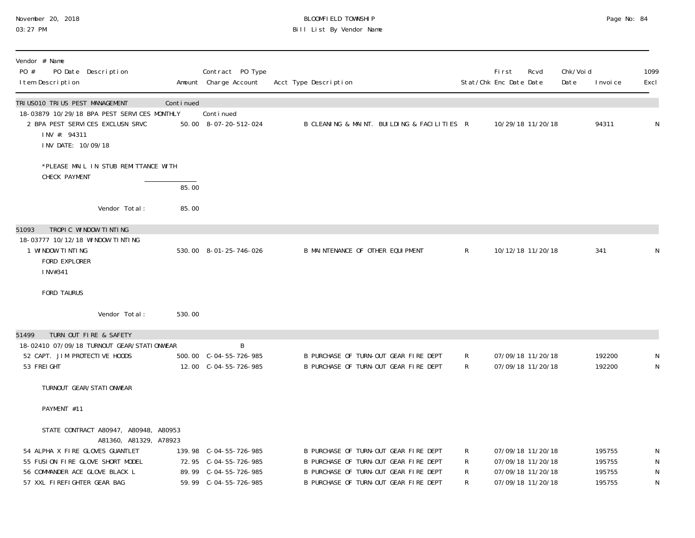| November 20, 2018 |  |
|-------------------|--|
| 03:27 PM          |  |

## November 20, 2018 BLOOMFIELD TOWNSHIP Page No: 84 03:27 PM Bill List By Vendor Name

| Vendor # Name<br>PO #<br>PO Date Description<br>I tem Description                                                                                                                                       |           | Contract PO Type<br>Amount Charge Account                                | Acct Type Description                                                                                                                                            |                  | <b>First</b><br>Stat/Chk Enc Date Date | Rcvd                                                                             | Chk/Voi d<br>Date | I nvoi ce                            | 1099<br>Excl             |
|---------------------------------------------------------------------------------------------------------------------------------------------------------------------------------------------------------|-----------|--------------------------------------------------------------------------|------------------------------------------------------------------------------------------------------------------------------------------------------------------|------------------|----------------------------------------|----------------------------------------------------------------------------------|-------------------|--------------------------------------|--------------------------|
| TRI USO10 TRI US PEST MANAGEMENT<br>18-03879 10/29/18 BPA PEST SERVICES MONTHLY<br>2 BPA PEST SERVICES EXCLUSN SRVC<br>INV #: 94311<br>INV DATE: 10/09/18                                               | Continued | Continued<br>50.00 8-07-20-512-024                                       | B CLEANING & MAINT. BUILDING & FACILITIES R                                                                                                                      |                  |                                        | 10/29/18 11/20/18                                                                |                   | 94311                                | N                        |
| *PLEASE MAIL IN STUB REMITTANCE WITH                                                                                                                                                                    |           |                                                                          |                                                                                                                                                                  |                  |                                        |                                                                                  |                   |                                      |                          |
| CHECK PAYMENT                                                                                                                                                                                           | 85.00     |                                                                          |                                                                                                                                                                  |                  |                                        |                                                                                  |                   |                                      |                          |
| Vendor Total:                                                                                                                                                                                           | 85.00     |                                                                          |                                                                                                                                                                  |                  |                                        |                                                                                  |                   |                                      |                          |
| TROPIC WINDOW TINTING<br>51093<br>18-03777 10/12/18 WINDOW TINTING<br>1 WINDOW TINTING<br>FORD EXPLORER<br>INV#341                                                                                      |           | 530.00 8-01-25-746-026                                                   | B MAINTENANCE OF OTHER EQUIPMENT                                                                                                                                 | $\mathsf{R}$     |                                        | 10/12/18 11/20/18                                                                |                   | 341                                  | N                        |
| <b>FORD TAURUS</b>                                                                                                                                                                                      |           |                                                                          |                                                                                                                                                                  |                  |                                        |                                                                                  |                   |                                      |                          |
| Vendor Total:                                                                                                                                                                                           | 530.00    |                                                                          |                                                                                                                                                                  |                  |                                        |                                                                                  |                   |                                      |                          |
| TURN OUT FIRE & SAFETY<br>51499<br>18-02410 07/09/18 TURNOUT GEAR/STATIONWEAR<br>52 CAPT. JIM PROTECTIVE HOODS<br>53 FREI GHT                                                                           |           | B<br>500.00 C-04-55-726-985<br>12.00 C-04-55-726-985                     | B PURCHASE OF TURN-OUT GEAR FIRE DEPT<br>B PURCHASE OF TURN-OUT GEAR FIRE DEPT                                                                                   | R<br>R.          |                                        | 07/09/18 11/20/18<br>07/09/18 11/20/18                                           |                   | 192200<br>192200                     | N<br>${\sf N}$           |
| TURNOUT GEAR/STATI ONWEAR                                                                                                                                                                               |           |                                                                          |                                                                                                                                                                  |                  |                                        |                                                                                  |                   |                                      |                          |
| PAYMENT #11                                                                                                                                                                                             |           |                                                                          |                                                                                                                                                                  |                  |                                        |                                                                                  |                   |                                      |                          |
| STATE CONTRACT A80947, A80948, A80953<br>A81360, A81329, A78923<br>54 ALPHA X FIRE GLOVES GUANTLET<br>55 FUSION FIRE GLOVE SHORT MODEL<br>56 COMMANDER ACE GLOVE BLACK L<br>57 XXL FIREFIGHTER GEAR BAG |           | 139.98 C-04-55-726-985<br>72.95 C-04-55-726-985<br>89.99 C-04-55-726-985 | B PURCHASE OF TURN-OUT GEAR FIRE DEPT<br>B PURCHASE OF TURN-OUT GEAR FIRE DEPT<br>B PURCHASE OF TURN-OUT GEAR FIRE DEPT<br>B PURCHASE OF TURN-OUT GEAR FIRE DEPT | R<br>R<br>R<br>R |                                        | 07/09/18 11/20/18<br>07/09/18 11/20/18<br>07/09/18 11/20/18<br>07/09/18 11/20/18 |                   | 195755<br>195755<br>195755<br>195755 | N<br>N<br>${\sf N}$<br>N |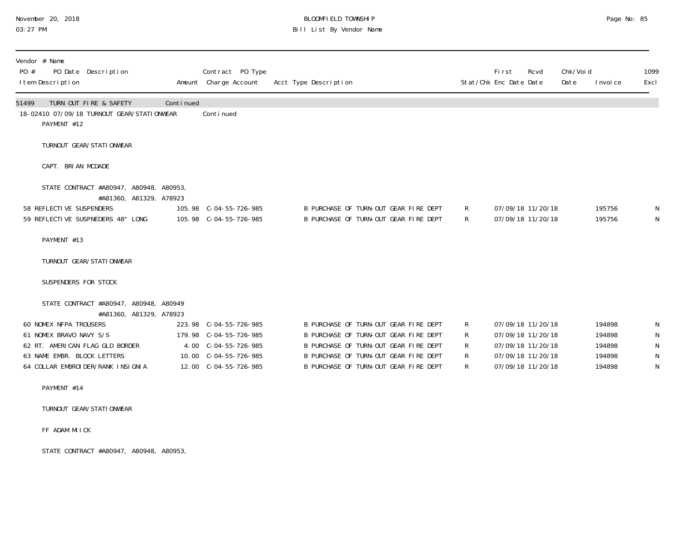# November 20, 2018 **BLOOMFIELD TOWNSHIP** BLOOMFIELD TOWNSHIP BLOOMFIELD TOWNSHIP Page No: 85<br>03:27 PM Bill List By Vendor Name

| Vendor # Name<br>PO #<br>PO Date Description<br>I tem Description                                                                                                                                                                    |           | Contract PO Type<br>Amount Charge Account                                                                                    | Acct Type Description                                                                                                                                                                                     |                       | Fi rst<br>Stat/Chk Enc Date Date | Rcvd                                                                                                  | Chk/Voi d<br>Date | I nvoi ce                                      | 1099<br>Excl |
|--------------------------------------------------------------------------------------------------------------------------------------------------------------------------------------------------------------------------------------|-----------|------------------------------------------------------------------------------------------------------------------------------|-----------------------------------------------------------------------------------------------------------------------------------------------------------------------------------------------------------|-----------------------|----------------------------------|-------------------------------------------------------------------------------------------------------|-------------------|------------------------------------------------|--------------|
| TURN OUT FIRE & SAFETY<br>51499<br>18-02410 07/09/18 TURNOUT GEAR/STATIONWEAR<br>PAYMENT #12                                                                                                                                         | Continued | Continued                                                                                                                    |                                                                                                                                                                                                           |                       |                                  |                                                                                                       |                   |                                                |              |
| TURNOUT GEAR/STATIONWEAR                                                                                                                                                                                                             |           |                                                                                                                              |                                                                                                                                                                                                           |                       |                                  |                                                                                                       |                   |                                                |              |
| CAPT. BRIAN MCDADE                                                                                                                                                                                                                   |           |                                                                                                                              |                                                                                                                                                                                                           |                       |                                  |                                                                                                       |                   |                                                |              |
| STATE CONTRACT #A80947, A80948, A80953,<br>#A81360, A81329, A78923<br>58 REFLECTIVE SUSPENDERS<br>59 REFLECTIVE SUSPNEDERS 48" LONG                                                                                                  |           | 105.98 C-04-55-726-985                                                                                                       | B PURCHASE OF TURN-OUT GEAR FIRE DEPT<br>B PURCHASE OF TURN-OUT GEAR FIRE DEPT                                                                                                                            | R<br>R                |                                  | 07/09/18 11/20/18<br>07/09/18 11/20/18                                                                |                   | 195756<br>195756                               |              |
| PAYMENT #13                                                                                                                                                                                                                          |           |                                                                                                                              |                                                                                                                                                                                                           |                       |                                  |                                                                                                       |                   |                                                |              |
| TURNOUT GEAR/STATIONWEAR                                                                                                                                                                                                             |           |                                                                                                                              |                                                                                                                                                                                                           |                       |                                  |                                                                                                       |                   |                                                |              |
| SUSPENDERS FOR STOCK                                                                                                                                                                                                                 |           |                                                                                                                              |                                                                                                                                                                                                           |                       |                                  |                                                                                                       |                   |                                                |              |
| STATE CONTRACT #A80947, A80948, A80949<br>#A81360, A81329, A78923<br><b>60 NOMEX NFPA TROUSERS</b><br>61 NOMEX BRAVO NAVY S/S<br>62 RT. AMERICAN FLAG GLD BORDER<br>63 NAME EMBR. BLOCK LETTERS<br>64 COLLAR EMBROIDER/RANK INSIGNIA |           | 223.98 C-04-55-726-985<br>179.98 C-04-55-726-985<br>4.00 C-04-55-726-985<br>10.00 $C-04-55-726-985$<br>12.00 C-04-55-726-985 | B PURCHASE OF TURN-OUT GEAR FIRE DEPT<br>B PURCHASE OF TURN-OUT GEAR FIRE DEPT<br>B PURCHASE OF TURN-OUT GEAR FIRE DEPT<br>B PURCHASE OF TURN-OUT GEAR FIRE DEPT<br>B PURCHASE OF TURN-OUT GEAR FIRE DEPT | R<br>R<br>R<br>R<br>R |                                  | 07/09/18 11/20/18<br>07/09/18 11/20/18<br>07/09/18 11/20/18<br>07/09/18 11/20/18<br>07/09/18 11/20/18 |                   | 194898<br>194898<br>194898<br>194898<br>194898 |              |
| $\Gamma$                                                                                                                                                                                                                             |           |                                                                                                                              |                                                                                                                                                                                                           |                       |                                  |                                                                                                       |                   |                                                |              |

PAYMENT #14

TURNOUT GEAR/STATIONWEAR

FF ADAM MIICK

STATE CONTRACT #A80947, A80948, A80953,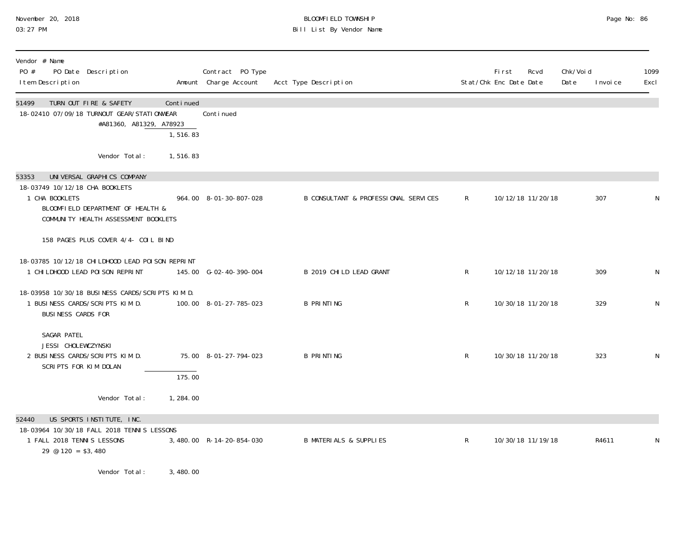# November 20, 2018 BLOOMFIELD TOWNSHIP Page No: 86 03:27 PM Bill List By Vendor Name

| Vendor # Name<br>PO #<br>PO Date Description<br>I tem Description                                                                                                    |                                                  | Contract PO Type<br>Amount Charge Account | Acct Type Description                |              | Fi rst<br>Stat/Chk Enc Date Date | Rcvd | Chk/Voi d<br>Date | I nvoi ce | 1099<br>Excl |
|----------------------------------------------------------------------------------------------------------------------------------------------------------------------|--------------------------------------------------|-------------------------------------------|--------------------------------------|--------------|----------------------------------|------|-------------------|-----------|--------------|
| TURN OUT FIRE & SAFETY<br>51499<br>18-02410 07/09/18 TURNOUT GEAR/STATIONWEAR                                                                                        | Continued<br>#A81360, A81329, A78923<br>1,516.83 | Conti nued                                |                                      |              |                                  |      |                   |           |              |
| Vendor Total:                                                                                                                                                        | 1,516.83                                         |                                           |                                      |              |                                  |      |                   |           |              |
| UNIVERSAL GRAPHICS COMPANY<br>53353<br>18-03749 10/12/18 CHA BOOKLETS<br>1 CHA BOOKLETS<br>BLOOMFIELD DEPARTMENT OF HEALTH &<br>COMMUNITY HEALTH ASSESSMENT BOOKLETS |                                                  | 964.00 8-01-30-807-028                    | B CONSULTANT & PROFESSIONAL SERVICES | $\mathsf{R}$ | 10/12/18 11/20/18                |      |                   | 307       |              |
| 158 PAGES PLUS COVER 4/4- COIL BIND                                                                                                                                  |                                                  |                                           |                                      |              |                                  |      |                   |           |              |
| 18-03785 10/12/18 CHI LDHOOD LEAD POI SON REPRINT<br>1 CHI LDHOOD LEAD POI SON REPRINT                                                                               |                                                  | 145.00 G-02-40-390-004                    | B 2019 CHILD LEAD GRANT              | $\mathsf{R}$ | 10/12/18 11/20/18                |      |                   | 309       | N            |
| 18-03958 10/30/18 BUSINESS CARDS/SCRIPTS KIM D.<br>1 BUSINESS CARDS/SCRIPTS KIM D.<br>BUSINESS CARDS FOR                                                             |                                                  | 100.00 8-01-27-785-023                    | <b>B PRINTING</b>                    | $\mathsf{R}$ | 10/30/18 11/20/18                |      |                   | 329       | N            |
| SAGAR PATEL<br>JESSI CHOLEWCZYNSKI<br>2 BUSINESS CARDS/SCRIPTS KIM D.<br>SCRIPTS FOR KIM DOLAN                                                                       | 175.00                                           | 75.00 8-01-27-794-023                     | <b>B PRINTING</b>                    | $\mathsf{R}$ | 10/30/18 11/20/18                |      |                   | 323       | N            |
| Vendor Total:                                                                                                                                                        | 1,284.00                                         |                                           |                                      |              |                                  |      |                   |           |              |
| US SPORTS INSTITUTE, INC.<br>52440<br>18-03964 10/30/18 FALL 2018 TENNIS LESSONS<br>1 FALL 2018 TENNIS LESSONS<br>$29 \text{ } \textcircled{120} = $3,480$           |                                                  | 3,480.00 R-14-20-854-030                  | <b>B MATERIALS &amp; SUPPLIES</b>    | R            | 10/30/18 11/19/18                |      |                   | R4611     | N            |
|                                                                                                                                                                      |                                                  |                                           |                                      |              |                                  |      |                   |           |              |

Vendor Total: 3,480.00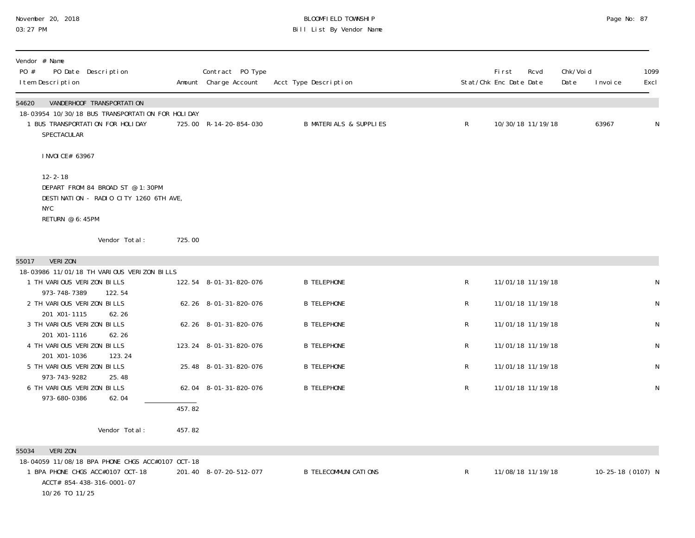# November 20, 2018 BLOOMFIELD TOWNSHIP Page No: 87 03:27 PM Bill List By Vendor Name

| Vendor # Name<br>PO #<br>PO Date Description<br>I tem Description                                                                                              |        | Contract PO Type<br>Amount Charge Account | Acct Type Description             |              | First<br>Rcvd<br>Stat/Chk Enc Date Date | Chk/Voi d<br>Date | 1099<br>Excl<br>I nvoi ce |
|----------------------------------------------------------------------------------------------------------------------------------------------------------------|--------|-------------------------------------------|-----------------------------------|--------------|-----------------------------------------|-------------------|---------------------------|
| 54620<br>VANDERHOOF TRANSPORTATION<br>18-03954 10/30/18 BUS TRANSPORTATION FOR HOLIDAY<br>1 BUS TRANSPORTATION FOR HOLIDAY<br>SPECTACULAR                      |        | 725.00 R-14-20-854-030                    | <b>B MATERIALS &amp; SUPPLIES</b> | $\mathsf R$  | 10/30/18 11/19/18                       |                   | 63967<br>N                |
| I NVOI CE# 63967                                                                                                                                               |        |                                           |                                   |              |                                         |                   |                           |
| $12 - 2 - 18$<br>DEPART FROM 84 BROAD ST @ 1:30PM<br>DESTINATION - RADIO CITY 1260 6TH AVE,<br><b>NYC</b><br>RETURN @ 6:45PM                                   |        |                                           |                                   |              |                                         |                   |                           |
| Vendor Total:                                                                                                                                                  | 725.00 |                                           |                                   |              |                                         |                   |                           |
| <b>VERIZON</b><br>55017                                                                                                                                        |        |                                           |                                   |              |                                         |                   |                           |
| 18-03986 11/01/18 TH VARIOUS VERIZON BILLS<br>1 TH VARIOUS VERIZON BILLS<br>973-748-7389<br>122.54                                                             |        | 122.54 8-01-31-820-076                    | <b>B TELEPHONE</b>                | $\mathsf{R}$ | 11/01/18 11/19/18                       |                   | N                         |
| 2 TH VARIOUS VERIZON BILLS<br>201 X01-1115<br>62.26                                                                                                            |        | 62.26 8-01-31-820-076                     | <b>B TELEPHONE</b>                | $\mathsf R$  | 11/01/18 11/19/18                       |                   | ${\sf N}$                 |
| 3 TH VARIOUS VERIZON BILLS<br>201 X01-1116<br>62.26                                                                                                            |        | 62.26 8-01-31-820-076                     | <b>B TELEPHONE</b>                | R            | 11/01/18 11/19/18                       |                   | $\mathsf N$               |
| 4 TH VARIOUS VERIZON BILLS<br>201 X01-1036<br>123.24                                                                                                           |        | 123.24 8-01-31-820-076                    | <b>B TELEPHONE</b>                | R            | 11/01/18 11/19/18                       |                   | ${\sf N}$                 |
| 5 TH VARIOUS VERIZON BILLS<br>973-743-9282<br>25.48                                                                                                            |        | 25.48 8-01-31-820-076                     | <b>B TELEPHONE</b>                | R            | 11/01/18 11/19/18                       |                   | ${\sf N}$                 |
| 6 TH VARIOUS VERIZON BILLS<br>973-680-0386<br>62.04                                                                                                            |        | 62.04 8-01-31-820-076                     | <b>B TELEPHONE</b>                | $\mathsf R$  | 11/01/18 11/19/18                       |                   | ${\sf N}$                 |
|                                                                                                                                                                | 457.82 |                                           |                                   |              |                                         |                   |                           |
| Vendor Total:                                                                                                                                                  | 457.82 |                                           |                                   |              |                                         |                   |                           |
| <b>VERIZON</b><br>55034<br>18-04059 11/08/18 BPA PHONE CHGS ACC#0107 OCT-18<br>1 BPA PHONE CHGS ACC#0107 OCT-18<br>ACCT# 854-438-316-0001-07<br>10/26 TO 11/25 |        | 201.40 8-07-20-512-077                    | <b>B TELECOMMUNI CATIONS</b>      | $\mathsf{R}$ | 11/08/18 11/19/18                       |                   | 10-25-18 (0107) N         |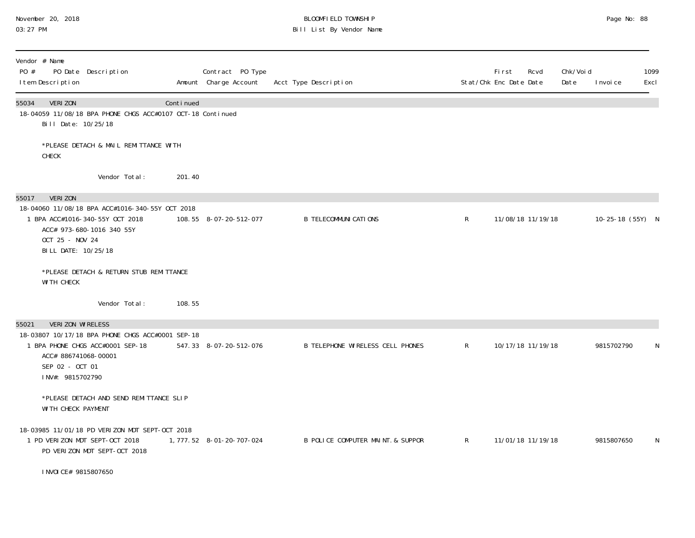# November 20, 2018 BLOOMFIELD TOWNSHIP Page No: 88 03:27 PM Bill List By Vendor Name

| Vendor # Name<br>PO #<br>PO Date Description<br>I tem Description                                                                                                                |           | Contract PO Type<br>Amount Charge Account | Acct Type Description             |              | <b>First</b><br>Rcvd<br>Stat/Chk Enc Date Date | Chk/Voi d<br>Date | I nvoi ce        | 1099<br>Excl |
|----------------------------------------------------------------------------------------------------------------------------------------------------------------------------------|-----------|-------------------------------------------|-----------------------------------|--------------|------------------------------------------------|-------------------|------------------|--------------|
| 55034<br>VERI ZON<br>18-04059 11/08/18 BPA PHONE CHGS ACC#0107 OCT-18 Continued<br>Bill Date: 10/25/18                                                                           | Continued |                                           |                                   |              |                                                |                   |                  |              |
| *PLEASE DETACH & MAIL REMITTANCE WITH<br>CHECK                                                                                                                                   |           |                                           |                                   |              |                                                |                   |                  |              |
| Vendor Total:                                                                                                                                                                    | 201.40    |                                           |                                   |              |                                                |                   |                  |              |
| VERI ZON<br>55017<br>18-04060 11/08/18 BPA ACC#1016-340-55Y OCT 2018<br>1 BPA ACC#1016-340-55Y OCT 2018<br>ACC# 973-680-1016 340 55Y<br>OCT 25 - NOV 24<br>BILL DATE: 10/25/18   |           | 108.55 8-07-20-512-077                    | <b>B TELECOMMUNICATIONS</b>       | $\mathsf{R}$ | 11/08/18 11/19/18                              |                   | 10-25-18 (55Y) N |              |
| *PLEASE DETACH & RETURN STUB REMITTANCE<br><b>WITH CHECK</b>                                                                                                                     |           |                                           |                                   |              |                                                |                   |                  |              |
| Vendor Total:                                                                                                                                                                    | 108.55    |                                           |                                   |              |                                                |                   |                  |              |
| VERIZON WIRELESS<br>55021<br>18-03807 10/17/18 BPA PHONE CHGS ACC#0001 SEP-18<br>1 BPA PHONE CHGS ACC#0001 SEP-18<br>ACC# 886741068-00001<br>SEP 02 - OCT 01<br>INV#: 9815702790 |           | 547.33 8-07-20-512-076                    | B TELEPHONE WIRELESS CELL PHONES  | $\mathsf{R}$ | 10/17/18 11/19/18                              |                   | 9815702790       | N            |
| *PLEASE DETACH AND SEND REMITTANCE SLIP<br>WI TH CHECK PAYMENT                                                                                                                   |           |                                           |                                   |              |                                                |                   |                  |              |
| 18-03985 11/01/18 PD VERIZON MDT SEPT-OCT 2018<br>1 PD VERIZON MDT SEPT-OCT 2018<br>PD VERIZON MDT SEPT-OCT 2018                                                                 |           | 1, 777. 52  8-01-20-707-024               | B POLICE COMPUTER MAINT. & SUPPOR | R            | 11/01/18 11/19/18                              |                   | 9815807650       | N            |
| I NVOI CE# 9815807650                                                                                                                                                            |           |                                           |                                   |              |                                                |                   |                  |              |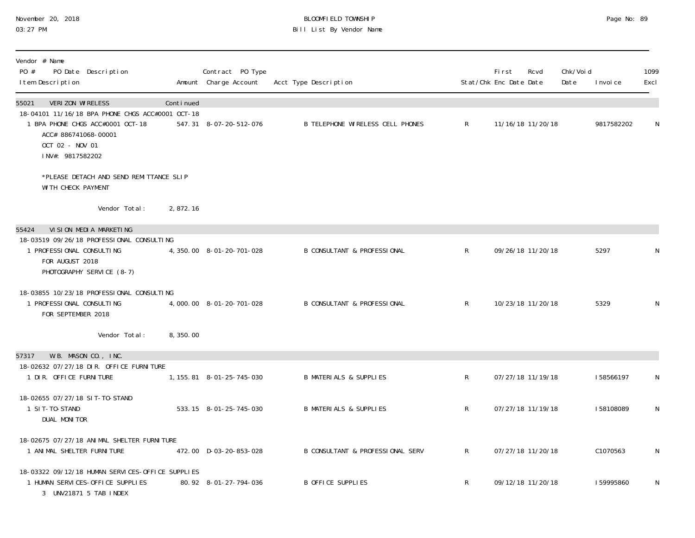# November 20, 2018 **BLOOMFIELD TOWNSHIP** BLOOMFIELD TOWNSHIP BLOOMFIELD TOWNSHIP Page No: 89<br>03:27 PM Bill List By Vendor Name

| Vendor # Name<br>PO #<br>PO Date Description<br>I tem Description                                                                                                                |           | Contract PO Type<br>Amount Charge Account | Acct Type Description                   |              | Fi rst<br>Stat/Chk Enc Date Date | Rcvd              | Chk/Voi d<br>Date | I nvoi ce  | 1099<br>Excl |
|----------------------------------------------------------------------------------------------------------------------------------------------------------------------------------|-----------|-------------------------------------------|-----------------------------------------|--------------|----------------------------------|-------------------|-------------------|------------|--------------|
| VERIZON WIRELESS<br>55021<br>18-04101 11/16/18 BPA PHONE CHGS ACC#0001 OCT-18<br>1 BPA PHONE CHGS ACC#0001 OCT-18<br>ACC# 886741068-00001<br>OCT 02 - NOV 01<br>INV#: 9817582202 | Continued | 547.31 8-07-20-512-076                    | <b>B TELEPHONE WIRELESS CELL PHONES</b> | $\mathsf{R}$ |                                  | 11/16/18 11/20/18 |                   | 9817582202 | N            |
| *PLEASE DETACH AND SEND REMITTANCE SLIP<br>WI TH CHECK PAYMENT                                                                                                                   |           |                                           |                                         |              |                                  |                   |                   |            |              |
| Vendor Total:                                                                                                                                                                    | 2,872.16  |                                           |                                         |              |                                  |                   |                   |            |              |
| VI SI ON MEDI A MARKETI NG<br>55424                                                                                                                                              |           |                                           |                                         |              |                                  |                   |                   |            |              |
| 18-03519 09/26/18 PROFESSIONAL CONSULTING<br>1 PROFESSIONAL CONSULTING<br>FOR AUGUST 2018<br>PHOTOGRAPHY SERVICE (8-7)                                                           |           | 4, 350.00 8-01-20-701-028                 | <b>B CONSULTANT &amp; PROFESSIONAL</b>  | $\mathsf{R}$ |                                  | 09/26/18 11/20/18 |                   | 5297       | N            |
| 18-03855 10/23/18 PROFESSIONAL CONSULTING<br>1 PROFESSIONAL CONSULTING<br>FOR SEPTEMBER 2018                                                                                     |           | 4,000.00 8-01-20-701-028                  | <b>B CONSULTANT &amp; PROFESSIONAL</b>  | $\mathsf{R}$ |                                  | 10/23/18 11/20/18 |                   | 5329       | ${\sf N}$    |
| Vendor Total:                                                                                                                                                                    | 8,350.00  |                                           |                                         |              |                                  |                   |                   |            |              |
| W.B. MASON CO., INC.<br>57317                                                                                                                                                    |           |                                           |                                         |              |                                  |                   |                   |            |              |
| 18-02632 07/27/18 DIR. OFFICE FURNITURE<br>1 DIR. OFFICE FURNITURE                                                                                                               |           | 1, 155. 81  8-01-25-745-030               | <b>B MATERIALS &amp; SUPPLIES</b>       | $\mathsf{R}$ |                                  | 07/27/18 11/19/18 |                   | I58566197  | N            |
| 18-02655 07/27/18 SIT-TO-STAND<br>1 SIT-TO-STAND<br>DUAL MONITOR                                                                                                                 |           | 533.15 8-01-25-745-030                    | <b>B MATERIALS &amp; SUPPLIES</b>       | $\mathsf{R}$ |                                  | 07/27/18 11/19/18 |                   | I58108089  | N            |
| 18-02675 07/27/18 ANIMAL SHELTER FURNITURE<br>1 ANIMAL SHELTER FURNITURE                                                                                                         |           | 472.00 D-03-20-853-028                    | B CONSULTANT & PROFESSIONAL SERV        | $\mathsf{R}$ |                                  | 07/27/18 11/20/18 |                   | C1070563   | N            |
| 18-03322 09/12/18 HUMAN SERVICES-OFFICE SUPPLIES<br>1 HUMAN SERVICES-OFFICE SUPPLIES<br>3 UNV21871 5 TAB INDEX                                                                   |           | 80.92 8-01-27-794-036                     | B OFFICE SUPPLIES                       | $\mathsf{R}$ |                                  | 09/12/18 11/20/18 |                   | 159995860  | N            |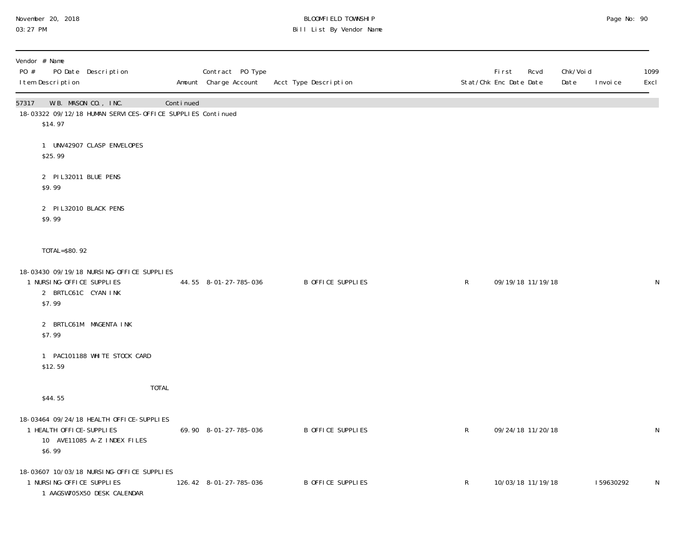# November 20, 2018 BLOOMFIELD TOWNSHIP Page No: 90 03:27 PM Bill List By Vendor Name

| Vendor # Name<br>PO #<br>PO Date Description<br>I tem Description                                             |              |           | Contract PO Type<br>Amount Charge Account | Acct Type Description    |              | First<br>Stat/Chk Enc Date Date | Chk/Voi d<br>Rcvd<br>Date | I nvoi ce | 1099<br>Excl |
|---------------------------------------------------------------------------------------------------------------|--------------|-----------|-------------------------------------------|--------------------------|--------------|---------------------------------|---------------------------|-----------|--------------|
| W.B. MASON CO., INC.<br>57317<br>18-03322 09/12/18 HUMAN SERVICES-OFFICE SUPPLIES Continued<br>\$14.97        |              | Continued |                                           |                          |              |                                 |                           |           |              |
| 1 UNV42907 CLASP ENVELOPES<br>\$25.99                                                                         |              |           |                                           |                          |              |                                 |                           |           |              |
| 2 PIL32011 BLUE PENS<br>\$9.99                                                                                |              |           |                                           |                          |              |                                 |                           |           |              |
| 2 PI L32010 BLACK PENS<br>\$9.99                                                                              |              |           |                                           |                          |              |                                 |                           |           |              |
| TOTAL=\$80.92                                                                                                 |              |           |                                           |                          |              |                                 |                           |           |              |
| 18-03430 09/19/18 NURSING-OFFICE SUPPLIES<br>1 NURSING-OFFICE SUPPLIES<br>2 BRTLC61C CYAN INK<br>\$7.99       |              |           | 44.55 8-01-27-785-036                     | B OFFICE SUPPLIES        | $\mathsf{R}$ | 09/19/18 11/19/18               |                           |           | N            |
| 2 BRTLC61M MAGENTA INK<br>\$7.99                                                                              |              |           |                                           |                          |              |                                 |                           |           |              |
| 1 PAC101188 WHITE STOCK CARD<br>\$12.59                                                                       |              |           |                                           |                          |              |                                 |                           |           |              |
| \$44.55                                                                                                       | <b>TOTAL</b> |           |                                           |                          |              |                                 |                           |           |              |
| 18-03464 09/24/18 HEALTH OFFICE-SUPPLIES<br>1 HEALTH OFFICE-SUPPLIES<br>10 AVE11085 A-Z INDEX FILES<br>\$6.99 |              |           | 69.90 8-01-27-785-036                     | B OFFICE SUPPLIES        | $\mathsf{R}$ | 09/24/18 11/20/18               |                           |           | ${\sf N}$    |
| 18-03607 10/03/18 NURSING-OFFICE SUPPLIES<br>1 NURSING-OFFICE SUPPLIES<br>1 AAGSW705X50 DESK CALENDAR         |              |           | 126.42 8-01-27-785-036                    | <b>B OFFICE SUPPLIES</b> | $\mathsf{R}$ | 10/03/18 11/19/18               |                           | 159630292 | N            |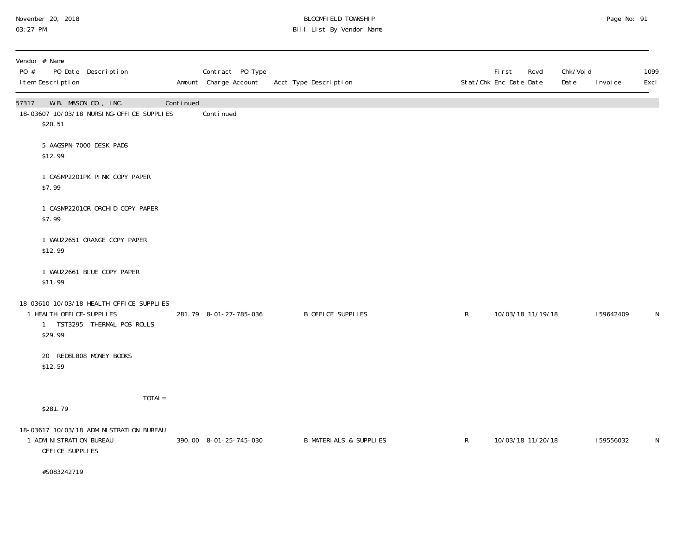# November 20, 2018 BLOOMFIELD TOWNSHIP Page No: 91 03:27 PM Bill List By Vendor Name

| PO # | Vendor # Name<br>I tem Description            | PO Date Description                                                     |           | Contract PO Type<br>Amount Charge Account | Acct Type Description |                                   |              | <b>First</b><br>Stat/Chk Enc Date Date | Rcvd | Chk/Voi d<br>Date | I nvoi ce | 1099<br>Excl |
|------|-----------------------------------------------|-------------------------------------------------------------------------|-----------|-------------------------------------------|-----------------------|-----------------------------------|--------------|----------------------------------------|------|-------------------|-----------|--------------|
|      | 57317 W.B. MASON CO., INC.<br>\$20.51         | 18-03607 10/03/18 NURSING-OFFICE SUPPLIES                               | Continued | Continued                                 |                       |                                   |              |                                        |      |                   |           |              |
|      | \$12.99                                       | 5 AAGSPN-7000 DESK PADS                                                 |           |                                           |                       |                                   |              |                                        |      |                   |           |              |
|      | \$7.99                                        | 1 CASMP2201PK PINK COPY PAPER                                           |           |                                           |                       |                                   |              |                                        |      |                   |           |              |
|      | \$7.99                                        | 1 CASMP22010R ORCHID COPY PAPER                                         |           |                                           |                       |                                   |              |                                        |      |                   |           |              |
|      | \$12.99                                       | 1 WAU22651 ORANGE COPY PAPER                                            |           |                                           |                       |                                   |              |                                        |      |                   |           |              |
|      | \$11.99                                       | 1 WAU22661 BLUE COPY PAPER                                              |           |                                           |                       |                                   |              |                                        |      |                   |           |              |
|      | 1 HEALTH OFFICE-SUPPLIES<br>\$29.99           | 18-03610 10/03/18 HEALTH OFFICE-SUPPLIES<br>1 TST3295 THERMAL POS ROLLS |           | 281.79 8-01-27-785-036                    |                       | <b>B OFFICE SUPPLIES</b>          | $\mathsf{R}$ | 10/03/18 11/19/18                      |      |                   | 159642409 | $\mathsf{N}$ |
|      | \$12.59                                       | 20 RED8L808 MONEY BOOKS                                                 |           |                                           |                       |                                   |              |                                        |      |                   |           |              |
|      | \$281.79                                      | TOTAL=                                                                  |           |                                           |                       |                                   |              |                                        |      |                   |           |              |
|      | 1 ADMI NI STRATI ON BUREAU<br>OFFICE SUPPLIES | 18-03617 10/03/18 ADMI NI STRATI ON BUREAU                              |           | 390.00 8-01-25-745-030                    |                       | <b>B MATERIALS &amp; SUPPLIES</b> | $\mathsf{R}$ | 10/03/18 11/20/18                      |      |                   | 159556032 | N            |
|      | #S083242719                                   |                                                                         |           |                                           |                       |                                   |              |                                        |      |                   |           |              |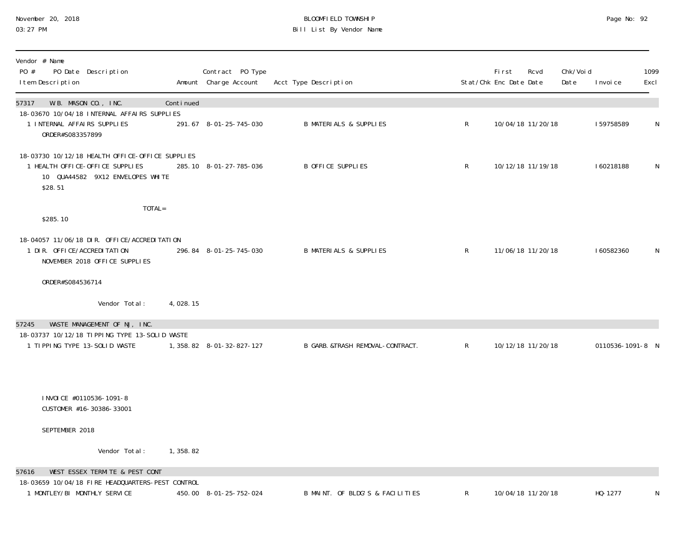# November 20, 2018 **BLOOMFIELD TOWNSHIP** BLOOMFIELD TOWNSHIP BLOOMFIELD TOWNSHIP Page No: 92<br>03:27 PM Bill List By Vendor Name

| Vendor # Name<br>PO #<br>PO Date Description<br>I tem Description                                                                 |           | Contract PO Type<br>Amount Charge Account | Acct Type Description             | Stat/Chk Enc Date Date | First | Rcvd              | Chk/Voi d<br>Date | I nvoi ce        | 1099<br>Excl |
|-----------------------------------------------------------------------------------------------------------------------------------|-----------|-------------------------------------------|-----------------------------------|------------------------|-------|-------------------|-------------------|------------------|--------------|
| W.B. MASON CO., INC.<br>57317                                                                                                     | Continued |                                           |                                   |                        |       |                   |                   |                  |              |
| 18-03670 10/04/18 INTERNAL AFFAIRS SUPPLIES<br>1 INTERNAL AFFAIRS SUPPLIES<br>ORDER#S083357899                                    |           | 291.67 8-01-25-745-030                    | <b>B MATERIALS &amp; SUPPLIES</b> | $\mathsf{R}$           |       | 10/04/18 11/20/18 |                   | 159758589        | $\mathsf N$  |
| 18-03730 10/12/18 HEALTH OFFICE-OFFICE SUPPLIES<br>1 HEALTH OFFICE-OFFICE SUPPLIES<br>10 QUA44582 9X12 ENVELOPES WHITE<br>\$28.51 |           | 285.10 8-01-27-785-036                    | B OFFICE SUPPLIES                 | $\mathsf{R}$           |       | 10/12/18 11/19/18 |                   | 160218188        | N            |
| TOTAL=<br>\$285.10                                                                                                                |           |                                           |                                   |                        |       |                   |                   |                  |              |
| 18-04057 11/06/18 DIR. OFFICE/ACCREDITATION<br>1 DIR. OFFICE/ACCREDITATION<br>NOVEMBER 2018 OFFICE SUPPLIES                       |           | 296.84 8-01-25-745-030                    | <b>B MATERIALS &amp; SUPPLIES</b> | $\mathsf{R}$           |       | 11/06/18 11/20/18 |                   | 160582360        | N            |
| ORDER#S084536714                                                                                                                  |           |                                           |                                   |                        |       |                   |                   |                  |              |
| Vendor Total:                                                                                                                     | 4,028.15  |                                           |                                   |                        |       |                   |                   |                  |              |
| WASTE MANAGEMENT OF NJ, INC.<br>57245                                                                                             |           |                                           |                                   |                        |       |                   |                   |                  |              |
| 18-03737 10/12/18 TIPPING TYPE 13-SOLID WASTE<br>1 TIPPING TYPE 13-SOLID WASTE                                                    |           | 1, 358.82 8-01-32-827-127                 | B GARB. &TRASH REMOVAL-CONTRACT.  | $\mathsf{R}$           |       | 10/12/18 11/20/18 |                   | 0110536-1091-8 N |              |
| I NVOI CE #0110536-1091-8<br>CUSTOMER #16-30386-33001                                                                             |           |                                           |                                   |                        |       |                   |                   |                  |              |
| SEPTEMBER 2018                                                                                                                    |           |                                           |                                   |                        |       |                   |                   |                  |              |
| Vendor Total:                                                                                                                     | 1,358.82  |                                           |                                   |                        |       |                   |                   |                  |              |
| WEST ESSEX TERMITE & PEST CONT<br>57616                                                                                           |           |                                           |                                   |                        |       |                   |                   |                  |              |
| 18-03659 10/04/18 FIRE HEADQUARTERS-PEST CONTROL<br>1 MONTLEY/BI MONTHLY SERVICE                                                  |           | 450.00 8-01-25-752-024                    | B MAINT. OF BLDG'S & FACILITIES   | R                      |       | 10/04/18 11/20/18 |                   | HQ-1277          | N            |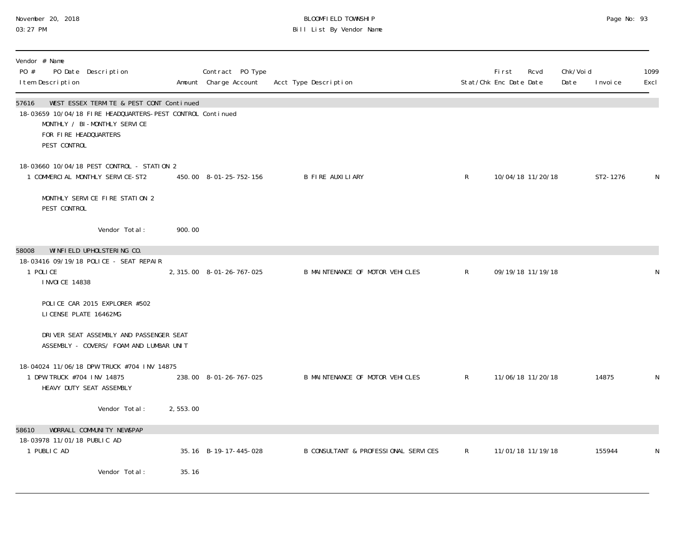# November 20, 2018 BLOOMFIELD TOWNSHIP Page No: 93 03:27 PM Bill List By Vendor Name

| Vendor # Name<br>PO #<br>PO Date Description<br>I tem Description                                                                                                                        |          | Contract PO Type<br>Amount Charge Account | Acct Type Description                |                | First<br>Rcvd<br>Stat/Chk Enc Date Date | Chk/Voi d<br>Date<br>I nvoi ce | 1099<br>Excl |
|------------------------------------------------------------------------------------------------------------------------------------------------------------------------------------------|----------|-------------------------------------------|--------------------------------------|----------------|-----------------------------------------|--------------------------------|--------------|
| WEST ESSEX TERMITE & PEST CONT Continued<br>57616<br>18-03659 10/04/18 FIRE HEADQUARTERS-PEST CONTROL Continued<br>MONTHLY / BI-MONTHLY SERVICE<br>FOR FIRE HEADQUARTERS<br>PEST CONTROL |          |                                           |                                      |                |                                         |                                |              |
| 18-03660 10/04/18 PEST CONTROL - STATION 2<br>1 COMMERCIAL MONTHLY SERVICE-ST2                                                                                                           |          | 450.00 8-01-25-752-156                    | <b>B FIRE AUXILIARY</b>              | R              | 10/04/18 11/20/18                       | ST2-1276                       | N            |
| MONTHLY SERVICE FIRE STATION 2<br>PEST CONTROL                                                                                                                                           |          |                                           |                                      |                |                                         |                                |              |
| Vendor Total:                                                                                                                                                                            | 900.00   |                                           |                                      |                |                                         |                                |              |
| WINFIELD UPHOLSTERING CO.<br>58008<br>18-03416 09/19/18 POLICE - SEAT REPAIR<br>1 POLICE<br><b>INVOICE 14838</b><br>POLICE CAR 2015 EXPLORER #502<br>LICENSE PLATE 16462MG               |          | 2, 315.00 8-01-26-767-025                 | B MAINTENANCE OF MOTOR VEHICLES      | R              | 09/19/18 11/19/18                       |                                | N            |
| DRIVER SEAT ASSEMBLY AND PASSENGER SEAT<br>ASSEMBLY - COVERS/ FOAM AND LUMBAR UNIT                                                                                                       |          |                                           |                                      |                |                                         |                                |              |
| 18-04024 11/06/18 DPW TRUCK #704 INV 14875<br>1 DPW TRUCK #704 INV 14875<br>HEAVY DUTY SEAT ASSEMBLY                                                                                     |          | 238.00 8-01-26-767-025                    | B MAINTENANCE OF MOTOR VEHICLES      | R              | 11/06/18 11/20/18                       | 14875                          | N            |
| Vendor Total:                                                                                                                                                                            | 2,553.00 |                                           |                                      |                |                                         |                                |              |
| WORRALL COMMUNITY NEWSPAP<br>58610<br>18-03978 11/01/18 PUBLIC AD<br>1 PUBLIC AD                                                                                                         |          | 35.16 B-19-17-445-028                     | B CONSULTANT & PROFESSIONAL SERVICES | $\mathsf{R}^-$ | 11/01/18 11/19/18                       | 155944                         | N            |
| Vendor Total:                                                                                                                                                                            | 35.16    |                                           |                                      |                |                                         |                                |              |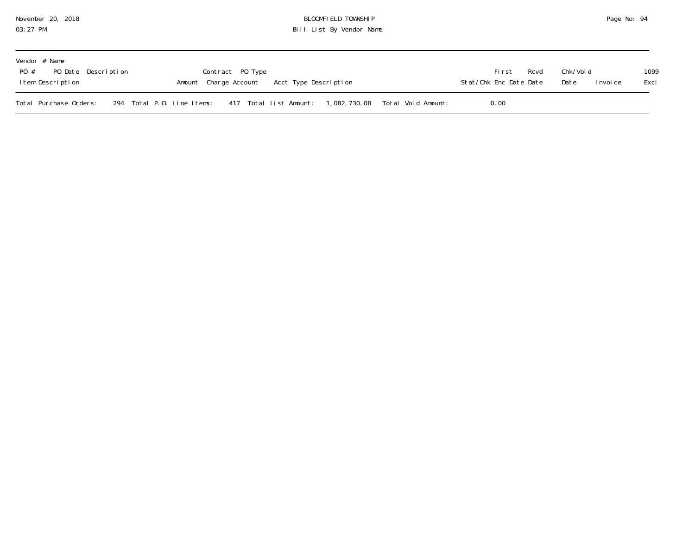| November 20, 2018 |  |  |
|-------------------|--|--|
| 03:27 PM          |  |  |

### November 20, 2018 BLOOMFIELD TOWNSHIP Page No: 94 03:27 PM Bill List By Vendor Name

| Vendor # Name<br>PO # PO Date Description<br>Item Description |  | Contract PO Type<br>Amount Charge Account Acct Type Description                   |  | Rcvd<br>Fi rst<br>Stat/Chk Enc Date Date | Chk/Voi d<br>Date<br>I nvoi ce | 1099<br>Excl |
|---------------------------------------------------------------|--|-----------------------------------------------------------------------------------|--|------------------------------------------|--------------------------------|--------------|
| Total Purchase Orders:                                        |  | 294 Total P.O. Line Items: 417 Total List Amount: 1,082,730.08 Total Void Amount: |  | 0.00                                     |                                |              |